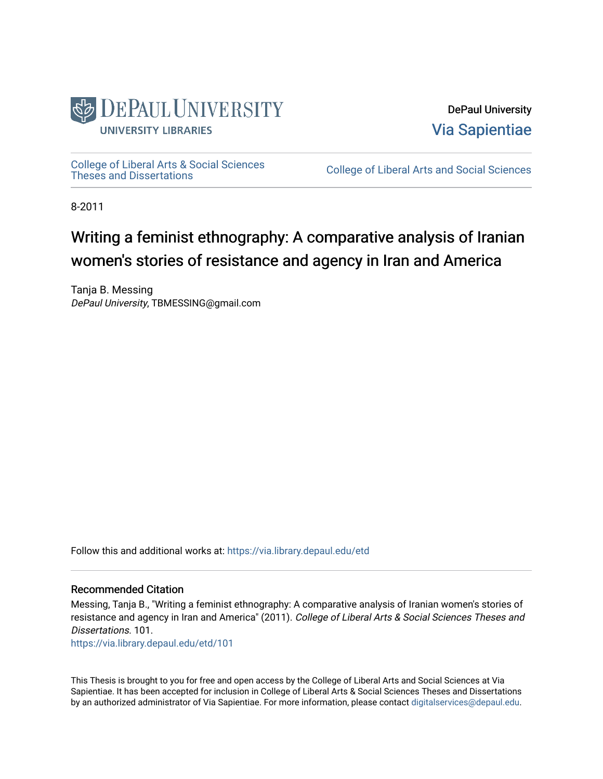

DePaul University [Via Sapientiae](https://via.library.depaul.edu/) 

[College of Liberal Arts & Social Sciences](https://via.library.depaul.edu/etd) 

College of Liberal Arts and Social Sciences

8-2011

## Writing a feminist ethnography: A comparative analysis of Iranian women's stories of resistance and agency in Iran and America

Tanja B. Messing DePaul University, TBMESSING@gmail.com

Follow this and additional works at: [https://via.library.depaul.edu/etd](https://via.library.depaul.edu/etd?utm_source=via.library.depaul.edu%2Fetd%2F101&utm_medium=PDF&utm_campaign=PDFCoverPages)

#### Recommended Citation

Messing, Tanja B., "Writing a feminist ethnography: A comparative analysis of Iranian women's stories of resistance and agency in Iran and America" (2011). College of Liberal Arts & Social Sciences Theses and Dissertations. 101.

[https://via.library.depaul.edu/etd/101](https://via.library.depaul.edu/etd/101?utm_source=via.library.depaul.edu%2Fetd%2F101&utm_medium=PDF&utm_campaign=PDFCoverPages)

This Thesis is brought to you for free and open access by the College of Liberal Arts and Social Sciences at Via Sapientiae. It has been accepted for inclusion in College of Liberal Arts & Social Sciences Theses and Dissertations by an authorized administrator of Via Sapientiae. For more information, please contact [digitalservices@depaul.edu.](mailto:digitalservices@depaul.edu)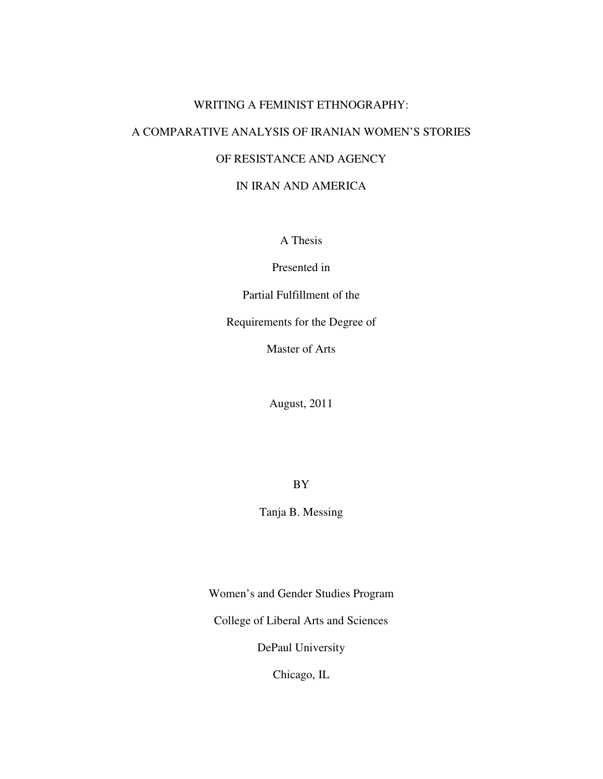## WRITING A FEMINIST ETHNOGRAPHY: A COMPARATIVE ANALYSIS OF IRANIAN WOMEN'S STORIES OF RESISTANCE AND AGENCY IN IRAN AND AMERICA

A Thesis

Presented in

Partial Fulfillment of the

Requirements for the Degree of

Master of Arts

August, 2011

BY

Tanja B. Messing

Women's and Gender Studies Program

College of Liberal Arts and Sciences

DePaul University

Chicago, IL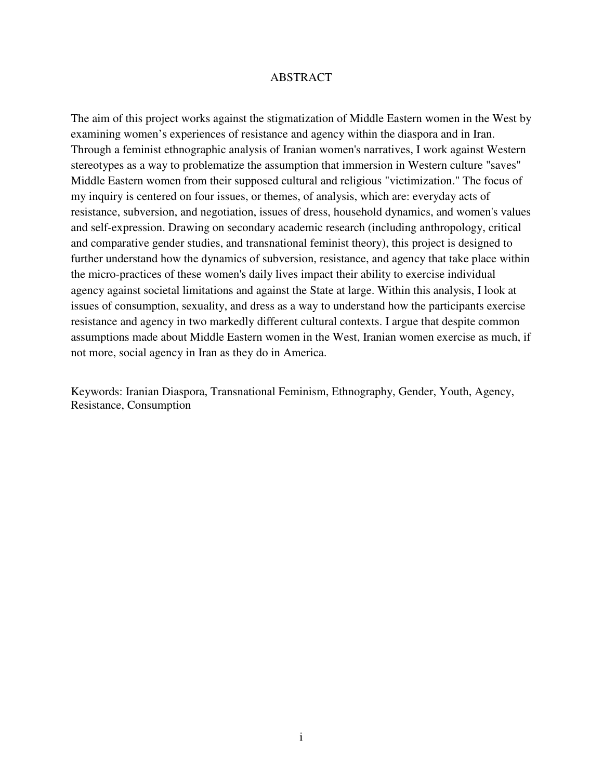#### ABSTRACT

The aim of this project works against the stigmatization of Middle Eastern women in the West by examining women's experiences of resistance and agency within the diaspora and in Iran. Through a feminist ethnographic analysis of Iranian women's narratives, I work against Western stereotypes as a way to problematize the assumption that immersion in Western culture "saves" Middle Eastern women from their supposed cultural and religious "victimization." The focus of my inquiry is centered on four issues, or themes, of analysis, which are: everyday acts of resistance, subversion, and negotiation, issues of dress, household dynamics, and women's values and self-expression. Drawing on secondary academic research (including anthropology, critical and comparative gender studies, and transnational feminist theory), this project is designed to further understand how the dynamics of subversion, resistance, and agency that take place within the micro-practices of these women's daily lives impact their ability to exercise individual agency against societal limitations and against the State at large. Within this analysis, I look at issues of consumption, sexuality, and dress as a way to understand how the participants exercise resistance and agency in two markedly different cultural contexts. I argue that despite common assumptions made about Middle Eastern women in the West, Iranian women exercise as much, if not more, social agency in Iran as they do in America.

Keywords: Iranian Diaspora, Transnational Feminism, Ethnography, Gender, Youth, Agency, Resistance, Consumption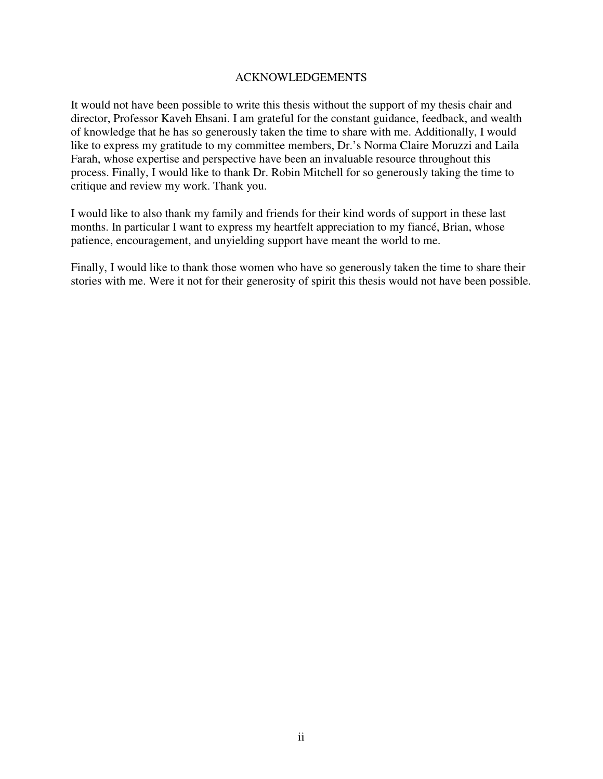#### ACKNOWLEDGEMENTS

It would not have been possible to write this thesis without the support of my thesis chair and director, Professor Kaveh Ehsani. I am grateful for the constant guidance, feedback, and wealth of knowledge that he has so generously taken the time to share with me. Additionally, I would like to express my gratitude to my committee members, Dr.'s Norma Claire Moruzzi and Laila Farah, whose expertise and perspective have been an invaluable resource throughout this process. Finally, I would like to thank Dr. Robin Mitchell for so generously taking the time to critique and review my work. Thank you.

I would like to also thank my family and friends for their kind words of support in these last months. In particular I want to express my heartfelt appreciation to my fiancé, Brian, whose patience, encouragement, and unyielding support have meant the world to me.

Finally, I would like to thank those women who have so generously taken the time to share their stories with me. Were it not for their generosity of spirit this thesis would not have been possible.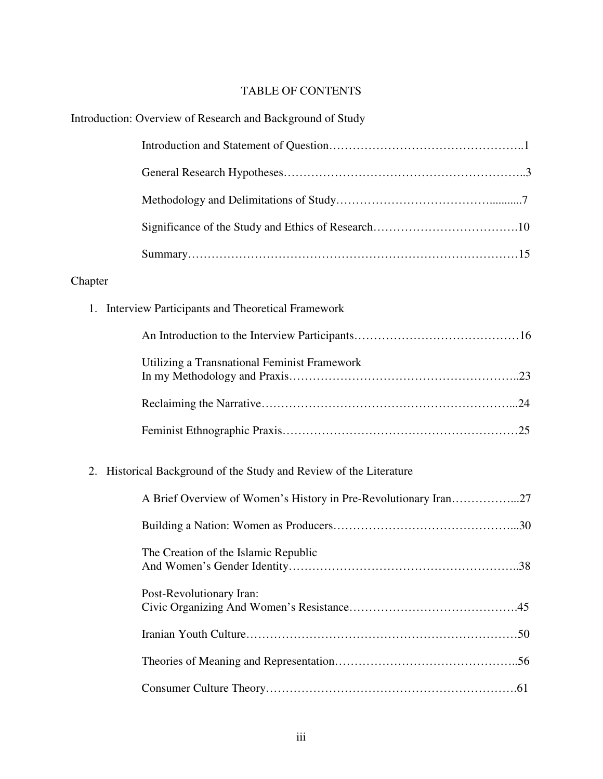## TABLE OF CONTENTS

|                                                                       | Introduction: Overview of Research and Background of Study      |  |
|-----------------------------------------------------------------------|-----------------------------------------------------------------|--|
|                                                                       |                                                                 |  |
|                                                                       |                                                                 |  |
|                                                                       |                                                                 |  |
|                                                                       |                                                                 |  |
|                                                                       |                                                                 |  |
| Chapter                                                               |                                                                 |  |
|                                                                       | 1. Interview Participants and Theoretical Framework             |  |
|                                                                       |                                                                 |  |
|                                                                       | Utilizing a Transnational Feminist Framework                    |  |
|                                                                       |                                                                 |  |
|                                                                       |                                                                 |  |
| Historical Background of the Study and Review of the Literature<br>2. |                                                                 |  |
|                                                                       | A Brief Overview of Women's History in Pre-Revolutionary Iran27 |  |
|                                                                       |                                                                 |  |
|                                                                       | The Creation of the Islamic Republic                            |  |
|                                                                       | Post-Revolutionary Iran:                                        |  |
|                                                                       |                                                                 |  |
|                                                                       |                                                                 |  |
|                                                                       |                                                                 |  |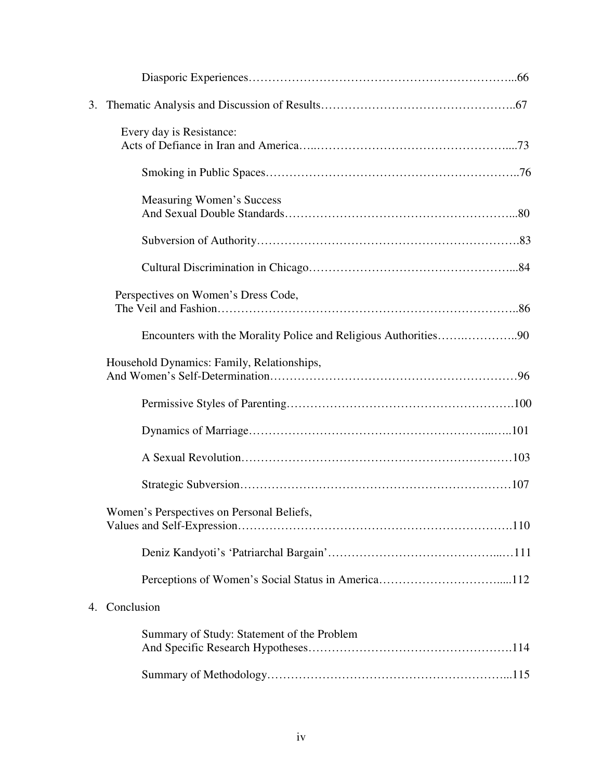| 3.                                                              |  |  |  |
|-----------------------------------------------------------------|--|--|--|
| Every day is Resistance:                                        |  |  |  |
|                                                                 |  |  |  |
| <b>Measuring Women's Success</b>                                |  |  |  |
|                                                                 |  |  |  |
|                                                                 |  |  |  |
| Perspectives on Women's Dress Code,                             |  |  |  |
| Encounters with the Morality Police and Religious Authorities90 |  |  |  |
| Household Dynamics: Family, Relationships,                      |  |  |  |
|                                                                 |  |  |  |
|                                                                 |  |  |  |
|                                                                 |  |  |  |
|                                                                 |  |  |  |
| Women's Perspectives on Personal Beliefs,                       |  |  |  |
|                                                                 |  |  |  |
|                                                                 |  |  |  |
| Conclusion<br>4.                                                |  |  |  |
| Summary of Study: Statement of the Problem                      |  |  |  |
|                                                                 |  |  |  |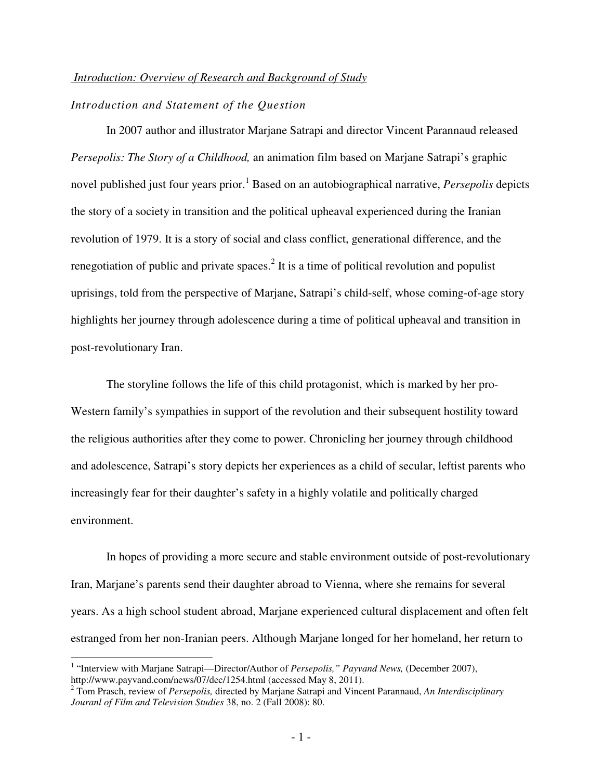#### *Introduction: Overview of Research and Background of Study*

## *Introduction and Statement of the Question*

In 2007 author and illustrator Marjane Satrapi and director Vincent Parannaud released *Persepolis: The Story of a Childhood,* an animation film based on Marjane Satrapi's graphic novel published just four years prior.<sup>1</sup> Based on an autobiographical narrative, *Persepolis* depicts the story of a society in transition and the political upheaval experienced during the Iranian revolution of 1979. It is a story of social and class conflict, generational difference, and the renegotiation of public and private spaces.<sup>2</sup> It is a time of political revolution and populist uprisings, told from the perspective of Marjane, Satrapi's child-self, whose coming-of-age story highlights her journey through adolescence during a time of political upheaval and transition in post-revolutionary Iran.

The storyline follows the life of this child protagonist, which is marked by her pro-Western family's sympathies in support of the revolution and their subsequent hostility toward the religious authorities after they come to power. Chronicling her journey through childhood and adolescence, Satrapi's story depicts her experiences as a child of secular, leftist parents who increasingly fear for their daughter's safety in a highly volatile and politically charged environment.

In hopes of providing a more secure and stable environment outside of post-revolutionary Iran, Marjane's parents send their daughter abroad to Vienna, where she remains for several years. As a high school student abroad, Marjane experienced cultural displacement and often felt estranged from her non-Iranian peers. Although Marjane longed for her homeland, her return to

<u>.</u>

<sup>&</sup>lt;sup>1</sup> "Interview with Marjane Satrapi—Director/Author of *Persepolis," Payvand News,* (December 2007), http://www.payvand.com/news/07/dec/1254.html (accessed May 8, 2011).

<sup>2</sup> Tom Prasch, review of *Persepolis,* directed by Marjane Satrapi and Vincent Parannaud, *An Interdisciplinary Jouranl of Film and Television Studies* 38, no. 2 (Fall 2008): 80.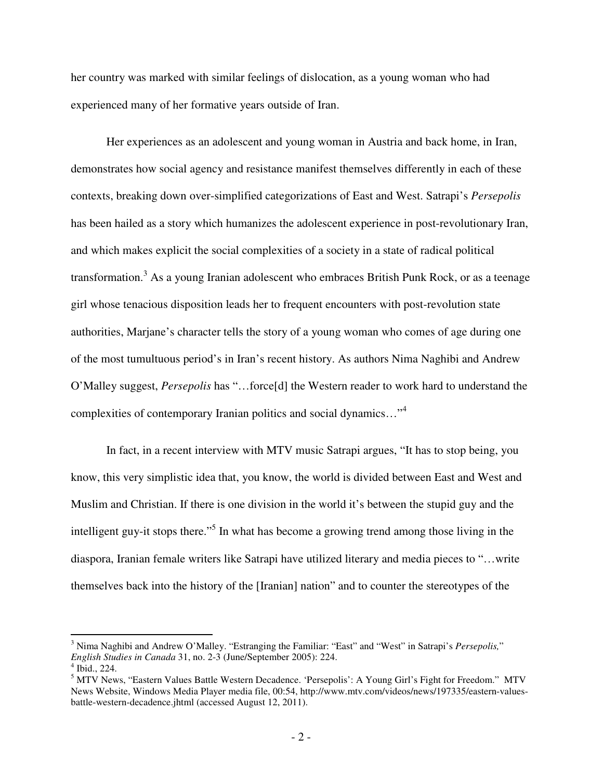her country was marked with similar feelings of dislocation, as a young woman who had experienced many of her formative years outside of Iran.

Her experiences as an adolescent and young woman in Austria and back home, in Iran, demonstrates how social agency and resistance manifest themselves differently in each of these contexts, breaking down over-simplified categorizations of East and West. Satrapi's *Persepolis* has been hailed as a story which humanizes the adolescent experience in post-revolutionary Iran, and which makes explicit the social complexities of a society in a state of radical political transformation.<sup>3</sup> As a young Iranian adolescent who embraces British Punk Rock, or as a teenage girl whose tenacious disposition leads her to frequent encounters with post-revolution state authorities, Marjane's character tells the story of a young woman who comes of age during one of the most tumultuous period's in Iran's recent history. As authors Nima Naghibi and Andrew O'Malley suggest, *Persepolis* has "…force[d] the Western reader to work hard to understand the complexities of contemporary Iranian politics and social dynamics..."<sup>4</sup>

In fact, in a recent interview with MTV music Satrapi argues, "It has to stop being, you know, this very simplistic idea that, you know, the world is divided between East and West and Muslim and Christian. If there is one division in the world it's between the stupid guy and the intelligent guy-it stops there."<sup>5</sup> In what has become a growing trend among those living in the diaspora, Iranian female writers like Satrapi have utilized literary and media pieces to "…write themselves back into the history of the [Iranian] nation" and to counter the stereotypes of the

<sup>3</sup> Nima Naghibi and Andrew O'Malley. "Estranging the Familiar: "East" and "West" in Satrapi's *Persepolis,*" *English Studies in Canada* 31, no. 2-3 (June/September 2005): 224. 4 Ibid., 224.

<sup>&</sup>lt;sup>5</sup> MTV News, "Eastern Values Battle Western Decadence. 'Persepolis': A Young Girl's Fight for Freedom." MTV News Website, Windows Media Player media file, 00:54, http://www.mtv.com/videos/news/197335/eastern-valuesbattle-western-decadence.jhtml (accessed August 12, 2011).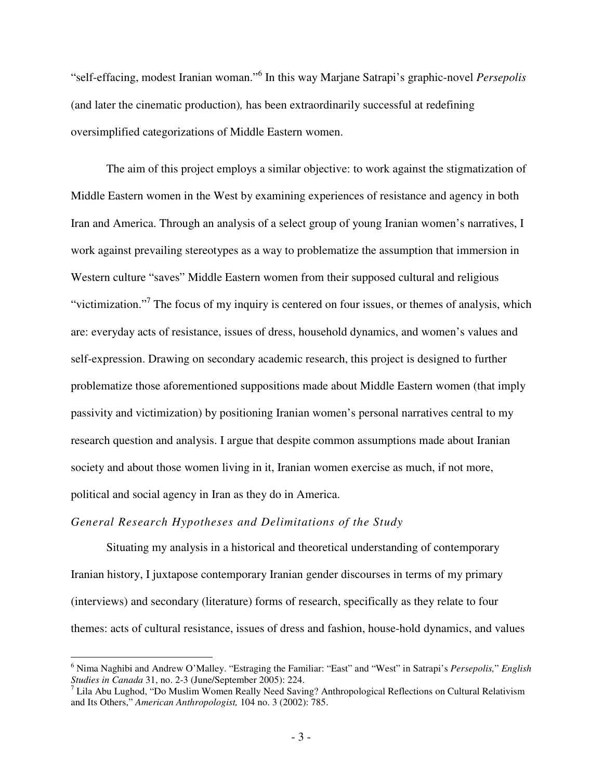"self-effacing, modest Iranian woman."<sup>6</sup> In this way Marjane Satrapi's graphic-novel *Persepolis* (and later the cinematic production)*,* has been extraordinarily successful at redefining oversimplified categorizations of Middle Eastern women.

The aim of this project employs a similar objective: to work against the stigmatization of Middle Eastern women in the West by examining experiences of resistance and agency in both Iran and America. Through an analysis of a select group of young Iranian women's narratives, I work against prevailing stereotypes as a way to problematize the assumption that immersion in Western culture "saves" Middle Eastern women from their supposed cultural and religious "victimization."<sup>7</sup> The focus of my inquiry is centered on four issues, or themes of analysis, which are: everyday acts of resistance, issues of dress, household dynamics, and women's values and self-expression. Drawing on secondary academic research, this project is designed to further problematize those aforementioned suppositions made about Middle Eastern women (that imply passivity and victimization) by positioning Iranian women's personal narratives central to my research question and analysis. I argue that despite common assumptions made about Iranian society and about those women living in it, Iranian women exercise as much, if not more, political and social agency in Iran as they do in America.

#### *General Research Hypotheses and Delimitations of the Study*

 $\overline{a}$ 

Situating my analysis in a historical and theoretical understanding of contemporary Iranian history, I juxtapose contemporary Iranian gender discourses in terms of my primary (interviews) and secondary (literature) forms of research, specifically as they relate to four themes: acts of cultural resistance, issues of dress and fashion, house-hold dynamics, and values

<sup>6</sup> Nima Naghibi and Andrew O'Malley. "Estraging the Familiar: "East" and "West" in Satrapi's *Persepolis,*" *English Studies in Canada* 31, no. 2-3 (June/September 2005): 224. 7 Lila Abu Lughod, "Do Muslim Women Really Need Saving? Anthropological Reflections on Cultural Relativism

and Its Others," *American Anthropologist,* 104 no. 3 (2002): 785.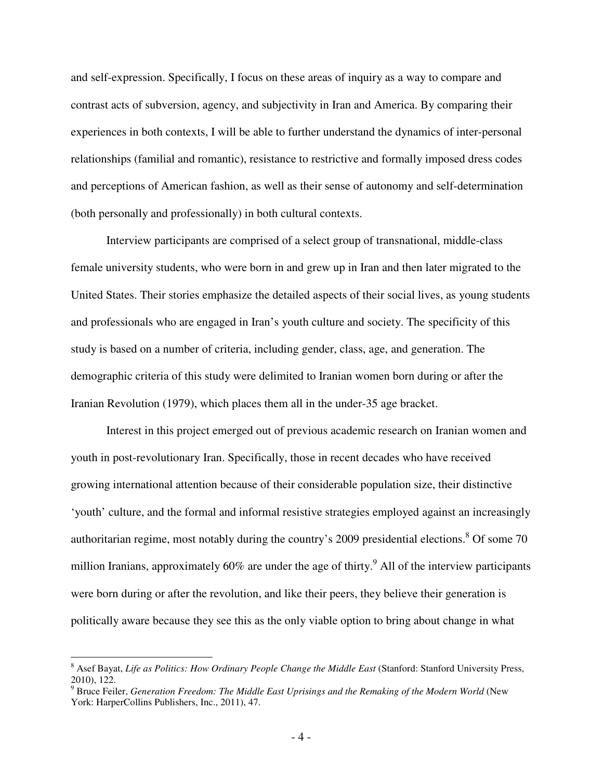and self-expression. Specifically, I focus on these areas of inquiry as a way to compare and contrast acts of subversion, agency, and subjectivity in Iran and America. By comparing their experiences in both contexts, I will be able to further understand the dynamics of inter-personal relationships (familial and romantic), resistance to restrictive and formally imposed dress codes and perceptions of American fashion, as well as their sense of autonomy and self-determination (both personally and professionally) in both cultural contexts.

Interview participants are comprised of a select group of transnational, middle-class female university students, who were born in and grew up in Iran and then later migrated to the United States. Their stories emphasize the detailed aspects of their social lives, as young students and professionals who are engaged in Iran's youth culture and society. The specificity of this study is based on a number of criteria, including gender, class, age, and generation. The demographic criteria of this study were delimited to Iranian women born during or after the Iranian Revolution (1979), which places them all in the under-35 age bracket.

Interest in this project emerged out of previous academic research on Iranian women and youth in post-revolutionary Iran. Specifically, those in recent decades who have received growing international attention because of their considerable population size, their distinctive 'youth' culture, and the formal and informal resistive strategies employed against an increasingly authoritarian regime, most notably during the country's 2009 presidential elections. <sup>8</sup> Of some 70 million Iranians, approximately 60% are under the age of thirty.<sup>9</sup> All of the interview participants were born during or after the revolution, and like their peers, they believe their generation is politically aware because they see this as the only viable option to bring about change in what

<sup>&</sup>lt;sup>8</sup> Asef Bayat, *Life as Politics: How Ordinary People Change the Middle East* (Stanford: Stanford University Press, 2010), 122.<br><sup>9</sup> Bruce Feiler, *Generation Freedom: The Middle East Uprisings and the Remaking of the Modern World (New* 

York: HarperCollins Publishers, Inc., 2011), 47.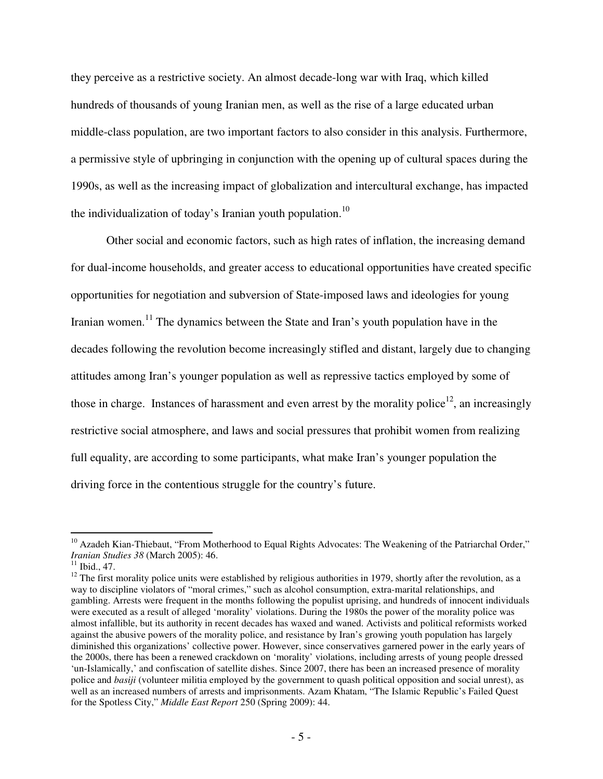they perceive as a restrictive society. An almost decade-long war with Iraq, which killed hundreds of thousands of young Iranian men, as well as the rise of a large educated urban middle-class population, are two important factors to also consider in this analysis. Furthermore, a permissive style of upbringing in conjunction with the opening up of cultural spaces during the 1990s, as well as the increasing impact of globalization and intercultural exchange, has impacted the individualization of today's Iranian youth population.<sup>10</sup>

Other social and economic factors, such as high rates of inflation, the increasing demand for dual-income households, and greater access to educational opportunities have created specific opportunities for negotiation and subversion of State-imposed laws and ideologies for young Iranian women.<sup>11</sup> The dynamics between the State and Iran's youth population have in the decades following the revolution become increasingly stifled and distant, largely due to changing attitudes among Iran's younger population as well as repressive tactics employed by some of those in charge. Instances of harassment and even arrest by the morality police<sup>12</sup>, an increasingly restrictive social atmosphere, and laws and social pressures that prohibit women from realizing full equality, are according to some participants, what make Iran's younger population the driving force in the contentious struggle for the country's future.

<sup>&</sup>lt;u>.</u> <sup>10</sup> Azadeh Kian-Thiebaut, "From Motherhood to Equal Rights Advocates: The Weakening of the Patriarchal Order," *Iranian Studies 38* (March 2005): 46.

 $11$  Ibid., 47.

 $12$  The first morality police units were established by religious authorities in 1979, shortly after the revolution, as a way to discipline violators of "moral crimes," such as alcohol consumption, extra-marital relationships, and gambling. Arrests were frequent in the months following the populist uprising, and hundreds of innocent individuals were executed as a result of alleged 'morality' violations. During the 1980s the power of the morality police was almost infallible, but its authority in recent decades has waxed and waned. Activists and political reformists worked against the abusive powers of the morality police, and resistance by Iran's growing youth population has largely diminished this organizations' collective power. However, since conservatives garnered power in the early years of the 2000s, there has been a renewed crackdown on 'morality' violations, including arrests of young people dressed 'un-Islamically,' and confiscation of satellite dishes. Since 2007, there has been an increased presence of morality police and *basiji* (volunteer militia employed by the government to quash political opposition and social unrest), as well as an increased numbers of arrests and imprisonments. Azam Khatam, "The Islamic Republic's Failed Quest for the Spotless City," *Middle East Report* 250 (Spring 2009): 44.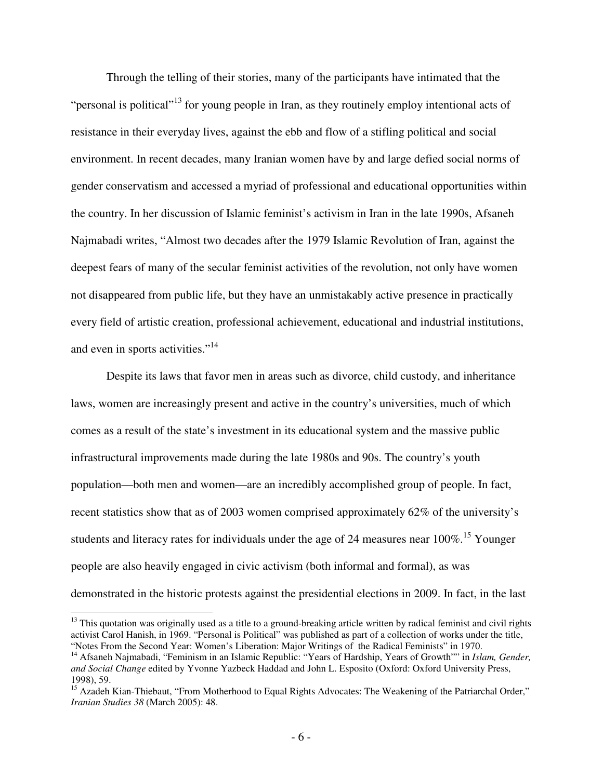Through the telling of their stories, many of the participants have intimated that the "personal is political"<sup>13</sup> for young people in Iran, as they routinely employ intentional acts of resistance in their everyday lives, against the ebb and flow of a stifling political and social environment. In recent decades, many Iranian women have by and large defied social norms of gender conservatism and accessed a myriad of professional and educational opportunities within the country. In her discussion of Islamic feminist's activism in Iran in the late 1990s, Afsaneh Najmabadi writes, "Almost two decades after the 1979 Islamic Revolution of Iran, against the deepest fears of many of the secular feminist activities of the revolution, not only have women not disappeared from public life, but they have an unmistakably active presence in practically every field of artistic creation, professional achievement, educational and industrial institutions, and even in sports activities."<sup>14</sup>

Despite its laws that favor men in areas such as divorce, child custody, and inheritance laws, women are increasingly present and active in the country's universities, much of which comes as a result of the state's investment in its educational system and the massive public infrastructural improvements made during the late 1980s and 90s. The country's youth population—both men and women—are an incredibly accomplished group of people. In fact, recent statistics show that as of 2003 women comprised approximately 62% of the university's students and literacy rates for individuals under the age of 24 measures near  $100\%$ .<sup>15</sup> Younger people are also heavily engaged in civic activism (both informal and formal), as was demonstrated in the historic protests against the presidential elections in 2009. In fact, in the last

<sup>&</sup>lt;sup>13</sup> This quotation was originally used as a title to a ground-breaking article written by radical feminist and civil rights activist Carol Hanish, in 1969. "Personal is Political" was published as part of a collection of works under the title, "Notes From the Second Year: Women's Liberation: Major Writings of the Radical Feminists" in 1970.

<sup>&</sup>lt;sup>14</sup> Afsaneh Najmabadi, "Feminism in an Islamic Republic: "Years of Hardship, Years of Growth"" in *Islam, Gender, and Social Change* edited by Yvonne Yazbeck Haddad and John L. Esposito (Oxford: Oxford University Press, 1998), 59.

<sup>&</sup>lt;sup>15</sup> Azadeh Kian-Thiebaut, "From Motherhood to Equal Rights Advocates: The Weakening of the Patriarchal Order," *Iranian Studies 38* (March 2005): 48.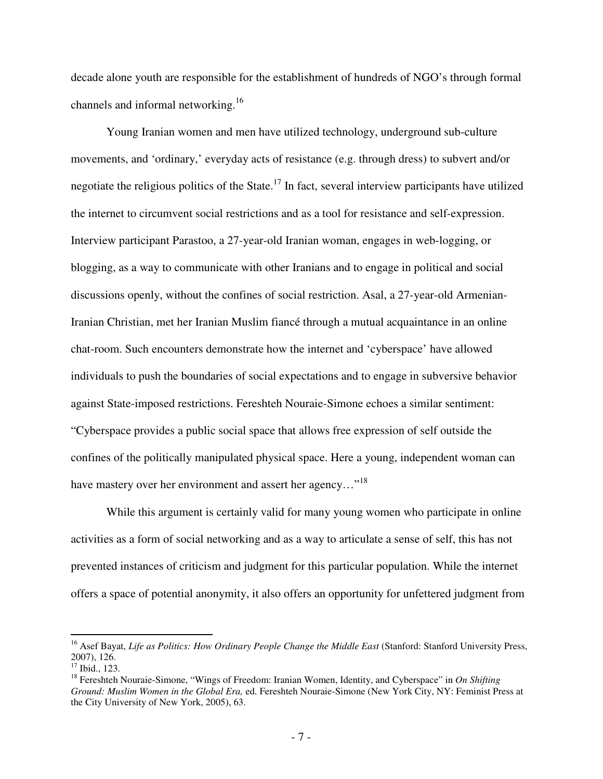decade alone youth are responsible for the establishment of hundreds of NGO's through formal channels and informal networking.<sup>16</sup>

Young Iranian women and men have utilized technology, underground sub-culture movements, and 'ordinary,' everyday acts of resistance (e.g. through dress) to subvert and/or negotiate the religious politics of the State.<sup>17</sup> In fact, several interview participants have utilized the internet to circumvent social restrictions and as a tool for resistance and self-expression. Interview participant Parastoo, a 27-year-old Iranian woman, engages in web-logging, or blogging, as a way to communicate with other Iranians and to engage in political and social discussions openly, without the confines of social restriction. Asal, a 27-year-old Armenian-Iranian Christian, met her Iranian Muslim fiancé through a mutual acquaintance in an online chat-room. Such encounters demonstrate how the internet and 'cyberspace' have allowed individuals to push the boundaries of social expectations and to engage in subversive behavior against State-imposed restrictions. Fereshteh Nouraie-Simone echoes a similar sentiment: "Cyberspace provides a public social space that allows free expression of self outside the confines of the politically manipulated physical space. Here a young, independent woman can have mastery over her environment and assert her agency..."<sup>18</sup>

While this argument is certainly valid for many young women who participate in online activities as a form of social networking and as a way to articulate a sense of self, this has not prevented instances of criticism and judgment for this particular population. While the internet offers a space of potential anonymity, it also offers an opportunity for unfettered judgment from

<sup>&</sup>lt;sup>16</sup> Asef Bayat, *Life as Politics: How Ordinary People Change the Middle East* (Stanford: Stanford University Press, 2007), 126.

<sup>17</sup> Ibid., 123.

<sup>&</sup>lt;sup>18</sup> Fereshteh Nouraie-Simone, "Wings of Freedom: Iranian Women, Identity, and Cyberspace" in *On Shifting Ground: Muslim Women in the Global Era,* ed. Fereshteh Nouraie-Simone (New York City, NY: Feminist Press at the City University of New York, 2005), 63.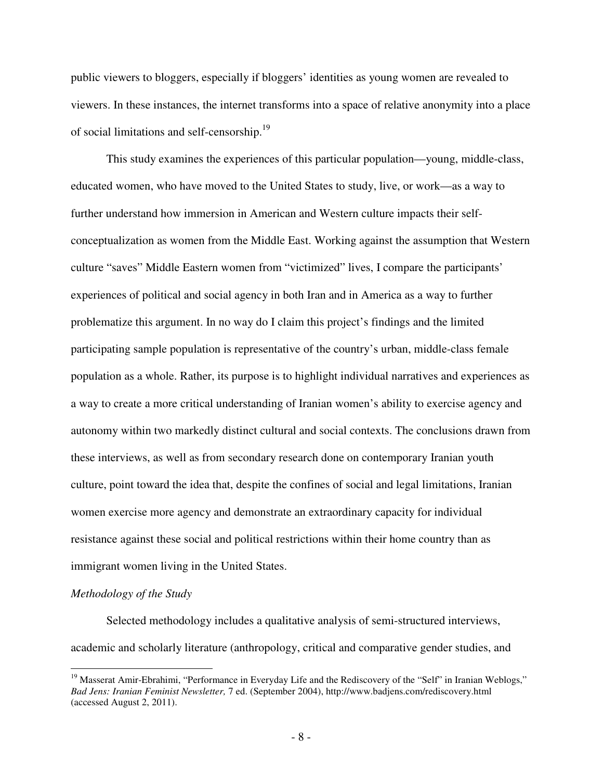public viewers to bloggers, especially if bloggers' identities as young women are revealed to viewers. In these instances, the internet transforms into a space of relative anonymity into a place of social limitations and self-censorship.<sup>19</sup>

This study examines the experiences of this particular population—young, middle-class, educated women, who have moved to the United States to study, live, or work—as a way to further understand how immersion in American and Western culture impacts their selfconceptualization as women from the Middle East. Working against the assumption that Western culture "saves" Middle Eastern women from "victimized" lives, I compare the participants' experiences of political and social agency in both Iran and in America as a way to further problematize this argument. In no way do I claim this project's findings and the limited participating sample population is representative of the country's urban, middle-class female population as a whole. Rather, its purpose is to highlight individual narratives and experiences as a way to create a more critical understanding of Iranian women's ability to exercise agency and autonomy within two markedly distinct cultural and social contexts. The conclusions drawn from these interviews, as well as from secondary research done on contemporary Iranian youth culture, point toward the idea that, despite the confines of social and legal limitations, Iranian women exercise more agency and demonstrate an extraordinary capacity for individual resistance against these social and political restrictions within their home country than as immigrant women living in the United States.

#### *Methodology of the Study*

 $\overline{a}$ 

Selected methodology includes a qualitative analysis of semi-structured interviews, academic and scholarly literature (anthropology, critical and comparative gender studies, and

<sup>&</sup>lt;sup>19</sup> Masserat Amir-Ebrahimi, "Performance in Everyday Life and the Rediscovery of the "Self" in Iranian Weblogs," *Bad Jens: Iranian Feminist Newsletter,* 7 ed. (September 2004), http://www.badjens.com/rediscovery.html (accessed August 2, 2011).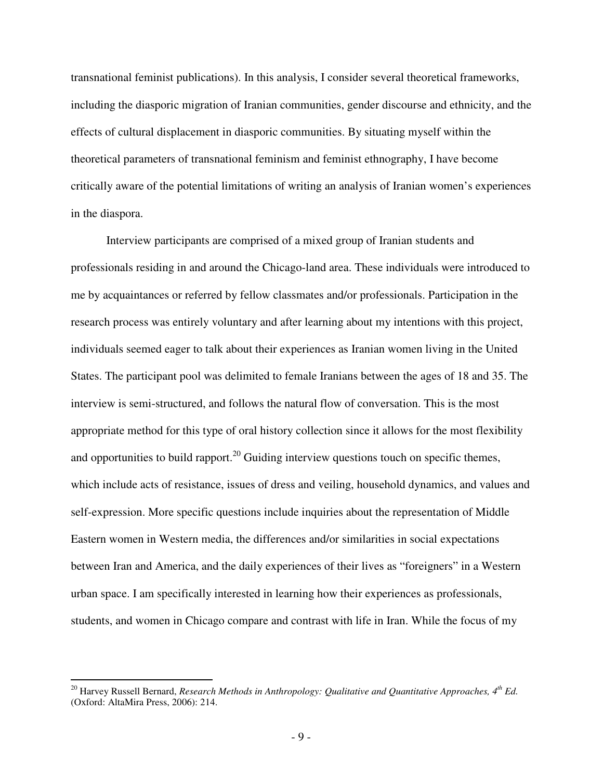transnational feminist publications). In this analysis, I consider several theoretical frameworks, including the diasporic migration of Iranian communities, gender discourse and ethnicity, and the effects of cultural displacement in diasporic communities. By situating myself within the theoretical parameters of transnational feminism and feminist ethnography, I have become critically aware of the potential limitations of writing an analysis of Iranian women's experiences in the diaspora.

Interview participants are comprised of a mixed group of Iranian students and professionals residing in and around the Chicago-land area. These individuals were introduced to me by acquaintances or referred by fellow classmates and/or professionals. Participation in the research process was entirely voluntary and after learning about my intentions with this project, individuals seemed eager to talk about their experiences as Iranian women living in the United States. The participant pool was delimited to female Iranians between the ages of 18 and 35. The interview is semi-structured, and follows the natural flow of conversation. This is the most appropriate method for this type of oral history collection since it allows for the most flexibility and opportunities to build rapport.<sup>20</sup> Guiding interview questions touch on specific themes, which include acts of resistance, issues of dress and veiling, household dynamics, and values and self-expression. More specific questions include inquiries about the representation of Middle Eastern women in Western media, the differences and/or similarities in social expectations between Iran and America, and the daily experiences of their lives as "foreigners" in a Western urban space. I am specifically interested in learning how their experiences as professionals, students, and women in Chicago compare and contrast with life in Iran. While the focus of my

<u>.</u>

<sup>20</sup> Harvey Russell Bernard, *Research Methods in Anthropology: Qualitative and Quantitative Approaches, 4th Ed.*  (Oxford: AltaMira Press, 2006): 214.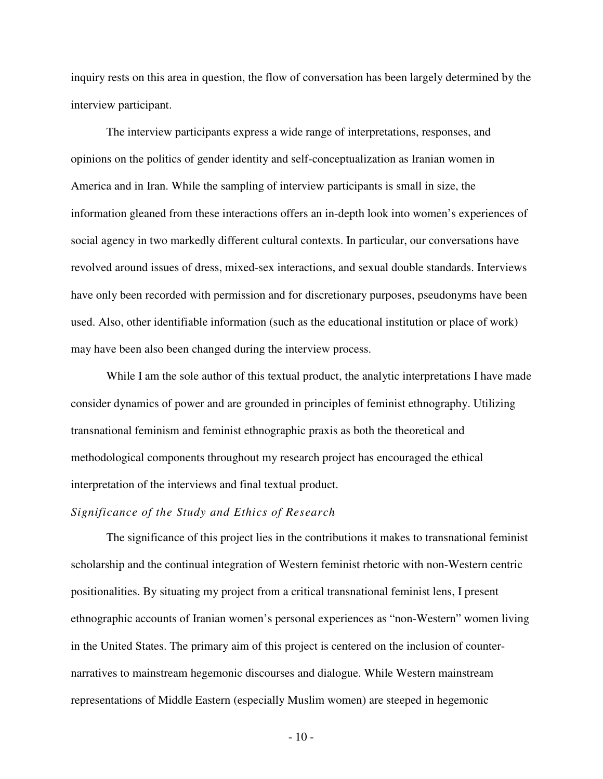inquiry rests on this area in question, the flow of conversation has been largely determined by the interview participant.

The interview participants express a wide range of interpretations, responses, and opinions on the politics of gender identity and self-conceptualization as Iranian women in America and in Iran. While the sampling of interview participants is small in size, the information gleaned from these interactions offers an in-depth look into women's experiences of social agency in two markedly different cultural contexts. In particular, our conversations have revolved around issues of dress, mixed-sex interactions, and sexual double standards. Interviews have only been recorded with permission and for discretionary purposes, pseudonyms have been used. Also, other identifiable information (such as the educational institution or place of work) may have been also been changed during the interview process.

While I am the sole author of this textual product, the analytic interpretations I have made consider dynamics of power and are grounded in principles of feminist ethnography. Utilizing transnational feminism and feminist ethnographic praxis as both the theoretical and methodological components throughout my research project has encouraged the ethical interpretation of the interviews and final textual product.

#### *Significance of the Study and Ethics of Research*

 The significance of this project lies in the contributions it makes to transnational feminist scholarship and the continual integration of Western feminist rhetoric with non-Western centric positionalities. By situating my project from a critical transnational feminist lens, I present ethnographic accounts of Iranian women's personal experiences as "non-Western" women living in the United States. The primary aim of this project is centered on the inclusion of counternarratives to mainstream hegemonic discourses and dialogue. While Western mainstream representations of Middle Eastern (especially Muslim women) are steeped in hegemonic

- 10 -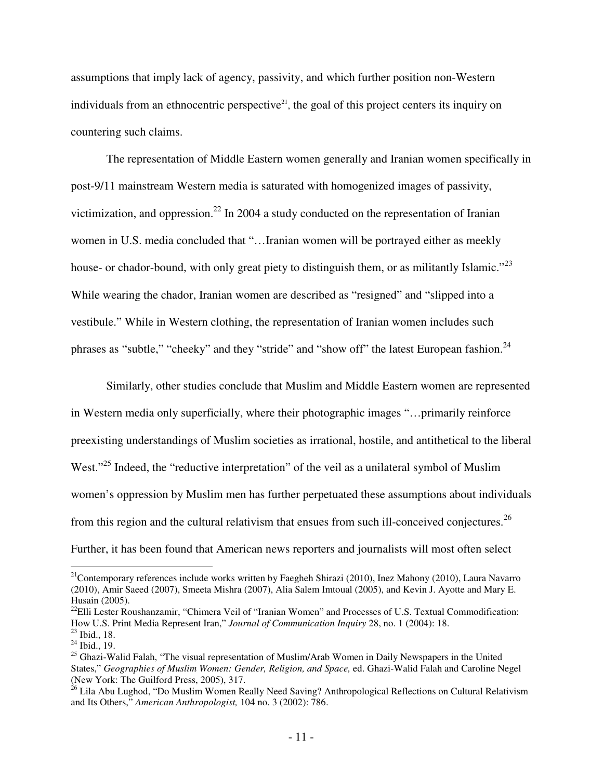assumptions that imply lack of agency, passivity, and which further position non-Western individuals from an ethnocentric perspective<sup>21</sup>, the goal of this project centers its inquiry on countering such claims.

The representation of Middle Eastern women generally and Iranian women specifically in post-9/11 mainstream Western media is saturated with homogenized images of passivity, victimization, and oppression.<sup>22</sup> In 2004 a study conducted on the representation of Iranian women in U.S. media concluded that "…Iranian women will be portrayed either as meekly house- or chador-bound, with only great piety to distinguish them, or as militantly Islamic."<sup>23</sup> While wearing the chador, Iranian women are described as "resigned" and "slipped into a vestibule." While in Western clothing, the representation of Iranian women includes such phrases as "subtle," "cheeky" and they "stride" and "show off" the latest European fashion.<sup>24</sup>

Similarly, other studies conclude that Muslim and Middle Eastern women are represented in Western media only superficially, where their photographic images "…primarily reinforce preexisting understandings of Muslim societies as irrational, hostile, and antithetical to the liberal West."<sup>25</sup> Indeed, the "reductive interpretation" of the veil as a unilateral symbol of Muslim women's oppression by Muslim men has further perpetuated these assumptions about individuals from this region and the cultural relativism that ensues from such ill-conceived conjectures.<sup>26</sup> Further, it has been found that American news reporters and journalists will most often select

-

<sup>&</sup>lt;sup>21</sup>Contemporary references include works written by Faegheh Shirazi (2010), Inez Mahony (2010), Laura Navarro (2010), Amir Saeed (2007), Smeeta Mishra (2007), Alia Salem Imtoual (2005), and Kevin J. Ayotte and Mary E. Husain (2005).

 $^{22}$ Elli Lester Roushanzamir, "Chimera Veil of "Iranian Women" and Processes of U.S. Textual Commodification: How U.S. Print Media Represent Iran," *Journal of Communication Inquiry* 28, no. 1 (2004): 18. <sup>23</sup> Ibid., 18.

 $24$  Ibid., 19.

<sup>&</sup>lt;sup>25</sup> Ghazi-Walid Falah, "The visual representation of Muslim/Arab Women in Daily Newspapers in the United States," *Geographies of Muslim Women: Gender, Religion, and Space,* ed. Ghazi-Walid Falah and Caroline Negel (New York: The Guilford Press, 2005), 317.

<sup>&</sup>lt;sup>26</sup> Lila Abu Lughod, "Do Muslim Women Really Need Saving? Anthropological Reflections on Cultural Relativism and Its Others," *American Anthropologist,* 104 no. 3 (2002): 786.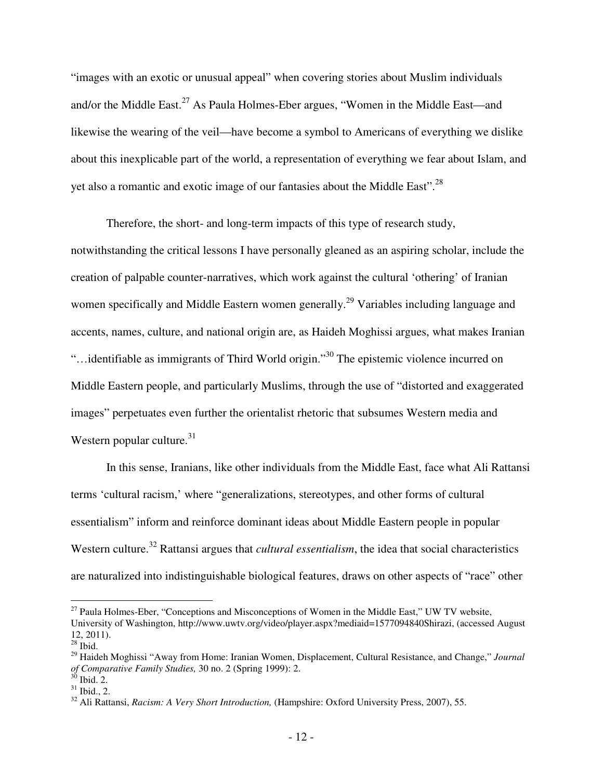"images with an exotic or unusual appeal" when covering stories about Muslim individuals and/or the Middle East.<sup>27</sup> As Paula Holmes-Eber argues, "Women in the Middle East—and likewise the wearing of the veil—have become a symbol to Americans of everything we dislike about this inexplicable part of the world, a representation of everything we fear about Islam, and yet also a romantic and exotic image of our fantasies about the Middle East".<sup>28</sup>

 Therefore, the short- and long-term impacts of this type of research study, notwithstanding the critical lessons I have personally gleaned as an aspiring scholar, include the creation of palpable counter-narratives, which work against the cultural 'othering' of Iranian women specifically and Middle Eastern women generally.<sup>29</sup> Variables including language and accents, names, culture, and national origin are, as Haideh Moghissi argues, what makes Iranian "…identifiable as immigrants of Third World origin."<sup>30</sup> The epistemic violence incurred on Middle Eastern people, and particularly Muslims, through the use of "distorted and exaggerated images" perpetuates even further the orientalist rhetoric that subsumes Western media and Western popular culture. $31$ 

In this sense, Iranians, like other individuals from the Middle East, face what Ali Rattansi terms 'cultural racism,' where "generalizations, stereotypes, and other forms of cultural essentialism" inform and reinforce dominant ideas about Middle Eastern people in popular Western culture.<sup>32</sup> Rattansi argues that *cultural essentialism*, the idea that social characteristics are naturalized into indistinguishable biological features, draws on other aspects of "race" other

<sup>&</sup>lt;sup>27</sup> Paula Holmes-Eber, "Conceptions and Misconceptions of Women in the Middle East," UW TV website, University of Washington, http://www.uwtv.org/video/player.aspx?mediaid=1577094840Shirazi, (accessed August 12, 2011).

 $28$  Ibid.

<sup>29</sup> Haideh Moghissi "Away from Home: Iranian Women, Displacement, Cultural Resistance, and Change," *Journal of Comparative Family Studies,* 30 no. 2 (Spring 1999): 2.

 $30$  Ibid. 2.

 $31$  Ibid., 2.

<sup>&</sup>lt;sup>32</sup> Ali Rattansi, *Racism: A Very Short Introduction*, (Hampshire: Oxford University Press, 2007), 55.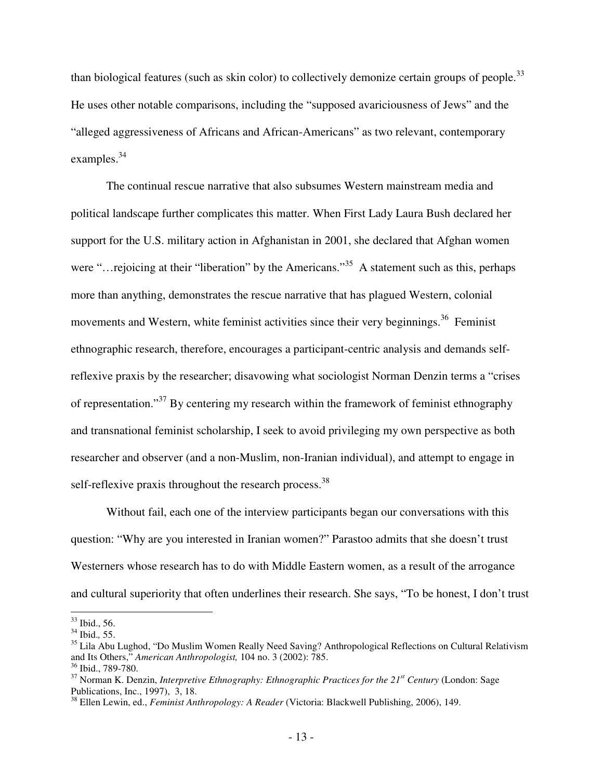than biological features (such as skin color) to collectively demonize certain groups of people.<sup>33</sup> He uses other notable comparisons, including the "supposed avariciousness of Jews" and the "alleged aggressiveness of Africans and African-Americans" as two relevant, contemporary examples.<sup>34</sup>

The continual rescue narrative that also subsumes Western mainstream media and political landscape further complicates this matter. When First Lady Laura Bush declared her support for the U.S. military action in Afghanistan in 2001, she declared that Afghan women were "…rejoicing at their "liberation" by the Americans."<sup>35</sup> A statement such as this, perhaps more than anything, demonstrates the rescue narrative that has plagued Western, colonial movements and Western, white feminist activities since their very beginnings.<sup>36</sup> Feminist ethnographic research, therefore, encourages a participant-centric analysis and demands selfreflexive praxis by the researcher; disavowing what sociologist Norman Denzin terms a "crises of representation."<sup>37</sup> By centering my research within the framework of feminist ethnography and transnational feminist scholarship, I seek to avoid privileging my own perspective as both researcher and observer (and a non-Muslim, non-Iranian individual), and attempt to engage in self-reflexive praxis throughout the research process. $38$ 

Without fail, each one of the interview participants began our conversations with this question: "Why are you interested in Iranian women?" Parastoo admits that she doesn't trust Westerners whose research has to do with Middle Eastern women, as a result of the arrogance and cultural superiority that often underlines their research. She says, "To be honest, I don't trust

 $33$  Ibid., 56.

<sup>34</sup> Ibid.*,* 55.

<sup>&</sup>lt;sup>35</sup> Lila Abu Lughod, "Do Muslim Women Really Need Saving? Anthropological Reflections on Cultural Relativism and Its Others," *American Anthropologist,* 104 no. 3 (2002): 785.

<sup>&</sup>lt;sup>36</sup> Ibid., 789-780.

<sup>37</sup> Norman K. Denzin, *Interpretive Ethnography: Ethnographic Practices for the 21st Century* (London: Sage Publications, Inc., 1997), 3, 18.

<sup>38</sup> Ellen Lewin, ed., *Feminist Anthropology: A Reader* (Victoria: Blackwell Publishing, 2006), 149.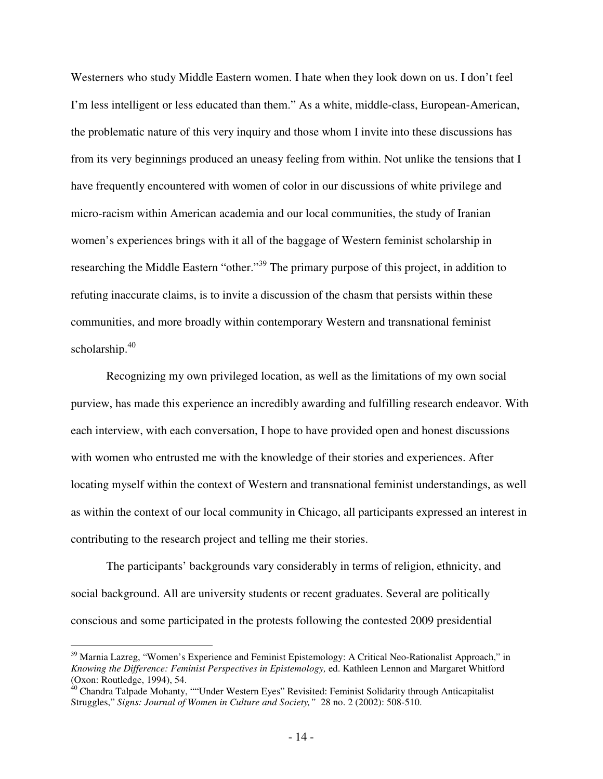Westerners who study Middle Eastern women. I hate when they look down on us. I don't feel I'm less intelligent or less educated than them." As a white, middle-class, European-American, the problematic nature of this very inquiry and those whom I invite into these discussions has from its very beginnings produced an uneasy feeling from within. Not unlike the tensions that I have frequently encountered with women of color in our discussions of white privilege and micro-racism within American academia and our local communities, the study of Iranian women's experiences brings with it all of the baggage of Western feminist scholarship in researching the Middle Eastern "other."<sup>39</sup> The primary purpose of this project, in addition to refuting inaccurate claims, is to invite a discussion of the chasm that persists within these communities, and more broadly within contemporary Western and transnational feminist scholarship.<sup>40</sup>

Recognizing my own privileged location, as well as the limitations of my own social purview, has made this experience an incredibly awarding and fulfilling research endeavor. With each interview, with each conversation, I hope to have provided open and honest discussions with women who entrusted me with the knowledge of their stories and experiences. After locating myself within the context of Western and transnational feminist understandings, as well as within the context of our local community in Chicago, all participants expressed an interest in contributing to the research project and telling me their stories.

The participants' backgrounds vary considerably in terms of religion, ethnicity, and social background. All are university students or recent graduates. Several are politically conscious and some participated in the protests following the contested 2009 presidential

<sup>&</sup>lt;sup>39</sup> Marnia Lazreg, "Women's Experience and Feminist Epistemology: A Critical Neo-Rationalist Approach," in *Knowing the Difference: Feminist Perspectives in Epistemology,* ed. Kathleen Lennon and Margaret Whitford (Oxon: Routledge, 1994), 54.

<sup>&</sup>lt;sup>40</sup> Chandra Talpade Mohanty, ""Under Western Eyes" Revisited: Feminist Solidarity through Anticapitalist Struggles," *Signs: Journal of Women in Culture and Society,"* 28 no. 2 (2002): 508-510.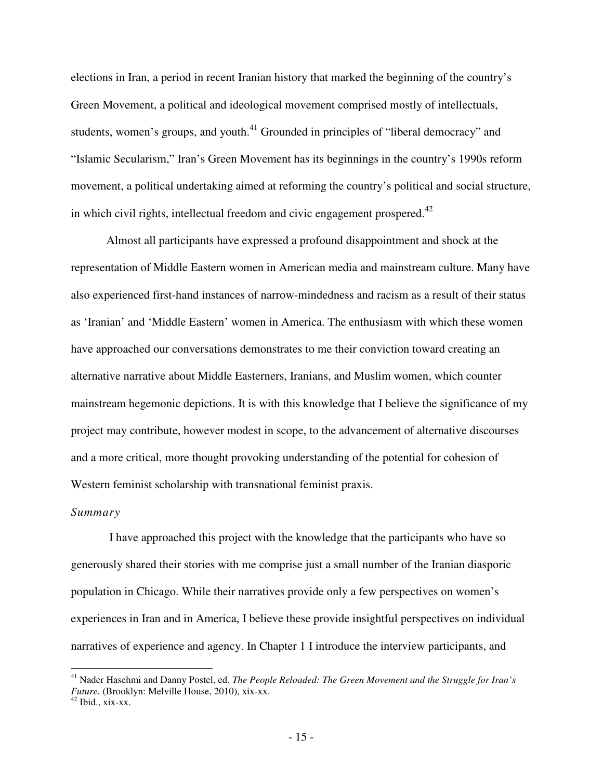elections in Iran, a period in recent Iranian history that marked the beginning of the country's Green Movement, a political and ideological movement comprised mostly of intellectuals, students, women's groups, and youth.<sup>41</sup> Grounded in principles of "liberal democracy" and "Islamic Secularism," Iran's Green Movement has its beginnings in the country's 1990s reform movement, a political undertaking aimed at reforming the country's political and social structure, in which civil rights, intellectual freedom and civic engagement prospered. $42$ 

Almost all participants have expressed a profound disappointment and shock at the representation of Middle Eastern women in American media and mainstream culture. Many have also experienced first-hand instances of narrow-mindedness and racism as a result of their status as 'Iranian' and 'Middle Eastern' women in America. The enthusiasm with which these women have approached our conversations demonstrates to me their conviction toward creating an alternative narrative about Middle Easterners, Iranians, and Muslim women, which counter mainstream hegemonic depictions. It is with this knowledge that I believe the significance of my project may contribute, however modest in scope, to the advancement of alternative discourses and a more critical, more thought provoking understanding of the potential for cohesion of Western feminist scholarship with transnational feminist praxis.

#### *Summary*

 I have approached this project with the knowledge that the participants who have so generously shared their stories with me comprise just a small number of the Iranian diasporic population in Chicago. While their narratives provide only a few perspectives on women's experiences in Iran and in America, I believe these provide insightful perspectives on individual narratives of experience and agency. In Chapter 1 I introduce the interview participants, and

<sup>41</sup> Nader Hasehmi and Danny Postel, ed. *The People Reloaded: The Green Movement and the Struggle for Iran's Future.* (Brooklyn: Melville House, 2010), xix-xx.

 $42$  Ibid., xix-xx.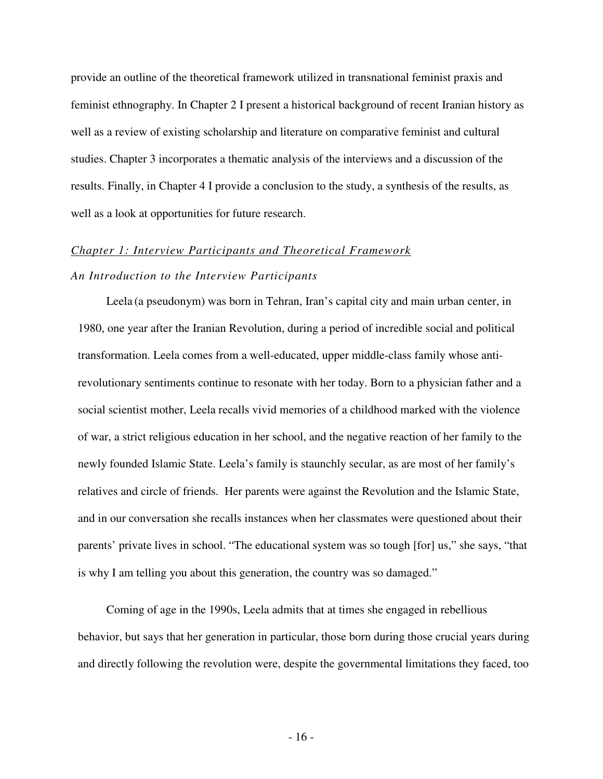provide an outline of the theoretical framework utilized in transnational feminist praxis and feminist ethnography. In Chapter 2 I present a historical background of recent Iranian history as well as a review of existing scholarship and literature on comparative feminist and cultural studies. Chapter 3 incorporates a thematic analysis of the interviews and a discussion of the results. Finally, in Chapter 4 I provide a conclusion to the study, a synthesis of the results, as well as a look at opportunities for future research.

# *Chapter 1: Interview Participants and Theoretical Framework*

## *An Introduction to the Interview Participants*

Leela (a pseudonym) was born in Tehran, Iran's capital city and main urban center, in 1980, one year after the Iranian Revolution, during a period of incredible social and political transformation. Leela comes from a well-educated, upper middle-class family whose antirevolutionary sentiments continue to resonate with her today. Born to a physician father and a social scientist mother, Leela recalls vivid memories of a childhood marked with the violence of war, a strict religious education in her school, and the negative reaction of her family to the newly founded Islamic State. Leela's family is staunchly secular, as are most of her family's relatives and circle of friends. Her parents were against the Revolution and the Islamic State, and in our conversation she recalls instances when her classmates were questioned about their parents' private lives in school. "The educational system was so tough [for] us," she says, "that is why I am telling you about this generation, the country was so damaged."

Coming of age in the 1990s, Leela admits that at times she engaged in rebellious behavior, but says that her generation in particular, those born during those crucial years during and directly following the revolution were, despite the governmental limitations they faced, too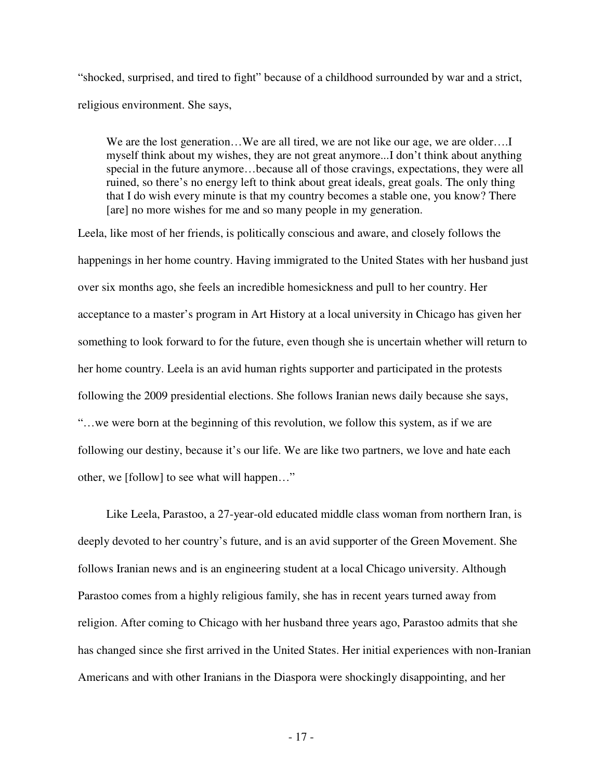"shocked, surprised, and tired to fight" because of a childhood surrounded by war and a strict, religious environment. She says,

We are the lost generation...We are all tired, we are not like our age, we are older....I myself think about my wishes, they are not great anymore...I don't think about anything special in the future anymore…because all of those cravings, expectations, they were all ruined, so there's no energy left to think about great ideals, great goals. The only thing that I do wish every minute is that my country becomes a stable one, you know? There [are] no more wishes for me and so many people in my generation.

Leela, like most of her friends, is politically conscious and aware, and closely follows the happenings in her home country. Having immigrated to the United States with her husband just over six months ago, she feels an incredible homesickness and pull to her country. Her acceptance to a master's program in Art History at a local university in Chicago has given her something to look forward to for the future, even though she is uncertain whether will return to her home country. Leela is an avid human rights supporter and participated in the protests following the 2009 presidential elections. She follows Iranian news daily because she says, "…we were born at the beginning of this revolution, we follow this system, as if we are following our destiny, because it's our life. We are like two partners, we love and hate each other, we [follow] to see what will happen…"

 Like Leela, Parastoo, a 27-year-old educated middle class woman from northern Iran, is deeply devoted to her country's future, and is an avid supporter of the Green Movement. She follows Iranian news and is an engineering student at a local Chicago university. Although Parastoo comes from a highly religious family, she has in recent years turned away from religion. After coming to Chicago with her husband three years ago, Parastoo admits that she has changed since she first arrived in the United States. Her initial experiences with non-Iranian Americans and with other Iranians in the Diaspora were shockingly disappointing, and her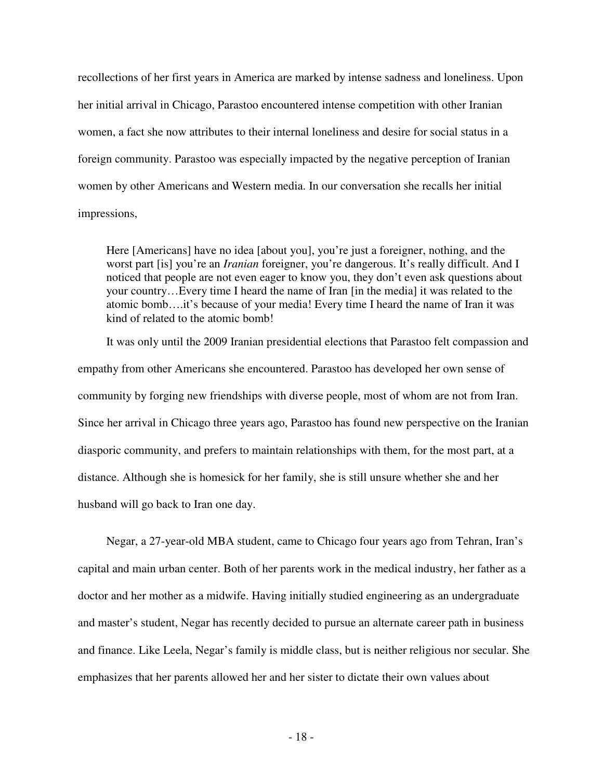recollections of her first years in America are marked by intense sadness and loneliness. Upon her initial arrival in Chicago, Parastoo encountered intense competition with other Iranian women, a fact she now attributes to their internal loneliness and desire for social status in a foreign community. Parastoo was especially impacted by the negative perception of Iranian women by other Americans and Western media. In our conversation she recalls her initial impressions,

Here [Americans] have no idea [about you], you're just a foreigner, nothing, and the worst part [is] you're an *Iranian* foreigner, you're dangerous. It's really difficult. And I noticed that people are not even eager to know you, they don't even ask questions about your country…Every time I heard the name of Iran [in the media] it was related to the atomic bomb….it's because of your media! Every time I heard the name of Iran it was kind of related to the atomic bomb!

It was only until the 2009 Iranian presidential elections that Parastoo felt compassion and empathy from other Americans she encountered. Parastoo has developed her own sense of community by forging new friendships with diverse people, most of whom are not from Iran. Since her arrival in Chicago three years ago, Parastoo has found new perspective on the Iranian diasporic community, and prefers to maintain relationships with them, for the most part, at a distance. Although she is homesick for her family, she is still unsure whether she and her husband will go back to Iran one day.

Negar, a 27-year-old MBA student, came to Chicago four years ago from Tehran, Iran's capital and main urban center. Both of her parents work in the medical industry, her father as a doctor and her mother as a midwife. Having initially studied engineering as an undergraduate and master's student, Negar has recently decided to pursue an alternate career path in business and finance. Like Leela, Negar's family is middle class, but is neither religious nor secular. She emphasizes that her parents allowed her and her sister to dictate their own values about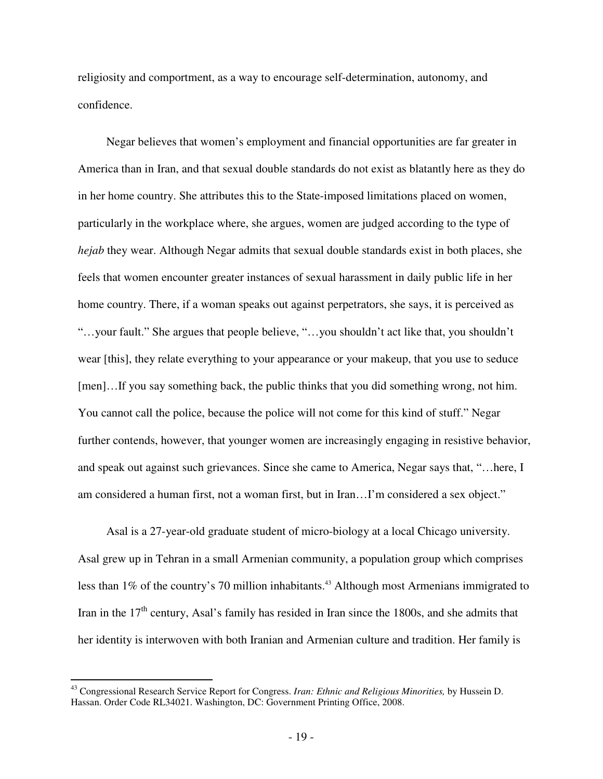religiosity and comportment, as a way to encourage self-determination, autonomy, and confidence.

 Negar believes that women's employment and financial opportunities are far greater in America than in Iran, and that sexual double standards do not exist as blatantly here as they do in her home country. She attributes this to the State-imposed limitations placed on women, particularly in the workplace where, she argues, women are judged according to the type of *hejab* they wear. Although Negar admits that sexual double standards exist in both places, she feels that women encounter greater instances of sexual harassment in daily public life in her home country. There, if a woman speaks out against perpetrators, she says, it is perceived as "…your fault." She argues that people believe, "…you shouldn't act like that, you shouldn't wear [this], they relate everything to your appearance or your makeup, that you use to seduce [men]...If you say something back, the public thinks that you did something wrong, not him. You cannot call the police, because the police will not come for this kind of stuff." Negar further contends, however, that younger women are increasingly engaging in resistive behavior, and speak out against such grievances. Since she came to America, Negar says that, "…here, I am considered a human first, not a woman first, but in Iran…I'm considered a sex object."

 Asal is a 27-year-old graduate student of micro-biology at a local Chicago university. Asal grew up in Tehran in a small Armenian community, a population group which comprises less than 1% of the country's 70 million inhabitants.<sup>43</sup> Although most Armenians immigrated to Iran in the  $17<sup>th</sup>$  century, Asal's family has resided in Iran since the 1800s, and she admits that her identity is interwoven with both Iranian and Armenian culture and tradition. Her family is

<sup>43</sup> Congressional Research Service Report for Congress. *Iran: Ethnic and Religious Minorities,* by Hussein D. Hassan. Order Code RL34021. Washington, DC: Government Printing Office, 2008.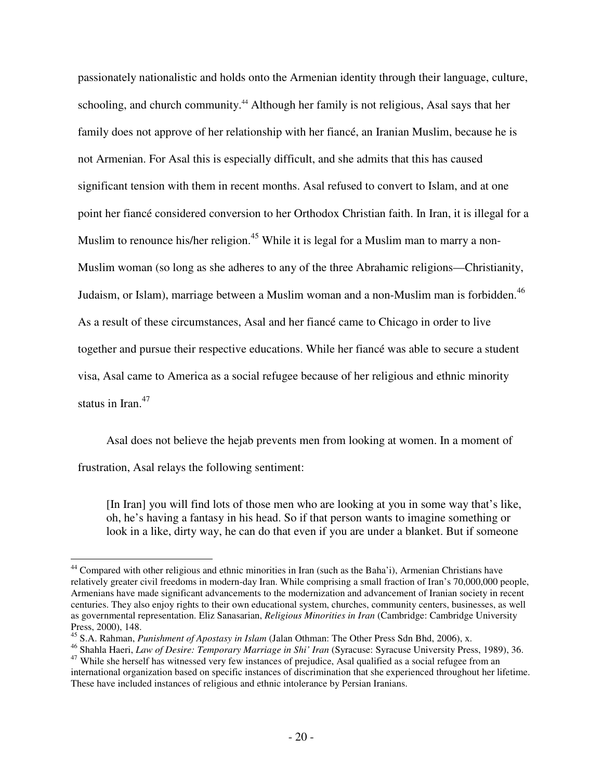passionately nationalistic and holds onto the Armenian identity through their language, culture, schooling, and church community.<sup>44</sup> Although her family is not religious, Asal says that her family does not approve of her relationship with her fiancé, an Iranian Muslim, because he is not Armenian. For Asal this is especially difficult, and she admits that this has caused significant tension with them in recent months. Asal refused to convert to Islam, and at one point her fiancé considered conversion to her Orthodox Christian faith. In Iran, it is illegal for a Muslim to renounce his/her religion.<sup>45</sup> While it is legal for a Muslim man to marry a non-Muslim woman (so long as she adheres to any of the three Abrahamic religions—Christianity, Judaism, or Islam), marriage between a Muslim woman and a non-Muslim man is forbidden.<sup>46</sup> As a result of these circumstances, Asal and her fiancé came to Chicago in order to live together and pursue their respective educations. While her fiancé was able to secure a student visa, Asal came to America as a social refugee because of her religious and ethnic minority status in Iran.<sup>47</sup>

 Asal does not believe the hejab prevents men from looking at women. In a moment of frustration, Asal relays the following sentiment:

[In Iran] you will find lots of those men who are looking at you in some way that's like, oh, he's having a fantasy in his head. So if that person wants to imagine something or look in a like, dirty way, he can do that even if you are under a blanket. But if someone

<sup>&</sup>lt;u>.</u> <sup>44</sup> Compared with other religious and ethnic minorities in Iran (such as the Baha'i), Armenian Christians have relatively greater civil freedoms in modern-day Iran. While comprising a small fraction of Iran's 70,000,000 people, Armenians have made significant advancements to the modernization and advancement of Iranian society in recent centuries. They also enjoy rights to their own educational system, churches, community centers, businesses, as well as governmental representation. Eliz Sanasarian, *Religious Minorities in Iran* (Cambridge: Cambridge University Press, 2000), 148.

<sup>45</sup> S.A. Rahman, *Punishment of Apostasy in Islam* (Jalan Othman: The Other Press Sdn Bhd, 2006), x.

<sup>46</sup> Shahla Haeri, *Law of Desire: Temporary Marriage in Shi' Iran* (Syracuse: Syracuse University Press, 1989), 36.

<sup>&</sup>lt;sup>47</sup> While she herself has witnessed very few instances of prejudice, Asal qualified as a social refugee from an international organization based on specific instances of discrimination that she experienced throughout her lifetime. These have included instances of religious and ethnic intolerance by Persian Iranians.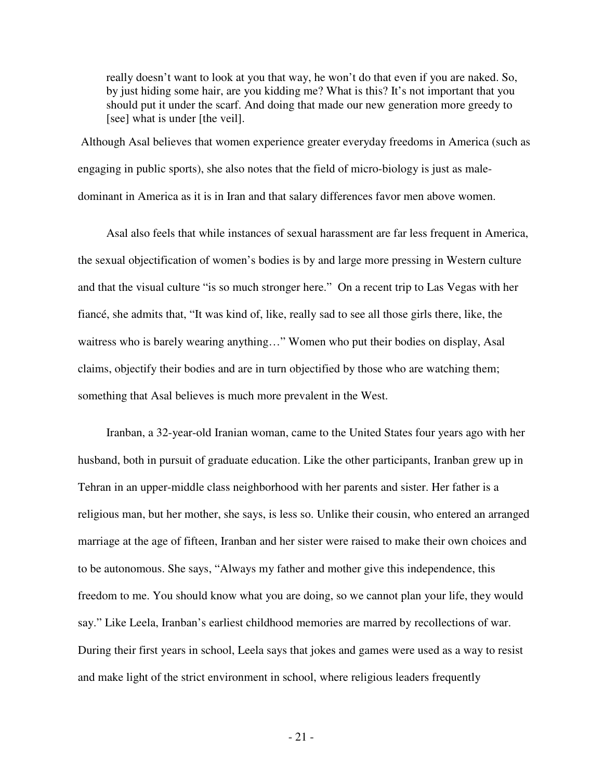really doesn't want to look at you that way, he won't do that even if you are naked. So, by just hiding some hair, are you kidding me? What is this? It's not important that you should put it under the scarf. And doing that made our new generation more greedy to [see] what is under [the veil].

 Although Asal believes that women experience greater everyday freedoms in America (such as engaging in public sports), she also notes that the field of micro-biology is just as maledominant in America as it is in Iran and that salary differences favor men above women.

 Asal also feels that while instances of sexual harassment are far less frequent in America, the sexual objectification of women's bodies is by and large more pressing in Western culture and that the visual culture "is so much stronger here." On a recent trip to Las Vegas with her fiancé, she admits that, "It was kind of, like, really sad to see all those girls there, like, the waitress who is barely wearing anything…" Women who put their bodies on display, Asal claims, objectify their bodies and are in turn objectified by those who are watching them; something that Asal believes is much more prevalent in the West.

 Iranban, a 32-year-old Iranian woman, came to the United States four years ago with her husband, both in pursuit of graduate education. Like the other participants, Iranban grew up in Tehran in an upper-middle class neighborhood with her parents and sister. Her father is a religious man, but her mother, she says, is less so. Unlike their cousin, who entered an arranged marriage at the age of fifteen, Iranban and her sister were raised to make their own choices and to be autonomous. She says, "Always my father and mother give this independence, this freedom to me. You should know what you are doing, so we cannot plan your life, they would say." Like Leela, Iranban's earliest childhood memories are marred by recollections of war. During their first years in school, Leela says that jokes and games were used as a way to resist and make light of the strict environment in school, where religious leaders frequently

- 21 -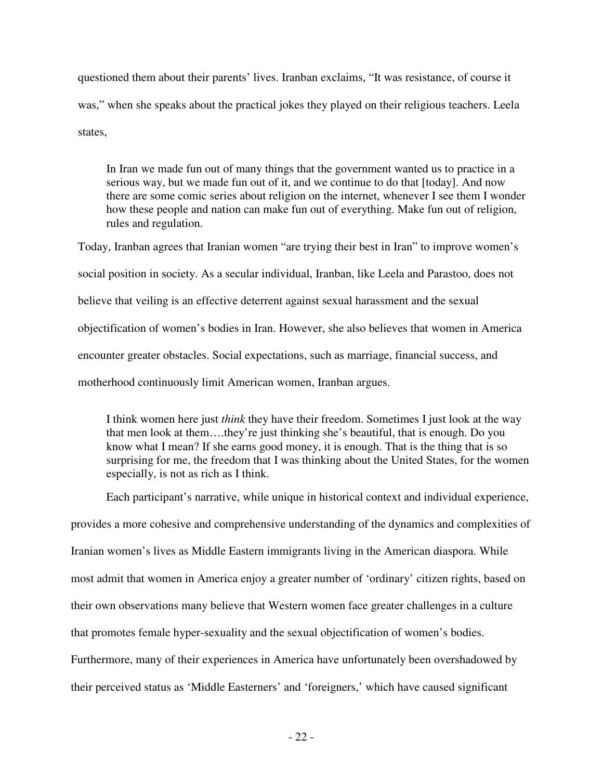questioned them about their parents' lives. Iranban exclaims, "It was resistance, of course it was," when she speaks about the practical jokes they played on their religious teachers. Leela states,

In Iran we made fun out of many things that the government wanted us to practice in a serious way, but we made fun out of it, and we continue to do that [today]. And now there are some comic series about religion on the internet, whenever I see them I wonder how these people and nation can make fun out of everything. Make fun out of religion, rules and regulation.

Today, Iranban agrees that Iranian women "are trying their best in Iran" to improve women's social position in society. As a secular individual, Iranban, like Leela and Parastoo, does not believe that veiling is an effective deterrent against sexual harassment and the sexual objectification of women's bodies in Iran. However, she also believes that women in America encounter greater obstacles. Social expectations, such as marriage, financial success, and motherhood continuously limit American women, Iranban argues.

I think women here just *think* they have their freedom. Sometimes I just look at the way that men look at them….they're just thinking she's beautiful, that is enough. Do you know what I mean? If she earns good money, it is enough. That is the thing that is so surprising for me, the freedom that I was thinking about the United States, for the women especially, is not as rich as I think.

 Each participant's narrative, while unique in historical context and individual experience, provides a more cohesive and comprehensive understanding of the dynamics and complexities of Iranian women's lives as Middle Eastern immigrants living in the American diaspora. While most admit that women in America enjoy a greater number of 'ordinary' citizen rights, based on their own observations many believe that Western women face greater challenges in a culture that promotes female hyper-sexuality and the sexual objectification of women's bodies. Furthermore, many of their experiences in America have unfortunately been overshadowed by their perceived status as 'Middle Easterners' and 'foreigners,' which have caused significant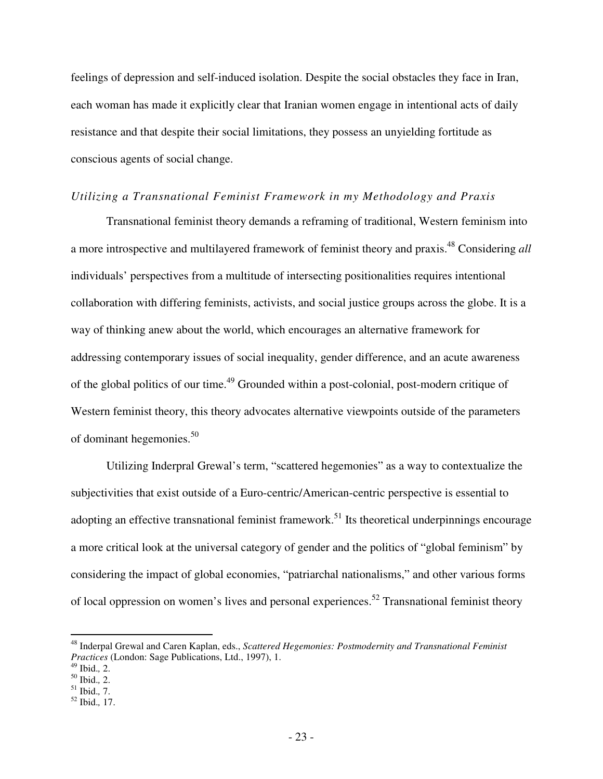feelings of depression and self-induced isolation. Despite the social obstacles they face in Iran, each woman has made it explicitly clear that Iranian women engage in intentional acts of daily resistance and that despite their social limitations, they possess an unyielding fortitude as conscious agents of social change.

#### *Utilizing a Transnational Feminist Framework in my Methodology and Praxis*

Transnational feminist theory demands a reframing of traditional, Western feminism into a more introspective and multilayered framework of feminist theory and praxis.<sup>48</sup> Considering *all*  individuals' perspectives from a multitude of intersecting positionalities requires intentional collaboration with differing feminists, activists, and social justice groups across the globe. It is a way of thinking anew about the world, which encourages an alternative framework for addressing contemporary issues of social inequality, gender difference, and an acute awareness of the global politics of our time.<sup>49</sup> Grounded within a post-colonial, post-modern critique of Western feminist theory, this theory advocates alternative viewpoints outside of the parameters of dominant hegemonies.<sup>50</sup>

Utilizing Inderpral Grewal's term, "scattered hegemonies" as a way to contextualize the subjectivities that exist outside of a Euro-centric/American-centric perspective is essential to adopting an effective transnational feminist framework.<sup>51</sup> Its theoretical underpinnings encourage a more critical look at the universal category of gender and the politics of "global feminism" by considering the impact of global economies, "patriarchal nationalisms," and other various forms of local oppression on women's lives and personal experiences.<sup>52</sup> Transnational feminist theory

<sup>48</sup> Inderpal Grewal and Caren Kaplan, eds., *Scattered Hegemonies: Postmodernity and Transnational Feminist Practices* (London: Sage Publications, Ltd., 1997), 1.

<sup>49</sup> Ibid.*,* 2.

<sup>50</sup> Ibid.*,* 2.

<sup>51</sup> Ibid.*,* 7.

<sup>52</sup> Ibid.*,* 17.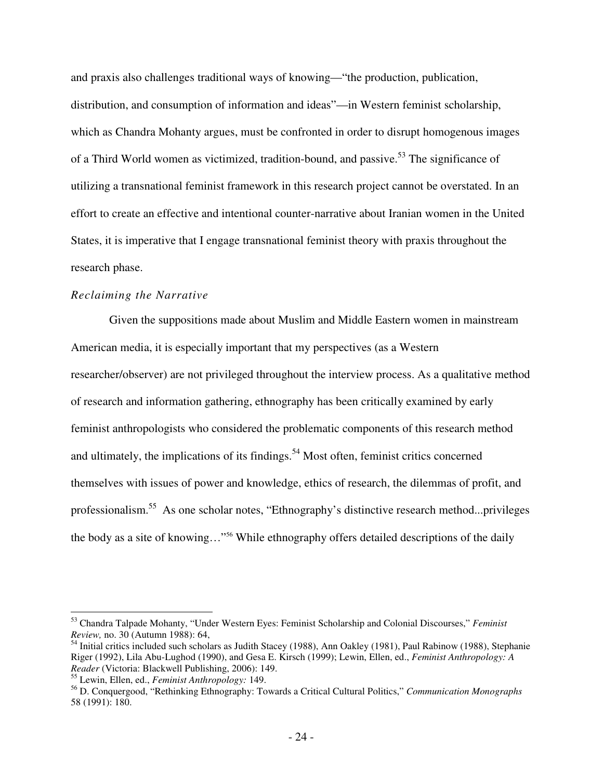and praxis also challenges traditional ways of knowing—"the production, publication, distribution, and consumption of information and ideas"—in Western feminist scholarship, which as Chandra Mohanty argues, must be confronted in order to disrupt homogenous images of a Third World women as victimized, tradition-bound, and passive.<sup>53</sup> The significance of utilizing a transnational feminist framework in this research project cannot be overstated. In an effort to create an effective and intentional counter-narrative about Iranian women in the United States, it is imperative that I engage transnational feminist theory with praxis throughout the research phase.

#### *Reclaiming the Narrative*

 Given the suppositions made about Muslim and Middle Eastern women in mainstream American media, it is especially important that my perspectives (as a Western researcher/observer) are not privileged throughout the interview process. As a qualitative method of research and information gathering, ethnography has been critically examined by early feminist anthropologists who considered the problematic components of this research method and ultimately, the implications of its findings.<sup>54</sup> Most often, feminist critics concerned themselves with issues of power and knowledge, ethics of research, the dilemmas of profit, and professionalism.<sup>55</sup> As one scholar notes, "Ethnography's distinctive research method...privileges the body as a site of knowing…" <sup>56</sup> While ethnography offers detailed descriptions of the daily

<sup>53</sup> Chandra Talpade Mohanty, "Under Western Eyes: Feminist Scholarship and Colonial Discourses," *Feminist Review,* no. 30 (Autumn 1988): 64,

<sup>&</sup>lt;sup>54</sup> Initial critics included such scholars as Judith Stacey (1988), Ann Oakley (1981), Paul Rabinow (1988), Stephanie Riger (1992), Lila Abu-Lughod (1990), and Gesa E. Kirsch (1999); Lewin, Ellen, ed., *Feminist Anthropology: A Reader* (Victoria: Blackwell Publishing, 2006): 149.

<sup>55</sup> Lewin, Ellen, ed., *Feminist Anthropology:* 149.

<sup>56</sup> D. Conquergood, "Rethinking Ethnography: Towards a Critical Cultural Politics," *Communication Monographs* 58 (1991): 180.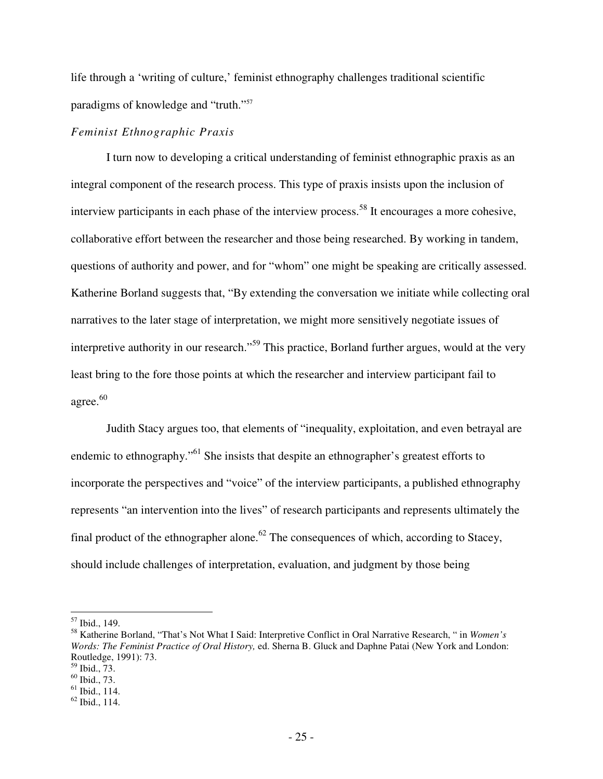life through a 'writing of culture,' feminist ethnography challenges traditional scientific paradigms of knowledge and "truth."<sup>57</sup>

### *Feminist Ethnographic Praxis*

 I turn now to developing a critical understanding of feminist ethnographic praxis as an integral component of the research process. This type of praxis insists upon the inclusion of interview participants in each phase of the interview process.<sup>58</sup> It encourages a more cohesive, collaborative effort between the researcher and those being researched. By working in tandem, questions of authority and power, and for "whom" one might be speaking are critically assessed. Katherine Borland suggests that, "By extending the conversation we initiate while collecting oral narratives to the later stage of interpretation, we might more sensitively negotiate issues of interpretive authority in our research."<sup>59</sup> This practice, Borland further argues, would at the very least bring to the fore those points at which the researcher and interview participant fail to agree. $^{60}$ 

Judith Stacy argues too, that elements of "inequality, exploitation, and even betrayal are endemic to ethnography."<sup>61</sup> She insists that despite an ethnographer's greatest efforts to incorporate the perspectives and "voice" of the interview participants, a published ethnography represents "an intervention into the lives" of research participants and represents ultimately the final product of the ethnographer alone.<sup>62</sup> The consequences of which, according to Stacey, should include challenges of interpretation, evaluation, and judgment by those being

<sup>57</sup> Ibid., 149.

<sup>58</sup> Katherine Borland, "That's Not What I Said: Interpretive Conflict in Oral Narrative Research, " in *Women's Words: The Feminist Practice of Oral History,* ed. Sherna B. Gluck and Daphne Patai (New York and London: Routledge, 1991): 73.

 $59$  Ibid., 73.

<sup>60</sup> Ibid., 73.

 $<sup>61</sup>$  Ibid., 114.</sup>

 $62$  Ibid., 114.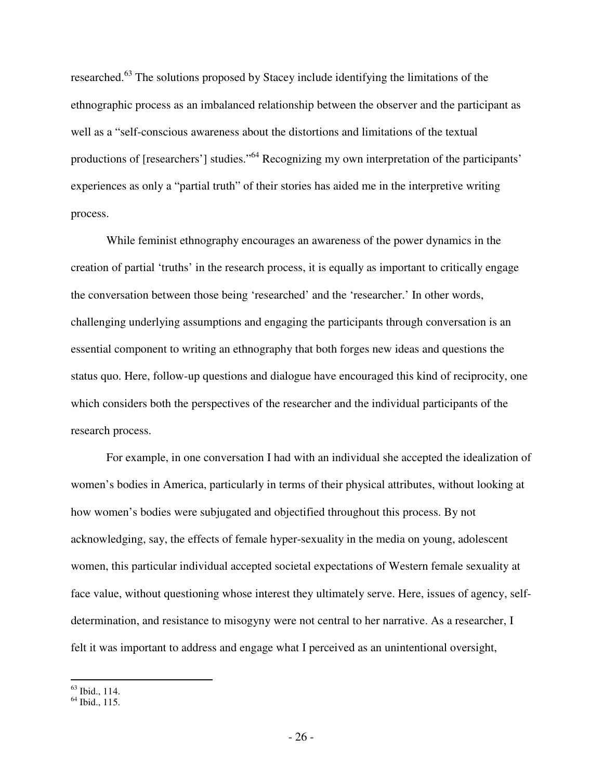researched.<sup>63</sup> The solutions proposed by Stacey include identifying the limitations of the ethnographic process as an imbalanced relationship between the observer and the participant as well as a "self-conscious awareness about the distortions and limitations of the textual productions of [researchers'] studies."<sup>64</sup> Recognizing my own interpretation of the participants' experiences as only a "partial truth" of their stories has aided me in the interpretive writing process.

While feminist ethnography encourages an awareness of the power dynamics in the creation of partial 'truths' in the research process, it is equally as important to critically engage the conversation between those being 'researched' and the 'researcher.' In other words, challenging underlying assumptions and engaging the participants through conversation is an essential component to writing an ethnography that both forges new ideas and questions the status quo. Here, follow-up questions and dialogue have encouraged this kind of reciprocity, one which considers both the perspectives of the researcher and the individual participants of the research process.

For example, in one conversation I had with an individual she accepted the idealization of women's bodies in America, particularly in terms of their physical attributes, without looking at how women's bodies were subjugated and objectified throughout this process. By not acknowledging, say, the effects of female hyper-sexuality in the media on young, adolescent women, this particular individual accepted societal expectations of Western female sexuality at face value, without questioning whose interest they ultimately serve. Here, issues of agency, selfdetermination, and resistance to misogyny were not central to her narrative. As a researcher, I felt it was important to address and engage what I perceived as an unintentional oversight,

 $\overline{a}$  $63$  Ibid., 114.

<sup>64</sup> Ibid., 115.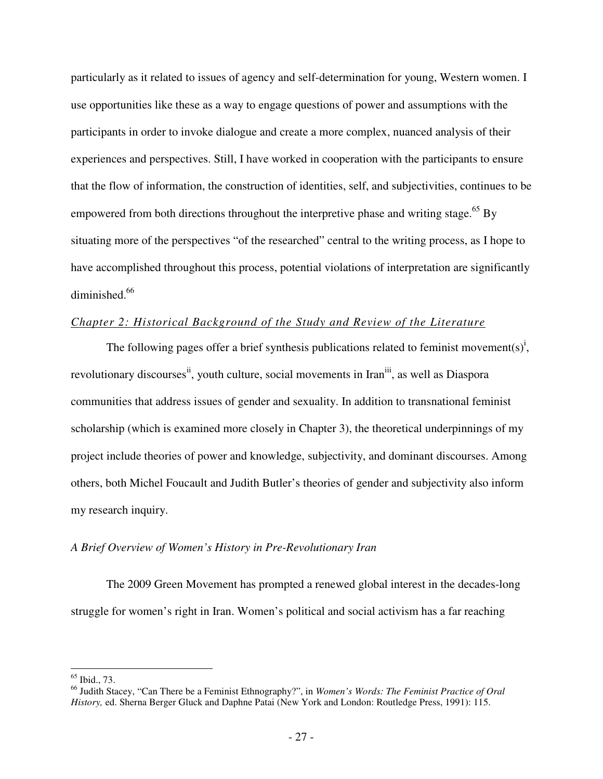particularly as it related to issues of agency and self-determination for young, Western women. I use opportunities like these as a way to engage questions of power and assumptions with the participants in order to invoke dialogue and create a more complex, nuanced analysis of their experiences and perspectives. Still, I have worked in cooperation with the participants to ensure that the flow of information, the construction of identities, self, and subjectivities, continues to be empowered from both directions throughout the interpretive phase and writing stage.<sup>65</sup> By situating more of the perspectives "of the researched" central to the writing process, as I hope to have accomplished throughout this process, potential violations of interpretation are significantly diminished.<sup>66</sup>

## *Chapter 2: Historical Background of the Study and Review of the Literature*

The following pages offer a brief synthesis publications related to feminist movement(s)<sup>i</sup>, revolutionary discourses<sup>ii</sup>, youth culture, social movements in Iran<sup>iii</sup>, as well as Diaspora communities that address issues of gender and sexuality. In addition to transnational feminist scholarship (which is examined more closely in Chapter 3), the theoretical underpinnings of my project include theories of power and knowledge, subjectivity, and dominant discourses. Among others, both Michel Foucault and Judith Butler's theories of gender and subjectivity also inform my research inquiry.

### *A Brief Overview of Women's History in Pre-Revolutionary Iran*

The 2009 Green Movement has prompted a renewed global interest in the decades-long struggle for women's right in Iran. Women's political and social activism has a far reaching

<sup>65</sup> Ibid., 73.

<sup>66</sup> Judith Stacey, "Can There be a Feminist Ethnography?", in *Women's Words: The Feminist Practice of Oral History,* ed. Sherna Berger Gluck and Daphne Patai (New York and London: Routledge Press, 1991): 115.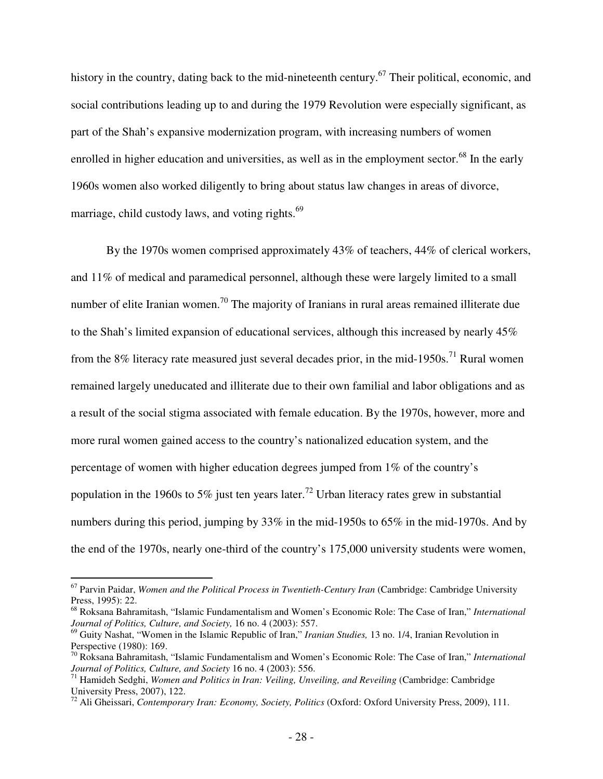history in the country, dating back to the mid-nineteenth century.<sup>67</sup> Their political, economic, and social contributions leading up to and during the 1979 Revolution were especially significant, as part of the Shah's expansive modernization program, with increasing numbers of women enrolled in higher education and universities, as well as in the employment sector.<sup>68</sup> In the early 1960s women also worked diligently to bring about status law changes in areas of divorce, marriage, child custody laws, and voting rights.<sup>69</sup>

By the 1970s women comprised approximately 43% of teachers, 44% of clerical workers, and 11% of medical and paramedical personnel, although these were largely limited to a small number of elite Iranian women.<sup>70</sup> The majority of Iranians in rural areas remained illiterate due to the Shah's limited expansion of educational services, although this increased by nearly 45% from the  $8\%$  literacy rate measured just several decades prior, in the mid-1950s.<sup>71</sup> Rural women remained largely uneducated and illiterate due to their own familial and labor obligations and as a result of the social stigma associated with female education. By the 1970s, however, more and more rural women gained access to the country's nationalized education system, and the percentage of women with higher education degrees jumped from 1% of the country's population in the 1960s to 5% just ten years later.<sup>72</sup> Urban literacy rates grew in substantial numbers during this period, jumping by 33% in the mid-1950s to 65% in the mid-1970s. And by the end of the 1970s, nearly one-third of the country's 175,000 university students were women,

<sup>&</sup>lt;sup>67</sup> Parvin Paidar, *Women and the Political Process in Twentieth-Century Iran* (Cambridge: Cambridge University Press, 1995): 22.

<sup>68</sup> Roksana Bahramitash, "Islamic Fundamentalism and Women's Economic Role: The Case of Iran," *International Journal of Politics, Culture, and Society,* 16 no. 4 (2003): 557.

<sup>69</sup> Guity Nashat, "Women in the Islamic Republic of Iran," *Iranian Studies,* 13 no. 1/4, Iranian Revolution in Perspective (1980): 169.

<sup>70</sup> Roksana Bahramitash, "Islamic Fundamentalism and Women's Economic Role: The Case of Iran," *International Journal of Politics, Culture, and Society* 16 no. 4 (2003): 556.

<sup>71</sup> Hamideh Sedghi, *Women and Politics in Iran: Veiling, Unveiling, and Reveiling* (Cambridge: Cambridge University Press, 2007), 122.

<sup>72</sup> Ali Gheissari, *Contemporary Iran: Economy, Society, Politics* (Oxford: Oxford University Press, 2009), 111.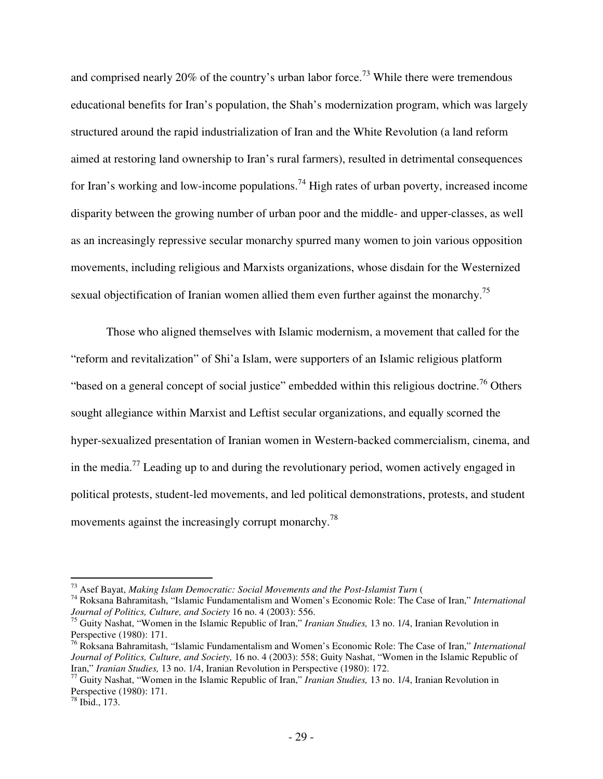and comprised nearly 20% of the country's urban labor force.<sup>73</sup> While there were tremendous educational benefits for Iran's population, the Shah's modernization program, which was largely structured around the rapid industrialization of Iran and the White Revolution (a land reform aimed at restoring land ownership to Iran's rural farmers), resulted in detrimental consequences for Iran's working and low-income populations.<sup>74</sup> High rates of urban poverty, increased income disparity between the growing number of urban poor and the middle- and upper-classes, as well as an increasingly repressive secular monarchy spurred many women to join various opposition movements, including religious and Marxists organizations, whose disdain for the Westernized sexual objectification of Iranian women allied them even further against the monarchy.<sup>75</sup>

Those who aligned themselves with Islamic modernism, a movement that called for the "reform and revitalization" of Shi'a Islam, were supporters of an Islamic religious platform "based on a general concept of social justice" embedded within this religious doctrine.<sup>76</sup> Others sought allegiance within Marxist and Leftist secular organizations, and equally scorned the hyper-sexualized presentation of Iranian women in Western-backed commercialism, cinema, and in the media.<sup>77</sup> Leading up to and during the revolutionary period, women actively engaged in political protests, student-led movements, and led political demonstrations, protests, and student movements against the increasingly corrupt monarchy.<sup>78</sup>

 $\overline{a}$ <sup>73</sup> Asef Bayat, *Making Islam Democratic: Social Movements and the Post-Islamist Turn* (

<sup>74</sup> Roksana Bahramitash, "Islamic Fundamentalism and Women's Economic Role: The Case of Iran," *International Journal of Politics, Culture, and Society* 16 no. 4 (2003): 556.

<sup>75</sup> Guity Nashat, "Women in the Islamic Republic of Iran," *Iranian Studies,* 13 no. 1/4, Iranian Revolution in Perspective (1980): 171.

<sup>76</sup> Roksana Bahramitash, "Islamic Fundamentalism and Women's Economic Role: The Case of Iran," *International Journal of Politics, Culture, and Society,* 16 no. 4 (2003): 558; Guity Nashat, "Women in the Islamic Republic of Iran," *Iranian Studies,* 13 no. 1/4, Iranian Revolution in Perspective (1980): 172.

<sup>77</sup> Guity Nashat, "Women in the Islamic Republic of Iran," *Iranian Studies,* 13 no. 1/4, Iranian Revolution in Perspective (1980): 171.

 $78$  Ibid., 173.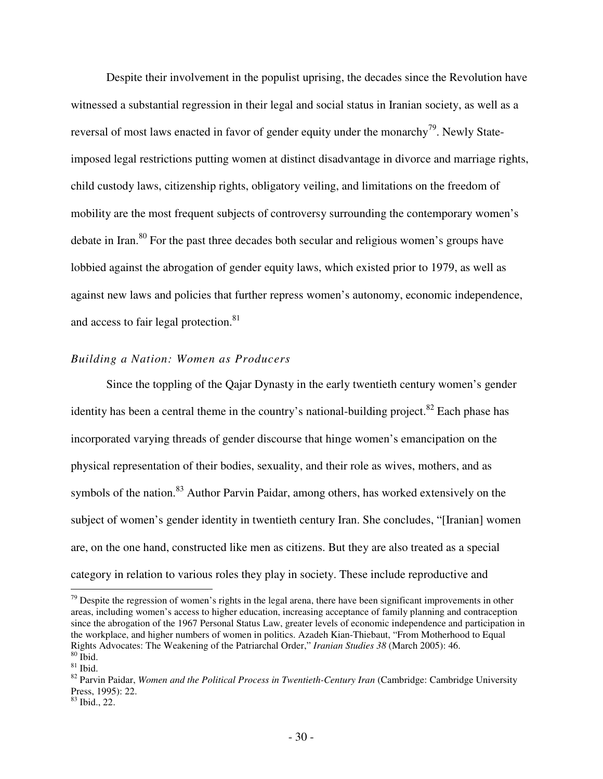Despite their involvement in the populist uprising, the decades since the Revolution have witnessed a substantial regression in their legal and social status in Iranian society, as well as a reversal of most laws enacted in favor of gender equity under the monarchy<sup>79</sup>. Newly Stateimposed legal restrictions putting women at distinct disadvantage in divorce and marriage rights, child custody laws, citizenship rights, obligatory veiling, and limitations on the freedom of mobility are the most frequent subjects of controversy surrounding the contemporary women's debate in Iran.<sup>80</sup> For the past three decades both secular and religious women's groups have lobbied against the abrogation of gender equity laws, which existed prior to 1979, as well as against new laws and policies that further repress women's autonomy, economic independence, and access to fair legal protection.<sup>81</sup>

# *Building a Nation: Women as Producers*

Since the toppling of the Qajar Dynasty in the early twentieth century women's gender identity has been a central theme in the country's national-building project.<sup>82</sup> Each phase has incorporated varying threads of gender discourse that hinge women's emancipation on the physical representation of their bodies, sexuality, and their role as wives, mothers, and as symbols of the nation.<sup>83</sup> Author Parvin Paidar, among others, has worked extensively on the subject of women's gender identity in twentieth century Iran. She concludes, "[Iranian] women are, on the one hand, constructed like men as citizens. But they are also treated as a special category in relation to various roles they play in society. These include reproductive and

 $79$  Despite the regression of women's rights in the legal arena, there have been significant improvements in other areas, including women's access to higher education, increasing acceptance of family planning and contraception since the abrogation of the 1967 Personal Status Law, greater levels of economic independence and participation in the workplace, and higher numbers of women in politics. Azadeh Kian-Thiebaut, "From Motherhood to Equal Rights Advocates: The Weakening of the Patriarchal Order," *Iranian Studies 38* (March 2005): 46.  $80$  Ibid.

 $81$  Ibid.

<sup>&</sup>lt;sup>82</sup> Parvin Paidar, *Women and the Political Process in Twentieth-Century Iran* (Cambridge: Cambridge University Press, 1995): 22.

 $83$  Ibid., 22.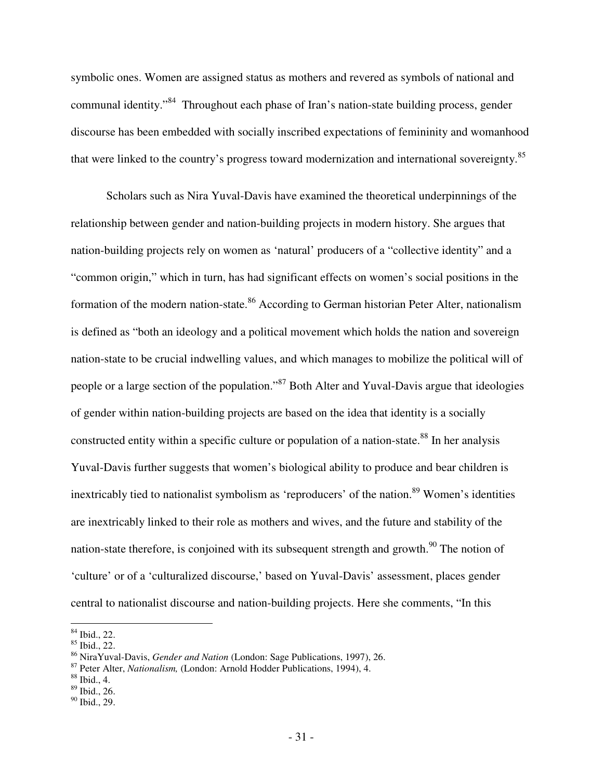symbolic ones. Women are assigned status as mothers and revered as symbols of national and communal identity."<sup>84</sup> Throughout each phase of Iran's nation-state building process, gender discourse has been embedded with socially inscribed expectations of femininity and womanhood that were linked to the country's progress toward modernization and international sovereignty.<sup>85</sup>

Scholars such as Nira Yuval-Davis have examined the theoretical underpinnings of the relationship between gender and nation-building projects in modern history. She argues that nation-building projects rely on women as 'natural' producers of a "collective identity" and a "common origin," which in turn, has had significant effects on women's social positions in the formation of the modern nation-state.<sup>86</sup> According to German historian Peter Alter, nationalism is defined as "both an ideology and a political movement which holds the nation and sovereign nation-state to be crucial indwelling values, and which manages to mobilize the political will of people or a large section of the population."<sup>87</sup> Both Alter and Yuval-Davis argue that ideologies of gender within nation-building projects are based on the idea that identity is a socially constructed entity within a specific culture or population of a nation-state. $88$  In her analysis Yuval-Davis further suggests that women's biological ability to produce and bear children is inextricably tied to nationalist symbolism as 'reproducers' of the nation.<sup>89</sup> Women's identities are inextricably linked to their role as mothers and wives, and the future and stability of the nation-state therefore, is conjoined with its subsequent strength and growth. $90$  The notion of 'culture' or of a 'culturalized discourse,' based on Yuval-Davis' assessment, places gender central to nationalist discourse and nation-building projects. Here she comments, "In this

 $\overline{a}$ <sup>84</sup> Ibid., 22.

<sup>85</sup> Ibid., 22.

<sup>86</sup> NiraYuval-Davis, *Gender and Nation* (London: Sage Publications, 1997), 26.

<sup>87</sup> Peter Alter, *Nationalism,* (London: Arnold Hodder Publications, 1994), 4.

<sup>88</sup> Ibid., 4.

<sup>89</sup> Ibid., 26.

<sup>90</sup> Ibid., 29.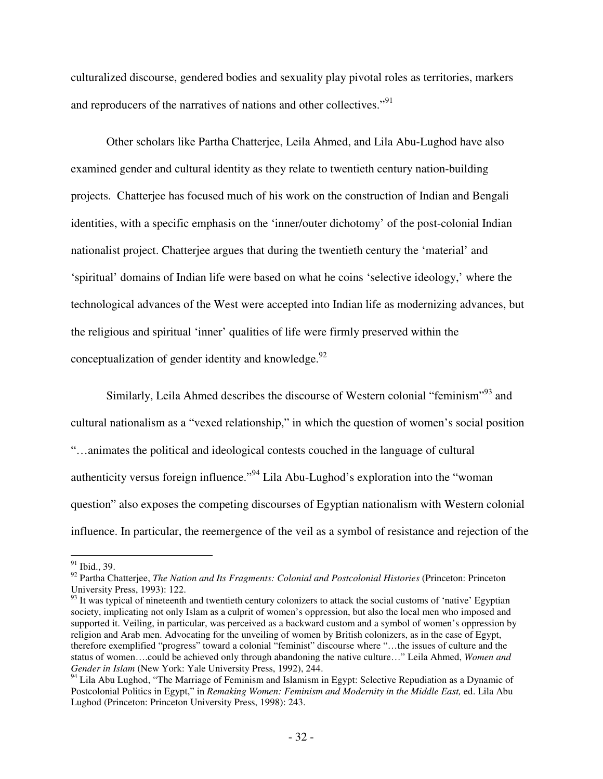culturalized discourse, gendered bodies and sexuality play pivotal roles as territories, markers and reproducers of the narratives of nations and other collectives."<sup>91</sup>

Other scholars like Partha Chatterjee, Leila Ahmed, and Lila Abu-Lughod have also examined gender and cultural identity as they relate to twentieth century nation-building projects. Chatterjee has focused much of his work on the construction of Indian and Bengali identities, with a specific emphasis on the 'inner/outer dichotomy' of the post-colonial Indian nationalist project. Chatterjee argues that during the twentieth century the 'material' and 'spiritual' domains of Indian life were based on what he coins 'selective ideology,' where the technological advances of the West were accepted into Indian life as modernizing advances, but the religious and spiritual 'inner' qualities of life were firmly preserved within the conceptualization of gender identity and knowledge. $92$ 

Similarly, Leila Ahmed describes the discourse of Western colonial "feminism"<sup>93</sup> and cultural nationalism as a "vexed relationship," in which the question of women's social position "…animates the political and ideological contests couched in the language of cultural authenticity versus foreign influence."<sup>94</sup> Lila Abu-Lughod's exploration into the "woman question" also exposes the competing discourses of Egyptian nationalism with Western colonial influence. In particular, the reemergence of the veil as a symbol of resistance and rejection of the

<sup>&</sup>lt;sup>91</sup> Ibid., 39.

<sup>&</sup>lt;sup>92</sup> Partha Chatterjee, *The Nation and Its Fragments: Colonial and Postcolonial Histories* (Princeton: Princeton University Press, 1993): 122.

 $93$  It was typical of nineteenth and twentieth century colonizers to attack the social customs of 'native' Egyptian society, implicating not only Islam as a culprit of women's oppression, but also the local men who imposed and supported it. Veiling, in particular, was perceived as a backward custom and a symbol of women's oppression by religion and Arab men. Advocating for the unveiling of women by British colonizers, as in the case of Egypt, therefore exemplified "progress" toward a colonial "feminist" discourse where "…the issues of culture and the status of women….could be achieved only through abandoning the native culture…" Leila Ahmed, *Women and Gender in Islam* (New York: Yale University Press, 1992), 244.

<sup>&</sup>lt;sup>94</sup> Lila Abu Lughod, "The Marriage of Feminism and Islamism in Egypt: Selective Repudiation as a Dynamic of Postcolonial Politics in Egypt," in *Remaking Women: Feminism and Modernity in the Middle East,* ed. Lila Abu Lughod (Princeton: Princeton University Press, 1998): 243.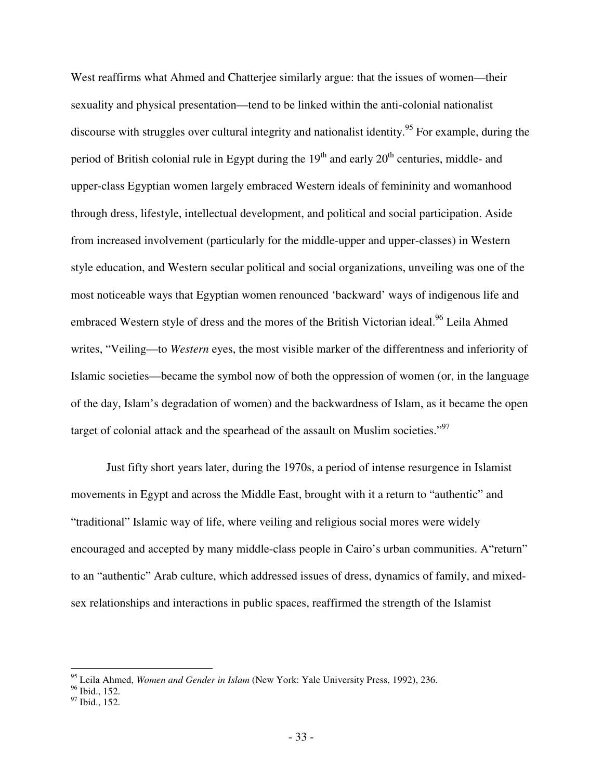West reaffirms what Ahmed and Chatterjee similarly argue: that the issues of women—their sexuality and physical presentation—tend to be linked within the anti-colonial nationalist discourse with struggles over cultural integrity and nationalist identity.<sup>95</sup> For example, during the period of British colonial rule in Egypt during the  $19<sup>th</sup>$  and early  $20<sup>th</sup>$  centuries, middle- and upper-class Egyptian women largely embraced Western ideals of femininity and womanhood through dress, lifestyle, intellectual development, and political and social participation. Aside from increased involvement (particularly for the middle-upper and upper-classes) in Western style education, and Western secular political and social organizations, unveiling was one of the most noticeable ways that Egyptian women renounced 'backward' ways of indigenous life and embraced Western style of dress and the mores of the British Victorian ideal.<sup>96</sup> Leila Ahmed writes, "Veiling—to *Western* eyes, the most visible marker of the differentness and inferiority of Islamic societies—became the symbol now of both the oppression of women (or, in the language of the day, Islam's degradation of women) and the backwardness of Islam, as it became the open target of colonial attack and the spearhead of the assault on Muslim societies."<sup>97</sup>

Just fifty short years later, during the 1970s, a period of intense resurgence in Islamist movements in Egypt and across the Middle East, brought with it a return to "authentic" and "traditional" Islamic way of life, where veiling and religious social mores were widely encouraged and accepted by many middle-class people in Cairo's urban communities. A"return" to an "authentic" Arab culture, which addressed issues of dress, dynamics of family, and mixedsex relationships and interactions in public spaces, reaffirmed the strength of the Islamist

<sup>95</sup> Leila Ahmed, *Women and Gender in Islam* (New York: Yale University Press, 1992), 236.

<sup>&</sup>lt;sup>96</sup> Ibid., 152.

<sup>97</sup> Ibid., 152.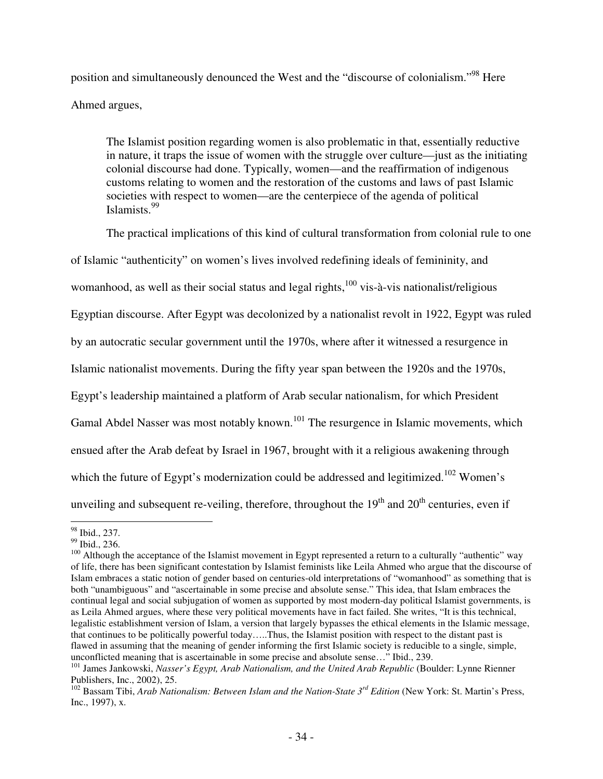position and simultaneously denounced the West and the "discourse of colonialism."<sup>98</sup> Here Ahmed argues,

The Islamist position regarding women is also problematic in that, essentially reductive in nature, it traps the issue of women with the struggle over culture—just as the initiating colonial discourse had done. Typically, women—and the reaffirmation of indigenous customs relating to women and the restoration of the customs and laws of past Islamic societies with respect to women—are the centerpiece of the agenda of political Islamists.<sup>99</sup>

The practical implications of this kind of cultural transformation from colonial rule to one of Islamic "authenticity" on women's lives involved redefining ideals of femininity, and womanhood, as well as their social status and legal rights, $100$  vis-à-vis nationalist/religious Egyptian discourse. After Egypt was decolonized by a nationalist revolt in 1922, Egypt was ruled by an autocratic secular government until the 1970s, where after it witnessed a resurgence in Islamic nationalist movements. During the fifty year span between the 1920s and the 1970s, Egypt's leadership maintained a platform of Arab secular nationalism, for which President Gamal Abdel Nasser was most notably known.<sup>101</sup> The resurgence in Islamic movements, which ensued after the Arab defeat by Israel in 1967, brought with it a religious awakening through which the future of Egypt's modernization could be addressed and legitimized.<sup>102</sup> Women's unveiling and subsequent re-veiling, therefore, throughout the  $19<sup>th</sup>$  and  $20<sup>th</sup>$  centuries, even if

<sup>98</sup> Ibid., 237.

<sup>99</sup> Ibid., 236.

<sup>&</sup>lt;sup>100</sup> Although the acceptance of the Islamist movement in Egypt represented a return to a culturally "authentic" way of life, there has been significant contestation by Islamist feminists like Leila Ahmed who argue that the discourse of Islam embraces a static notion of gender based on centuries-old interpretations of "womanhood" as something that is both "unambiguous" and "ascertainable in some precise and absolute sense." This idea, that Islam embraces the continual legal and social subjugation of women as supported by most modern-day political Islamist governments, is as Leila Ahmed argues, where these very political movements have in fact failed. She writes, "It is this technical, legalistic establishment version of Islam, a version that largely bypasses the ethical elements in the Islamic message, that continues to be politically powerful today…..Thus, the Islamist position with respect to the distant past is flawed in assuming that the meaning of gender informing the first Islamic society is reducible to a single, simple, unconflicted meaning that is ascertainable in some precise and absolute sense…" Ibid., 239.

<sup>&</sup>lt;sup>101</sup> James Jankowski, *Nasser's Egypt, Arab Nationalism, and the United Arab Republic* (Boulder: Lynne Rienner Publishers, Inc., 2002), 25.

<sup>&</sup>lt;sup>102</sup> Bassam Tibi, *Arab Nationalism: Between Islam and the Nation-State 3<sup>rd</sup> Edition (New York: St. Martin's Press,* Inc., 1997), x.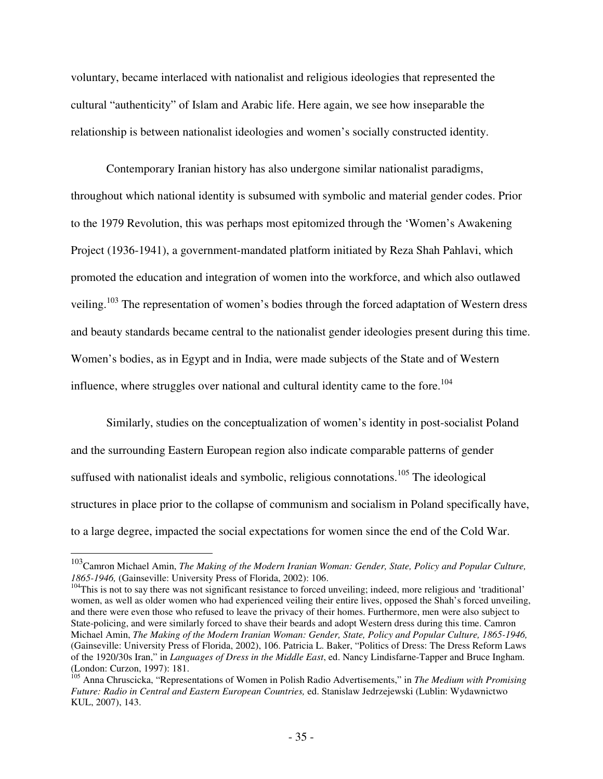voluntary, became interlaced with nationalist and religious ideologies that represented the cultural "authenticity" of Islam and Arabic life. Here again, we see how inseparable the relationship is between nationalist ideologies and women's socially constructed identity.

Contemporary Iranian history has also undergone similar nationalist paradigms, throughout which national identity is subsumed with symbolic and material gender codes. Prior to the 1979 Revolution, this was perhaps most epitomized through the 'Women's Awakening Project (1936-1941), a government-mandated platform initiated by Reza Shah Pahlavi, which promoted the education and integration of women into the workforce, and which also outlawed veiling.<sup>103</sup> The representation of women's bodies through the forced adaptation of Western dress and beauty standards became central to the nationalist gender ideologies present during this time. Women's bodies, as in Egypt and in India, were made subjects of the State and of Western influence, where struggles over national and cultural identity came to the fore.<sup>104</sup>

Similarly, studies on the conceptualization of women's identity in post-socialist Poland and the surrounding Eastern European region also indicate comparable patterns of gender suffused with nationalist ideals and symbolic, religious connotations.<sup>105</sup> The ideological structures in place prior to the collapse of communism and socialism in Poland specifically have, to a large degree, impacted the social expectations for women since the end of the Cold War.

<sup>103</sup>Camron Michael Amin, *The Making of the Modern Iranian Woman: Gender, State, Policy and Popular Culture, 1865-1946,* (Gainseville: University Press of Florida, 2002): 106.

 $104$ This is not to say there was not significant resistance to forced unveiling; indeed, more religious and 'traditional' women, as well as older women who had experienced veiling their entire lives, opposed the Shah's forced unveiling, and there were even those who refused to leave the privacy of their homes. Furthermore, men were also subject to State-policing, and were similarly forced to shave their beards and adopt Western dress during this time. Camron Michael Amin, *The Making of the Modern Iranian Woman: Gender, State, Policy and Popular Culture, 1865-1946,*  (Gainseville: University Press of Florida, 2002), 106. Patricia L. Baker, "Politics of Dress: The Dress Reform Laws of the 1920/30s Iran," in *Languages of Dress in the Middle East*, ed. Nancy Lindisfarne-Tapper and Bruce Ingham. (London: Curzon, 1997): 181.

<sup>105</sup> Anna Chruscicka, "Representations of Women in Polish Radio Advertisements," in *The Medium with Promising Future: Radio in Central and Eastern European Countries,* ed. Stanislaw Jedrzejewski (Lublin: Wydawnictwo KUL, 2007), 143.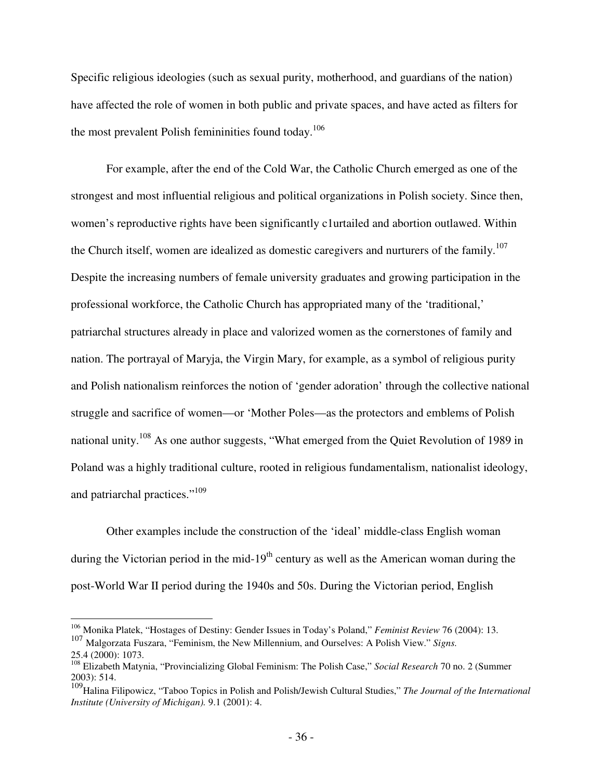Specific religious ideologies (such as sexual purity, motherhood, and guardians of the nation) have affected the role of women in both public and private spaces, and have acted as filters for the most prevalent Polish femininities found today.<sup>106</sup>

For example, after the end of the Cold War, the Catholic Church emerged as one of the strongest and most influential religious and political organizations in Polish society. Since then, women's reproductive rights have been significantly c1urtailed and abortion outlawed. Within the Church itself, women are idealized as domestic caregivers and nurturers of the family.<sup>107</sup> Despite the increasing numbers of female university graduates and growing participation in the professional workforce, the Catholic Church has appropriated many of the 'traditional,' patriarchal structures already in place and valorized women as the cornerstones of family and nation. The portrayal of Maryja, the Virgin Mary, for example, as a symbol of religious purity and Polish nationalism reinforces the notion of 'gender adoration' through the collective national struggle and sacrifice of women—or 'Mother Poles—as the protectors and emblems of Polish national unity.<sup>108</sup> As one author suggests, "What emerged from the Quiet Revolution of 1989 in Poland was a highly traditional culture, rooted in religious fundamentalism, nationalist ideology, and patriarchal practices."<sup>109</sup>

Other examples include the construction of the 'ideal' middle-class English woman during the Victorian period in the mid-19<sup>th</sup> century as well as the American woman during the post-World War II period during the 1940s and 50s. During the Victorian period, English

<sup>106</sup> Monika Platek, "Hostages of Destiny: Gender Issues in Today's Poland," *Feminist Review* 76 (2004): 13. <sup>107</sup> Malgorzata Fuszara, "Feminism, the New Millennium, and Ourselves: A Polish View." *Signs.*  25.4 (2000): 1073.

<sup>108</sup> Elizabeth Matynia, "Provincializing Global Feminism: The Polish Case," *Social Research* 70 no. 2 (Summer 2003): 514.

<sup>109</sup>Halina Filipowicz, "Taboo Topics in Polish and Polish/Jewish Cultural Studies," *The Journal of the International Institute (University of Michigan).* 9.1 (2001): 4.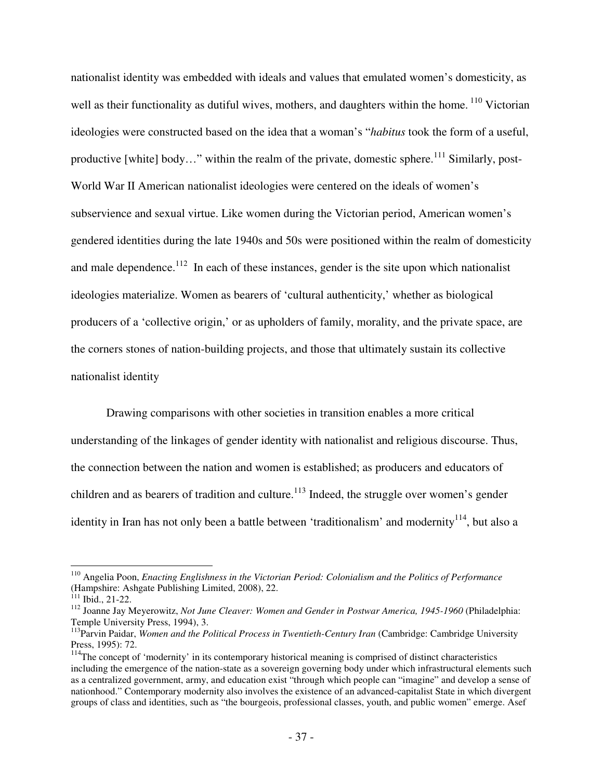nationalist identity was embedded with ideals and values that emulated women's domesticity, as well as their functionality as dutiful wives, mothers, and daughters within the home. <sup>110</sup> Victorian ideologies were constructed based on the idea that a woman's "*habitus* took the form of a useful, productive [white] body..." within the realm of the private, domestic sphere.<sup>111</sup> Similarly, post-World War II American nationalist ideologies were centered on the ideals of women's subservience and sexual virtue. Like women during the Victorian period, American women's gendered identities during the late 1940s and 50s were positioned within the realm of domesticity and male dependence.<sup>112</sup> In each of these instances, gender is the site upon which nationalist ideologies materialize. Women as bearers of 'cultural authenticity,' whether as biological producers of a 'collective origin,' or as upholders of family, morality, and the private space, are the corners stones of nation-building projects, and those that ultimately sustain its collective nationalist identity

Drawing comparisons with other societies in transition enables a more critical understanding of the linkages of gender identity with nationalist and religious discourse. Thus, the connection between the nation and women is established; as producers and educators of children and as bearers of tradition and culture.<sup>113</sup> Indeed, the struggle over women's gender identity in Iran has not only been a battle between 'traditionalism' and modernity<sup>114</sup>, but also a

<u>.</u>

<sup>110</sup> Angelia Poon, *Enacting Englishness in the Victorian Period: Colonialism and the Politics of Performance*  (Hampshire: Ashgate Publishing Limited, 2008), 22.

 $111$  Ibid., 21-22.

<sup>&</sup>lt;sup>112</sup> Joanne Jay Meyerowitz, *Not June Cleaver: Women and Gender in Postwar America, 1945-1960* (Philadelphia: Temple University Press, 1994), 3.

<sup>&</sup>lt;sup>113</sup>Parvin Paidar, *Women and the Political Process in Twentieth-Century Iran* (Cambridge: Cambridge University Press, 1995): 72.

<sup>&</sup>lt;sup>114</sup>The concept of 'modernity' in its contemporary historical meaning is comprised of distinct characteristics including the emergence of the nation-state as a sovereign governing body under which infrastructural elements such as a centralized government, army, and education exist "through which people can "imagine" and develop a sense of nationhood." Contemporary modernity also involves the existence of an advanced-capitalist State in which divergent groups of class and identities, such as "the bourgeois, professional classes, youth, and public women" emerge. Asef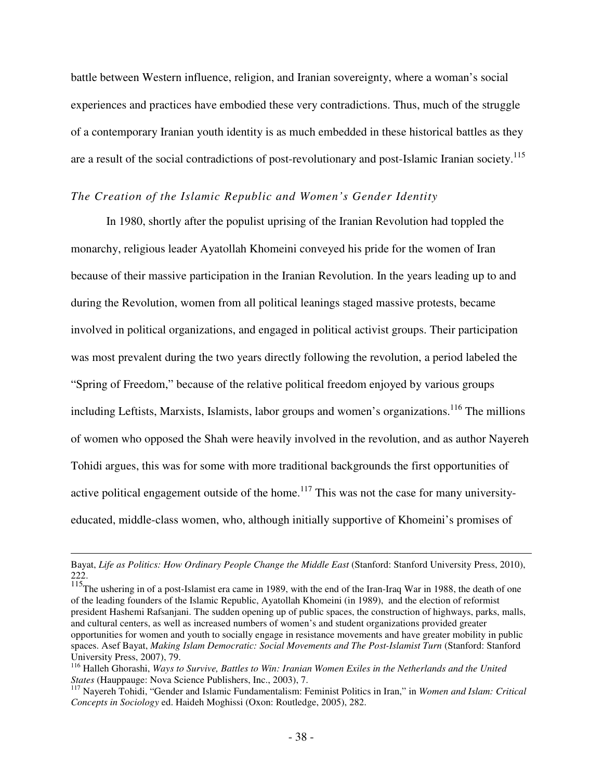battle between Western influence, religion, and Iranian sovereignty, where a woman's social experiences and practices have embodied these very contradictions. Thus, much of the struggle of a contemporary Iranian youth identity is as much embedded in these historical battles as they are a result of the social contradictions of post-revolutionary and post-Islamic Iranian society.<sup>115</sup>

# *The Creation of the Islamic Republic and Women's Gender Identity*

In 1980, shortly after the populist uprising of the Iranian Revolution had toppled the monarchy, religious leader Ayatollah Khomeini conveyed his pride for the women of Iran because of their massive participation in the Iranian Revolution. In the years leading up to and during the Revolution, women from all political leanings staged massive protests, became involved in political organizations, and engaged in political activist groups. Their participation was most prevalent during the two years directly following the revolution, a period labeled the "Spring of Freedom," because of the relative political freedom enjoyed by various groups including Leftists, Marxists, Islamists, labor groups and women's organizations.<sup>116</sup> The millions of women who opposed the Shah were heavily involved in the revolution, and as author Nayereh Tohidi argues, this was for some with more traditional backgrounds the first opportunities of active political engagement outside of the home.<sup>117</sup> This was not the case for many universityeducated, middle-class women, who, although initially supportive of Khomeini's promises of

<u>.</u>

Bayat, *Life as Politics: How Ordinary People Change the Middle East* (Stanford: Stanford University Press, 2010), 222.

<sup>&</sup>lt;sup>115</sup>The ushering in of a post-Islamist era came in 1989, with the end of the Iran-Iraq War in 1988, the death of one of the leading founders of the Islamic Republic, Ayatollah Khomeini (in 1989), and the election of reformist president Hashemi Rafsanjani. The sudden opening up of public spaces, the construction of highways, parks, malls, and cultural centers, as well as increased numbers of women's and student organizations provided greater opportunities for women and youth to socially engage in resistance movements and have greater mobility in public spaces. Asef Bayat, *Making Islam Democratic: Social Movements and The Post-Islamist Turn* (Stanford: Stanford University Press, 2007), 79.

<sup>116</sup> Halleh Ghorashi, *Ways to Survive, Battles to Win: Iranian Women Exiles in the Netherlands and the United States* (Hauppauge: Nova Science Publishers, Inc., 2003), 7.

<sup>117</sup> Nayereh Tohidi, "Gender and Islamic Fundamentalism: Feminist Politics in Iran," in *Women and Islam: Critical Concepts in Sociology* ed. Haideh Moghissi (Oxon: Routledge, 2005), 282.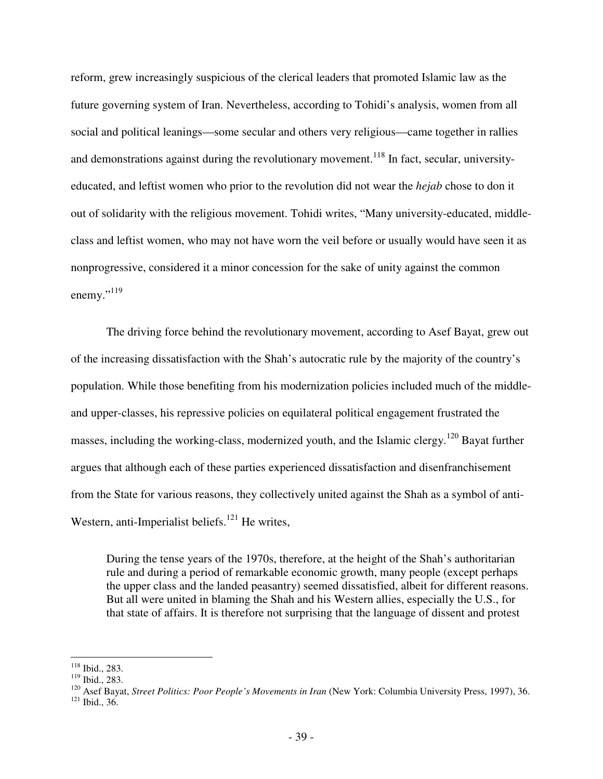reform, grew increasingly suspicious of the clerical leaders that promoted Islamic law as the future governing system of Iran. Nevertheless, according to Tohidi's analysis, women from all social and political leanings—some secular and others very religious—came together in rallies and demonstrations against during the revolutionary movement.<sup>118</sup> In fact, secular, universityeducated, and leftist women who prior to the revolution did not wear the *hejab* chose to don it out of solidarity with the religious movement. Tohidi writes, "Many university-educated, middleclass and leftist women, who may not have worn the veil before or usually would have seen it as nonprogressive, considered it a minor concession for the sake of unity against the common enemy." $^{119}$ 

The driving force behind the revolutionary movement, according to Asef Bayat, grew out of the increasing dissatisfaction with the Shah's autocratic rule by the majority of the country's population. While those benefiting from his modernization policies included much of the middleand upper-classes, his repressive policies on equilateral political engagement frustrated the masses, including the working-class, modernized youth, and the Islamic clergy.<sup>120</sup> Bayat further argues that although each of these parties experienced dissatisfaction and disenfranchisement from the State for various reasons, they collectively united against the Shah as a symbol of anti-Western, anti-Imperialist beliefs.<sup>121</sup> He writes,

During the tense years of the 1970s, therefore, at the height of the Shah's authoritarian rule and during a period of remarkable economic growth, many people (except perhaps the upper class and the landed peasantry) seemed dissatisfied, albeit for different reasons. But all were united in blaming the Shah and his Western allies, especially the U.S., for that state of affairs. It is therefore not surprising that the language of dissent and protest

 $\overline{a}$ <sup>118</sup> Ibid., 283.

<sup>119</sup> Ibid., 283.

<sup>&</sup>lt;sup>120</sup> Asef Bayat, *Street Politics: Poor People's Movements in Iran* (New York: Columbia University Press, 1997), 36.  $121$  Ibid., 36.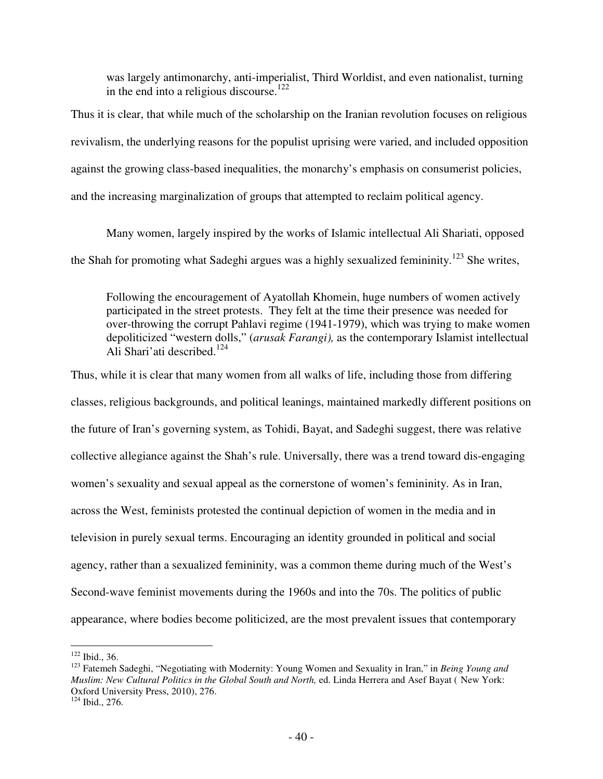was largely antimonarchy, anti-imperialist, Third Worldist, and even nationalist, turning in the end into a religious discourse.<sup>122</sup>

Thus it is clear, that while much of the scholarship on the Iranian revolution focuses on religious revivalism, the underlying reasons for the populist uprising were varied, and included opposition against the growing class-based inequalities, the monarchy's emphasis on consumerist policies, and the increasing marginalization of groups that attempted to reclaim political agency.

Many women, largely inspired by the works of Islamic intellectual Ali Shariati, opposed the Shah for promoting what Sadeghi argues was a highly sexualized femininity.<sup>123</sup> She writes,

Following the encouragement of Ayatollah Khomein, huge numbers of women actively participated in the street protests. They felt at the time their presence was needed for over-throwing the corrupt Pahlavi regime (1941-1979), which was trying to make women depoliticized "western dolls," (*arusak Farangi),* as the contemporary Islamist intellectual Ali Shari'ati described.<sup>124</sup>

Thus, while it is clear that many women from all walks of life, including those from differing classes, religious backgrounds, and political leanings, maintained markedly different positions on the future of Iran's governing system, as Tohidi, Bayat, and Sadeghi suggest, there was relative collective allegiance against the Shah's rule. Universally, there was a trend toward dis-engaging women's sexuality and sexual appeal as the cornerstone of women's femininity. As in Iran, across the West, feminists protested the continual depiction of women in the media and in television in purely sexual terms. Encouraging an identity grounded in political and social agency, rather than a sexualized femininity, was a common theme during much of the West's Second-wave feminist movements during the 1960s and into the 70s. The politics of public appearance, where bodies become politicized, are the most prevalent issues that contemporary

 $122$  Ibid., 36.

<sup>123</sup> Fatemeh Sadeghi, "Negotiating with Modernity: Young Women and Sexuality in Iran," in *Being Young and Muslim: New Cultural Politics in the Global South and North,* ed. Linda Herrera and Asef Bayat ( New York: Oxford University Press, 2010), 276.

<sup>124</sup> Ibid., 276.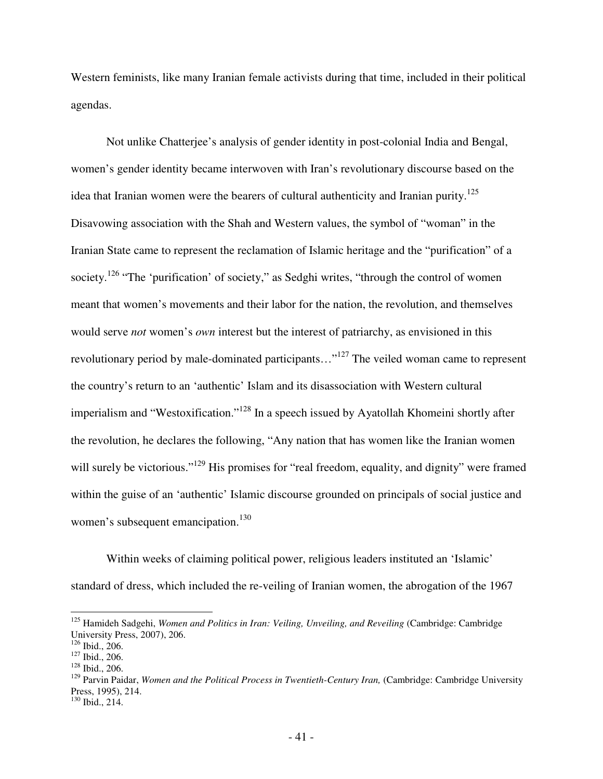Western feminists, like many Iranian female activists during that time, included in their political agendas.

Not unlike Chatterjee's analysis of gender identity in post-colonial India and Bengal, women's gender identity became interwoven with Iran's revolutionary discourse based on the idea that Iranian women were the bearers of cultural authenticity and Iranian purity.<sup>125</sup> Disavowing association with the Shah and Western values, the symbol of "woman" in the Iranian State came to represent the reclamation of Islamic heritage and the "purification" of a society.<sup>126</sup> "The 'purification' of society," as Sedghi writes, "through the control of women meant that women's movements and their labor for the nation, the revolution, and themselves would serve *not* women's *own* interest but the interest of patriarchy, as envisioned in this revolutionary period by male-dominated participants…"<sup>127</sup> The veiled woman came to represent the country's return to an 'authentic' Islam and its disassociation with Western cultural imperialism and "Westoxification."<sup>128</sup> In a speech issued by Ayatollah Khomeini shortly after the revolution, he declares the following, "Any nation that has women like the Iranian women will surely be victorious."<sup>129</sup> His promises for "real freedom, equality, and dignity" were framed within the guise of an 'authentic' Islamic discourse grounded on principals of social justice and women's subsequent emancipation.<sup>130</sup>

Within weeks of claiming political power, religious leaders instituted an 'Islamic' standard of dress, which included the re-veiling of Iranian women, the abrogation of the 1967

<sup>&</sup>lt;sup>125</sup> Hamideh Sadgehi, *Women and Politics in Iran: Veiling, Unveiling, and Reveiling (Cambridge: Cambridge*) University Press, 2007), 206.

<sup>126</sup> Ibid., 206.

 $127$  Ibid., 206.

<sup>128</sup> Ibid., 206.

<sup>&</sup>lt;sup>129</sup> Parvin Paidar, *Women and the Political Process in Twentieth-Century Iran*, (Cambridge: Cambridge University Press, 1995), 214.

<sup>130</sup> Ibid., 214.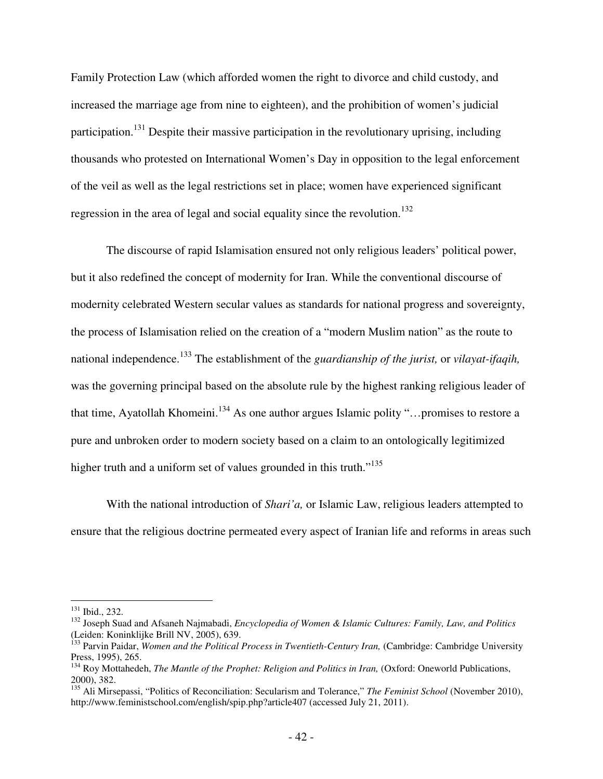Family Protection Law (which afforded women the right to divorce and child custody, and increased the marriage age from nine to eighteen), and the prohibition of women's judicial participation.<sup>131</sup> Despite their massive participation in the revolutionary uprising, including thousands who protested on International Women's Day in opposition to the legal enforcement of the veil as well as the legal restrictions set in place; women have experienced significant regression in the area of legal and social equality since the revolution.<sup>132</sup>

The discourse of rapid Islamisation ensured not only religious leaders' political power, but it also redefined the concept of modernity for Iran. While the conventional discourse of modernity celebrated Western secular values as standards for national progress and sovereignty, the process of Islamisation relied on the creation of a "modern Muslim nation" as the route to national independence.<sup>133</sup> The establishment of the *guardianship of the jurist,* or *vilayat-ifaqih,*  was the governing principal based on the absolute rule by the highest ranking religious leader of that time, Ayatollah Khomeini.<sup>134</sup> As one author argues Islamic polity "...promises to restore a pure and unbroken order to modern society based on a claim to an ontologically legitimized higher truth and a uniform set of values grounded in this truth."<sup>135</sup>

With the national introduction of *Shari'a,* or Islamic Law, religious leaders attempted to ensure that the religious doctrine permeated every aspect of Iranian life and reforms in areas such

<sup>131</sup> Ibid., 232.

<sup>132</sup> Joseph Suad and Afsaneh Najmabadi, *Encyclopedia of Women & Islamic Cultures: Family, Law, and Politics*  (Leiden: Koninklijke Brill NV, 2005), 639.

<sup>&</sup>lt;sup>133</sup> Parvin Paidar, *Women and the Political Process in Twentieth-Century Iran*, (Cambridge: Cambridge University Press, 1995), 265.

<sup>&</sup>lt;sup>134</sup> Roy Mottahedeh, *The Mantle of the Prophet: Religion and Politics in Iran,* (Oxford: Oneworld Publications, 2000), 382.

<sup>135</sup> Ali Mirsepassi, "Politics of Reconciliation: Secularism and Tolerance," *The Feminist School* (November 2010), http://www.feministschool.com/english/spip.php?article407 (accessed July 21, 2011).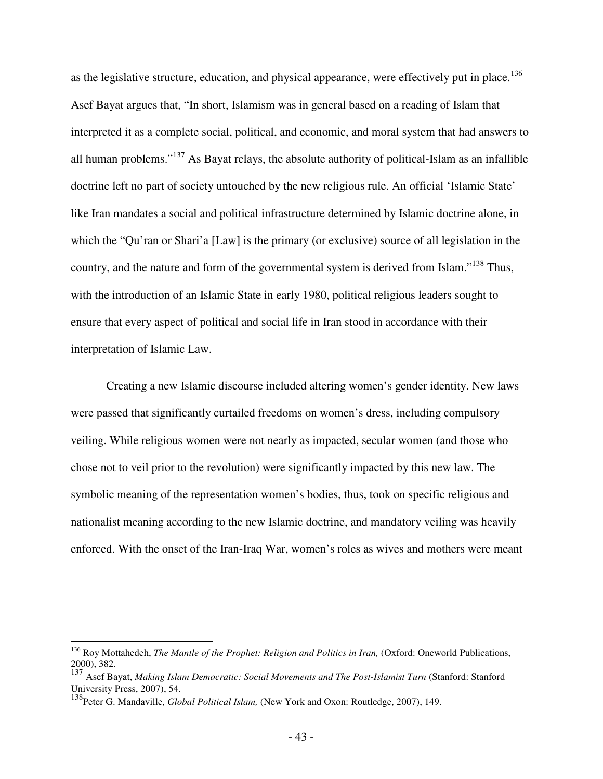as the legislative structure, education, and physical appearance, were effectively put in place.<sup>136</sup> Asef Bayat argues that, "In short, Islamism was in general based on a reading of Islam that interpreted it as a complete social, political, and economic, and moral system that had answers to all human problems."<sup>137</sup> As Bayat relays, the absolute authority of political-Islam as an infallible doctrine left no part of society untouched by the new religious rule. An official 'Islamic State' like Iran mandates a social and political infrastructure determined by Islamic doctrine alone, in which the "Qu'ran or Shari'a [Law] is the primary (or exclusive) source of all legislation in the country, and the nature and form of the governmental system is derived from Islam."<sup>138</sup> Thus, with the introduction of an Islamic State in early 1980, political religious leaders sought to ensure that every aspect of political and social life in Iran stood in accordance with their interpretation of Islamic Law.

Creating a new Islamic discourse included altering women's gender identity. New laws were passed that significantly curtailed freedoms on women's dress, including compulsory veiling. While religious women were not nearly as impacted, secular women (and those who chose not to veil prior to the revolution) were significantly impacted by this new law. The symbolic meaning of the representation women's bodies, thus, took on specific religious and nationalist meaning according to the new Islamic doctrine, and mandatory veiling was heavily enforced. With the onset of the Iran-Iraq War, women's roles as wives and mothers were meant

<u>.</u>

<sup>&</sup>lt;sup>136</sup> Roy Mottahedeh, *The Mantle of the Prophet: Religion and Politics in Iran*, (Oxford: Oneworld Publications, 2000), 382.

<sup>137</sup> Asef Bayat, *Making Islam Democratic: Social Movements and The Post-Islamist Turn* (Stanford: Stanford University Press, 2007), 54.

<sup>&</sup>lt;sup>138</sup>Peter G. Mandaville, *Global Political Islam*, (New York and Oxon: Routledge, 2007), 149.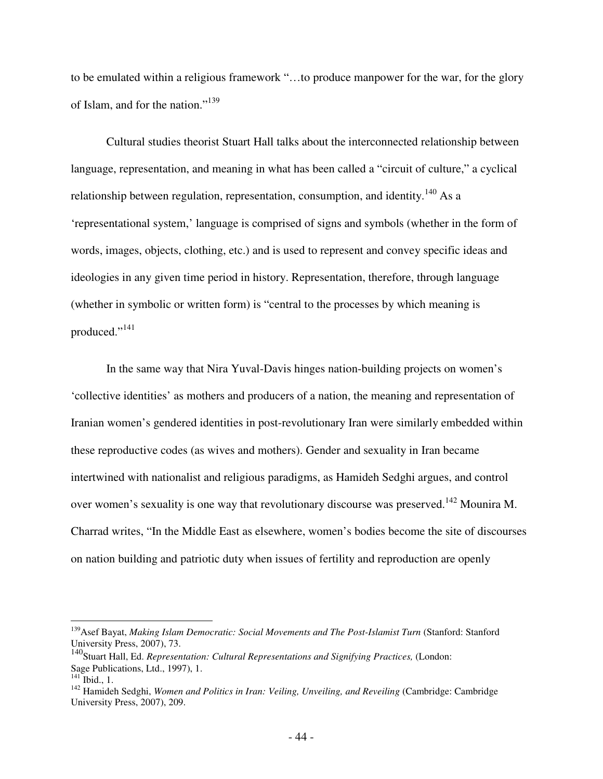to be emulated within a religious framework "…to produce manpower for the war, for the glory of Islam, and for the nation."<sup>139</sup>

Cultural studies theorist Stuart Hall talks about the interconnected relationship between language, representation, and meaning in what has been called a "circuit of culture," a cyclical relationship between regulation, representation, consumption, and identity.<sup>140</sup> As a 'representational system,' language is comprised of signs and symbols (whether in the form of words, images, objects, clothing, etc.) and is used to represent and convey specific ideas and ideologies in any given time period in history. Representation, therefore, through language (whether in symbolic or written form) is "central to the processes by which meaning is produced."<sup>141</sup>

In the same way that Nira Yuval-Davis hinges nation-building projects on women's 'collective identities' as mothers and producers of a nation, the meaning and representation of Iranian women's gendered identities in post-revolutionary Iran were similarly embedded within these reproductive codes (as wives and mothers). Gender and sexuality in Iran became intertwined with nationalist and religious paradigms, as Hamideh Sedghi argues, and control over women's sexuality is one way that revolutionary discourse was preserved.<sup>142</sup> Mounira M. Charrad writes, "In the Middle East as elsewhere, women's bodies become the site of discourses on nation building and patriotic duty when issues of fertility and reproduction are openly

<u>.</u>

<sup>&</sup>lt;sup>139</sup> Asef Bayat, *Making Islam Democratic: Social Movements and The Post-Islamist Turn* (Stanford: Stanford University Press, 2007), 73.

<sup>140</sup>Stuart Hall, Ed. *Representation: Cultural Representations and Signifying Practices,* (London: Sage Publications, Ltd., 1997), 1.

 $^{141}$  Ibid., 1.

<sup>&</sup>lt;sup>142</sup> Hamideh Sedghi, *Women and Politics in Iran: Veiling, Unveiling, and Reveiling (Cambridge: Cambridge*) University Press, 2007), 209.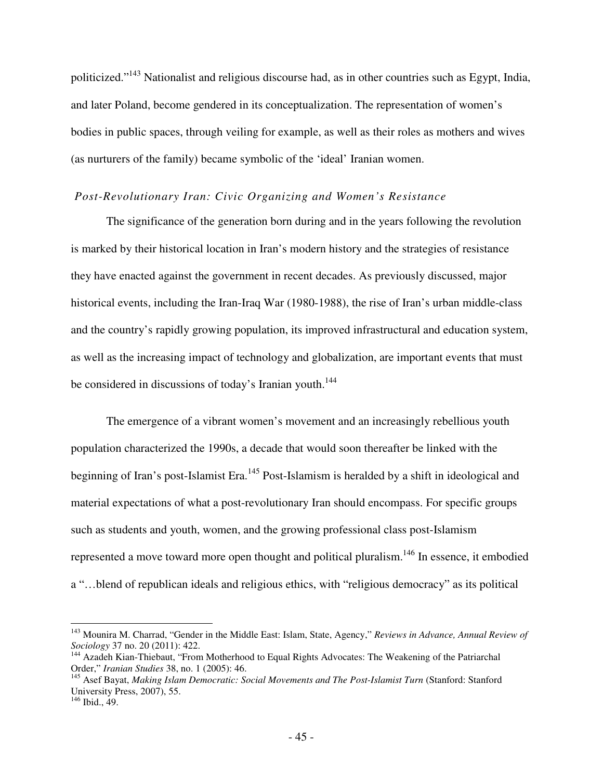politicized."<sup>143</sup> Nationalist and religious discourse had, as in other countries such as Egypt, India, and later Poland, become gendered in its conceptualization. The representation of women's bodies in public spaces, through veiling for example, as well as their roles as mothers and wives (as nurturers of the family) became symbolic of the 'ideal' Iranian women.

### *Post-Revolutionary Iran: Civic Organizing and Women's Resistance*

The significance of the generation born during and in the years following the revolution is marked by their historical location in Iran's modern history and the strategies of resistance they have enacted against the government in recent decades. As previously discussed, major historical events, including the Iran-Iraq War (1980-1988), the rise of Iran's urban middle-class and the country's rapidly growing population, its improved infrastructural and education system, as well as the increasing impact of technology and globalization, are important events that must be considered in discussions of today's Iranian youth.<sup>144</sup>

The emergence of a vibrant women's movement and an increasingly rebellious youth population characterized the 1990s, a decade that would soon thereafter be linked with the beginning of Iran's post-Islamist Era.<sup>145</sup> Post-Islamism is heralded by a shift in ideological and material expectations of what a post-revolutionary Iran should encompass. For specific groups such as students and youth, women, and the growing professional class post-Islamism represented a move toward more open thought and political pluralism.<sup>146</sup> In essence, it embodied a "…blend of republican ideals and religious ethics, with "religious democracy" as its political

<sup>143</sup> Mounira M. Charrad, "Gender in the Middle East: Islam, State, Agency," *Reviews in Advance, Annual Review of Sociology* 37 no. 20 (2011): 422.

<sup>&</sup>lt;sup>144</sup> Azadeh Kian-Thiebaut, "From Motherhood to Equal Rights Advocates: The Weakening of the Patriarchal Order," *Iranian Studies* 38, no. 1 (2005): 46.

<sup>&</sup>lt;sup>145</sup> Asef Bayat, *Making Islam Democratic: Social Movements and The Post-Islamist Turn* (Stanford: Stanford University Press, 2007), 55.

<sup>146</sup> Ibid., 49.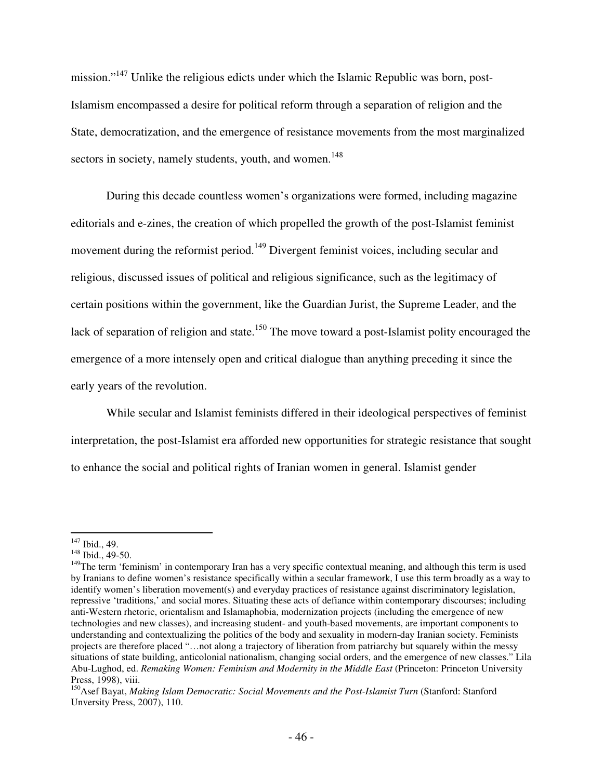mission."<sup>147</sup> Unlike the religious edicts under which the Islamic Republic was born, post-Islamism encompassed a desire for political reform through a separation of religion and the State, democratization, and the emergence of resistance movements from the most marginalized sectors in society, namely students, youth, and women.<sup>148</sup>

During this decade countless women's organizations were formed, including magazine editorials and e-zines, the creation of which propelled the growth of the post-Islamist feminist movement during the reformist period.<sup>149</sup> Divergent feminist voices, including secular and religious, discussed issues of political and religious significance, such as the legitimacy of certain positions within the government, like the Guardian Jurist, the Supreme Leader, and the lack of separation of religion and state.<sup>150</sup> The move toward a post-Islamist polity encouraged the emergence of a more intensely open and critical dialogue than anything preceding it since the early years of the revolution.

While secular and Islamist feminists differed in their ideological perspectives of feminist interpretation, the post-Islamist era afforded new opportunities for strategic resistance that sought to enhance the social and political rights of Iranian women in general. Islamist gender

 $\overline{a}$  $147$  Ibid., 49.

<sup>&</sup>lt;sup>148</sup> Ibid., 49-50.

<sup>&</sup>lt;sup>149</sup>The term 'feminism' in contemporary Iran has a very specific contextual meaning, and although this term is used by Iranians to define women's resistance specifically within a secular framework, I use this term broadly as a way to identify women's liberation movement(s) and everyday practices of resistance against discriminatory legislation, repressive 'traditions,' and social mores. Situating these acts of defiance within contemporary discourses; including anti-Western rhetoric, orientalism and Islamaphobia, modernization projects (including the emergence of new technologies and new classes), and increasing student- and youth-based movements, are important components to understanding and contextualizing the politics of the body and sexuality in modern-day Iranian society. Feminists projects are therefore placed "…not along a trajectory of liberation from patriarchy but squarely within the messy situations of state building, anticolonial nationalism, changing social orders, and the emergence of new classes." Lila Abu-Lughod, ed. *Remaking Women: Feminism and Modernity in the Middle East* (Princeton: Princeton University Press, 1998), viii.

<sup>&</sup>lt;sup>150</sup>Asef Bayat, *Making Islam Democratic: Social Movements and the Post-Islamist Turn* (Stanford: Stanford Unversity Press, 2007), 110.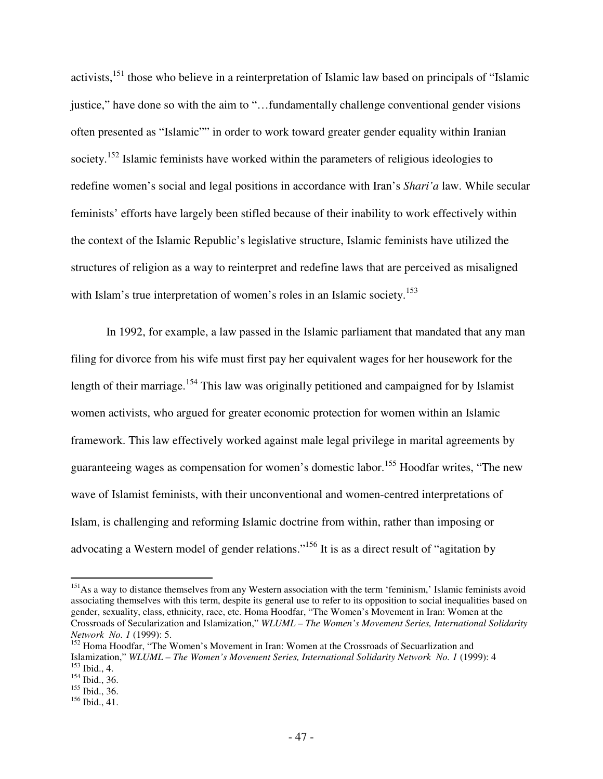activists,<sup>151</sup> those who believe in a reinterpretation of Islamic law based on principals of "Islamic" justice," have done so with the aim to "…fundamentally challenge conventional gender visions often presented as "Islamic"" in order to work toward greater gender equality within Iranian society.<sup>152</sup> Islamic feminists have worked within the parameters of religious ideologies to redefine women's social and legal positions in accordance with Iran's *Shari'a* law. While secular feminists' efforts have largely been stifled because of their inability to work effectively within the context of the Islamic Republic's legislative structure, Islamic feminists have utilized the structures of religion as a way to reinterpret and redefine laws that are perceived as misaligned with Islam's true interpretation of women's roles in an Islamic society.<sup>153</sup>

In 1992, for example, a law passed in the Islamic parliament that mandated that any man filing for divorce from his wife must first pay her equivalent wages for her housework for the length of their marriage.<sup>154</sup> This law was originally petitioned and campaigned for by Islamist women activists, who argued for greater economic protection for women within an Islamic framework. This law effectively worked against male legal privilege in marital agreements by guaranteeing wages as compensation for women's domestic labor.<sup>155</sup> Hoodfar writes, "The new wave of Islamist feminists, with their unconventional and women-centred interpretations of Islam, is challenging and reforming Islamic doctrine from within, rather than imposing or advocating a Western model of gender relations."<sup>156</sup> It is as a direct result of "agitation by

<sup>&</sup>lt;sup>151</sup>As a way to distance themselves from any Western association with the term 'feminism,' Islamic feminists avoid associating themselves with this term, despite its general use to refer to its opposition to social inequalities based on gender, sexuality, class, ethnicity, race, etc. Homa Hoodfar, "The Women's Movement in Iran: Women at the Crossroads of Secularization and Islamization," *WLUML – The Women's Movement Series, International Solidarity Network No. 1* (1999): 5.

<sup>&</sup>lt;sup>152</sup> Homa Hoodfar, "The Women's Movement in Iran: Women at the Crossroads of Secuarlization and Islamization," *WLUML – The Women's Movement Series, International Solidarity Network No. 1* (1999): 4  $153$  Ibid., 4.

<sup>154</sup> Ibid., 36.

 $155$  Ibid., 36.

 $156$  Ibid., 41.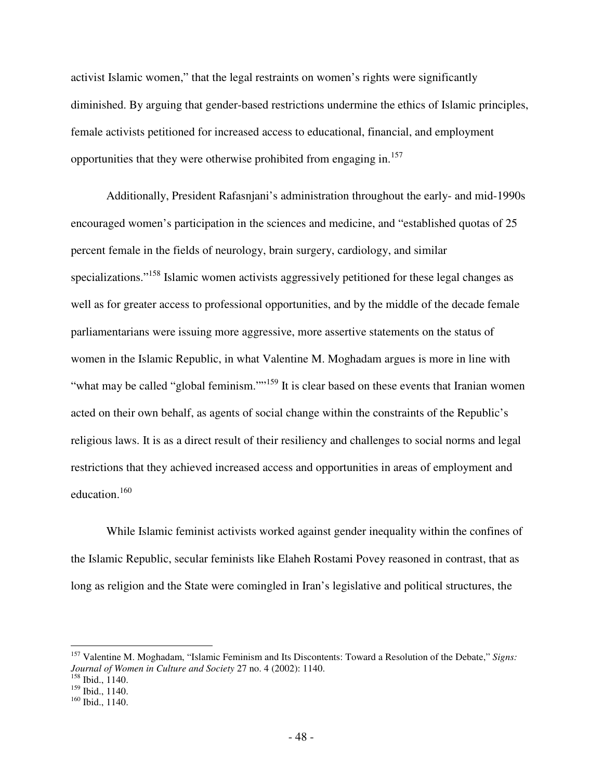activist Islamic women," that the legal restraints on women's rights were significantly diminished. By arguing that gender-based restrictions undermine the ethics of Islamic principles, female activists petitioned for increased access to educational, financial, and employment opportunities that they were otherwise prohibited from engaging in.<sup>157</sup>

Additionally, President Rafasnjani's administration throughout the early- and mid-1990s encouraged women's participation in the sciences and medicine, and "established quotas of 25 percent female in the fields of neurology, brain surgery, cardiology, and similar specializations."<sup>158</sup> Islamic women activists aggressively petitioned for these legal changes as well as for greater access to professional opportunities, and by the middle of the decade female parliamentarians were issuing more aggressive, more assertive statements on the status of women in the Islamic Republic, in what Valentine M. Moghadam argues is more in line with "what may be called "global feminism.""<sup>159</sup> It is clear based on these events that Iranian women acted on their own behalf, as agents of social change within the constraints of the Republic's religious laws. It is as a direct result of their resiliency and challenges to social norms and legal restrictions that they achieved increased access and opportunities in areas of employment and education.<sup>160</sup>

While Islamic feminist activists worked against gender inequality within the confines of the Islamic Republic, secular feminists like Elaheh Rostami Povey reasoned in contrast, that as long as religion and the State were comingled in Iran's legislative and political structures, the

<sup>157</sup> Valentine M. Moghadam, "Islamic Feminism and Its Discontents: Toward a Resolution of the Debate," *Signs: Journal of Women in Culture and Society* 27 no. 4 (2002): 1140.

<sup>158</sup> Ibid., 1140.

<sup>&</sup>lt;sup>159</sup> Ibid., 1140.

<sup>160</sup> Ibid., 1140.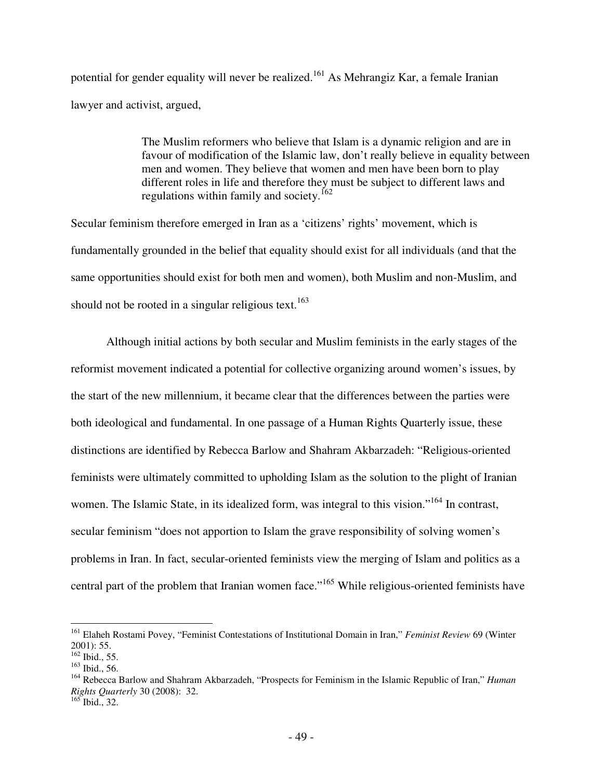potential for gender equality will never be realized.<sup>161</sup> As Mehrangiz Kar, a female Iranian lawyer and activist, argued,

> The Muslim reformers who believe that Islam is a dynamic religion and are in favour of modification of the Islamic law, don't really believe in equality between men and women. They believe that women and men have been born to play different roles in life and therefore they must be subject to different laws and regulations within family and society.<sup>162</sup>

Secular feminism therefore emerged in Iran as a 'citizens' rights' movement, which is fundamentally grounded in the belief that equality should exist for all individuals (and that the same opportunities should exist for both men and women), both Muslim and non-Muslim, and should not be rooted in a singular religious text.<sup>163</sup>

Although initial actions by both secular and Muslim feminists in the early stages of the reformist movement indicated a potential for collective organizing around women's issues, by the start of the new millennium, it became clear that the differences between the parties were both ideological and fundamental. In one passage of a Human Rights Quarterly issue, these distinctions are identified by Rebecca Barlow and Shahram Akbarzadeh: "Religious-oriented feminists were ultimately committed to upholding Islam as the solution to the plight of Iranian women. The Islamic State, in its idealized form, was integral to this vision."<sup>164</sup> In contrast, secular feminism "does not apportion to Islam the grave responsibility of solving women's problems in Iran. In fact, secular-oriented feminists view the merging of Islam and politics as a central part of the problem that Iranian women face."<sup>165</sup> While religious-oriented feminists have

<sup>161</sup> Elaheh Rostami Povey, "Feminist Contestations of Institutional Domain in Iran," *Feminist Review* 69 (Winter 2001): 55.

 $162$  Ibid., 55.

<sup>163</sup> Ibid., 56.

<sup>164</sup> Rebecca Barlow and Shahram Akbarzadeh, "Prospects for Feminism in the Islamic Republic of Iran," *Human Rights Quarterly* 30 (2008): 32.

 $165$  Ibid., 32.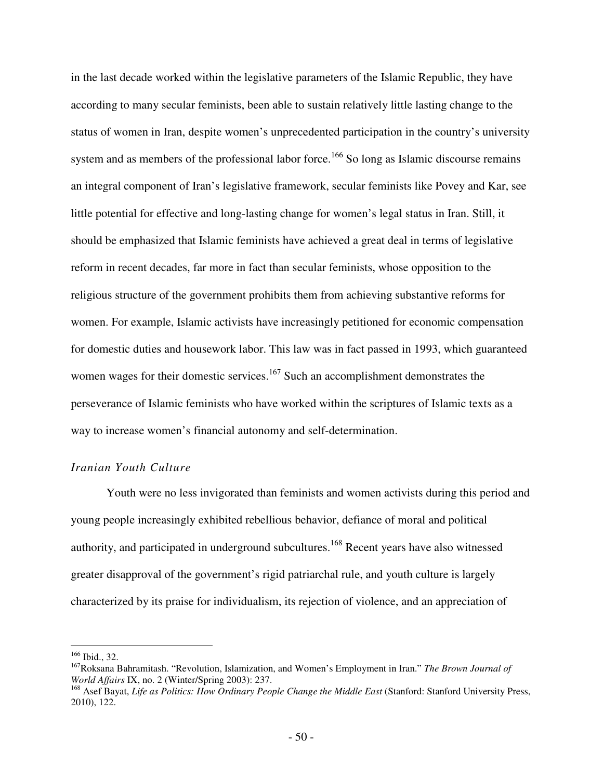in the last decade worked within the legislative parameters of the Islamic Republic, they have according to many secular feminists, been able to sustain relatively little lasting change to the status of women in Iran, despite women's unprecedented participation in the country's university system and as members of the professional labor force.<sup>166</sup> So long as Islamic discourse remains an integral component of Iran's legislative framework, secular feminists like Povey and Kar, see little potential for effective and long-lasting change for women's legal status in Iran. Still, it should be emphasized that Islamic feminists have achieved a great deal in terms of legislative reform in recent decades, far more in fact than secular feminists, whose opposition to the religious structure of the government prohibits them from achieving substantive reforms for women. For example, Islamic activists have increasingly petitioned for economic compensation for domestic duties and housework labor. This law was in fact passed in 1993, which guaranteed women wages for their domestic services.<sup>167</sup> Such an accomplishment demonstrates the perseverance of Islamic feminists who have worked within the scriptures of Islamic texts as a way to increase women's financial autonomy and self-determination.

# *Iranian Youth Culture*

Youth were no less invigorated than feminists and women activists during this period and young people increasingly exhibited rebellious behavior, defiance of moral and political authority, and participated in underground subcultures.<sup>168</sup> Recent years have also witnessed greater disapproval of the government's rigid patriarchal rule, and youth culture is largely characterized by its praise for individualism, its rejection of violence, and an appreciation of

<sup>166</sup> Ibid., 32.

<sup>167</sup>Roksana Bahramitash. "Revolution, Islamization, and Women's Employment in Iran." *The Brown Journal of World Affairs* IX, no. 2 (Winter/Spring 2003): 237.

<sup>&</sup>lt;sup>168</sup> Asef Bayat, *Life as Politics: How Ordinary People Change the Middle East* (Stanford: Stanford University Press, 2010), 122.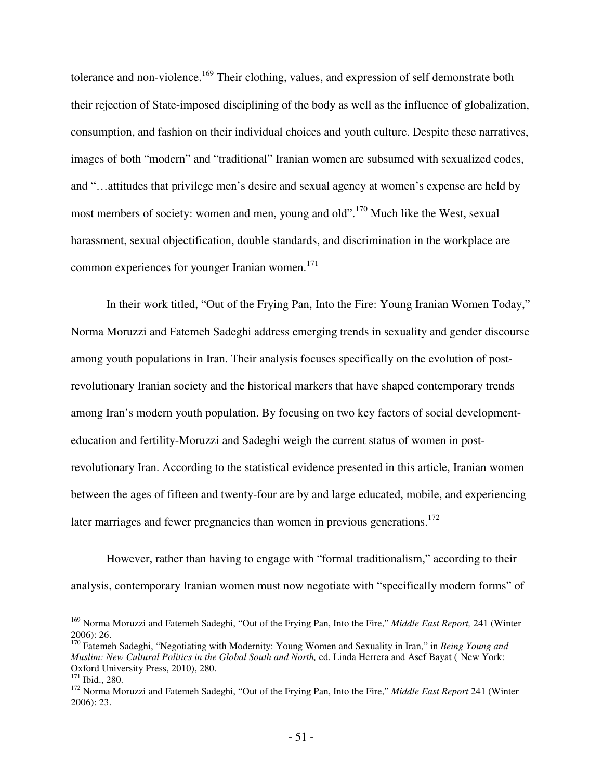tolerance and non-violence.<sup>169</sup> Their clothing, values, and expression of self demonstrate both their rejection of State-imposed disciplining of the body as well as the influence of globalization, consumption, and fashion on their individual choices and youth culture. Despite these narratives, images of both "modern" and "traditional" Iranian women are subsumed with sexualized codes, and "…attitudes that privilege men's desire and sexual agency at women's expense are held by most members of society: women and men, young and old".<sup>170</sup> Much like the West, sexual harassment, sexual objectification, double standards, and discrimination in the workplace are common experiences for younger Iranian women. $171$ 

In their work titled, "Out of the Frying Pan, Into the Fire: Young Iranian Women Today," Norma Moruzzi and Fatemeh Sadeghi address emerging trends in sexuality and gender discourse among youth populations in Iran. Their analysis focuses specifically on the evolution of postrevolutionary Iranian society and the historical markers that have shaped contemporary trends among Iran's modern youth population. By focusing on two key factors of social developmenteducation and fertility-Moruzzi and Sadeghi weigh the current status of women in postrevolutionary Iran. According to the statistical evidence presented in this article, Iranian women between the ages of fifteen and twenty-four are by and large educated, mobile, and experiencing later marriages and fewer pregnancies than women in previous generations.<sup>172</sup>

However, rather than having to engage with "formal traditionalism," according to their analysis, contemporary Iranian women must now negotiate with "specifically modern forms" of

<u>.</u>

<sup>169</sup> Norma Moruzzi and Fatemeh Sadeghi, "Out of the Frying Pan, Into the Fire," *Middle East Report,* 241 (Winter 2006): 26.

<sup>170</sup> Fatemeh Sadeghi, "Negotiating with Modernity: Young Women and Sexuality in Iran," in *Being Young and Muslim: New Cultural Politics in the Global South and North,* ed. Linda Herrera and Asef Bayat ( New York: Oxford University Press, 2010), 280.

<sup>171</sup> Ibid., 280.

<sup>172</sup> Norma Moruzzi and Fatemeh Sadeghi, "Out of the Frying Pan, Into the Fire," *Middle East Report* 241 (Winter 2006): 23.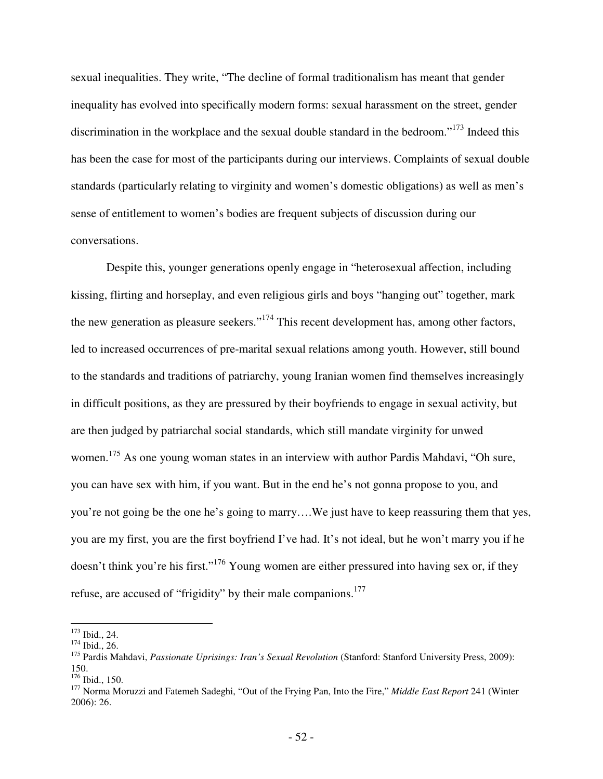sexual inequalities. They write, "The decline of formal traditionalism has meant that gender inequality has evolved into specifically modern forms: sexual harassment on the street, gender discrimination in the workplace and the sexual double standard in the bedroom."<sup>173</sup> Indeed this has been the case for most of the participants during our interviews. Complaints of sexual double standards (particularly relating to virginity and women's domestic obligations) as well as men's sense of entitlement to women's bodies are frequent subjects of discussion during our conversations.

Despite this, younger generations openly engage in "heterosexual affection, including kissing, flirting and horseplay, and even religious girls and boys "hanging out" together, mark the new generation as pleasure seekers."<sup>174</sup> This recent development has, among other factors, led to increased occurrences of pre-marital sexual relations among youth. However, still bound to the standards and traditions of patriarchy, young Iranian women find themselves increasingly in difficult positions, as they are pressured by their boyfriends to engage in sexual activity, but are then judged by patriarchal social standards, which still mandate virginity for unwed women.<sup>175</sup> As one young woman states in an interview with author Pardis Mahdavi, "Oh sure, you can have sex with him, if you want. But in the end he's not gonna propose to you, and you're not going be the one he's going to marry….We just have to keep reassuring them that yes, you are my first, you are the first boyfriend I've had. It's not ideal, but he won't marry you if he doesn't think you're his first."<sup>176</sup> Young women are either pressured into having sex or, if they refuse, are accused of "frigidity" by their male companions.<sup>177</sup>

 $\overline{a}$ <sup>173</sup> Ibid., 24.

 $174$  Ibid., 26.

<sup>&</sup>lt;sup>175</sup> Pardis Mahdavi, *Passionate Uprisings: Iran's Sexual Revolution* (Stanford: Stanford University Press, 2009): 150.

<sup>176</sup> Ibid., 150.

<sup>177</sup> Norma Moruzzi and Fatemeh Sadeghi, "Out of the Frying Pan, Into the Fire," *Middle East Report* 241 (Winter 2006): 26.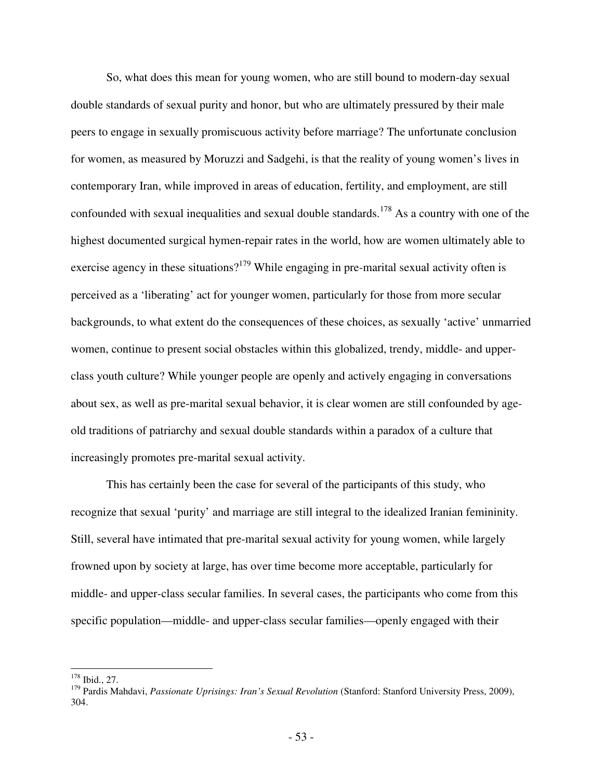So, what does this mean for young women, who are still bound to modern-day sexual double standards of sexual purity and honor, but who are ultimately pressured by their male peers to engage in sexually promiscuous activity before marriage? The unfortunate conclusion for women, as measured by Moruzzi and Sadgehi, is that the reality of young women's lives in contemporary Iran, while improved in areas of education, fertility, and employment, are still confounded with sexual inequalities and sexual double standards.<sup>178</sup> As a country with one of the highest documented surgical hymen-repair rates in the world, how are women ultimately able to exercise agency in these situations?<sup>179</sup> While engaging in pre-marital sexual activity often is perceived as a 'liberating' act for younger women, particularly for those from more secular backgrounds, to what extent do the consequences of these choices, as sexually 'active' unmarried women, continue to present social obstacles within this globalized, trendy, middle- and upperclass youth culture? While younger people are openly and actively engaging in conversations about sex, as well as pre-marital sexual behavior, it is clear women are still confounded by ageold traditions of patriarchy and sexual double standards within a paradox of a culture that increasingly promotes pre-marital sexual activity.

This has certainly been the case for several of the participants of this study, who recognize that sexual 'purity' and marriage are still integral to the idealized Iranian femininity. Still, several have intimated that pre-marital sexual activity for young women, while largely frowned upon by society at large, has over time become more acceptable, particularly for middle- and upper-class secular families. In several cases, the participants who come from this specific population—middle- and upper-class secular families—openly engaged with their

 $\overline{a}$ <sup>178</sup> Ibid., 27.

<sup>&</sup>lt;sup>179</sup> Pardis Mahdavi, *Passionate Uprisings: Iran's Sexual Revolution* (Stanford: Stanford University Press, 2009), 304.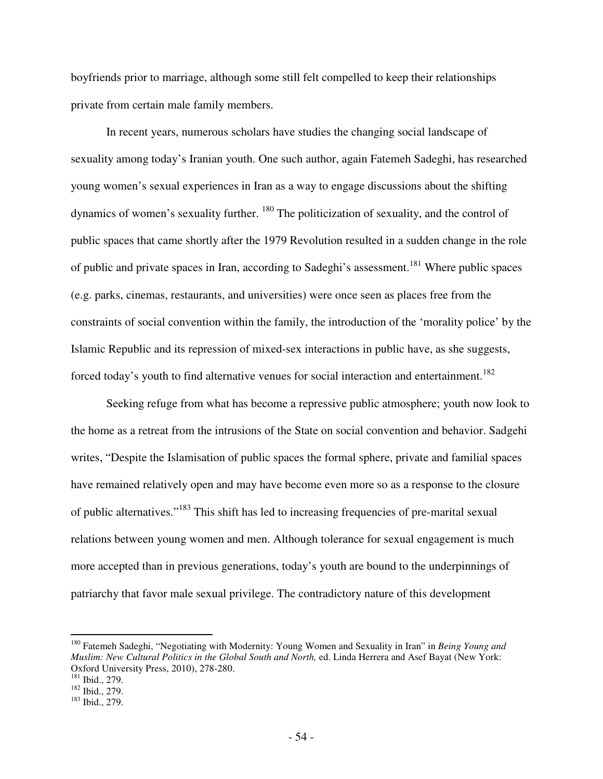boyfriends prior to marriage, although some still felt compelled to keep their relationships private from certain male family members.

In recent years, numerous scholars have studies the changing social landscape of sexuality among today's Iranian youth. One such author, again Fatemeh Sadeghi, has researched young women's sexual experiences in Iran as a way to engage discussions about the shifting dynamics of women's sexuality further. <sup>180</sup> The politicization of sexuality, and the control of public spaces that came shortly after the 1979 Revolution resulted in a sudden change in the role of public and private spaces in Iran, according to Sadeghi's assessment.<sup>181</sup> Where public spaces (e.g. parks, cinemas, restaurants, and universities) were once seen as places free from the constraints of social convention within the family, the introduction of the 'morality police' by the Islamic Republic and its repression of mixed-sex interactions in public have, as she suggests, forced today's youth to find alternative venues for social interaction and entertainment.<sup>182</sup>

Seeking refuge from what has become a repressive public atmosphere; youth now look to the home as a retreat from the intrusions of the State on social convention and behavior. Sadgehi writes, "Despite the Islamisation of public spaces the formal sphere, private and familial spaces have remained relatively open and may have become even more so as a response to the closure of public alternatives."<sup>183</sup> This shift has led to increasing frequencies of pre-marital sexual relations between young women and men. Although tolerance for sexual engagement is much more accepted than in previous generations, today's youth are bound to the underpinnings of patriarchy that favor male sexual privilege. The contradictory nature of this development

<sup>180</sup> Fatemeh Sadeghi, "Negotiating with Modernity: Young Women and Sexuality in Iran" in *Being Young and Muslim: New Cultural Politics in the Global South and North,* ed. Linda Herrera and Asef Bayat (New York: Oxford University Press, 2010), 278-280.

<sup>181</sup> Ibid., 279.

<sup>&</sup>lt;sup>182</sup> Ibid., 279.

<sup>183</sup> Ibid., 279.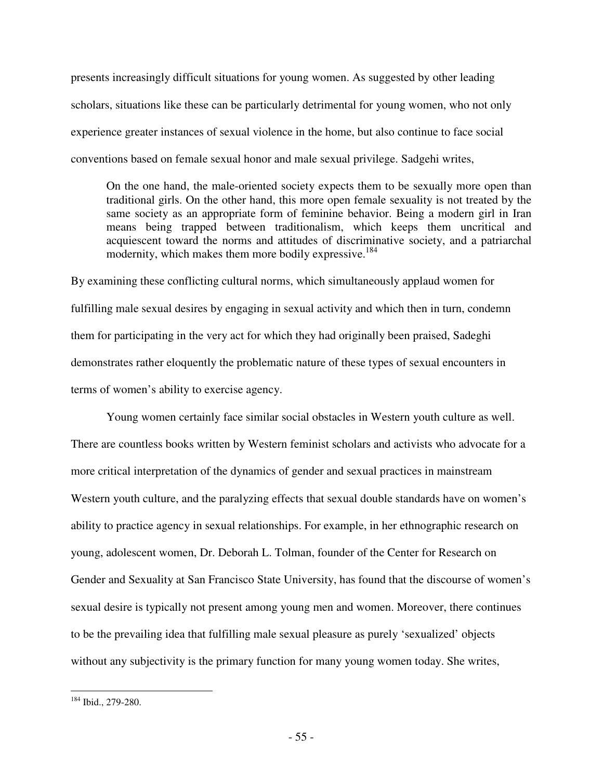presents increasingly difficult situations for young women. As suggested by other leading scholars, situations like these can be particularly detrimental for young women, who not only experience greater instances of sexual violence in the home, but also continue to face social conventions based on female sexual honor and male sexual privilege. Sadgehi writes,

On the one hand, the male-oriented society expects them to be sexually more open than traditional girls. On the other hand, this more open female sexuality is not treated by the same society as an appropriate form of feminine behavior. Being a modern girl in Iran means being trapped between traditionalism, which keeps them uncritical and acquiescent toward the norms and attitudes of discriminative society, and a patriarchal modernity, which makes them more bodily expressive.<sup>184</sup>

By examining these conflicting cultural norms, which simultaneously applaud women for fulfilling male sexual desires by engaging in sexual activity and which then in turn, condemn them for participating in the very act for which they had originally been praised, Sadeghi demonstrates rather eloquently the problematic nature of these types of sexual encounters in terms of women's ability to exercise agency.

 Young women certainly face similar social obstacles in Western youth culture as well. There are countless books written by Western feminist scholars and activists who advocate for a more critical interpretation of the dynamics of gender and sexual practices in mainstream Western youth culture, and the paralyzing effects that sexual double standards have on women's ability to practice agency in sexual relationships. For example, in her ethnographic research on young, adolescent women, Dr. Deborah L. Tolman, founder of the Center for Research on Gender and Sexuality at San Francisco State University, has found that the discourse of women's sexual desire is typically not present among young men and women. Moreover, there continues to be the prevailing idea that fulfilling male sexual pleasure as purely 'sexualized' objects without any subjectivity is the primary function for many young women today. She writes,

<u>.</u>

<sup>184</sup> Ibid., 279-280.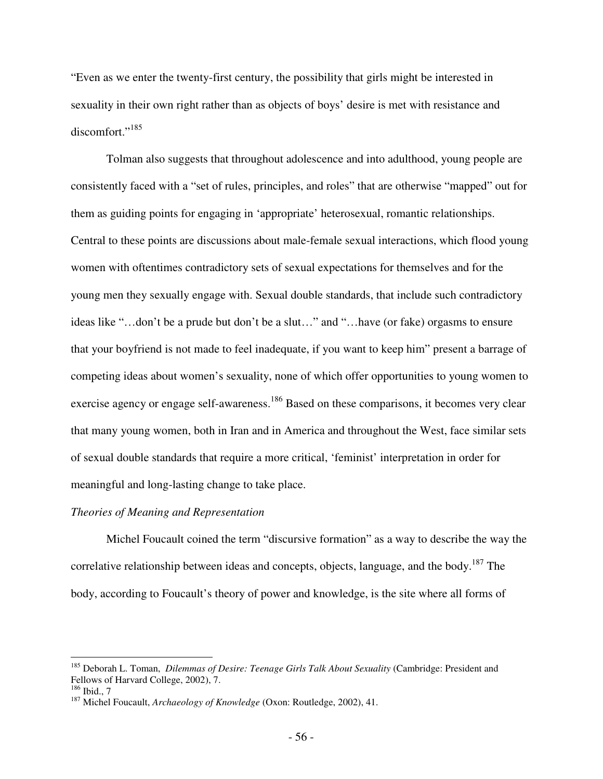"Even as we enter the twenty-first century, the possibility that girls might be interested in sexuality in their own right rather than as objects of boys' desire is met with resistance and discomfort."<sup>185</sup>

Tolman also suggests that throughout adolescence and into adulthood, young people are consistently faced with a "set of rules, principles, and roles" that are otherwise "mapped" out for them as guiding points for engaging in 'appropriate' heterosexual, romantic relationships. Central to these points are discussions about male-female sexual interactions, which flood young women with oftentimes contradictory sets of sexual expectations for themselves and for the young men they sexually engage with. Sexual double standards, that include such contradictory ideas like "…don't be a prude but don't be a slut…" and "…have (or fake) orgasms to ensure that your boyfriend is not made to feel inadequate, if you want to keep him" present a barrage of competing ideas about women's sexuality, none of which offer opportunities to young women to exercise agency or engage self-awareness.<sup>186</sup> Based on these comparisons, it becomes very clear that many young women, both in Iran and in America and throughout the West, face similar sets of sexual double standards that require a more critical, 'feminist' interpretation in order for meaningful and long-lasting change to take place.

#### *Theories of Meaning and Representation*

Michel Foucault coined the term "discursive formation" as a way to describe the way the correlative relationship between ideas and concepts, objects, language, and the body.<sup>187</sup> The body, according to Foucault's theory of power and knowledge, is the site where all forms of

<sup>185</sup> Deborah L. Toman, *Dilemmas of Desire: Teenage Girls Talk About Sexuality* (Cambridge: President and Fellows of Harvard College, 2002), 7.

 $186$  Ibid., 7

<sup>187</sup> Michel Foucault, *Archaeology of Knowledge* (Oxon: Routledge, 2002), 41.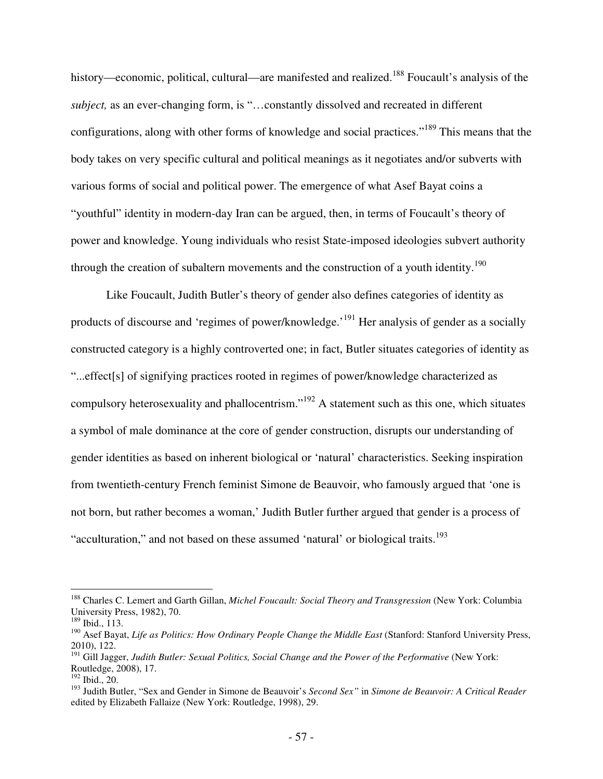history—economic, political, cultural—are manifested and realized.<sup>188</sup> Foucault's analysis of the *subject,* as an ever-changing form, is "…constantly dissolved and recreated in different configurations, along with other forms of knowledge and social practices."<sup>189</sup> This means that the body takes on very specific cultural and political meanings as it negotiates and/or subverts with various forms of social and political power. The emergence of what Asef Bayat coins a "youthful" identity in modern-day Iran can be argued, then, in terms of Foucault's theory of power and knowledge. Young individuals who resist State-imposed ideologies subvert authority through the creation of subaltern movements and the construction of a youth identity.<sup>190</sup>

Like Foucault, Judith Butler's theory of gender also defines categories of identity as products of discourse and 'regimes of power/knowledge.'<sup>191</sup> Her analysis of gender as a socially constructed category is a highly controverted one; in fact, Butler situates categories of identity as "...effect[s] of signifying practices rooted in regimes of power/knowledge characterized as compulsory heterosexuality and phallocentrism."<sup>192</sup> A statement such as this one, which situates a symbol of male dominance at the core of gender construction, disrupts our understanding of gender identities as based on inherent biological or 'natural' characteristics. Seeking inspiration from twentieth-century French feminist Simone de Beauvoir, who famously argued that 'one is not born, but rather becomes a woman,' Judith Butler further argued that gender is a process of "acculturation," and not based on these assumed 'natural' or biological traits.<sup>193</sup>

<sup>188</sup> Charles C. Lemert and Garth Gillan, *Michel Foucault: Social Theory and Transgression* (New York: Columbia University Press, 1982), 70.

<sup>189</sup> Ibid., 113.

<sup>&</sup>lt;sup>190</sup> Asef Bayat, *Life as Politics: How Ordinary People Change the Middle East* (Stanford: Stanford University Press, 2010), 122.

<sup>&</sup>lt;sup>191</sup> Gill Jagger, *Judith Butler: Sexual Politics, Social Change and the Power of the Performative* (New York: Routledge, 2008), 17.

<sup>192</sup> Ibid., 20.

<sup>193</sup> Judith Butler, "Sex and Gender in Simone de Beauvoir's *Second Sex"* in *Simone de Beauvoir: A Critical Reader*  edited by Elizabeth Fallaize (New York: Routledge, 1998), 29.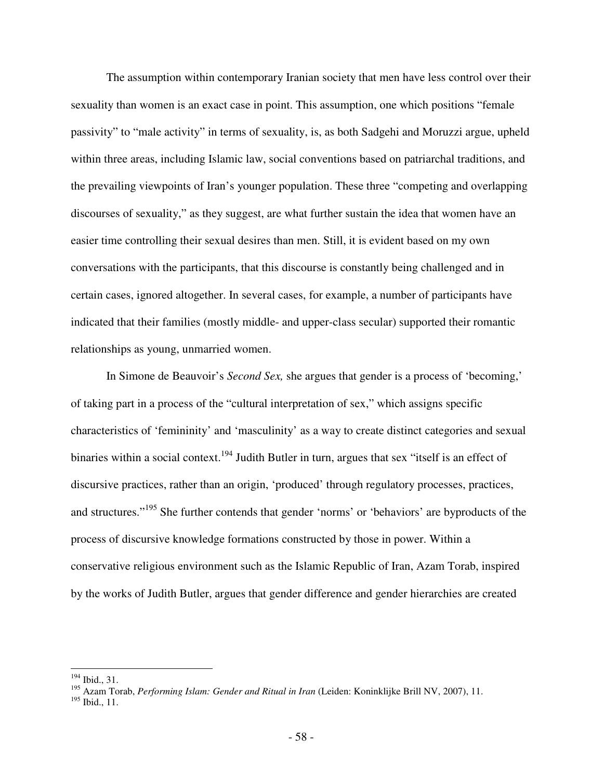The assumption within contemporary Iranian society that men have less control over their sexuality than women is an exact case in point. This assumption, one which positions "female passivity" to "male activity" in terms of sexuality, is, as both Sadgehi and Moruzzi argue, upheld within three areas, including Islamic law, social conventions based on patriarchal traditions, and the prevailing viewpoints of Iran's younger population. These three "competing and overlapping discourses of sexuality," as they suggest, are what further sustain the idea that women have an easier time controlling their sexual desires than men. Still, it is evident based on my own conversations with the participants, that this discourse is constantly being challenged and in certain cases, ignored altogether. In several cases, for example, a number of participants have indicated that their families (mostly middle- and upper-class secular) supported their romantic relationships as young, unmarried women.

In Simone de Beauvoir's *Second Sex,* she argues that gender is a process of 'becoming,' of taking part in a process of the "cultural interpretation of sex," which assigns specific characteristics of 'femininity' and 'masculinity' as a way to create distinct categories and sexual binaries within a social context.<sup>194</sup> Judith Butler in turn, argues that sex "itself is an effect of discursive practices, rather than an origin, 'produced' through regulatory processes, practices, and structures."<sup>195</sup> She further contends that gender 'norms' or 'behaviors' are byproducts of the process of discursive knowledge formations constructed by those in power. Within a conservative religious environment such as the Islamic Republic of Iran, Azam Torab, inspired by the works of Judith Butler, argues that gender difference and gender hierarchies are created

<sup>&</sup>lt;u>.</u> <sup>194</sup> Ibid., 31.

<sup>195</sup> Azam Torab, *Performing Islam: Gender and Ritual in Iran* (Leiden: Koninklijke Brill NV, 2007), 11.

<sup>195</sup> Ibid., 11.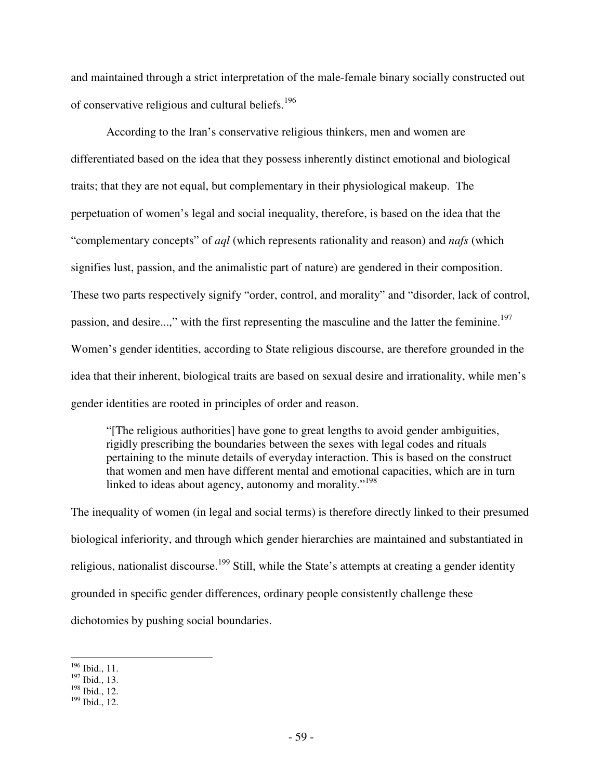and maintained through a strict interpretation of the male-female binary socially constructed out of conservative religious and cultural beliefs.<sup>196</sup>

According to the Iran's conservative religious thinkers, men and women are differentiated based on the idea that they possess inherently distinct emotional and biological traits; that they are not equal, but complementary in their physiological makeup. The perpetuation of women's legal and social inequality, therefore, is based on the idea that the "complementary concepts" of *aql* (which represents rationality and reason) and *nafs* (which signifies lust, passion, and the animalistic part of nature) are gendered in their composition. These two parts respectively signify "order, control, and morality" and "disorder, lack of control, passion, and desire...," with the first representing the masculine and the latter the feminine.<sup>197</sup> Women's gender identities, according to State religious discourse, are therefore grounded in the idea that their inherent, biological traits are based on sexual desire and irrationality, while men's gender identities are rooted in principles of order and reason.

"[The religious authorities] have gone to great lengths to avoid gender ambiguities, rigidly prescribing the boundaries between the sexes with legal codes and rituals pertaining to the minute details of everyday interaction. This is based on the construct that women and men have different mental and emotional capacities, which are in turn linked to ideas about agency, autonomy and morality."<sup>198</sup>

The inequality of women (in legal and social terms) is therefore directly linked to their presumed biological inferiority, and through which gender hierarchies are maintained and substantiated in religious, nationalist discourse.<sup>199</sup> Still, while the State's attempts at creating a gender identity grounded in specific gender differences, ordinary people consistently challenge these dichotomies by pushing social boundaries.

<sup>&</sup>lt;u>.</u>  $196$  Ibid., 11.

<sup>197</sup> Ibid., 13.

 $198$  Ibid., 12.

<sup>199</sup> Ibid., 12.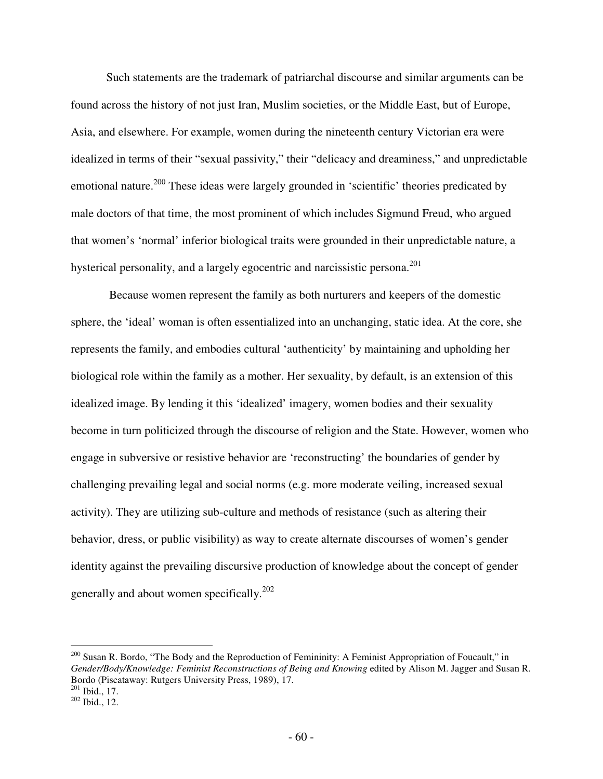Such statements are the trademark of patriarchal discourse and similar arguments can be found across the history of not just Iran, Muslim societies, or the Middle East, but of Europe, Asia, and elsewhere. For example, women during the nineteenth century Victorian era were idealized in terms of their "sexual passivity," their "delicacy and dreaminess," and unpredictable emotional nature.<sup>200</sup> These ideas were largely grounded in 'scientific' theories predicated by male doctors of that time, the most prominent of which includes Sigmund Freud, who argued that women's 'normal' inferior biological traits were grounded in their unpredictable nature, a hysterical personality, and a largely egocentric and narcissistic persona.<sup>201</sup>

 Because women represent the family as both nurturers and keepers of the domestic sphere, the 'ideal' woman is often essentialized into an unchanging, static idea. At the core, she represents the family, and embodies cultural 'authenticity' by maintaining and upholding her biological role within the family as a mother. Her sexuality, by default, is an extension of this idealized image. By lending it this 'idealized' imagery, women bodies and their sexuality become in turn politicized through the discourse of religion and the State. However, women who engage in subversive or resistive behavior are 'reconstructing' the boundaries of gender by challenging prevailing legal and social norms (e.g. more moderate veiling, increased sexual activity). They are utilizing sub-culture and methods of resistance (such as altering their behavior, dress, or public visibility) as way to create alternate discourses of women's gender identity against the prevailing discursive production of knowledge about the concept of gender generally and about women specifically.<sup>202</sup>

-

<sup>&</sup>lt;sup>200</sup> Susan R. Bordo, "The Body and the Reproduction of Femininity: A Feminist Appropriation of Foucault," in *Gender/Body/Knowledge: Feminist Reconstructions of Being and Knowing* edited by Alison M. Jagger and Susan R. Bordo (Piscataway: Rutgers University Press, 1989), 17.  $201$  Ibid., 17.

<sup>202</sup> Ibid., 12.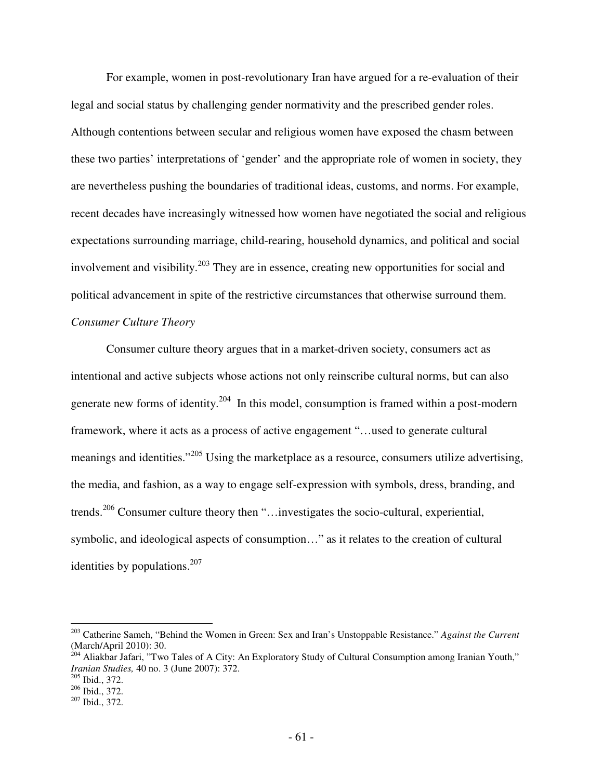For example, women in post-revolutionary Iran have argued for a re-evaluation of their legal and social status by challenging gender normativity and the prescribed gender roles. Although contentions between secular and religious women have exposed the chasm between these two parties' interpretations of 'gender' and the appropriate role of women in society, they are nevertheless pushing the boundaries of traditional ideas, customs, and norms. For example, recent decades have increasingly witnessed how women have negotiated the social and religious expectations surrounding marriage, child-rearing, household dynamics, and political and social involvement and visibility.<sup>203</sup> They are in essence, creating new opportunities for social and political advancement in spite of the restrictive circumstances that otherwise surround them. *Consumer Culture Theory* 

Consumer culture theory argues that in a market-driven society, consumers act as intentional and active subjects whose actions not only reinscribe cultural norms, but can also generate new forms of identity.<sup>204</sup> In this model, consumption is framed within a post-modern framework, where it acts as a process of active engagement "…used to generate cultural meanings and identities."<sup>205</sup> Using the marketplace as a resource, consumers utilize advertising, the media, and fashion, as a way to engage self-expression with symbols, dress, branding, and trends.<sup>206</sup> Consumer culture theory then "…investigates the socio-cultural, experiential, symbolic, and ideological aspects of consumption…" as it relates to the creation of cultural identities by populations.<sup>207</sup>

<sup>203</sup> Catherine Sameh, "Behind the Women in Green: Sex and Iran's Unstoppable Resistance." *Against the Current*  (March/April 2010): 30.

 $^{204}$  Aliakbar Jafari, "Two Tales of A City: An Exploratory Study of Cultural Consumption among Iranian Youth," *Iranian Studies,* 40 no. 3 (June 2007): 372.

<sup>205</sup> Ibid., 372.

<sup>206</sup> Ibid., 372.

<sup>207</sup> Ibid., 372.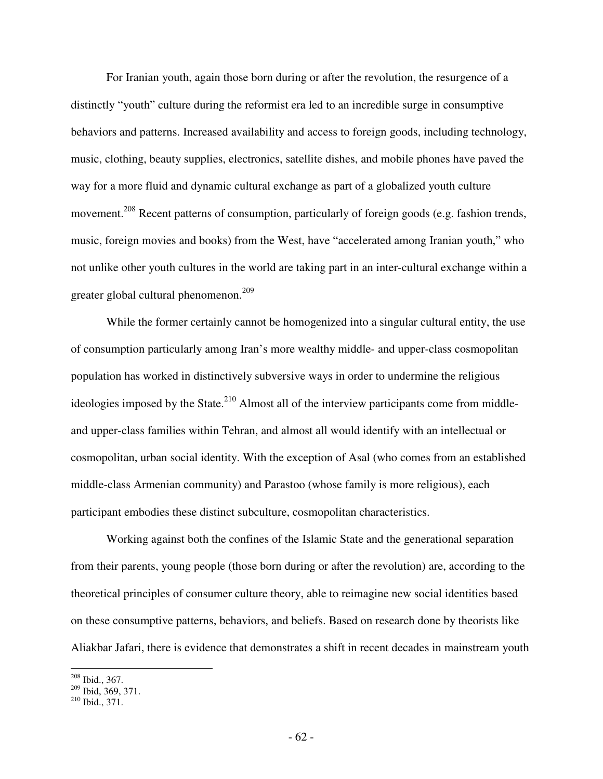For Iranian youth, again those born during or after the revolution, the resurgence of a distinctly "youth" culture during the reformist era led to an incredible surge in consumptive behaviors and patterns. Increased availability and access to foreign goods, including technology, music, clothing, beauty supplies, electronics, satellite dishes, and mobile phones have paved the way for a more fluid and dynamic cultural exchange as part of a globalized youth culture movement.<sup>208</sup> Recent patterns of consumption, particularly of foreign goods (e.g. fashion trends, music, foreign movies and books) from the West, have "accelerated among Iranian youth," who not unlike other youth cultures in the world are taking part in an inter-cultural exchange within a greater global cultural phenomenon.<sup>209</sup>

While the former certainly cannot be homogenized into a singular cultural entity, the use of consumption particularly among Iran's more wealthy middle- and upper-class cosmopolitan population has worked in distinctively subversive ways in order to undermine the religious ideologies imposed by the State. $^{210}$  Almost all of the interview participants come from middleand upper-class families within Tehran, and almost all would identify with an intellectual or cosmopolitan, urban social identity. With the exception of Asal (who comes from an established middle-class Armenian community) and Parastoo (whose family is more religious), each participant embodies these distinct subculture, cosmopolitan characteristics.

Working against both the confines of the Islamic State and the generational separation from their parents, young people (those born during or after the revolution) are, according to the theoretical principles of consumer culture theory, able to reimagine new social identities based on these consumptive patterns, behaviors, and beliefs. Based on research done by theorists like Aliakbar Jafari, there is evidence that demonstrates a shift in recent decades in mainstream youth

 $\overline{a}$ <sup>208</sup> Ibid., 367.

 $209$  Ibid, 369, 371.

<sup>210</sup> Ibid., 371.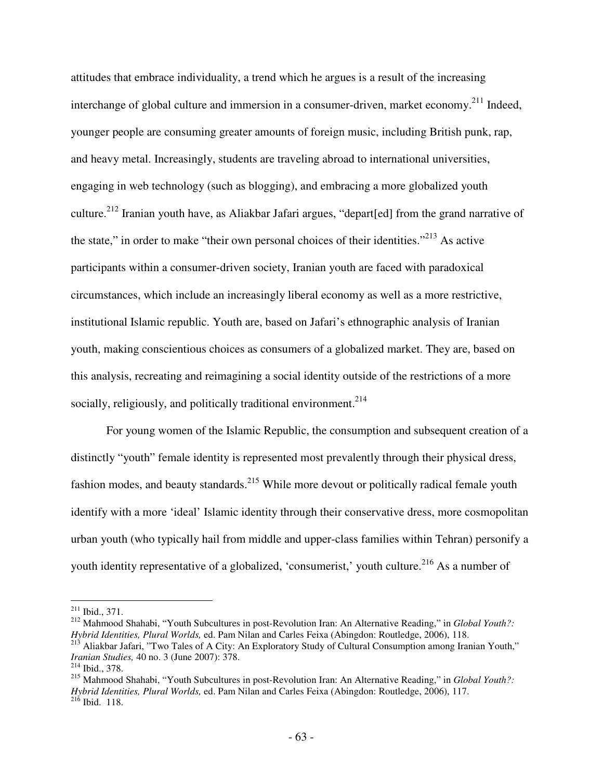attitudes that embrace individuality, a trend which he argues is a result of the increasing interchange of global culture and immersion in a consumer-driven, market economy.<sup>211</sup> Indeed, younger people are consuming greater amounts of foreign music, including British punk, rap, and heavy metal. Increasingly, students are traveling abroad to international universities, engaging in web technology (such as blogging), and embracing a more globalized youth culture.<sup>212</sup> Iranian youth have, as Aliakbar Jafari argues, "depart[ed] from the grand narrative of the state," in order to make "their own personal choices of their identities."<sup>213</sup> As active participants within a consumer-driven society, Iranian youth are faced with paradoxical circumstances, which include an increasingly liberal economy as well as a more restrictive, institutional Islamic republic. Youth are, based on Jafari's ethnographic analysis of Iranian youth, making conscientious choices as consumers of a globalized market. They are, based on this analysis, recreating and reimagining a social identity outside of the restrictions of a more socially, religiously, and politically traditional environment.<sup>214</sup>

For young women of the Islamic Republic, the consumption and subsequent creation of a distinctly "youth" female identity is represented most prevalently through their physical dress, fashion modes, and beauty standards.<sup>215</sup> While more devout or politically radical female youth identify with a more 'ideal' Islamic identity through their conservative dress, more cosmopolitan urban youth (who typically hail from middle and upper-class families within Tehran) personify a youth identity representative of a globalized, 'consumerist,' youth culture.<sup>216</sup> As a number of

<u>.</u>

<sup>215</sup> Mahmood Shahabi, "Youth Subcultures in post-Revolution Iran: An Alternative Reading," in *Global Youth?: Hybrid Identities, Plural Worlds,* ed. Pam Nilan and Carles Feixa (Abingdon: Routledge, 2006), 117.  $^{216}$  Ibid. 118.

 $211$  Ibid., 371.

<sup>212</sup> Mahmood Shahabi, "Youth Subcultures in post-Revolution Iran: An Alternative Reading," in *Global Youth?: Hybrid Identities, Plural Worlds,* ed. Pam Nilan and Carles Feixa (Abingdon: Routledge, 2006), 118. <sup>213</sup> Aliakbar Jafari, "Two Tales of A City: An Exploratory Study of Cultural Consumption among Iranian Youth,"

*Iranian Studies,* 40 no. 3 (June 2007): 378.

<sup>214</sup> Ibid., 378.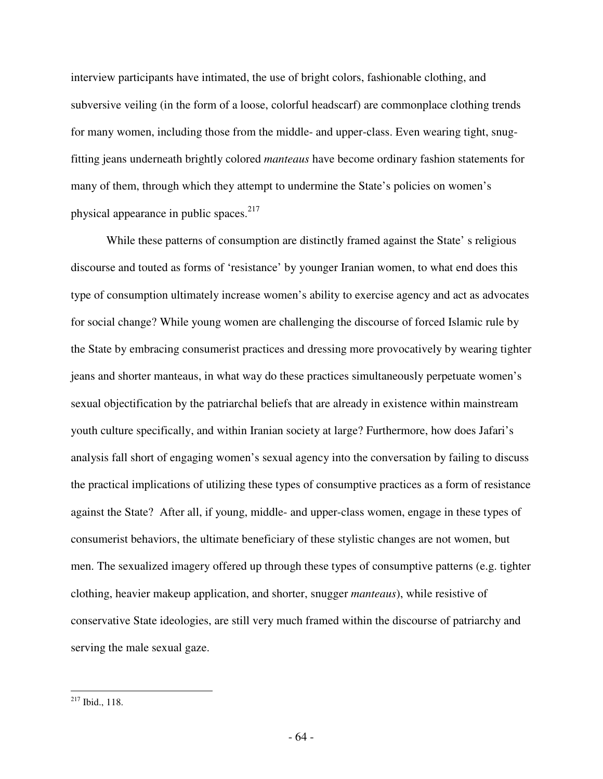interview participants have intimated, the use of bright colors, fashionable clothing, and subversive veiling (in the form of a loose, colorful headscarf) are commonplace clothing trends for many women, including those from the middle- and upper-class. Even wearing tight, snugfitting jeans underneath brightly colored *manteaus* have become ordinary fashion statements for many of them, through which they attempt to undermine the State's policies on women's physical appearance in public spaces.<sup>217</sup>

While these patterns of consumption are distinctly framed against the State' s religious discourse and touted as forms of 'resistance' by younger Iranian women, to what end does this type of consumption ultimately increase women's ability to exercise agency and act as advocates for social change? While young women are challenging the discourse of forced Islamic rule by the State by embracing consumerist practices and dressing more provocatively by wearing tighter jeans and shorter manteaus, in what way do these practices simultaneously perpetuate women's sexual objectification by the patriarchal beliefs that are already in existence within mainstream youth culture specifically, and within Iranian society at large? Furthermore, how does Jafari's analysis fall short of engaging women's sexual agency into the conversation by failing to discuss the practical implications of utilizing these types of consumptive practices as a form of resistance against the State? After all, if young, middle- and upper-class women, engage in these types of consumerist behaviors, the ultimate beneficiary of these stylistic changes are not women, but men. The sexualized imagery offered up through these types of consumptive patterns (e.g. tighter clothing, heavier makeup application, and shorter, snugger *manteaus*), while resistive of conservative State ideologies, are still very much framed within the discourse of patriarchy and serving the male sexual gaze.

 $217$  Ibid., 118.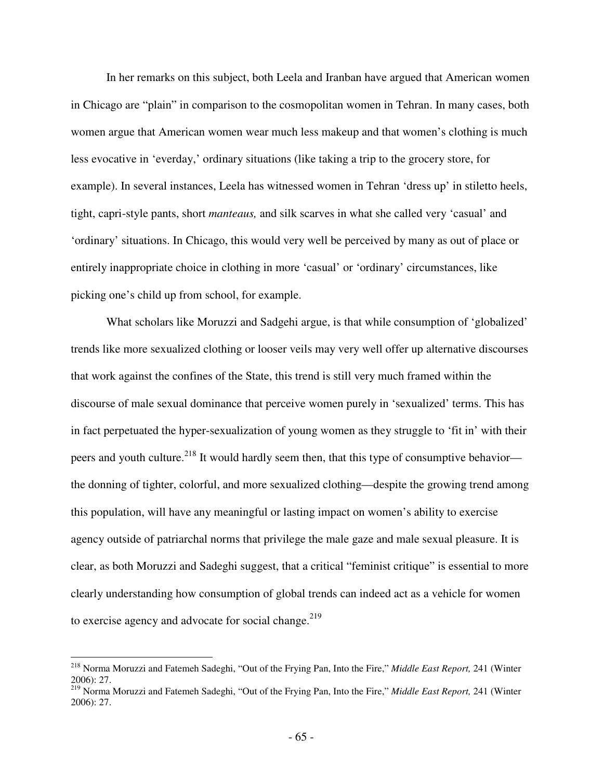In her remarks on this subject, both Leela and Iranban have argued that American women in Chicago are "plain" in comparison to the cosmopolitan women in Tehran. In many cases, both women argue that American women wear much less makeup and that women's clothing is much less evocative in 'everday,' ordinary situations (like taking a trip to the grocery store, for example). In several instances, Leela has witnessed women in Tehran 'dress up' in stiletto heels, tight, capri-style pants, short *manteaus,* and silk scarves in what she called very 'casual' and 'ordinary' situations. In Chicago, this would very well be perceived by many as out of place or entirely inappropriate choice in clothing in more 'casual' or 'ordinary' circumstances, like picking one's child up from school, for example.

What scholars like Moruzzi and Sadgehi argue, is that while consumption of 'globalized' trends like more sexualized clothing or looser veils may very well offer up alternative discourses that work against the confines of the State, this trend is still very much framed within the discourse of male sexual dominance that perceive women purely in 'sexualized' terms. This has in fact perpetuated the hyper-sexualization of young women as they struggle to 'fit in' with their peers and youth culture.<sup>218</sup> It would hardly seem then, that this type of consumptive behavior the donning of tighter, colorful, and more sexualized clothing—despite the growing trend among this population, will have any meaningful or lasting impact on women's ability to exercise agency outside of patriarchal norms that privilege the male gaze and male sexual pleasure. It is clear, as both Moruzzi and Sadeghi suggest, that a critical "feminist critique" is essential to more clearly understanding how consumption of global trends can indeed act as a vehicle for women to exercise agency and advocate for social change. $2^{19}$ 

<u>.</u>

<sup>218</sup> Norma Moruzzi and Fatemeh Sadeghi, "Out of the Frying Pan, Into the Fire," *Middle East Report,* 241 (Winter 2006): 27.

<sup>219</sup> Norma Moruzzi and Fatemeh Sadeghi, "Out of the Frying Pan, Into the Fire," *Middle East Report,* 241 (Winter 2006): 27.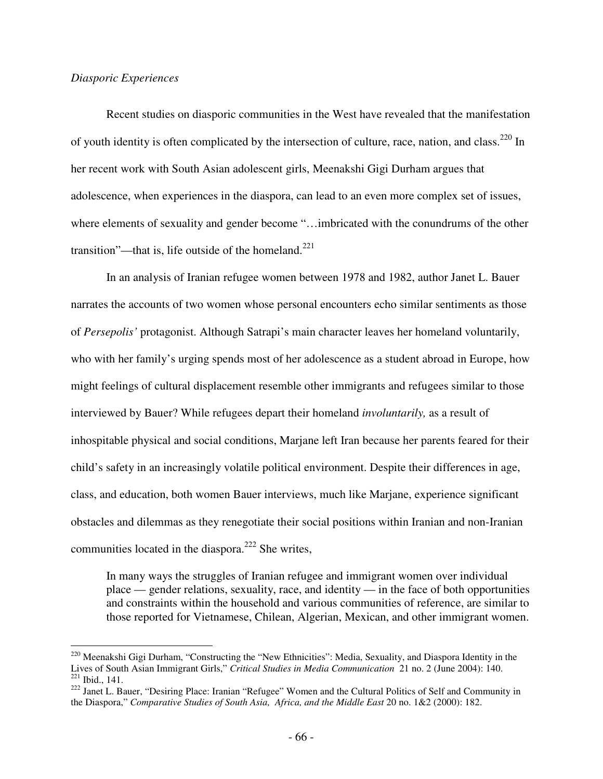## *Diasporic Experiences*

-

 Recent studies on diasporic communities in the West have revealed that the manifestation of youth identity is often complicated by the intersection of culture, race, nation, and class.<sup>220</sup> In her recent work with South Asian adolescent girls, Meenakshi Gigi Durham argues that adolescence, when experiences in the diaspora, can lead to an even more complex set of issues, where elements of sexuality and gender become "…imbricated with the conundrums of the other transition"—that is, life outside of the homeland.<sup>221</sup>

 In an analysis of Iranian refugee women between 1978 and 1982, author Janet L. Bauer narrates the accounts of two women whose personal encounters echo similar sentiments as those of *Persepolis'* protagonist. Although Satrapi's main character leaves her homeland voluntarily, who with her family's urging spends most of her adolescence as a student abroad in Europe, how might feelings of cultural displacement resemble other immigrants and refugees similar to those interviewed by Bauer? While refugees depart their homeland *involuntarily,* as a result of inhospitable physical and social conditions, Marjane left Iran because her parents feared for their child's safety in an increasingly volatile political environment. Despite their differences in age, class, and education, both women Bauer interviews, much like Marjane, experience significant obstacles and dilemmas as they renegotiate their social positions within Iranian and non-Iranian communities located in the diaspora.<sup>222</sup> She writes,

In many ways the struggles of Iranian refugee and immigrant women over individual place — gender relations, sexuality, race, and identity — in the face of both opportunities and constraints within the household and various communities of reference, are similar to those reported for Vietnamese, Chilean, Algerian, Mexican, and other immigrant women.

<sup>&</sup>lt;sup>220</sup> Meenakshi Gigi Durham, "Constructing the "New Ethnicities": Media, Sexuality, and Diaspora Identity in the Lives of South Asian Immigrant Girls," *Critical Studies in Media Communication* 21 no. 2 (June 2004): 140.  $221$  Ibid., 141.

<sup>&</sup>lt;sup>222</sup> Janet L. Bauer, "Desiring Place: Iranian "Refugee" Women and the Cultural Politics of Self and Community in the Diaspora," *Comparative Studies of South Asia, Africa, and the Middle East* 20 no. 1&2 (2000): 182.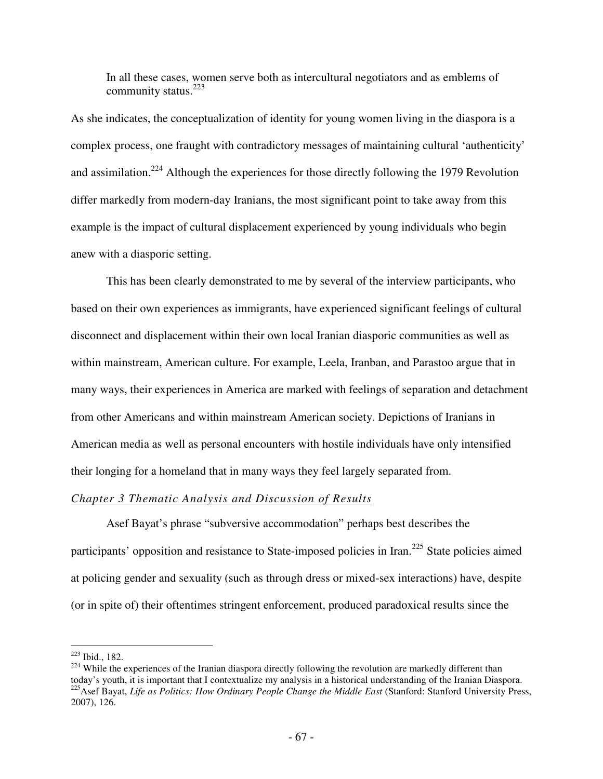In all these cases, women serve both as intercultural negotiators and as emblems of community status. $223$ 

As she indicates, the conceptualization of identity for young women living in the diaspora is a complex process, one fraught with contradictory messages of maintaining cultural 'authenticity' and assimilation.<sup>224</sup> Although the experiences for those directly following the 1979 Revolution differ markedly from modern-day Iranians, the most significant point to take away from this example is the impact of cultural displacement experienced by young individuals who begin anew with a diasporic setting.

 This has been clearly demonstrated to me by several of the interview participants, who based on their own experiences as immigrants, have experienced significant feelings of cultural disconnect and displacement within their own local Iranian diasporic communities as well as within mainstream, American culture. For example, Leela, Iranban, and Parastoo argue that in many ways, their experiences in America are marked with feelings of separation and detachment from other Americans and within mainstream American society. Depictions of Iranians in American media as well as personal encounters with hostile individuals have only intensified their longing for a homeland that in many ways they feel largely separated from.

# *Chapter 3 Thematic Analysis and Discussion of Results*

Asef Bayat's phrase "subversive accommodation" perhaps best describes the participants' opposition and resistance to State-imposed policies in Iran.<sup>225</sup> State policies aimed at policing gender and sexuality (such as through dress or mixed-sex interactions) have, despite (or in spite of) their oftentimes stringent enforcement, produced paradoxical results since the

-

<sup>223</sup> Ibid., 182.

<sup>&</sup>lt;sup>224</sup> While the experiences of the Iranian diaspora directly following the revolution are markedly different than today's youth, it is important that I contextualize my analysis in a historical understanding of the Iranian Diaspora. <sup>225</sup>Asef Bayat, *Life as Politics: How Ordinary People Change the Middle East* (Stanford: Stanford University Press,

<sup>2007), 126.</sup>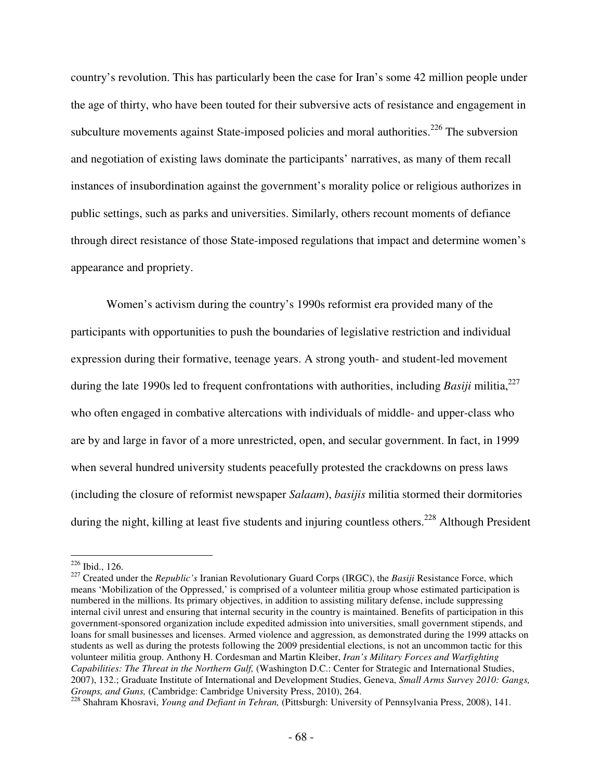country's revolution. This has particularly been the case for Iran's some 42 million people under the age of thirty, who have been touted for their subversive acts of resistance and engagement in subculture movements against State-imposed policies and moral authorities.<sup>226</sup> The subversion and negotiation of existing laws dominate the participants' narratives, as many of them recall instances of insubordination against the government's morality police or religious authorizes in public settings, such as parks and universities. Similarly, others recount moments of defiance through direct resistance of those State-imposed regulations that impact and determine women's appearance and propriety.

Women's activism during the country's 1990s reformist era provided many of the participants with opportunities to push the boundaries of legislative restriction and individual expression during their formative, teenage years. A strong youth- and student-led movement during the late 1990s led to frequent confrontations with authorities, including *Basiji* militia,<sup>227</sup> who often engaged in combative altercations with individuals of middle- and upper-class who are by and large in favor of a more unrestricted, open, and secular government. In fact, in 1999 when several hundred university students peacefully protested the crackdowns on press laws (including the closure of reformist newspaper *Salaam*), *basijis* militia stormed their dormitories during the night, killing at least five students and injuring countless others.<sup>228</sup> Although President

 $226$  Ibid., 126.

<sup>227</sup> Created under the *Republic's* Iranian Revolutionary Guard Corps (IRGC), the *Basiji* Resistance Force, which means 'Mobilization of the Oppressed,' is comprised of a volunteer militia group whose estimated participation is numbered in the millions. Its primary objectives, in addition to assisting military defense, include suppressing internal civil unrest and ensuring that internal security in the country is maintained. Benefits of participation in this government-sponsored organization include expedited admission into universities, small government stipends, and loans for small businesses and licenses. Armed violence and aggression, as demonstrated during the 1999 attacks on students as well as during the protests following the 2009 presidential elections, is not an uncommon tactic for this volunteer militia group. Anthony H. Cordesman and Martin Kleiber, *Iran's Military Forces and Warfighting Capabilities: The Threat in the Northern Gulf, (Washington D.C.: Center for Strategic and International Studies,* 2007), 132.; Graduate Institute of International and Development Studies, Geneva, *Small Arms Survey 2010: Gangs, Groups, and Guns,* (Cambridge: Cambridge University Press, 2010), 264.

<sup>228</sup> Shahram Khosravi, *Young and Defiant in Tehran,* (Pittsburgh: University of Pennsylvania Press, 2008), 141.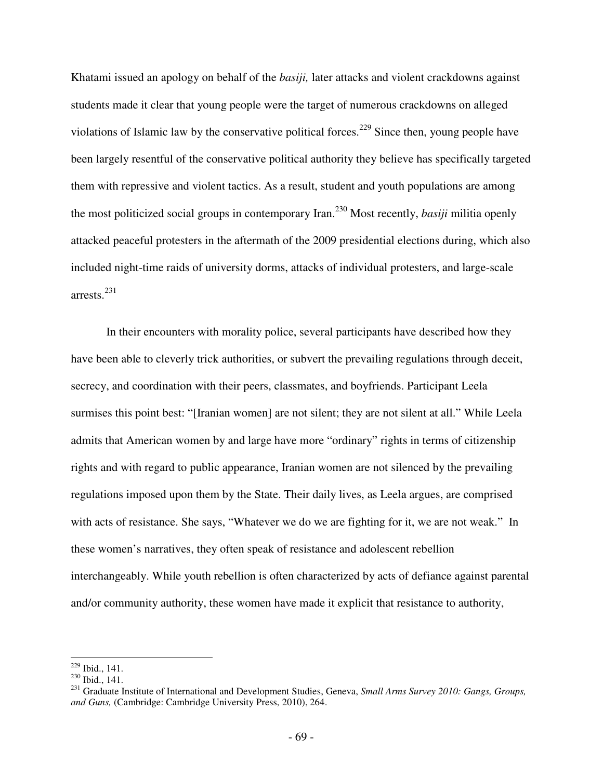Khatami issued an apology on behalf of the *basiji,* later attacks and violent crackdowns against students made it clear that young people were the target of numerous crackdowns on alleged violations of Islamic law by the conservative political forces.<sup>229</sup> Since then, young people have been largely resentful of the conservative political authority they believe has specifically targeted them with repressive and violent tactics. As a result, student and youth populations are among the most politicized social groups in contemporary Iran.<sup>230</sup> Most recently, *basiji* militia openly attacked peaceful protesters in the aftermath of the 2009 presidential elections during, which also included night-time raids of university dorms, attacks of individual protesters, and large-scale arrests.<sup>231</sup>

In their encounters with morality police, several participants have described how they have been able to cleverly trick authorities, or subvert the prevailing regulations through deceit, secrecy, and coordination with their peers, classmates, and boyfriends. Participant Leela surmises this point best: "[Iranian women] are not silent; they are not silent at all." While Leela admits that American women by and large have more "ordinary" rights in terms of citizenship rights and with regard to public appearance, Iranian women are not silenced by the prevailing regulations imposed upon them by the State. Their daily lives, as Leela argues, are comprised with acts of resistance. She says, "Whatever we do we are fighting for it, we are not weak." In these women's narratives, they often speak of resistance and adolescent rebellion interchangeably. While youth rebellion is often characterized by acts of defiance against parental and/or community authority, these women have made it explicit that resistance to authority,

 $\overline{a}$ <sup>229</sup> Ibid., 141.

 $^{230}$  Ibid., 141.

<sup>231</sup> Graduate Institute of International and Development Studies, Geneva, *Small Arms Survey 2010: Gangs, Groups, and Guns,* (Cambridge: Cambridge University Press, 2010), 264.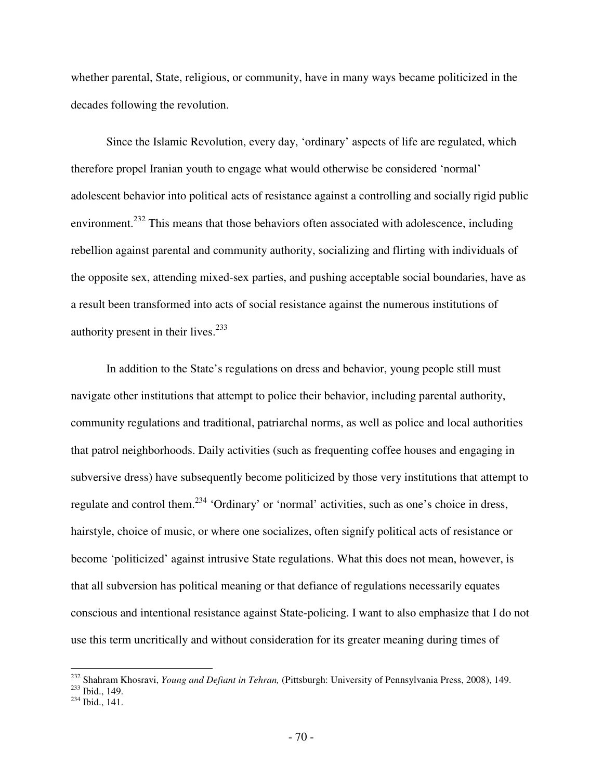whether parental, State, religious, or community, have in many ways became politicized in the decades following the revolution.

Since the Islamic Revolution, every day, 'ordinary' aspects of life are regulated, which therefore propel Iranian youth to engage what would otherwise be considered 'normal' adolescent behavior into political acts of resistance against a controlling and socially rigid public environment.<sup>232</sup> This means that those behaviors often associated with adolescence, including rebellion against parental and community authority, socializing and flirting with individuals of the opposite sex, attending mixed-sex parties, and pushing acceptable social boundaries, have as a result been transformed into acts of social resistance against the numerous institutions of authority present in their lives. $233$ 

In addition to the State's regulations on dress and behavior, young people still must navigate other institutions that attempt to police their behavior, including parental authority, community regulations and traditional, patriarchal norms, as well as police and local authorities that patrol neighborhoods. Daily activities (such as frequenting coffee houses and engaging in subversive dress) have subsequently become politicized by those very institutions that attempt to regulate and control them.<sup>234</sup> 'Ordinary' or 'normal' activities, such as one's choice in dress, hairstyle, choice of music, or where one socializes, often signify political acts of resistance or become 'politicized' against intrusive State regulations. What this does not mean, however, is that all subversion has political meaning or that defiance of regulations necessarily equates conscious and intentional resistance against State-policing. I want to also emphasize that I do not use this term uncritically and without consideration for its greater meaning during times of

<sup>232</sup> Shahram Khosravi, *Young and Defiant in Tehran,* (Pittsburgh: University of Pennsylvania Press, 2008), 149.

 $233$  Ibid., 149.

<sup>234</sup> Ibid., 141.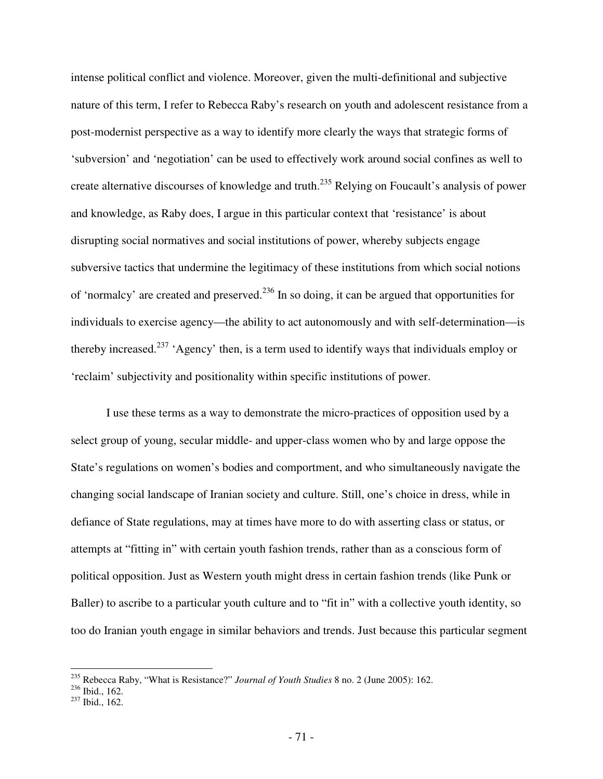intense political conflict and violence. Moreover, given the multi-definitional and subjective nature of this term, I refer to Rebecca Raby's research on youth and adolescent resistance from a post-modernist perspective as a way to identify more clearly the ways that strategic forms of 'subversion' and 'negotiation' can be used to effectively work around social confines as well to create alternative discourses of knowledge and truth.<sup>235</sup> Relying on Foucault's analysis of power and knowledge, as Raby does, I argue in this particular context that 'resistance' is about disrupting social normatives and social institutions of power, whereby subjects engage subversive tactics that undermine the legitimacy of these institutions from which social notions of 'normalcy' are created and preserved.<sup>236</sup> In so doing, it can be argued that opportunities for individuals to exercise agency—the ability to act autonomously and with self-determination—is thereby increased.<sup>237</sup> 'Agency' then, is a term used to identify ways that individuals employ or 'reclaim' subjectivity and positionality within specific institutions of power.

I use these terms as a way to demonstrate the micro-practices of opposition used by a select group of young, secular middle- and upper-class women who by and large oppose the State's regulations on women's bodies and comportment, and who simultaneously navigate the changing social landscape of Iranian society and culture. Still, one's choice in dress, while in defiance of State regulations, may at times have more to do with asserting class or status, or attempts at "fitting in" with certain youth fashion trends, rather than as a conscious form of political opposition. Just as Western youth might dress in certain fashion trends (like Punk or Baller) to ascribe to a particular youth culture and to "fit in" with a collective youth identity, so too do Iranian youth engage in similar behaviors and trends. Just because this particular segment

<sup>235</sup> Rebecca Raby, "What is Resistance?" *Journal of Youth Studies* 8 no. 2 (June 2005): 162.

 $236$  Ibid., 162.

<sup>237</sup> Ibid., 162.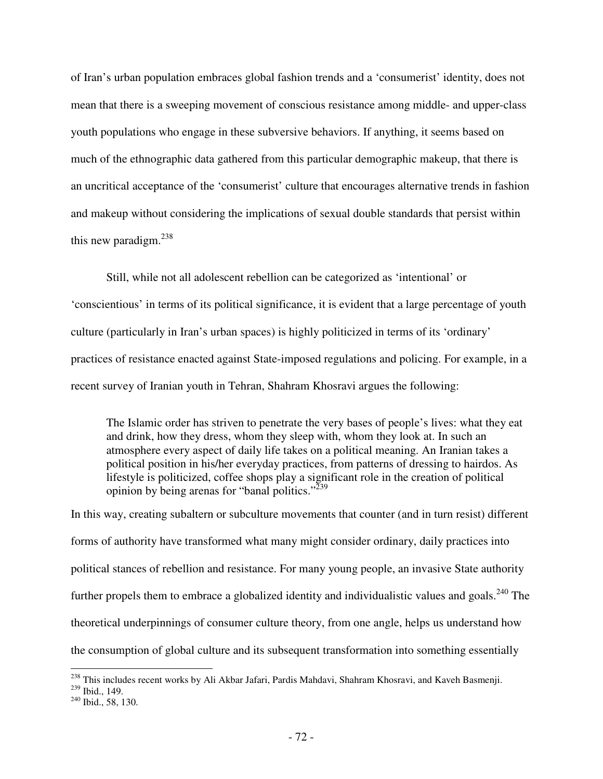of Iran's urban population embraces global fashion trends and a 'consumerist' identity, does not mean that there is a sweeping movement of conscious resistance among middle- and upper-class youth populations who engage in these subversive behaviors. If anything, it seems based on much of the ethnographic data gathered from this particular demographic makeup, that there is an uncritical acceptance of the 'consumerist' culture that encourages alternative trends in fashion and makeup without considering the implications of sexual double standards that persist within this new paradigm. $^{238}$ 

Still, while not all adolescent rebellion can be categorized as 'intentional' or 'conscientious' in terms of its political significance, it is evident that a large percentage of youth culture (particularly in Iran's urban spaces) is highly politicized in terms of its 'ordinary' practices of resistance enacted against State-imposed regulations and policing. For example, in a recent survey of Iranian youth in Tehran, Shahram Khosravi argues the following:

The Islamic order has striven to penetrate the very bases of people's lives: what they eat and drink, how they dress, whom they sleep with, whom they look at. In such an atmosphere every aspect of daily life takes on a political meaning. An Iranian takes a political position in his/her everyday practices, from patterns of dressing to hairdos. As lifestyle is politicized, coffee shops play a significant role in the creation of political opinion by being arenas for "banal politics."<sup>239</sup>

In this way, creating subaltern or subculture movements that counter (and in turn resist) different forms of authority have transformed what many might consider ordinary, daily practices into political stances of rebellion and resistance. For many young people, an invasive State authority further propels them to embrace a globalized identity and individualistic values and goals.<sup>240</sup> The theoretical underpinnings of consumer culture theory, from one angle, helps us understand how the consumption of global culture and its subsequent transformation into something essentially

<sup>&</sup>lt;sup>238</sup> This includes recent works by Ali Akbar Jafari, Pardis Mahdavi, Shahram Khosravi, and Kaveh Basmenji.

<sup>239</sup> Ibid., 149.

<sup>&</sup>lt;sup>240</sup> Ibid., 58, 130.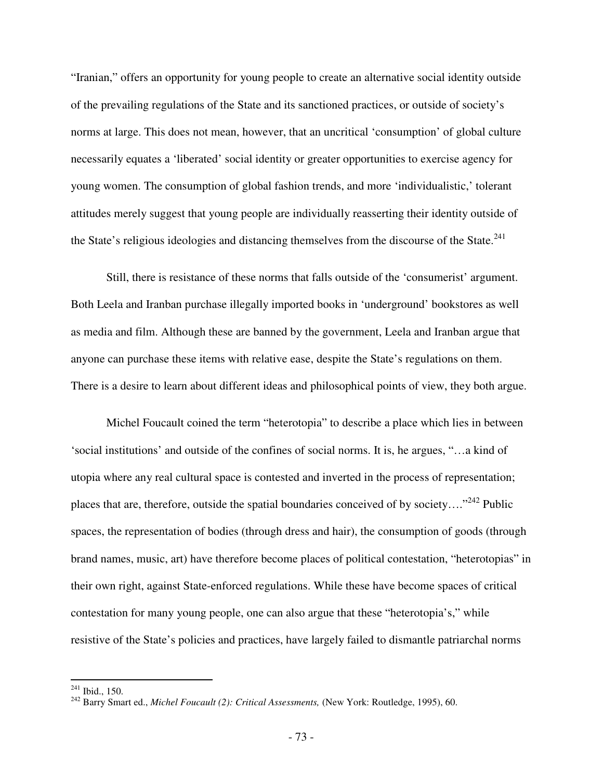"Iranian," offers an opportunity for young people to create an alternative social identity outside of the prevailing regulations of the State and its sanctioned practices, or outside of society's norms at large. This does not mean, however, that an uncritical 'consumption' of global culture necessarily equates a 'liberated' social identity or greater opportunities to exercise agency for young women. The consumption of global fashion trends, and more 'individualistic,' tolerant attitudes merely suggest that young people are individually reasserting their identity outside of the State's religious ideologies and distancing themselves from the discourse of the State. $^{241}$ 

Still, there is resistance of these norms that falls outside of the 'consumerist' argument. Both Leela and Iranban purchase illegally imported books in 'underground' bookstores as well as media and film. Although these are banned by the government, Leela and Iranban argue that anyone can purchase these items with relative ease, despite the State's regulations on them. There is a desire to learn about different ideas and philosophical points of view, they both argue.

Michel Foucault coined the term "heterotopia" to describe a place which lies in between 'social institutions' and outside of the confines of social norms. It is, he argues, "…a kind of utopia where any real cultural space is contested and inverted in the process of representation; places that are, therefore, outside the spatial boundaries conceived of by society...."<sup>242</sup> Public spaces, the representation of bodies (through dress and hair), the consumption of goods (through brand names, music, art) have therefore become places of political contestation, "heterotopias" in their own right, against State-enforced regulations. While these have become spaces of critical contestation for many young people, one can also argue that these "heterotopia's," while resistive of the State's policies and practices, have largely failed to dismantle patriarchal norms

 $^{241}$  Ibid., 150.

<sup>&</sup>lt;sup>242</sup> Barry Smart ed., *Michel Foucault (2): Critical Assessments, (New York: Routledge, 1995), 60.*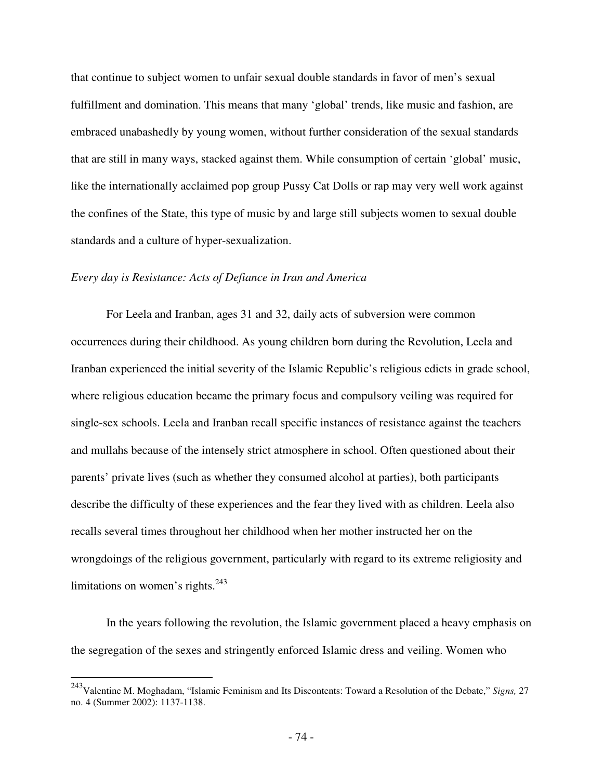that continue to subject women to unfair sexual double standards in favor of men's sexual fulfillment and domination. This means that many 'global' trends, like music and fashion, are embraced unabashedly by young women, without further consideration of the sexual standards that are still in many ways, stacked against them. While consumption of certain 'global' music, like the internationally acclaimed pop group Pussy Cat Dolls or rap may very well work against the confines of the State, this type of music by and large still subjects women to sexual double standards and a culture of hyper-sexualization.

### *Every day is Resistance: Acts of Defiance in Iran and America*

 $\overline{a}$ 

For Leela and Iranban, ages 31 and 32, daily acts of subversion were common occurrences during their childhood. As young children born during the Revolution, Leela and Iranban experienced the initial severity of the Islamic Republic's religious edicts in grade school, where religious education became the primary focus and compulsory veiling was required for single-sex schools. Leela and Iranban recall specific instances of resistance against the teachers and mullahs because of the intensely strict atmosphere in school. Often questioned about their parents' private lives (such as whether they consumed alcohol at parties), both participants describe the difficulty of these experiences and the fear they lived with as children. Leela also recalls several times throughout her childhood when her mother instructed her on the wrongdoings of the religious government, particularly with regard to its extreme religiosity and limitations on women's rights. $243$ 

In the years following the revolution, the Islamic government placed a heavy emphasis on the segregation of the sexes and stringently enforced Islamic dress and veiling. Women who

<sup>243</sup>Valentine M. Moghadam, "Islamic Feminism and Its Discontents: Toward a Resolution of the Debate," *Signs,* 27 no. 4 (Summer 2002): 1137-1138.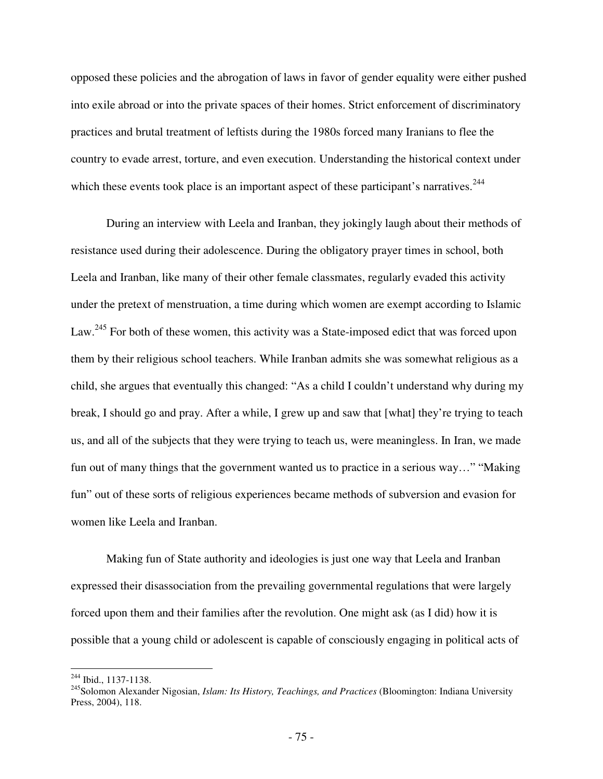opposed these policies and the abrogation of laws in favor of gender equality were either pushed into exile abroad or into the private spaces of their homes. Strict enforcement of discriminatory practices and brutal treatment of leftists during the 1980s forced many Iranians to flee the country to evade arrest, torture, and even execution. Understanding the historical context under which these events took place is an important aspect of these participant's narratives.<sup>244</sup>

During an interview with Leela and Iranban, they jokingly laugh about their methods of resistance used during their adolescence. During the obligatory prayer times in school, both Leela and Iranban, like many of their other female classmates, regularly evaded this activity under the pretext of menstruation, a time during which women are exempt according to Islamic Law.<sup>245</sup> For both of these women, this activity was a State-imposed edict that was forced upon them by their religious school teachers. While Iranban admits she was somewhat religious as a child, she argues that eventually this changed: "As a child I couldn't understand why during my break, I should go and pray. After a while, I grew up and saw that [what] they're trying to teach us, and all of the subjects that they were trying to teach us, were meaningless. In Iran, we made fun out of many things that the government wanted us to practice in a serious way…" "Making fun" out of these sorts of religious experiences became methods of subversion and evasion for women like Leela and Iranban.

Making fun of State authority and ideologies is just one way that Leela and Iranban expressed their disassociation from the prevailing governmental regulations that were largely forced upon them and their families after the revolution. One might ask (as I did) how it is possible that a young child or adolescent is capable of consciously engaging in political acts of

<sup>244</sup> Ibid., 1137-1138.

<sup>245</sup>Solomon Alexander Nigosian, *Islam: Its History, Teachings, and Practices* (Bloomington: Indiana University Press, 2004), 118.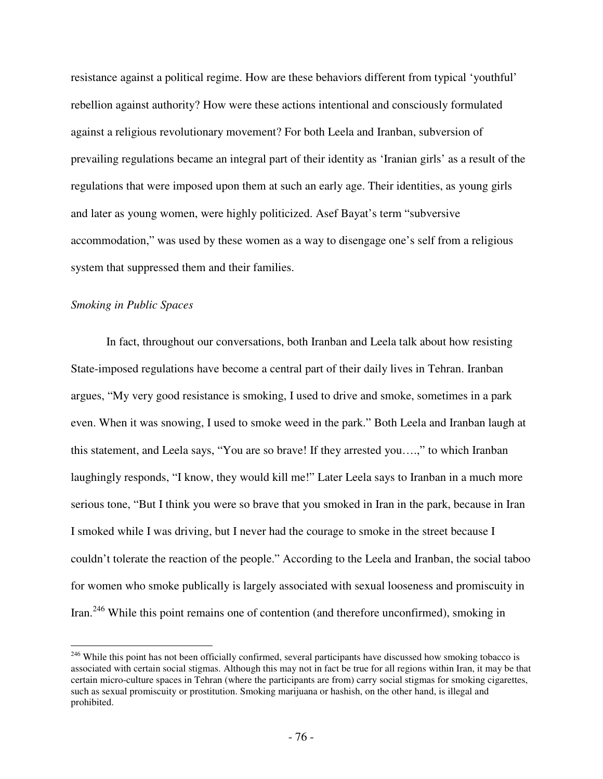resistance against a political regime. How are these behaviors different from typical 'youthful' rebellion against authority? How were these actions intentional and consciously formulated against a religious revolutionary movement? For both Leela and Iranban, subversion of prevailing regulations became an integral part of their identity as 'Iranian girls' as a result of the regulations that were imposed upon them at such an early age. Their identities, as young girls and later as young women, were highly politicized. Asef Bayat's term "subversive accommodation," was used by these women as a way to disengage one's self from a religious system that suppressed them and their families.

### *Smoking in Public Spaces*

 $\overline{a}$ 

In fact, throughout our conversations, both Iranban and Leela talk about how resisting State-imposed regulations have become a central part of their daily lives in Tehran. Iranban argues, "My very good resistance is smoking, I used to drive and smoke, sometimes in a park even. When it was snowing, I used to smoke weed in the park." Both Leela and Iranban laugh at this statement, and Leela says, "You are so brave! If they arrested you….," to which Iranban laughingly responds, "I know, they would kill me!" Later Leela says to Iranban in a much more serious tone, "But I think you were so brave that you smoked in Iran in the park, because in Iran I smoked while I was driving, but I never had the courage to smoke in the street because I couldn't tolerate the reaction of the people." According to the Leela and Iranban, the social taboo for women who smoke publically is largely associated with sexual looseness and promiscuity in Iran.<sup>246</sup> While this point remains one of contention (and therefore unconfirmed), smoking in

<sup>&</sup>lt;sup>246</sup> While this point has not been officially confirmed, several participants have discussed how smoking tobacco is associated with certain social stigmas. Although this may not in fact be true for all regions within Iran, it may be that certain micro-culture spaces in Tehran (where the participants are from) carry social stigmas for smoking cigarettes, such as sexual promiscuity or prostitution. Smoking marijuana or hashish, on the other hand, is illegal and prohibited.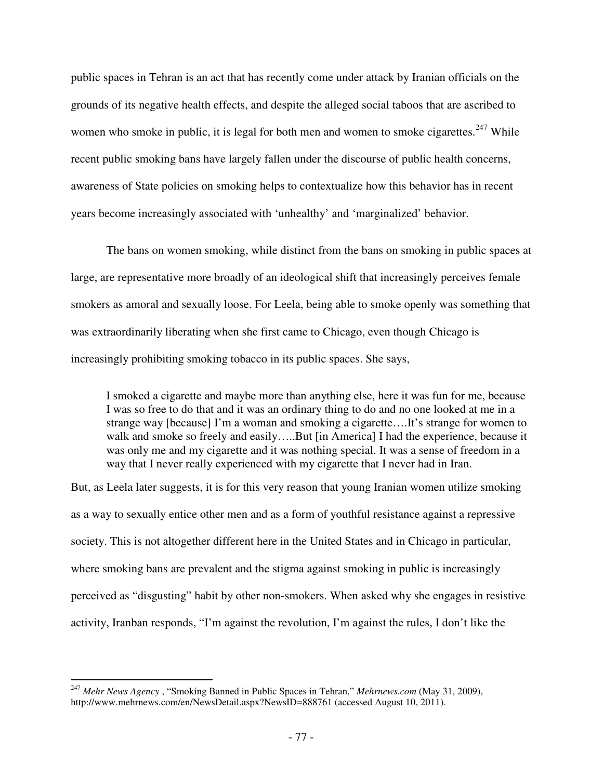public spaces in Tehran is an act that has recently come under attack by Iranian officials on the grounds of its negative health effects, and despite the alleged social taboos that are ascribed to women who smoke in public, it is legal for both men and women to smoke cigarettes.<sup>247</sup> While recent public smoking bans have largely fallen under the discourse of public health concerns, awareness of State policies on smoking helps to contextualize how this behavior has in recent years become increasingly associated with 'unhealthy' and 'marginalized' behavior.

The bans on women smoking, while distinct from the bans on smoking in public spaces at large, are representative more broadly of an ideological shift that increasingly perceives female smokers as amoral and sexually loose. For Leela, being able to smoke openly was something that was extraordinarily liberating when she first came to Chicago, even though Chicago is increasingly prohibiting smoking tobacco in its public spaces. She says,

I smoked a cigarette and maybe more than anything else, here it was fun for me, because I was so free to do that and it was an ordinary thing to do and no one looked at me in a strange way [because] I'm a woman and smoking a cigarette….It's strange for women to walk and smoke so freely and easily.....But [in America] I had the experience, because it was only me and my cigarette and it was nothing special. It was a sense of freedom in a way that I never really experienced with my cigarette that I never had in Iran.

But, as Leela later suggests, it is for this very reason that young Iranian women utilize smoking as a way to sexually entice other men and as a form of youthful resistance against a repressive society. This is not altogether different here in the United States and in Chicago in particular, where smoking bans are prevalent and the stigma against smoking in public is increasingly perceived as "disgusting" habit by other non-smokers. When asked why she engages in resistive activity, Iranban responds, "I'm against the revolution, I'm against the rules, I don't like the

<sup>247</sup> *Mehr News Agency* , "Smoking Banned in Public Spaces in Tehran," *Mehrnews.com* (May 31, 2009), http://www.mehrnews.com/en/NewsDetail.aspx?NewsID=888761 (accessed August 10, 2011).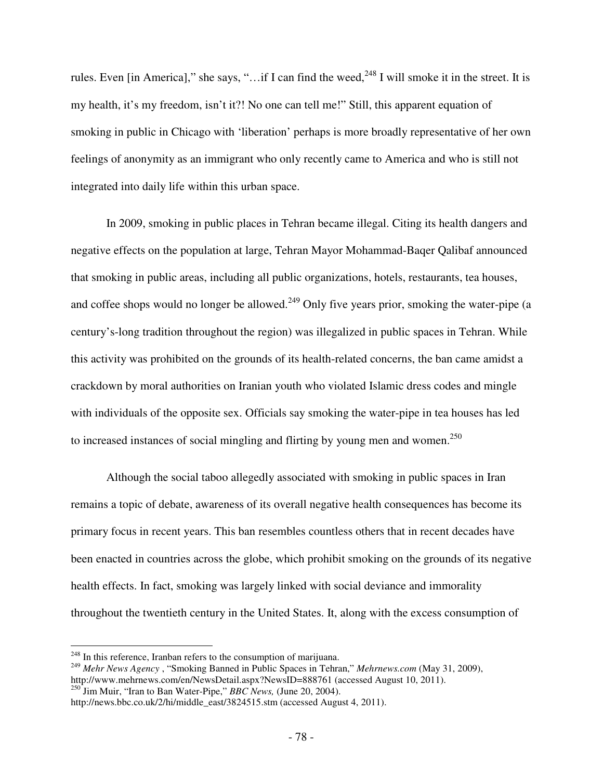rules. Even [in America]," she says, "...if I can find the weed,  $^{248}$  I will smoke it in the street. It is my health, it's my freedom, isn't it?! No one can tell me!" Still, this apparent equation of smoking in public in Chicago with 'liberation' perhaps is more broadly representative of her own feelings of anonymity as an immigrant who only recently came to America and who is still not integrated into daily life within this urban space.

 In 2009, smoking in public places in Tehran became illegal. Citing its health dangers and negative effects on the population at large, Tehran Mayor Mohammad-Baqer Qalibaf announced that smoking in public areas, including all public organizations, hotels, restaurants, tea houses, and coffee shops would no longer be allowed.<sup>249</sup> Only five years prior, smoking the water-pipe (a century's-long tradition throughout the region) was illegalized in public spaces in Tehran. While this activity was prohibited on the grounds of its health-related concerns, the ban came amidst a crackdown by moral authorities on Iranian youth who violated Islamic dress codes and mingle with individuals of the opposite sex. Officials say smoking the water-pipe in tea houses has led to increased instances of social mingling and flirting by young men and women.<sup>250</sup>

Although the social taboo allegedly associated with smoking in public spaces in Iran remains a topic of debate, awareness of its overall negative health consequences has become its primary focus in recent years. This ban resembles countless others that in recent decades have been enacted in countries across the globe, which prohibit smoking on the grounds of its negative health effects. In fact, smoking was largely linked with social deviance and immorality throughout the twentieth century in the United States. It, along with the excess consumption of

-

<sup>&</sup>lt;sup>248</sup> In this reference, Iranban refers to the consumption of marijuana.

<sup>249</sup> *Mehr News Agency* , "Smoking Banned in Public Spaces in Tehran," *Mehrnews.com* (May 31, 2009), http://www.mehrnews.com/en/NewsDetail.aspx?NewsID=888761 (accessed August 10, 2011). <sup>250</sup> Jim Muir, "Iran to Ban Water-Pipe," *BBC News,* (June 20, 2004).

http://news.bbc.co.uk/2/hi/middle\_east/3824515.stm (accessed August 4, 2011).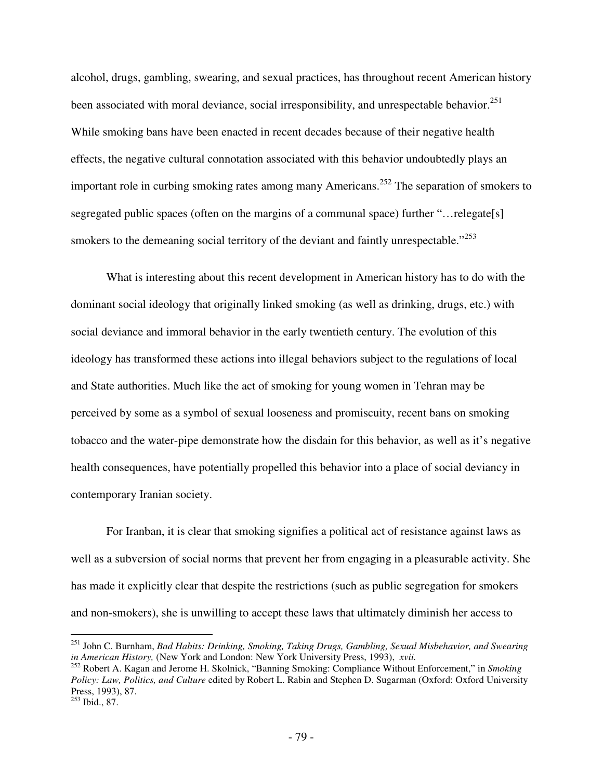alcohol, drugs, gambling, swearing, and sexual practices, has throughout recent American history been associated with moral deviance, social irresponsibility, and unrespectable behavior.<sup>251</sup> While smoking bans have been enacted in recent decades because of their negative health effects, the negative cultural connotation associated with this behavior undoubtedly plays an important role in curbing smoking rates among many Americans.<sup>252</sup> The separation of smokers to segregated public spaces (often on the margins of a communal space) further "... relegate[s] smokers to the demeaning social territory of the deviant and faintly unrespectable."<sup>253</sup>

What is interesting about this recent development in American history has to do with the dominant social ideology that originally linked smoking (as well as drinking, drugs, etc.) with social deviance and immoral behavior in the early twentieth century. The evolution of this ideology has transformed these actions into illegal behaviors subject to the regulations of local and State authorities. Much like the act of smoking for young women in Tehran may be perceived by some as a symbol of sexual looseness and promiscuity, recent bans on smoking tobacco and the water-pipe demonstrate how the disdain for this behavior, as well as it's negative health consequences, have potentially propelled this behavior into a place of social deviancy in contemporary Iranian society.

For Iranban, it is clear that smoking signifies a political act of resistance against laws as well as a subversion of social norms that prevent her from engaging in a pleasurable activity. She has made it explicitly clear that despite the restrictions (such as public segregation for smokers and non-smokers), she is unwilling to accept these laws that ultimately diminish her access to

<sup>251</sup> John C. Burnham, *Bad Habits: Drinking, Smoking, Taking Drugs, Gambling, Sexual Misbehavior, and Swearing in American History,* (New York and London: New York University Press, 1993), *xvii.*

<sup>252</sup> Robert A. Kagan and Jerome H. Skolnick, "Banning Smoking: Compliance Without Enforcement," in *Smoking Policy: Law, Politics, and Culture* edited by Robert L. Rabin and Stephen D. Sugarman (Oxford: Oxford University Press, 1993), 87.

<sup>253</sup> Ibid., 87.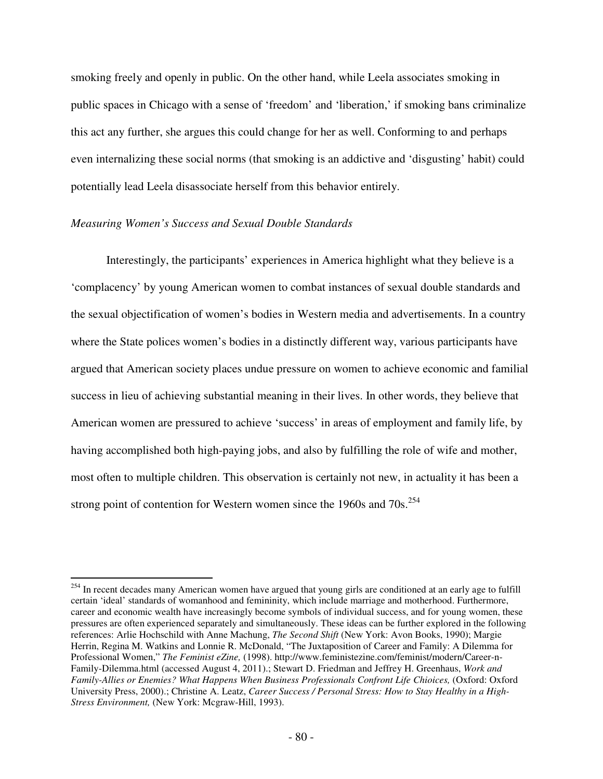smoking freely and openly in public. On the other hand, while Leela associates smoking in public spaces in Chicago with a sense of 'freedom' and 'liberation,' if smoking bans criminalize this act any further, she argues this could change for her as well. Conforming to and perhaps even internalizing these social norms (that smoking is an addictive and 'disgusting' habit) could potentially lead Leela disassociate herself from this behavior entirely.

#### *Measuring Women's Success and Sexual Double Standards*

 $\overline{a}$ 

Interestingly, the participants' experiences in America highlight what they believe is a 'complacency' by young American women to combat instances of sexual double standards and the sexual objectification of women's bodies in Western media and advertisements. In a country where the State polices women's bodies in a distinctly different way, various participants have argued that American society places undue pressure on women to achieve economic and familial success in lieu of achieving substantial meaning in their lives. In other words, they believe that American women are pressured to achieve 'success' in areas of employment and family life, by having accomplished both high-paying jobs, and also by fulfilling the role of wife and mother, most often to multiple children. This observation is certainly not new, in actuality it has been a strong point of contention for Western women since the  $1960s$  and  $70s$ .<sup>254</sup>

<sup>&</sup>lt;sup>254</sup> In recent decades many American women have argued that young girls are conditioned at an early age to fulfill certain 'ideal' standards of womanhood and femininity, which include marriage and motherhood. Furthermore, career and economic wealth have increasingly become symbols of individual success, and for young women, these pressures are often experienced separately and simultaneously. These ideas can be further explored in the following references: Arlie Hochschild with Anne Machung, *The Second Shift* (New York: Avon Books, 1990); Margie Herrin, Regina M. Watkins and Lonnie R. McDonald, "The Juxtaposition of Career and Family: A Dilemma for Professional Women," *The Feminist eZine,* (1998). http://www.feministezine.com/feminist/modern/Career-n-Family-Dilemma.html (accessed August 4, 2011).; Stewart D. Friedman and Jeffrey H. Greenhaus, *Work and Family-Allies or Enemies? What Happens When Business Professionals Confront Life Chioices,* (Oxford: Oxford University Press, 2000).; Christine A. Leatz, *Career Success / Personal Stress: How to Stay Healthy in a High-Stress Environment,* (New York: Mcgraw-Hill, 1993).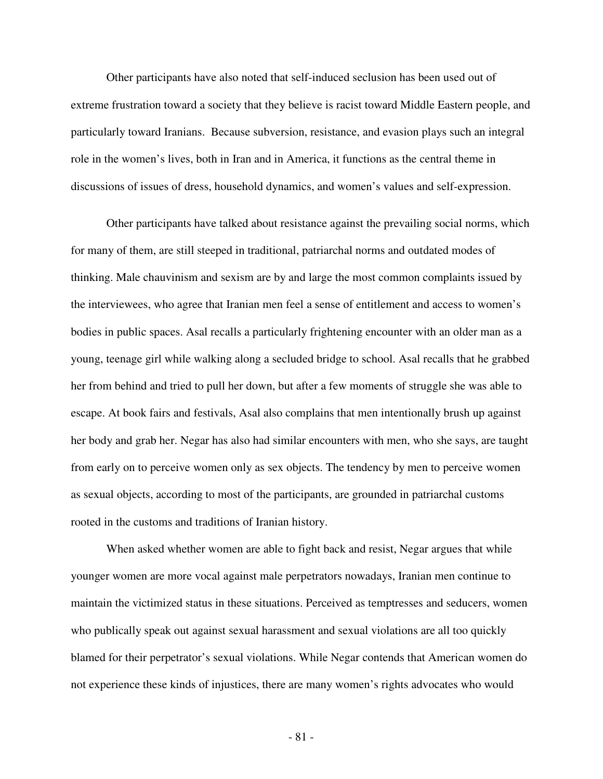Other participants have also noted that self-induced seclusion has been used out of extreme frustration toward a society that they believe is racist toward Middle Eastern people, and particularly toward Iranians. Because subversion, resistance, and evasion plays such an integral role in the women's lives, both in Iran and in America, it functions as the central theme in discussions of issues of dress, household dynamics, and women's values and self-expression.

Other participants have talked about resistance against the prevailing social norms, which for many of them, are still steeped in traditional, patriarchal norms and outdated modes of thinking. Male chauvinism and sexism are by and large the most common complaints issued by the interviewees, who agree that Iranian men feel a sense of entitlement and access to women's bodies in public spaces. Asal recalls a particularly frightening encounter with an older man as a young, teenage girl while walking along a secluded bridge to school. Asal recalls that he grabbed her from behind and tried to pull her down, but after a few moments of struggle she was able to escape. At book fairs and festivals, Asal also complains that men intentionally brush up against her body and grab her. Negar has also had similar encounters with men, who she says, are taught from early on to perceive women only as sex objects. The tendency by men to perceive women as sexual objects, according to most of the participants, are grounded in patriarchal customs rooted in the customs and traditions of Iranian history.

When asked whether women are able to fight back and resist, Negar argues that while younger women are more vocal against male perpetrators nowadays, Iranian men continue to maintain the victimized status in these situations. Perceived as temptresses and seducers, women who publically speak out against sexual harassment and sexual violations are all too quickly blamed for their perpetrator's sexual violations. While Negar contends that American women do not experience these kinds of injustices, there are many women's rights advocates who would

- 81 -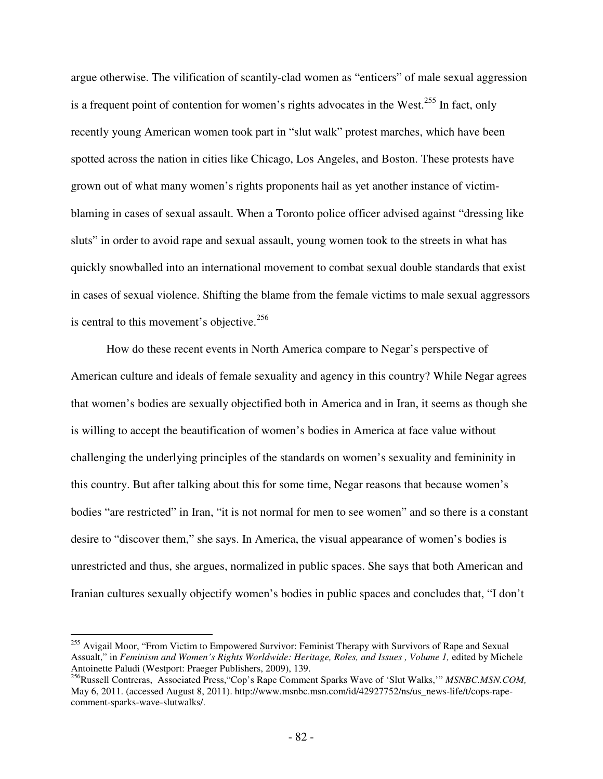argue otherwise. The vilification of scantily-clad women as "enticers" of male sexual aggression is a frequent point of contention for women's rights advocates in the West.<sup>255</sup> In fact, only recently young American women took part in "slut walk" protest marches, which have been spotted across the nation in cities like Chicago, Los Angeles, and Boston. These protests have grown out of what many women's rights proponents hail as yet another instance of victimblaming in cases of sexual assault. When a Toronto police officer advised against "dressing like sluts" in order to avoid rape and sexual assault, young women took to the streets in what has quickly snowballed into an international movement to combat sexual double standards that exist in cases of sexual violence. Shifting the blame from the female victims to male sexual aggressors is central to this movement's objective.<sup>256</sup>

How do these recent events in North America compare to Negar's perspective of American culture and ideals of female sexuality and agency in this country? While Negar agrees that women's bodies are sexually objectified both in America and in Iran, it seems as though she is willing to accept the beautification of women's bodies in America at face value without challenging the underlying principles of the standards on women's sexuality and femininity in this country. But after talking about this for some time, Negar reasons that because women's bodies "are restricted" in Iran, "it is not normal for men to see women" and so there is a constant desire to "discover them," she says. In America, the visual appearance of women's bodies is unrestricted and thus, she argues, normalized in public spaces. She says that both American and Iranian cultures sexually objectify women's bodies in public spaces and concludes that, "I don't

<sup>&</sup>lt;sup>255</sup> Avigail Moor, "From Victim to Empowered Survivor: Feminist Therapy with Survivors of Rape and Sexual Assualt," in *Feminism and Women's Rights Worldwide: Heritage, Roles, and Issues, Volume 1, edited by Michele* Antoinette Paludi (Westport: Praeger Publishers, 2009), 139.

<sup>256</sup>Russell Contreras, Associated Press,"Cop's Rape Comment Sparks Wave of 'Slut Walks,'" *MSNBC.MSN.COM,*  May 6, 2011. (accessed August 8, 2011). http://www.msnbc.msn.com/id/42927752/ns/us\_news-life/t/cops-rapecomment-sparks-wave-slutwalks/.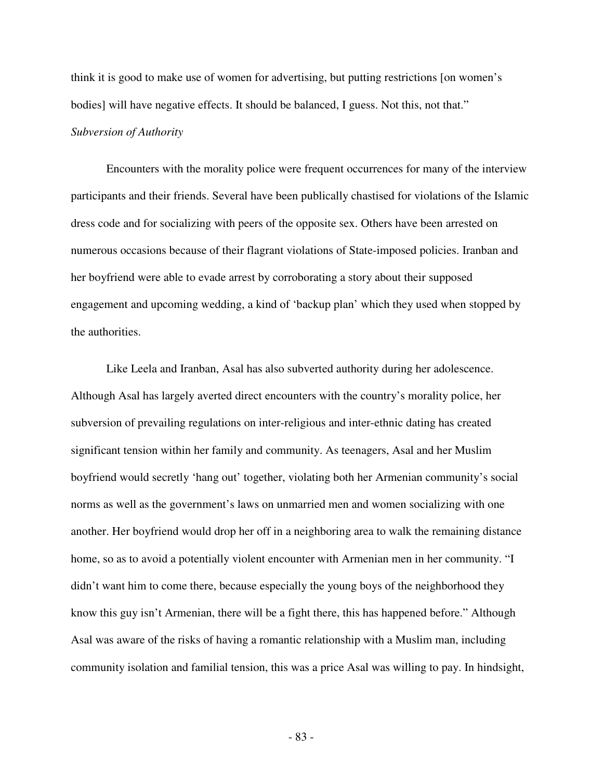think it is good to make use of women for advertising, but putting restrictions [on women's bodies] will have negative effects. It should be balanced, I guess. Not this, not that." *Subversion of Authority* 

Encounters with the morality police were frequent occurrences for many of the interview participants and their friends. Several have been publically chastised for violations of the Islamic dress code and for socializing with peers of the opposite sex. Others have been arrested on numerous occasions because of their flagrant violations of State-imposed policies. Iranban and her boyfriend were able to evade arrest by corroborating a story about their supposed engagement and upcoming wedding, a kind of 'backup plan' which they used when stopped by the authorities.

 Like Leela and Iranban, Asal has also subverted authority during her adolescence. Although Asal has largely averted direct encounters with the country's morality police, her subversion of prevailing regulations on inter-religious and inter-ethnic dating has created significant tension within her family and community. As teenagers, Asal and her Muslim boyfriend would secretly 'hang out' together, violating both her Armenian community's social norms as well as the government's laws on unmarried men and women socializing with one another. Her boyfriend would drop her off in a neighboring area to walk the remaining distance home, so as to avoid a potentially violent encounter with Armenian men in her community. "I didn't want him to come there, because especially the young boys of the neighborhood they know this guy isn't Armenian, there will be a fight there, this has happened before." Although Asal was aware of the risks of having a romantic relationship with a Muslim man, including community isolation and familial tension, this was a price Asal was willing to pay. In hindsight,

- 83 -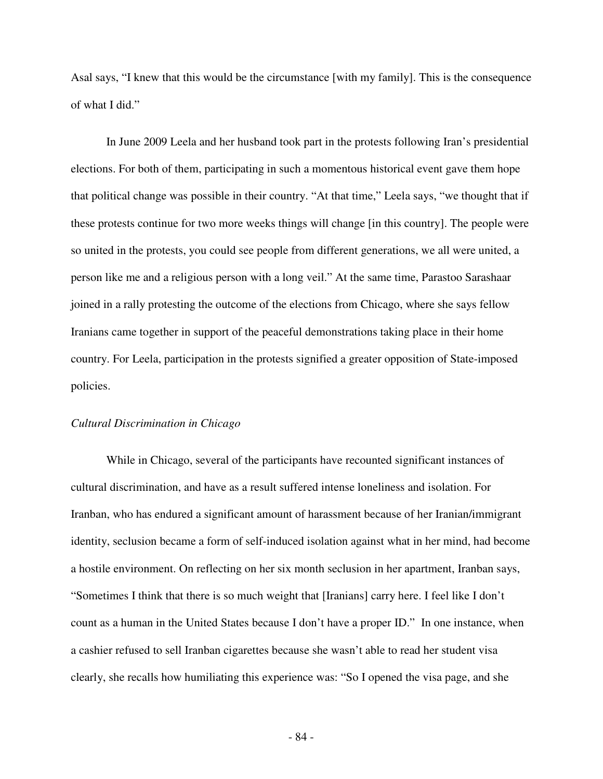Asal says, "I knew that this would be the circumstance [with my family]. This is the consequence of what I did."

 In June 2009 Leela and her husband took part in the protests following Iran's presidential elections. For both of them, participating in such a momentous historical event gave them hope that political change was possible in their country. "At that time," Leela says, "we thought that if these protests continue for two more weeks things will change [in this country]. The people were so united in the protests, you could see people from different generations, we all were united, a person like me and a religious person with a long veil." At the same time, Parastoo Sarashaar joined in a rally protesting the outcome of the elections from Chicago, where she says fellow Iranians came together in support of the peaceful demonstrations taking place in their home country. For Leela, participation in the protests signified a greater opposition of State-imposed policies.

### *Cultural Discrimination in Chicago*

While in Chicago, several of the participants have recounted significant instances of cultural discrimination, and have as a result suffered intense loneliness and isolation. For Iranban, who has endured a significant amount of harassment because of her Iranian/immigrant identity, seclusion became a form of self-induced isolation against what in her mind, had become a hostile environment. On reflecting on her six month seclusion in her apartment, Iranban says, "Sometimes I think that there is so much weight that [Iranians] carry here. I feel like I don't count as a human in the United States because I don't have a proper ID." In one instance, when a cashier refused to sell Iranban cigarettes because she wasn't able to read her student visa clearly, she recalls how humiliating this experience was: "So I opened the visa page, and she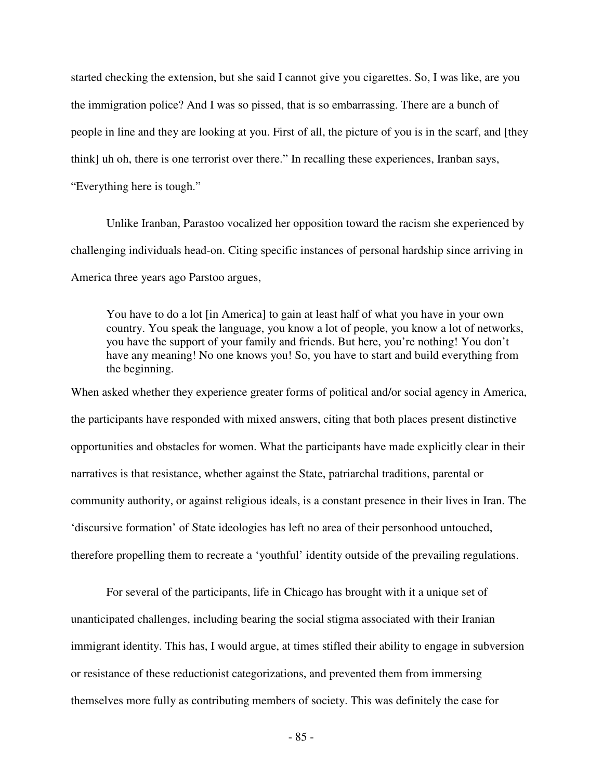started checking the extension, but she said I cannot give you cigarettes. So, I was like, are you the immigration police? And I was so pissed, that is so embarrassing. There are a bunch of people in line and they are looking at you. First of all, the picture of you is in the scarf, and [they think] uh oh, there is one terrorist over there." In recalling these experiences, Iranban says, "Everything here is tough."

Unlike Iranban, Parastoo vocalized her opposition toward the racism she experienced by challenging individuals head-on. Citing specific instances of personal hardship since arriving in America three years ago Parstoo argues,

You have to do a lot [in America] to gain at least half of what you have in your own country. You speak the language, you know a lot of people, you know a lot of networks, you have the support of your family and friends. But here, you're nothing! You don't have any meaning! No one knows you! So, you have to start and build everything from the beginning.

When asked whether they experience greater forms of political and/or social agency in America, the participants have responded with mixed answers, citing that both places present distinctive opportunities and obstacles for women. What the participants have made explicitly clear in their narratives is that resistance, whether against the State, patriarchal traditions, parental or community authority, or against religious ideals, is a constant presence in their lives in Iran. The 'discursive formation' of State ideologies has left no area of their personhood untouched, therefore propelling them to recreate a 'youthful' identity outside of the prevailing regulations.

 For several of the participants, life in Chicago has brought with it a unique set of unanticipated challenges, including bearing the social stigma associated with their Iranian immigrant identity. This has, I would argue, at times stifled their ability to engage in subversion or resistance of these reductionist categorizations, and prevented them from immersing themselves more fully as contributing members of society. This was definitely the case for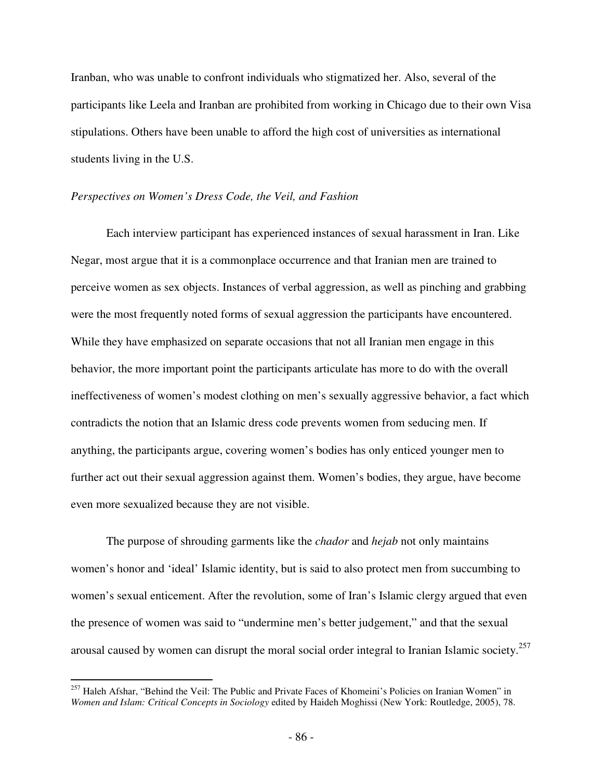Iranban, who was unable to confront individuals who stigmatized her. Also, several of the participants like Leela and Iranban are prohibited from working in Chicago due to their own Visa stipulations. Others have been unable to afford the high cost of universities as international students living in the U.S.

# *Perspectives on Women's Dress Code, the Veil, and Fashion*

Each interview participant has experienced instances of sexual harassment in Iran. Like Negar, most argue that it is a commonplace occurrence and that Iranian men are trained to perceive women as sex objects. Instances of verbal aggression, as well as pinching and grabbing were the most frequently noted forms of sexual aggression the participants have encountered. While they have emphasized on separate occasions that not all Iranian men engage in this behavior, the more important point the participants articulate has more to do with the overall ineffectiveness of women's modest clothing on men's sexually aggressive behavior, a fact which contradicts the notion that an Islamic dress code prevents women from seducing men. If anything, the participants argue, covering women's bodies has only enticed younger men to further act out their sexual aggression against them. Women's bodies, they argue, have become even more sexualized because they are not visible.

The purpose of shrouding garments like the *chador* and *hejab* not only maintains women's honor and 'ideal' Islamic identity, but is said to also protect men from succumbing to women's sexual enticement. After the revolution, some of Iran's Islamic clergy argued that even the presence of women was said to "undermine men's better judgement," and that the sexual arousal caused by women can disrupt the moral social order integral to Iranian Islamic society.<sup>257</sup>

<u>.</u>

<sup>&</sup>lt;sup>257</sup> Haleh Afshar, "Behind the Veil: The Public and Private Faces of Khomeini's Policies on Iranian Women" in *Women and Islam: Critical Concepts in Sociology* edited by Haideh Moghissi (New York: Routledge, 2005), 78.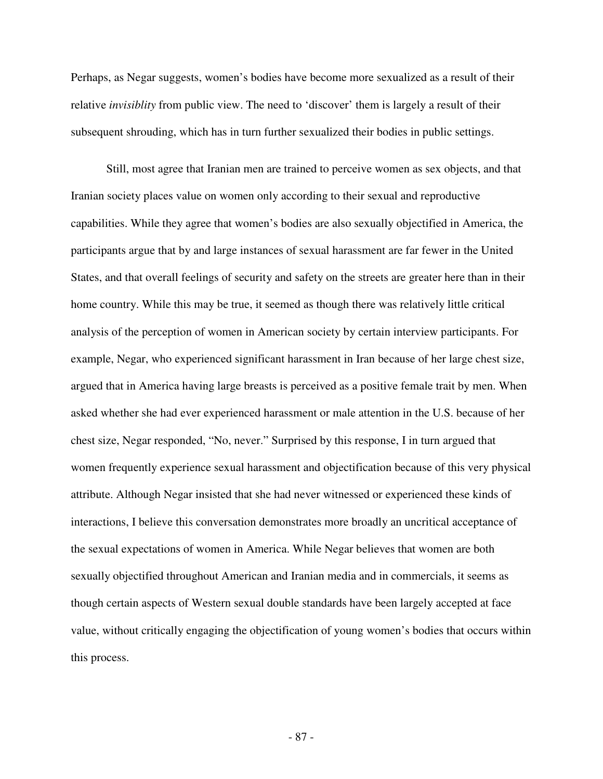Perhaps, as Negar suggests, women's bodies have become more sexualized as a result of their relative *invisiblity* from public view. The need to 'discover' them is largely a result of their subsequent shrouding, which has in turn further sexualized their bodies in public settings.

Still, most agree that Iranian men are trained to perceive women as sex objects, and that Iranian society places value on women only according to their sexual and reproductive capabilities. While they agree that women's bodies are also sexually objectified in America, the participants argue that by and large instances of sexual harassment are far fewer in the United States, and that overall feelings of security and safety on the streets are greater here than in their home country. While this may be true, it seemed as though there was relatively little critical analysis of the perception of women in American society by certain interview participants. For example, Negar, who experienced significant harassment in Iran because of her large chest size, argued that in America having large breasts is perceived as a positive female trait by men. When asked whether she had ever experienced harassment or male attention in the U.S. because of her chest size, Negar responded, "No, never." Surprised by this response, I in turn argued that women frequently experience sexual harassment and objectification because of this very physical attribute. Although Negar insisted that she had never witnessed or experienced these kinds of interactions, I believe this conversation demonstrates more broadly an uncritical acceptance of the sexual expectations of women in America. While Negar believes that women are both sexually objectified throughout American and Iranian media and in commercials, it seems as though certain aspects of Western sexual double standards have been largely accepted at face value, without critically engaging the objectification of young women's bodies that occurs within this process.

- 87 -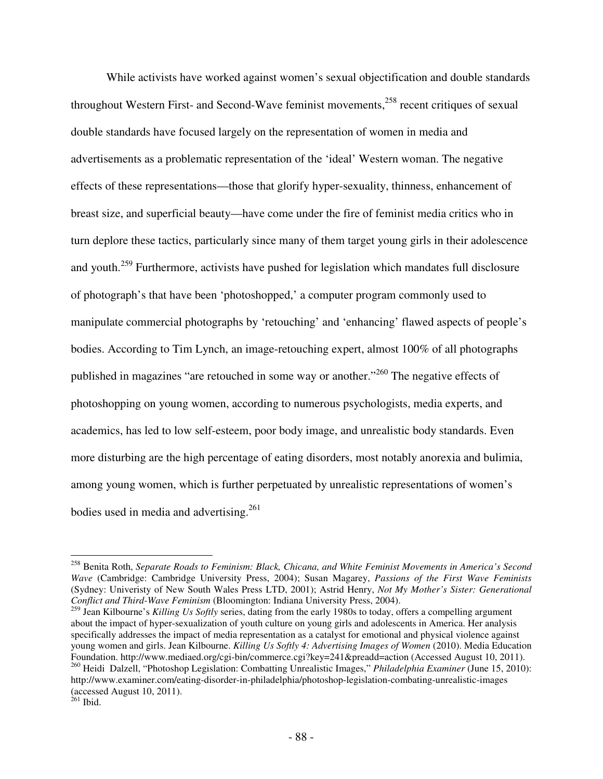While activists have worked against women's sexual objectification and double standards throughout Western First- and Second-Wave feminist movements, $258$  recent critiques of sexual double standards have focused largely on the representation of women in media and advertisements as a problematic representation of the 'ideal' Western woman. The negative effects of these representations—those that glorify hyper-sexuality, thinness, enhancement of breast size, and superficial beauty—have come under the fire of feminist media critics who in turn deplore these tactics, particularly since many of them target young girls in their adolescence and youth.<sup>259</sup> Furthermore, activists have pushed for legislation which mandates full disclosure of photograph's that have been 'photoshopped,' a computer program commonly used to manipulate commercial photographs by 'retouching' and 'enhancing' flawed aspects of people's bodies. According to Tim Lynch, an image-retouching expert, almost 100% of all photographs published in magazines "are retouched in some way or another."<sup>260</sup> The negative effects of photoshopping on young women, according to numerous psychologists, media experts, and academics, has led to low self-esteem, poor body image, and unrealistic body standards. Even more disturbing are the high percentage of eating disorders, most notably anorexia and bulimia, among young women, which is further perpetuated by unrealistic representations of women's bodies used in media and advertising.<sup>261</sup>

<sup>258</sup> Benita Roth, *Separate Roads to Feminism: Black, Chicana, and White Feminist Movements in America's Second Wave* (Cambridge: Cambridge University Press, 2004); Susan Magarey, *Passions of the First Wave Feminists*  (Sydney: Univeristy of New South Wales Press LTD, 2001); Astrid Henry, *Not My Mother's Sister: Generational Conflict and Third-Wave Feminism* (Bloomington: Indiana University Press, 2004).

<sup>259</sup> Jean Kilbourne's *Killing Us Softly* series, dating from the early 1980s to today, offers a compelling argument about the impact of hyper-sexualization of youth culture on young girls and adolescents in America. Her analysis specifically addresses the impact of media representation as a catalyst for emotional and physical violence against young women and girls. Jean Kilbourne. *Killing Us Softly 4: Advertising Images of Women* (2010). Media Education Foundation. http://www.mediaed.org/cgi-bin/commerce.cgi?key=241&preadd=action (Accessed August 10, 2011). <sup>260</sup> Heidi Dalzell, "Photoshop Legislation: Combatting Unrealistic Images," *Philadelphia Examiner* (June 15, 2010): http://www.examiner.com/eating-disorder-in-philadelphia/photoshop-legislation-combating-unrealistic-images (accessed August 10, 2011).

 $^{261}$  Ibid.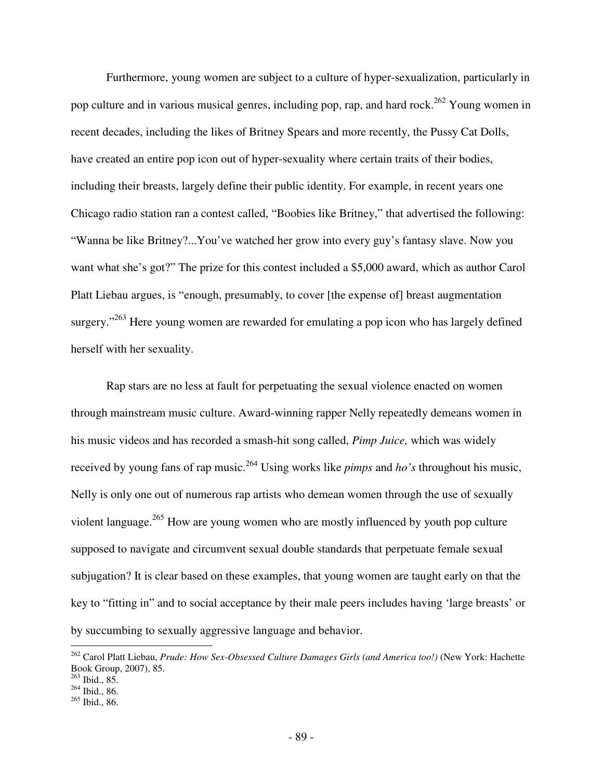Furthermore, young women are subject to a culture of hyper-sexualization, particularly in pop culture and in various musical genres, including pop, rap, and hard rock.<sup>262</sup> Young women in recent decades, including the likes of Britney Spears and more recently, the Pussy Cat Dolls, have created an entire pop icon out of hyper-sexuality where certain traits of their bodies, including their breasts, largely define their public identity. For example, in recent years one Chicago radio station ran a contest called, "Boobies like Britney," that advertised the following: "Wanna be like Britney?...You've watched her grow into every guy's fantasy slave. Now you want what she's got?" The prize for this contest included a \$5,000 award, which as author Carol Platt Liebau argues, is "enough, presumably, to cover [the expense of] breast augmentation surgery."<sup>263</sup> Here young women are rewarded for emulating a pop icon who has largely defined herself with her sexuality.

Rap stars are no less at fault for perpetuating the sexual violence enacted on women through mainstream music culture. Award-winning rapper Nelly repeatedly demeans women in his music videos and has recorded a smash-hit song called, *Pimp Juice,* which was widely received by young fans of rap music.<sup>264</sup> Using works like *pimps* and *ho's* throughout his music, Nelly is only one out of numerous rap artists who demean women through the use of sexually violent language.<sup>265</sup> How are young women who are mostly influenced by youth pop culture supposed to navigate and circumvent sexual double standards that perpetuate female sexual subjugation? It is clear based on these examples, that young women are taught early on that the key to "fitting in" and to social acceptance by their male peers includes having 'large breasts' or by succumbing to sexually aggressive language and behavior.

<sup>262</sup> Carol Platt Liebau, *Prude: How Sex-Obsessed Culture Damages Girls (and America too!)* (New York: Hachette Book Group, 2007), 85.

<sup>263</sup> Ibid., 85.

 $264$  Ibid., 86.

<sup>265</sup> Ibid., 86.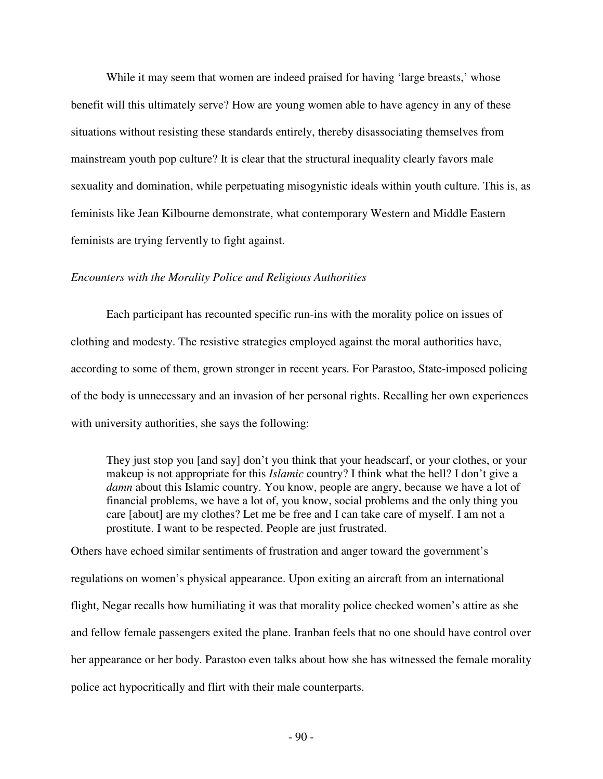While it may seem that women are indeed praised for having 'large breasts,' whose benefit will this ultimately serve? How are young women able to have agency in any of these situations without resisting these standards entirely, thereby disassociating themselves from mainstream youth pop culture? It is clear that the structural inequality clearly favors male sexuality and domination, while perpetuating misogynistic ideals within youth culture. This is, as feminists like Jean Kilbourne demonstrate, what contemporary Western and Middle Eastern feminists are trying fervently to fight against.

#### *Encounters with the Morality Police and Religious Authorities*

Each participant has recounted specific run-ins with the morality police on issues of clothing and modesty. The resistive strategies employed against the moral authorities have, according to some of them, grown stronger in recent years. For Parastoo, State-imposed policing of the body is unnecessary and an invasion of her personal rights. Recalling her own experiences with university authorities, she says the following:

They just stop you [and say] don't you think that your headscarf, or your clothes, or your makeup is not appropriate for this *Islamic* country? I think what the hell? I don't give a *damn* about this Islamic country. You know, people are angry, because we have a lot of financial problems, we have a lot of, you know, social problems and the only thing you care [about] are my clothes? Let me be free and I can take care of myself. I am not a prostitute. I want to be respected. People are just frustrated.

Others have echoed similar sentiments of frustration and anger toward the government's regulations on women's physical appearance. Upon exiting an aircraft from an international flight, Negar recalls how humiliating it was that morality police checked women's attire as she and fellow female passengers exited the plane. Iranban feels that no one should have control over her appearance or her body. Parastoo even talks about how she has witnessed the female morality police act hypocritically and flirt with their male counterparts.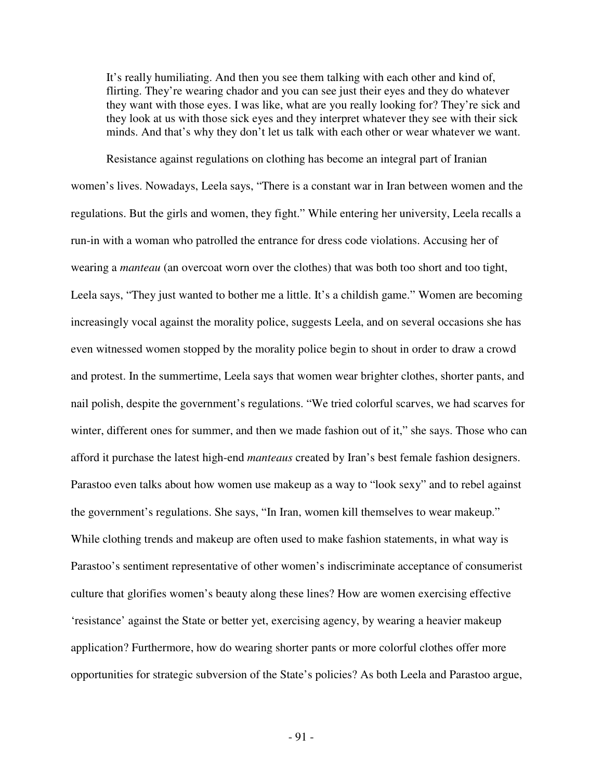It's really humiliating. And then you see them talking with each other and kind of, flirting. They're wearing chador and you can see just their eyes and they do whatever they want with those eyes. I was like, what are you really looking for? They're sick and they look at us with those sick eyes and they interpret whatever they see with their sick minds. And that's why they don't let us talk with each other or wear whatever we want.

Resistance against regulations on clothing has become an integral part of Iranian women's lives. Nowadays, Leela says, "There is a constant war in Iran between women and the regulations. But the girls and women, they fight." While entering her university, Leela recalls a run-in with a woman who patrolled the entrance for dress code violations. Accusing her of wearing a *manteau* (an overcoat worn over the clothes) that was both too short and too tight, Leela says, "They just wanted to bother me a little. It's a childish game." Women are becoming increasingly vocal against the morality police, suggests Leela, and on several occasions she has even witnessed women stopped by the morality police begin to shout in order to draw a crowd and protest. In the summertime, Leela says that women wear brighter clothes, shorter pants, and nail polish, despite the government's regulations. "We tried colorful scarves, we had scarves for winter, different ones for summer, and then we made fashion out of it," she says. Those who can afford it purchase the latest high-end *manteaus* created by Iran's best female fashion designers. Parastoo even talks about how women use makeup as a way to "look sexy" and to rebel against the government's regulations. She says, "In Iran, women kill themselves to wear makeup." While clothing trends and makeup are often used to make fashion statements, in what way is Parastoo's sentiment representative of other women's indiscriminate acceptance of consumerist culture that glorifies women's beauty along these lines? How are women exercising effective 'resistance' against the State or better yet, exercising agency, by wearing a heavier makeup application? Furthermore, how do wearing shorter pants or more colorful clothes offer more opportunities for strategic subversion of the State's policies? As both Leela and Parastoo argue,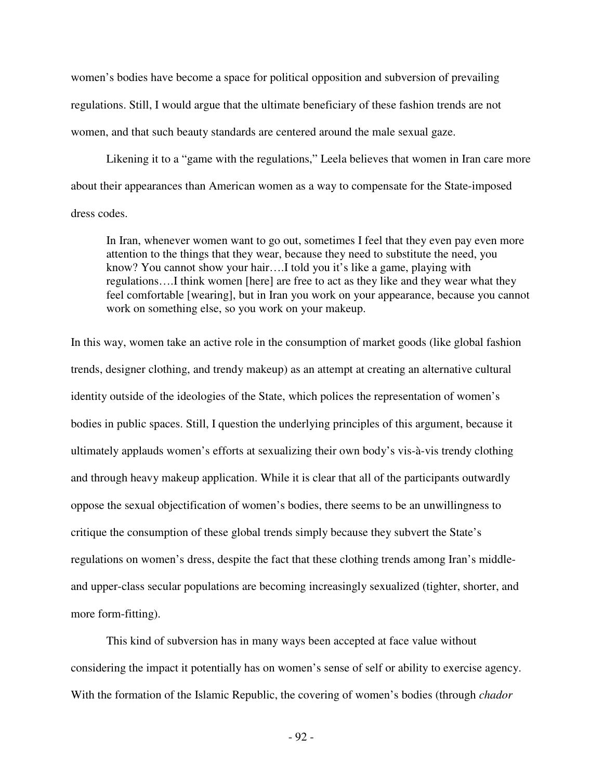women's bodies have become a space for political opposition and subversion of prevailing regulations. Still, I would argue that the ultimate beneficiary of these fashion trends are not women, and that such beauty standards are centered around the male sexual gaze.

Likening it to a "game with the regulations," Leela believes that women in Iran care more about their appearances than American women as a way to compensate for the State-imposed dress codes.

In Iran, whenever women want to go out, sometimes I feel that they even pay even more attention to the things that they wear, because they need to substitute the need, you know? You cannot show your hair….I told you it's like a game, playing with regulations….I think women [here] are free to act as they like and they wear what they feel comfortable [wearing], but in Iran you work on your appearance, because you cannot work on something else, so you work on your makeup.

In this way, women take an active role in the consumption of market goods (like global fashion trends, designer clothing, and trendy makeup) as an attempt at creating an alternative cultural identity outside of the ideologies of the State, which polices the representation of women's bodies in public spaces. Still, I question the underlying principles of this argument, because it ultimately applauds women's efforts at sexualizing their own body's vis-à-vis trendy clothing and through heavy makeup application. While it is clear that all of the participants outwardly oppose the sexual objectification of women's bodies, there seems to be an unwillingness to critique the consumption of these global trends simply because they subvert the State's regulations on women's dress, despite the fact that these clothing trends among Iran's middleand upper-class secular populations are becoming increasingly sexualized (tighter, shorter, and more form-fitting).

This kind of subversion has in many ways been accepted at face value without considering the impact it potentially has on women's sense of self or ability to exercise agency. With the formation of the Islamic Republic, the covering of women's bodies (through *chador* 

- 92 -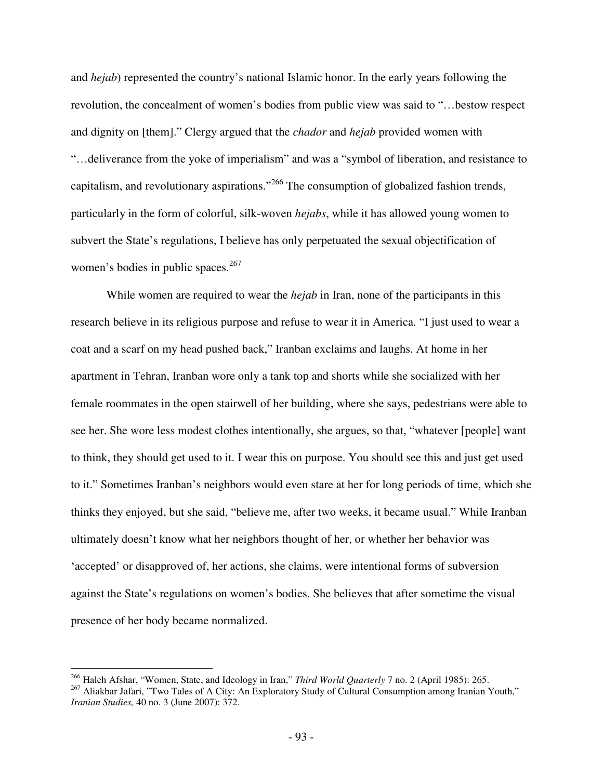and *hejab*) represented the country's national Islamic honor. In the early years following the revolution, the concealment of women's bodies from public view was said to "…bestow respect and dignity on [them]." Clergy argued that the *chador* and *hejab* provided women with "…deliverance from the yoke of imperialism" and was a "symbol of liberation, and resistance to capitalism, and revolutionary aspirations."<sup>266</sup> The consumption of globalized fashion trends, particularly in the form of colorful, silk-woven *hejabs*, while it has allowed young women to subvert the State's regulations, I believe has only perpetuated the sexual objectification of women's bodies in public spaces.<sup>267</sup>

While women are required to wear the *hejab* in Iran, none of the participants in this research believe in its religious purpose and refuse to wear it in America. "I just used to wear a coat and a scarf on my head pushed back," Iranban exclaims and laughs. At home in her apartment in Tehran, Iranban wore only a tank top and shorts while she socialized with her female roommates in the open stairwell of her building, where she says, pedestrians were able to see her. She wore less modest clothes intentionally, she argues, so that, "whatever [people] want to think, they should get used to it. I wear this on purpose. You should see this and just get used to it." Sometimes Iranban's neighbors would even stare at her for long periods of time, which she thinks they enjoyed, but she said, "believe me, after two weeks, it became usual." While Iranban ultimately doesn't know what her neighbors thought of her, or whether her behavior was 'accepted' or disapproved of, her actions, she claims, were intentional forms of subversion against the State's regulations on women's bodies. She believes that after sometime the visual presence of her body became normalized.

<sup>266</sup> Haleh Afshar, "Women, State, and Ideology in Iran," *Third World Quarterly* 7 no. 2 (April 1985): 265.

<sup>&</sup>lt;sup>267</sup> Aliakbar Jafari, "Two Tales of A City: An Exploratory Study of Cultural Consumption among Iranian Youth," *Iranian Studies,* 40 no. 3 (June 2007): 372.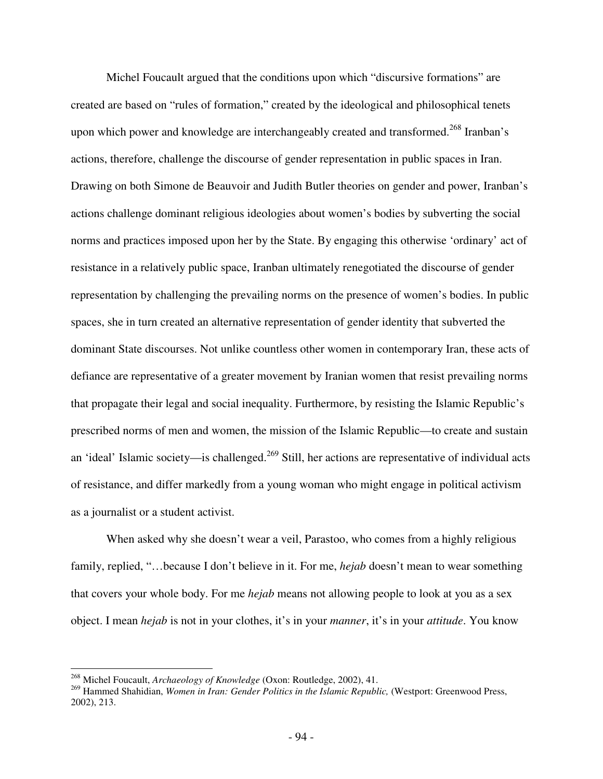Michel Foucault argued that the conditions upon which "discursive formations" are created are based on "rules of formation," created by the ideological and philosophical tenets upon which power and knowledge are interchangeably created and transformed.<sup>268</sup> Iranban's actions, therefore, challenge the discourse of gender representation in public spaces in Iran. Drawing on both Simone de Beauvoir and Judith Butler theories on gender and power, Iranban's actions challenge dominant religious ideologies about women's bodies by subverting the social norms and practices imposed upon her by the State. By engaging this otherwise 'ordinary' act of resistance in a relatively public space, Iranban ultimately renegotiated the discourse of gender representation by challenging the prevailing norms on the presence of women's bodies. In public spaces, she in turn created an alternative representation of gender identity that subverted the dominant State discourses. Not unlike countless other women in contemporary Iran, these acts of defiance are representative of a greater movement by Iranian women that resist prevailing norms that propagate their legal and social inequality. Furthermore, by resisting the Islamic Republic's prescribed norms of men and women, the mission of the Islamic Republic—to create and sustain an 'ideal' Islamic society—is challenged.<sup>269</sup> Still, her actions are representative of individual acts of resistance, and differ markedly from a young woman who might engage in political activism as a journalist or a student activist.

When asked why she doesn't wear a veil, Parastoo, who comes from a highly religious family, replied, "…because I don't believe in it. For me, *hejab* doesn't mean to wear something that covers your whole body. For me *hejab* means not allowing people to look at you as a sex object. I mean *hejab* is not in your clothes, it's in your *manner*, it's in your *attitude*. You know

<u>.</u>

<sup>268</sup> Michel Foucault, *Archaeology of Knowledge* (Oxon: Routledge, 2002), 41.

<sup>&</sup>lt;sup>269</sup> Hammed Shahidian, *Women in Iran: Gender Politics in the Islamic Republic,* (Westport: Greenwood Press, 2002), 213.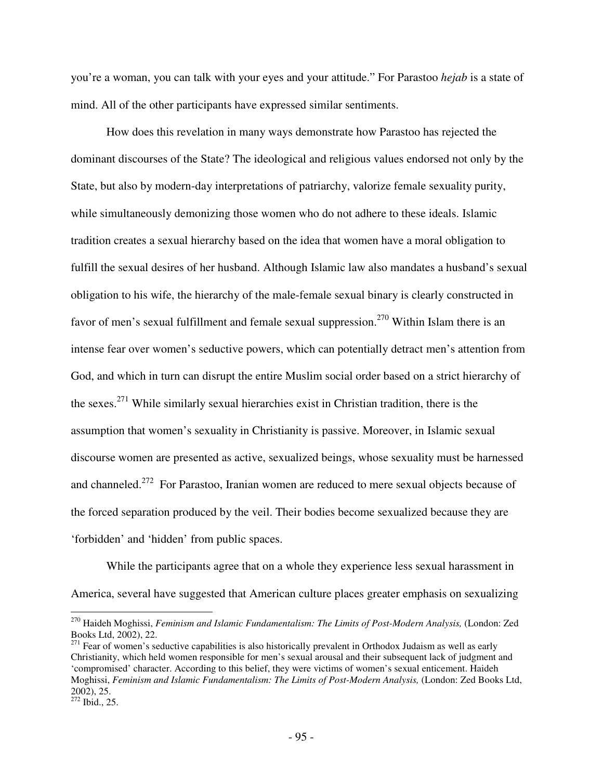you're a woman, you can talk with your eyes and your attitude." For Parastoo *hejab* is a state of mind. All of the other participants have expressed similar sentiments.

How does this revelation in many ways demonstrate how Parastoo has rejected the dominant discourses of the State? The ideological and religious values endorsed not only by the State, but also by modern-day interpretations of patriarchy, valorize female sexuality purity, while simultaneously demonizing those women who do not adhere to these ideals. Islamic tradition creates a sexual hierarchy based on the idea that women have a moral obligation to fulfill the sexual desires of her husband. Although Islamic law also mandates a husband's sexual obligation to his wife, the hierarchy of the male-female sexual binary is clearly constructed in favor of men's sexual fulfillment and female sexual suppression.<sup>270</sup> Within Islam there is an intense fear over women's seductive powers, which can potentially detract men's attention from God, and which in turn can disrupt the entire Muslim social order based on a strict hierarchy of the sexes.<sup>271</sup> While similarly sexual hierarchies exist in Christian tradition, there is the assumption that women's sexuality in Christianity is passive. Moreover, in Islamic sexual discourse women are presented as active, sexualized beings, whose sexuality must be harnessed and channeled.<sup>272</sup> For Parastoo, Iranian women are reduced to mere sexual objects because of the forced separation produced by the veil. Their bodies become sexualized because they are 'forbidden' and 'hidden' from public spaces.

While the participants agree that on a whole they experience less sexual harassment in America, several have suggested that American culture places greater emphasis on sexualizing

<u>.</u>

<sup>&</sup>lt;sup>270</sup> Haideh Moghissi, *Feminism and Islamic Fundamentalism: The Limits of Post-Modern Analysis, (London: Zed* Books Ltd, 2002), 22.

 $271$  Fear of women's seductive capabilities is also historically prevalent in Orthodox Judaism as well as early Christianity, which held women responsible for men's sexual arousal and their subsequent lack of judgment and 'compromised' character. According to this belief, they were victims of women's sexual enticement. Haideh Moghissi, *Feminism and Islamic Fundamentalism: The Limits of Post-Modern Analysis,* (London: Zed Books Ltd, 2002), 25.

 $^{272}$  Ibid., 25.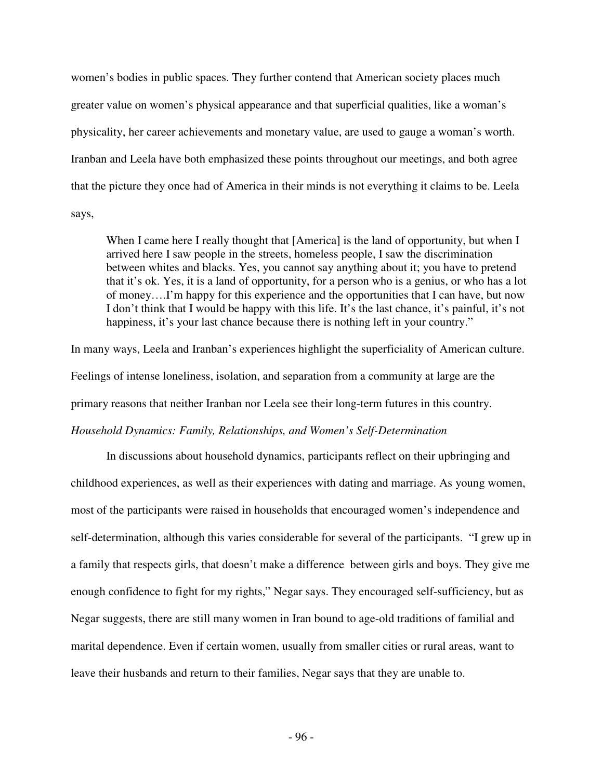women's bodies in public spaces. They further contend that American society places much greater value on women's physical appearance and that superficial qualities, like a woman's physicality, her career achievements and monetary value, are used to gauge a woman's worth. Iranban and Leela have both emphasized these points throughout our meetings, and both agree that the picture they once had of America in their minds is not everything it claims to be. Leela says,

When I came here I really thought that [America] is the land of opportunity, but when I arrived here I saw people in the streets, homeless people, I saw the discrimination between whites and blacks. Yes, you cannot say anything about it; you have to pretend that it's ok. Yes, it is a land of opportunity, for a person who is a genius, or who has a lot of money….I'm happy for this experience and the opportunities that I can have, but now I don't think that I would be happy with this life. It's the last chance, it's painful, it's not happiness, it's your last chance because there is nothing left in your country."

In many ways, Leela and Iranban's experiences highlight the superficiality of American culture. Feelings of intense loneliness, isolation, and separation from a community at large are the primary reasons that neither Iranban nor Leela see their long-term futures in this country. *Household Dynamics: Family, Relationships, and Women's Self-Determination* 

 In discussions about household dynamics, participants reflect on their upbringing and childhood experiences, as well as their experiences with dating and marriage. As young women, most of the participants were raised in households that encouraged women's independence and self-determination, although this varies considerable for several of the participants. "I grew up in a family that respects girls, that doesn't make a difference between girls and boys. They give me enough confidence to fight for my rights," Negar says. They encouraged self-sufficiency, but as Negar suggests, there are still many women in Iran bound to age-old traditions of familial and marital dependence. Even if certain women, usually from smaller cities or rural areas, want to leave their husbands and return to their families, Negar says that they are unable to.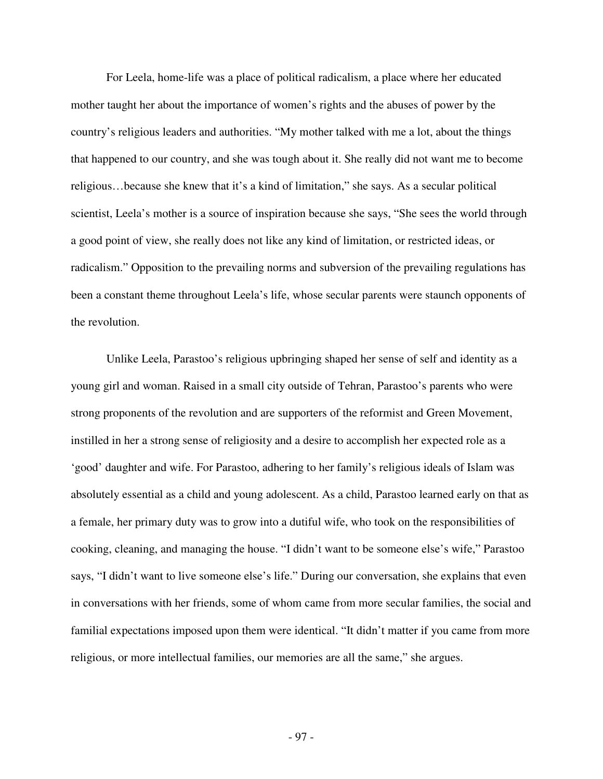For Leela, home-life was a place of political radicalism, a place where her educated mother taught her about the importance of women's rights and the abuses of power by the country's religious leaders and authorities. "My mother talked with me a lot, about the things that happened to our country, and she was tough about it. She really did not want me to become religious…because she knew that it's a kind of limitation," she says. As a secular political scientist, Leela's mother is a source of inspiration because she says, "She sees the world through a good point of view, she really does not like any kind of limitation, or restricted ideas, or radicalism." Opposition to the prevailing norms and subversion of the prevailing regulations has been a constant theme throughout Leela's life, whose secular parents were staunch opponents of the revolution.

Unlike Leela, Parastoo's religious upbringing shaped her sense of self and identity as a young girl and woman. Raised in a small city outside of Tehran, Parastoo's parents who were strong proponents of the revolution and are supporters of the reformist and Green Movement, instilled in her a strong sense of religiosity and a desire to accomplish her expected role as a 'good' daughter and wife. For Parastoo, adhering to her family's religious ideals of Islam was absolutely essential as a child and young adolescent. As a child, Parastoo learned early on that as a female, her primary duty was to grow into a dutiful wife, who took on the responsibilities of cooking, cleaning, and managing the house. "I didn't want to be someone else's wife," Parastoo says, "I didn't want to live someone else's life." During our conversation, she explains that even in conversations with her friends, some of whom came from more secular families, the social and familial expectations imposed upon them were identical. "It didn't matter if you came from more religious, or more intellectual families, our memories are all the same," she argues.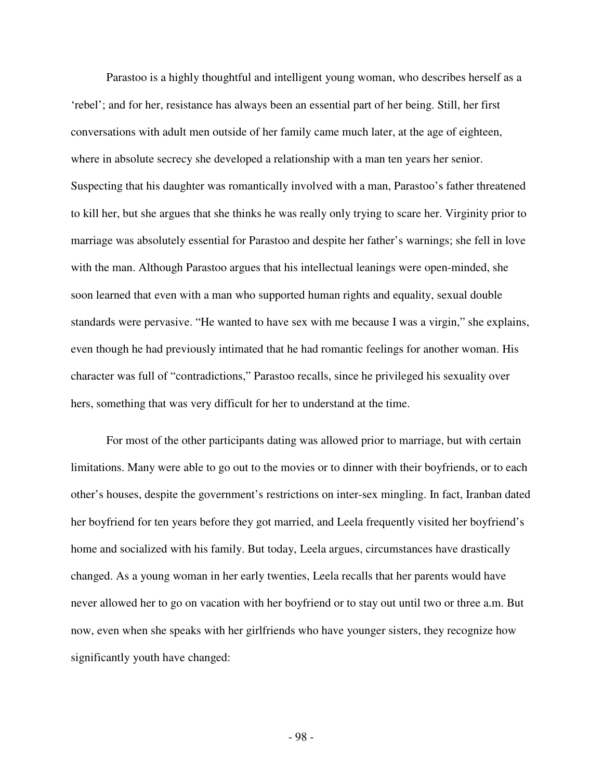Parastoo is a highly thoughtful and intelligent young woman, who describes herself as a 'rebel'; and for her, resistance has always been an essential part of her being. Still, her first conversations with adult men outside of her family came much later, at the age of eighteen, where in absolute secrecy she developed a relationship with a man ten years her senior. Suspecting that his daughter was romantically involved with a man, Parastoo's father threatened to kill her, but she argues that she thinks he was really only trying to scare her. Virginity prior to marriage was absolutely essential for Parastoo and despite her father's warnings; she fell in love with the man. Although Parastoo argues that his intellectual leanings were open-minded, she soon learned that even with a man who supported human rights and equality, sexual double standards were pervasive. "He wanted to have sex with me because I was a virgin," she explains, even though he had previously intimated that he had romantic feelings for another woman. His character was full of "contradictions," Parastoo recalls, since he privileged his sexuality over hers, something that was very difficult for her to understand at the time.

For most of the other participants dating was allowed prior to marriage, but with certain limitations. Many were able to go out to the movies or to dinner with their boyfriends, or to each other's houses, despite the government's restrictions on inter-sex mingling. In fact, Iranban dated her boyfriend for ten years before they got married, and Leela frequently visited her boyfriend's home and socialized with his family. But today, Leela argues, circumstances have drastically changed. As a young woman in her early twenties, Leela recalls that her parents would have never allowed her to go on vacation with her boyfriend or to stay out until two or three a.m. But now, even when she speaks with her girlfriends who have younger sisters, they recognize how significantly youth have changed: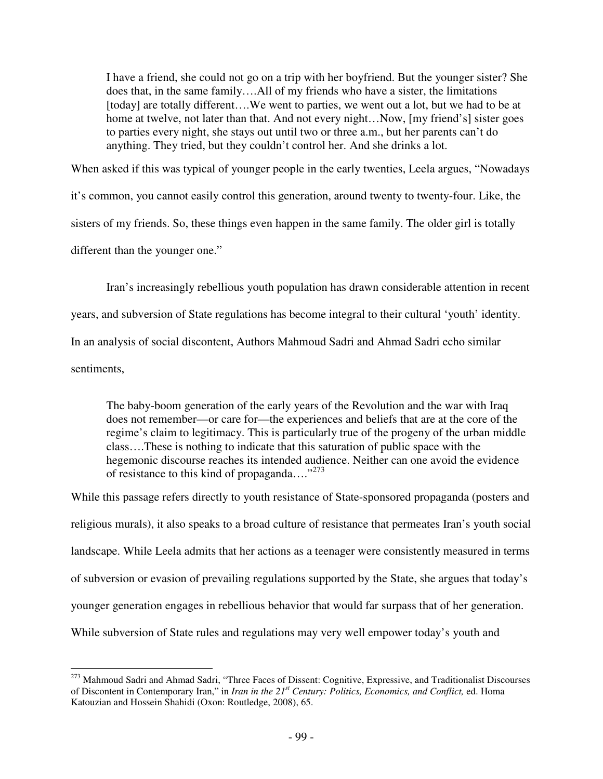I have a friend, she could not go on a trip with her boyfriend. But the younger sister? She does that, in the same family….All of my friends who have a sister, the limitations [today] are totally different....We went to parties, we went out a lot, but we had to be at home at twelve, not later than that. And not every night...Now, [my friend's] sister goes to parties every night, she stays out until two or three a.m., but her parents can't do anything. They tried, but they couldn't control her. And she drinks a lot.

When asked if this was typical of younger people in the early twenties, Leela argues, "Nowadays

it's common, you cannot easily control this generation, around twenty to twenty-four. Like, the

sisters of my friends. So, these things even happen in the same family. The older girl is totally

different than the younger one."

Iran's increasingly rebellious youth population has drawn considerable attention in recent years, and subversion of State regulations has become integral to their cultural 'youth' identity. In an analysis of social discontent, Authors Mahmoud Sadri and Ahmad Sadri echo similar

sentiments,

The baby-boom generation of the early years of the Revolution and the war with Iraq does not remember—or care for—the experiences and beliefs that are at the core of the regime's claim to legitimacy. This is particularly true of the progeny of the urban middle class….These is nothing to indicate that this saturation of public space with the hegemonic discourse reaches its intended audience. Neither can one avoid the evidence of resistance to this kind of propaganda...."<sup>273</sup>

While this passage refers directly to youth resistance of State-sponsored propaganda (posters and religious murals), it also speaks to a broad culture of resistance that permeates Iran's youth social landscape. While Leela admits that her actions as a teenager were consistently measured in terms of subversion or evasion of prevailing regulations supported by the State, she argues that today's younger generation engages in rebellious behavior that would far surpass that of her generation. While subversion of State rules and regulations may very well empower today's youth and

 $\overline{a}$ <sup>273</sup> Mahmoud Sadri and Ahmad Sadri, "Three Faces of Dissent: Cognitive, Expressive, and Traditionalist Discourses of Discontent in Contemporary Iran," in *Iran in the 21st Century: Politics, Economics, and Conflict,* ed. Homa Katouzian and Hossein Shahidi (Oxon: Routledge, 2008), 65.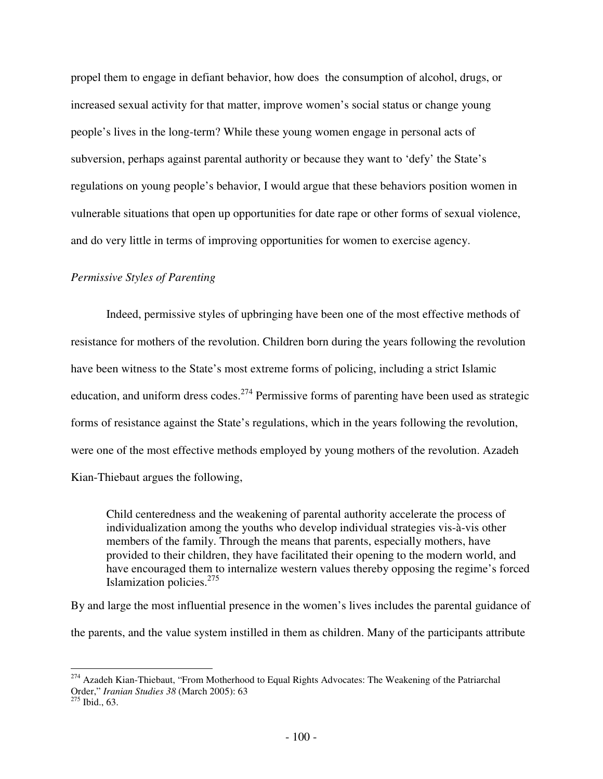propel them to engage in defiant behavior, how does the consumption of alcohol, drugs, or increased sexual activity for that matter, improve women's social status or change young people's lives in the long-term? While these young women engage in personal acts of subversion, perhaps against parental authority or because they want to 'defy' the State's regulations on young people's behavior, I would argue that these behaviors position women in vulnerable situations that open up opportunities for date rape or other forms of sexual violence, and do very little in terms of improving opportunities for women to exercise agency.

### *Permissive Styles of Parenting*

Indeed, permissive styles of upbringing have been one of the most effective methods of resistance for mothers of the revolution. Children born during the years following the revolution have been witness to the State's most extreme forms of policing, including a strict Islamic education, and uniform dress codes.<sup>274</sup> Permissive forms of parenting have been used as strategic forms of resistance against the State's regulations, which in the years following the revolution, were one of the most effective methods employed by young mothers of the revolution. Azadeh Kian-Thiebaut argues the following,

Child centeredness and the weakening of parental authority accelerate the process of individualization among the youths who develop individual strategies vis-à-vis other members of the family. Through the means that parents, especially mothers, have provided to their children, they have facilitated their opening to the modern world, and have encouraged them to internalize western values thereby opposing the regime's forced Islamization policies.<sup>275</sup>

By and large the most influential presence in the women's lives includes the parental guidance of the parents, and the value system instilled in them as children. Many of the participants attribute

<sup>&</sup>lt;sup>274</sup> Azadeh Kian-Thiebaut, "From Motherhood to Equal Rights Advocates: The Weakening of the Patriarchal Order," *Iranian Studies 38* (March 2005): 63

 $275$  Ibid., 63.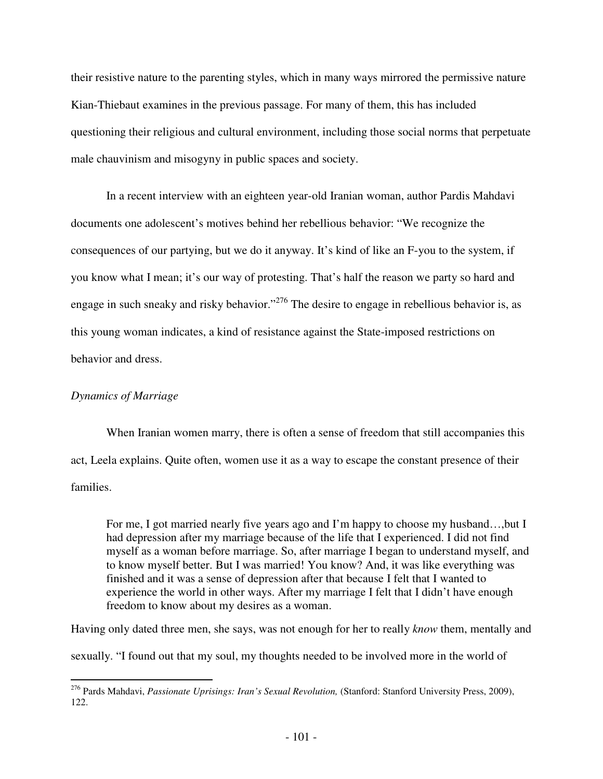their resistive nature to the parenting styles, which in many ways mirrored the permissive nature Kian-Thiebaut examines in the previous passage. For many of them, this has included questioning their religious and cultural environment, including those social norms that perpetuate male chauvinism and misogyny in public spaces and society.

In a recent interview with an eighteen year-old Iranian woman, author Pardis Mahdavi documents one adolescent's motives behind her rebellious behavior: "We recognize the consequences of our partying, but we do it anyway. It's kind of like an F-you to the system, if you know what I mean; it's our way of protesting. That's half the reason we party so hard and engage in such sneaky and risky behavior."<sup>276</sup> The desire to engage in rebellious behavior is, as this young woman indicates, a kind of resistance against the State-imposed restrictions on behavior and dress.

# *Dynamics of Marriage*

 When Iranian women marry, there is often a sense of freedom that still accompanies this act, Leela explains. Quite often, women use it as a way to escape the constant presence of their families.

For me, I got married nearly five years ago and I'm happy to choose my husband…,but I had depression after my marriage because of the life that I experienced. I did not find myself as a woman before marriage. So, after marriage I began to understand myself, and to know myself better. But I was married! You know? And, it was like everything was finished and it was a sense of depression after that because I felt that I wanted to experience the world in other ways. After my marriage I felt that I didn't have enough freedom to know about my desires as a woman.

Having only dated three men, she says, was not enough for her to really *know* them, mentally and

sexually. "I found out that my soul, my thoughts needed to be involved more in the world of

<sup>&</sup>lt;u>.</u> <sup>276</sup> Pards Mahdavi, *Passionate Uprisings: Iran's Sexual Revolution,* (Stanford: Stanford University Press, 2009), 122.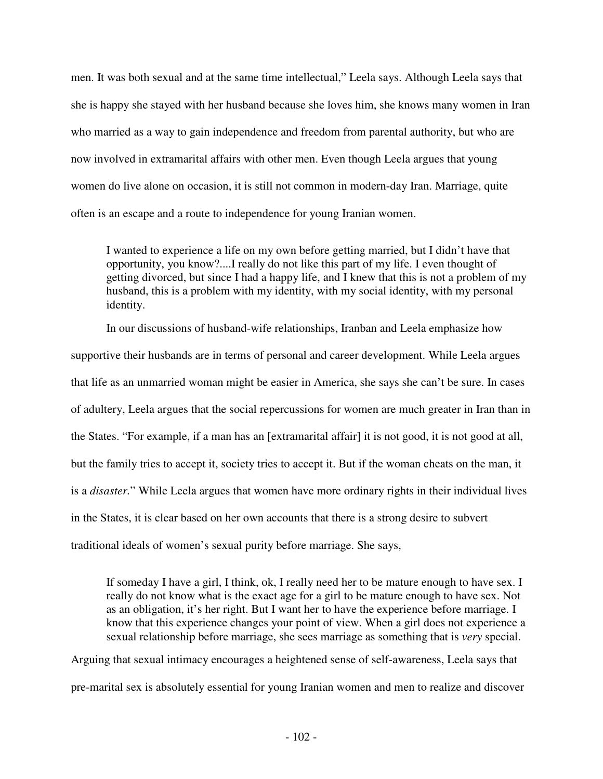men. It was both sexual and at the same time intellectual," Leela says. Although Leela says that she is happy she stayed with her husband because she loves him, she knows many women in Iran who married as a way to gain independence and freedom from parental authority, but who are now involved in extramarital affairs with other men. Even though Leela argues that young women do live alone on occasion, it is still not common in modern-day Iran. Marriage, quite often is an escape and a route to independence for young Iranian women.

I wanted to experience a life on my own before getting married, but I didn't have that opportunity, you know?....I really do not like this part of my life. I even thought of getting divorced, but since I had a happy life, and I knew that this is not a problem of my husband, this is a problem with my identity, with my social identity, with my personal identity.

 In our discussions of husband-wife relationships, Iranban and Leela emphasize how supportive their husbands are in terms of personal and career development. While Leela argues that life as an unmarried woman might be easier in America, she says she can't be sure. In cases of adultery, Leela argues that the social repercussions for women are much greater in Iran than in the States. "For example, if a man has an [extramarital affair] it is not good, it is not good at all, but the family tries to accept it, society tries to accept it. But if the woman cheats on the man, it is a *disaster.*" While Leela argues that women have more ordinary rights in their individual lives in the States, it is clear based on her own accounts that there is a strong desire to subvert traditional ideals of women's sexual purity before marriage. She says,

If someday I have a girl, I think, ok, I really need her to be mature enough to have sex. I really do not know what is the exact age for a girl to be mature enough to have sex. Not as an obligation, it's her right. But I want her to have the experience before marriage. I know that this experience changes your point of view. When a girl does not experience a sexual relationship before marriage, she sees marriage as something that is *very* special.

Arguing that sexual intimacy encourages a heightened sense of self-awareness, Leela says that pre-marital sex is absolutely essential for young Iranian women and men to realize and discover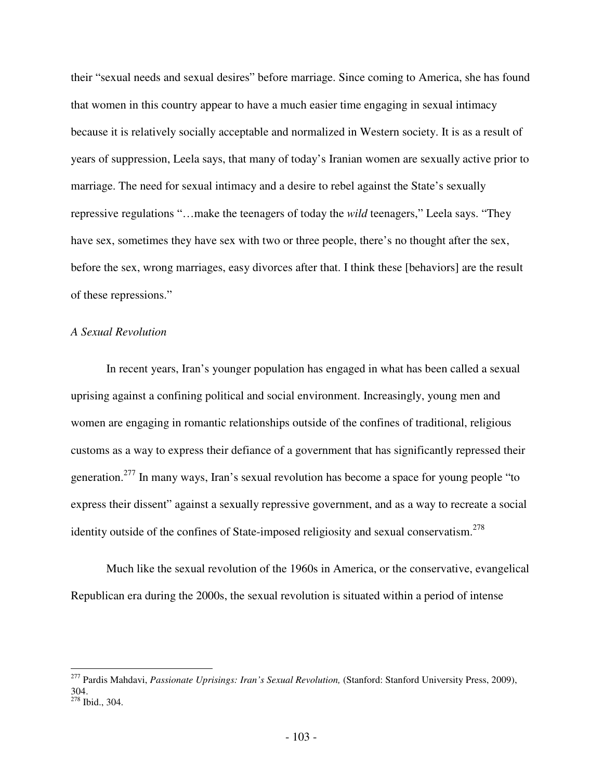their "sexual needs and sexual desires" before marriage. Since coming to America, she has found that women in this country appear to have a much easier time engaging in sexual intimacy because it is relatively socially acceptable and normalized in Western society. It is as a result of years of suppression, Leela says, that many of today's Iranian women are sexually active prior to marriage. The need for sexual intimacy and a desire to rebel against the State's sexually repressive regulations "…make the teenagers of today the *wild* teenagers," Leela says. "They have sex, sometimes they have sex with two or three people, there's no thought after the sex, before the sex, wrong marriages, easy divorces after that. I think these [behaviors] are the result of these repressions."

# *A Sexual Revolution*

 $\overline{a}$ 

In recent years, Iran's younger population has engaged in what has been called a sexual uprising against a confining political and social environment. Increasingly, young men and women are engaging in romantic relationships outside of the confines of traditional, religious customs as a way to express their defiance of a government that has significantly repressed their generation.<sup>277</sup> In many ways, Iran's sexual revolution has become a space for young people "to" express their dissent" against a sexually repressive government, and as a way to recreate a social identity outside of the confines of State-imposed religiosity and sexual conservatism.<sup>278</sup>

Much like the sexual revolution of the 1960s in America, or the conservative, evangelical Republican era during the 2000s, the sexual revolution is situated within a period of intense

<sup>277</sup> Pardis Mahdavi, *Passionate Uprisings: Iran's Sexual Revolution,* (Stanford: Stanford University Press, 2009), 304. <sup>278</sup> Ibid., 304.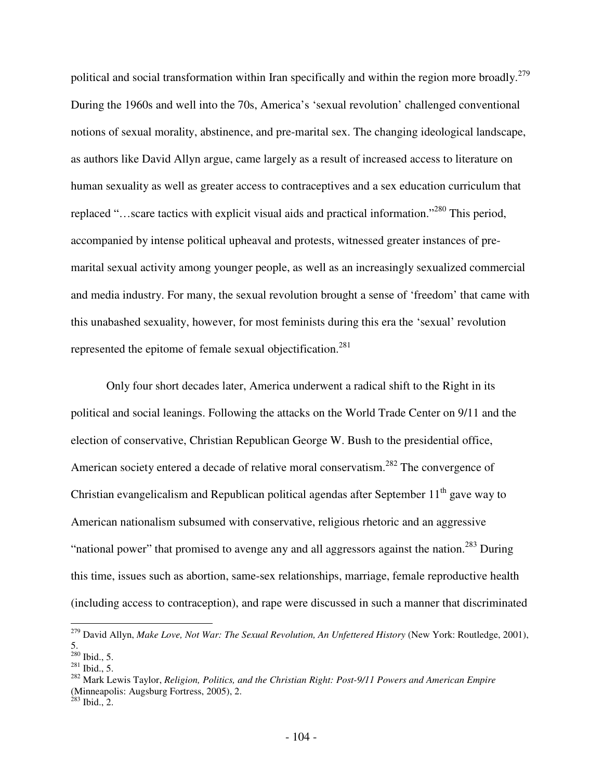political and social transformation within Iran specifically and within the region more broadly.<sup>279</sup> During the 1960s and well into the 70s, America's 'sexual revolution' challenged conventional notions of sexual morality, abstinence, and pre-marital sex. The changing ideological landscape, as authors like David Allyn argue, came largely as a result of increased access to literature on human sexuality as well as greater access to contraceptives and a sex education curriculum that replaced "…scare tactics with explicit visual aids and practical information."<sup>280</sup> This period, accompanied by intense political upheaval and protests, witnessed greater instances of premarital sexual activity among younger people, as well as an increasingly sexualized commercial and media industry. For many, the sexual revolution brought a sense of 'freedom' that came with this unabashed sexuality, however, for most feminists during this era the 'sexual' revolution represented the epitome of female sexual objectification.<sup>281</sup>

Only four short decades later, America underwent a radical shift to the Right in its political and social leanings. Following the attacks on the World Trade Center on 9/11 and the election of conservative, Christian Republican George W. Bush to the presidential office, American society entered a decade of relative moral conservatism.<sup>282</sup> The convergence of Christian evangelicalism and Republican political agendas after September 11<sup>th</sup> gave way to American nationalism subsumed with conservative, religious rhetoric and an aggressive "national power" that promised to avenge any and all aggressors against the nation.<sup>283</sup> During this time, issues such as abortion, same-sex relationships, marriage, female reproductive health (including access to contraception), and rape were discussed in such a manner that discriminated

 $\overline{a}$ 

<sup>&</sup>lt;sup>279</sup> David Allyn, *Make Love, Not War: The Sexual Revolution, An Unfettered History* (New York: Routledge, 2001), 5.

 $^{280}$  Ibid., 5.

 $^{281}$  Ibid., 5.

<sup>282</sup> Mark Lewis Taylor, *Religion, Politics, and the Christian Right: Post-9/11 Powers and American Empire*  (Minneapolis: Augsburg Fortress, 2005), 2.

 $^{283}$  Ibid., 2.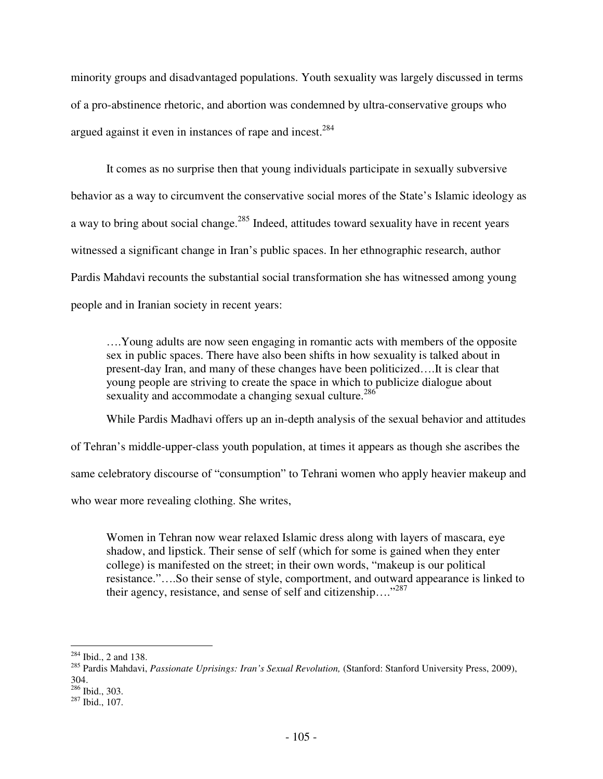minority groups and disadvantaged populations. Youth sexuality was largely discussed in terms of a pro-abstinence rhetoric, and abortion was condemned by ultra-conservative groups who argued against it even in instances of rape and incest.<sup>284</sup>

It comes as no surprise then that young individuals participate in sexually subversive behavior as a way to circumvent the conservative social mores of the State's Islamic ideology as a way to bring about social change.<sup>285</sup> Indeed, attitudes toward sexuality have in recent years witnessed a significant change in Iran's public spaces. In her ethnographic research, author Pardis Mahdavi recounts the substantial social transformation she has witnessed among young people and in Iranian society in recent years:

….Young adults are now seen engaging in romantic acts with members of the opposite sex in public spaces. There have also been shifts in how sexuality is talked about in present-day Iran, and many of these changes have been politicized….It is clear that young people are striving to create the space in which to publicize dialogue about sexuality and accommodate a changing sexual culture.<sup>286</sup>

While Pardis Madhavi offers up an in-depth analysis of the sexual behavior and attitudes

of Tehran's middle-upper-class youth population, at times it appears as though she ascribes the

same celebratory discourse of "consumption" to Tehrani women who apply heavier makeup and

who wear more revealing clothing. She writes,

Women in Tehran now wear relaxed Islamic dress along with layers of mascara, eye shadow, and lipstick. Their sense of self (which for some is gained when they enter college) is manifested on the street; in their own words, "makeup is our political resistance."….So their sense of style, comportment, and outward appearance is linked to their agency, resistance, and sense of self and citizenship…."<sup>287</sup>

<sup>-</sup> $284$  Ibid., 2 and 138.

<sup>285</sup> Pardis Mahdavi, *Passionate Uprisings: Iran's Sexual Revolution,* (Stanford: Stanford University Press, 2009), 304. <sup>286</sup> Ibid., 303.

<sup>287</sup> Ibid., 107.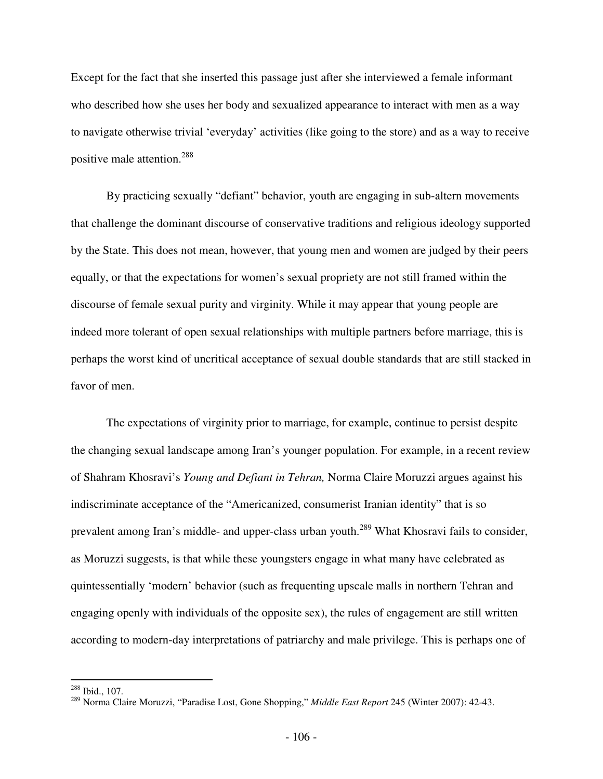Except for the fact that she inserted this passage just after she interviewed a female informant who described how she uses her body and sexualized appearance to interact with men as a way to navigate otherwise trivial 'everyday' activities (like going to the store) and as a way to receive positive male attention.<sup>288</sup>

By practicing sexually "defiant" behavior, youth are engaging in sub-altern movements that challenge the dominant discourse of conservative traditions and religious ideology supported by the State. This does not mean, however, that young men and women are judged by their peers equally, or that the expectations for women's sexual propriety are not still framed within the discourse of female sexual purity and virginity. While it may appear that young people are indeed more tolerant of open sexual relationships with multiple partners before marriage, this is perhaps the worst kind of uncritical acceptance of sexual double standards that are still stacked in favor of men.

The expectations of virginity prior to marriage, for example, continue to persist despite the changing sexual landscape among Iran's younger population. For example, in a recent review of Shahram Khosravi's *Young and Defiant in Tehran,* Norma Claire Moruzzi argues against his indiscriminate acceptance of the "Americanized, consumerist Iranian identity" that is so prevalent among Iran's middle- and upper-class urban youth.<sup>289</sup> What Khosravi fails to consider, as Moruzzi suggests, is that while these youngsters engage in what many have celebrated as quintessentially 'modern' behavior (such as frequenting upscale malls in northern Tehran and engaging openly with individuals of the opposite sex), the rules of engagement are still written according to modern-day interpretations of patriarchy and male privilege. This is perhaps one of

<u>.</u>

 $288$  Ibid., 107.

<sup>289</sup> Norma Claire Moruzzi, "Paradise Lost, Gone Shopping," *Middle East Report* 245 (Winter 2007): 42-43.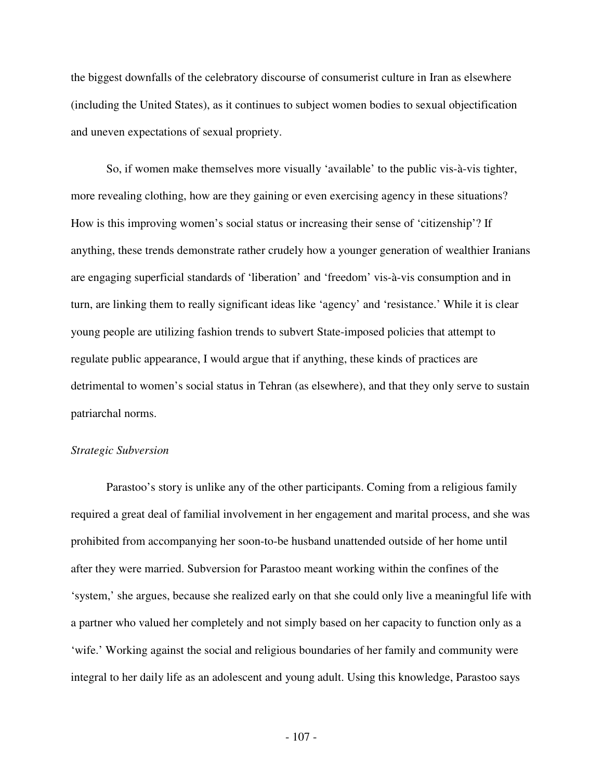the biggest downfalls of the celebratory discourse of consumerist culture in Iran as elsewhere (including the United States), as it continues to subject women bodies to sexual objectification and uneven expectations of sexual propriety.

So, if women make themselves more visually 'available' to the public vis-à-vis tighter, more revealing clothing, how are they gaining or even exercising agency in these situations? How is this improving women's social status or increasing their sense of 'citizenship'? If anything, these trends demonstrate rather crudely how a younger generation of wealthier Iranians are engaging superficial standards of 'liberation' and 'freedom' vis-à-vis consumption and in turn, are linking them to really significant ideas like 'agency' and 'resistance.' While it is clear young people are utilizing fashion trends to subvert State-imposed policies that attempt to regulate public appearance, I would argue that if anything, these kinds of practices are detrimental to women's social status in Tehran (as elsewhere), and that they only serve to sustain patriarchal norms.

## *Strategic Subversion*

 Parastoo's story is unlike any of the other participants. Coming from a religious family required a great deal of familial involvement in her engagement and marital process, and she was prohibited from accompanying her soon-to-be husband unattended outside of her home until after they were married. Subversion for Parastoo meant working within the confines of the 'system,' she argues, because she realized early on that she could only live a meaningful life with a partner who valued her completely and not simply based on her capacity to function only as a 'wife.' Working against the social and religious boundaries of her family and community were integral to her daily life as an adolescent and young adult. Using this knowledge, Parastoo says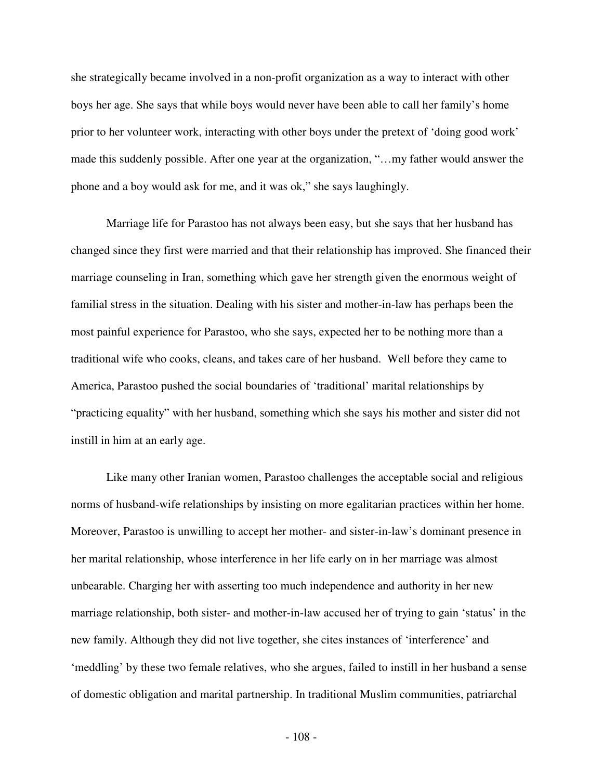she strategically became involved in a non-profit organization as a way to interact with other boys her age. She says that while boys would never have been able to call her family's home prior to her volunteer work, interacting with other boys under the pretext of 'doing good work' made this suddenly possible. After one year at the organization, "…my father would answer the phone and a boy would ask for me, and it was ok," she says laughingly.

 Marriage life for Parastoo has not always been easy, but she says that her husband has changed since they first were married and that their relationship has improved. She financed their marriage counseling in Iran, something which gave her strength given the enormous weight of familial stress in the situation. Dealing with his sister and mother-in-law has perhaps been the most painful experience for Parastoo, who she says, expected her to be nothing more than a traditional wife who cooks, cleans, and takes care of her husband. Well before they came to America, Parastoo pushed the social boundaries of 'traditional' marital relationships by "practicing equality" with her husband, something which she says his mother and sister did not instill in him at an early age.

 Like many other Iranian women, Parastoo challenges the acceptable social and religious norms of husband-wife relationships by insisting on more egalitarian practices within her home. Moreover, Parastoo is unwilling to accept her mother- and sister-in-law's dominant presence in her marital relationship, whose interference in her life early on in her marriage was almost unbearable. Charging her with asserting too much independence and authority in her new marriage relationship, both sister- and mother-in-law accused her of trying to gain 'status' in the new family. Although they did not live together, she cites instances of 'interference' and 'meddling' by these two female relatives, who she argues, failed to instill in her husband a sense of domestic obligation and marital partnership. In traditional Muslim communities, patriarchal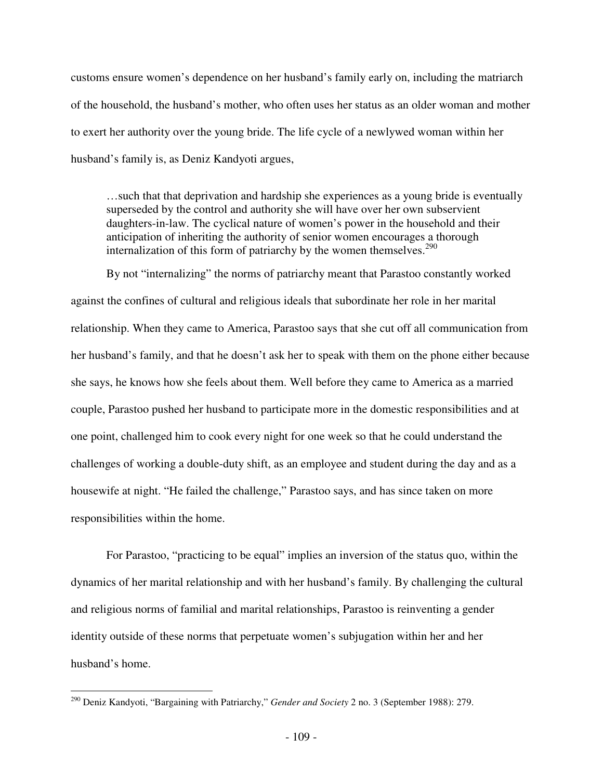customs ensure women's dependence on her husband's family early on, including the matriarch of the household, the husband's mother, who often uses her status as an older woman and mother to exert her authority over the young bride. The life cycle of a newlywed woman within her husband's family is, as Deniz Kandyoti argues,

…such that that deprivation and hardship she experiences as a young bride is eventually superseded by the control and authority she will have over her own subservient daughters-in-law. The cyclical nature of women's power in the household and their anticipation of inheriting the authority of senior women encourages a thorough internalization of this form of patriarchy by the women themselves.<sup>290</sup>

By not "internalizing" the norms of patriarchy meant that Parastoo constantly worked against the confines of cultural and religious ideals that subordinate her role in her marital relationship. When they came to America, Parastoo says that she cut off all communication from her husband's family, and that he doesn't ask her to speak with them on the phone either because she says, he knows how she feels about them. Well before they came to America as a married couple, Parastoo pushed her husband to participate more in the domestic responsibilities and at one point, challenged him to cook every night for one week so that he could understand the challenges of working a double-duty shift, as an employee and student during the day and as a housewife at night. "He failed the challenge," Parastoo says, and has since taken on more responsibilities within the home.

For Parastoo, "practicing to be equal" implies an inversion of the status quo, within the dynamics of her marital relationship and with her husband's family. By challenging the cultural and religious norms of familial and marital relationships, Parastoo is reinventing a gender identity outside of these norms that perpetuate women's subjugation within her and her husband's home.

 $\overline{a}$ 

<sup>290</sup> Deniz Kandyoti, "Bargaining with Patriarchy," *Gender and Society* 2 no. 3 (September 1988): 279.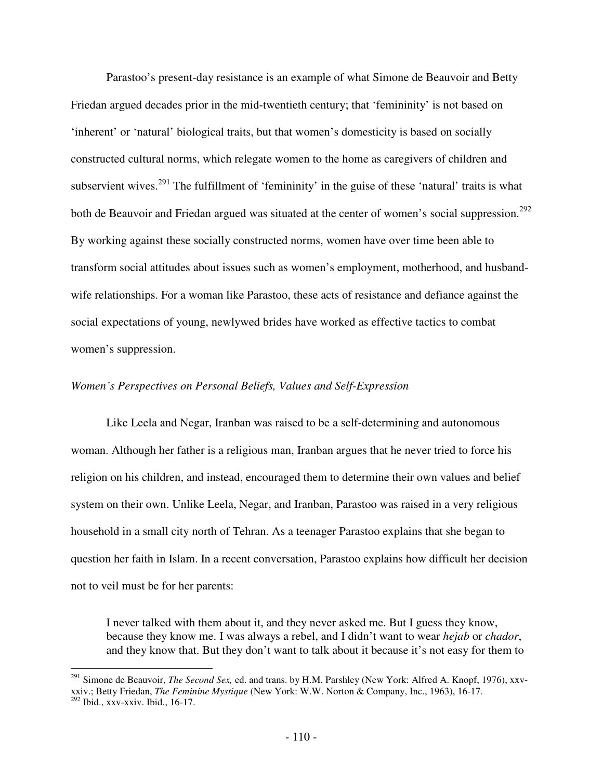Parastoo's present-day resistance is an example of what Simone de Beauvoir and Betty Friedan argued decades prior in the mid-twentieth century; that 'femininity' is not based on 'inherent' or 'natural' biological traits, but that women's domesticity is based on socially constructed cultural norms, which relegate women to the home as caregivers of children and subservient wives.<sup>291</sup> The fulfillment of 'femininity' in the guise of these 'natural' traits is what both de Beauvoir and Friedan argued was situated at the center of women's social suppression.<sup>292</sup> By working against these socially constructed norms, women have over time been able to transform social attitudes about issues such as women's employment, motherhood, and husbandwife relationships. For a woman like Parastoo, these acts of resistance and defiance against the social expectations of young, newlywed brides have worked as effective tactics to combat women's suppression.

## *Women's Perspectives on Personal Beliefs, Values and Self-Expression*

Like Leela and Negar, Iranban was raised to be a self-determining and autonomous woman. Although her father is a religious man, Iranban argues that he never tried to force his religion on his children, and instead, encouraged them to determine their own values and belief system on their own. Unlike Leela, Negar, and Iranban, Parastoo was raised in a very religious household in a small city north of Tehran. As a teenager Parastoo explains that she began to question her faith in Islam. In a recent conversation, Parastoo explains how difficult her decision not to veil must be for her parents:

I never talked with them about it, and they never asked me. But I guess they know, because they know me. I was always a rebel, and I didn't want to wear *hejab* or *chador*, and they know that. But they don't want to talk about it because it's not easy for them to

<sup>&</sup>lt;u>.</u> <sup>291</sup> Simone de Beauvoir, *The Second Sex,* ed. and trans. by H.M. Parshley (New York: Alfred A. Knopf, 1976), xxvxxiv.; Betty Friedan, *The Feminine Mystique* (New York: W.W. Norton & Company, Inc., 1963), 16-17.  $292$  Ibid., xxv-xxiv. Ibid., 16-17.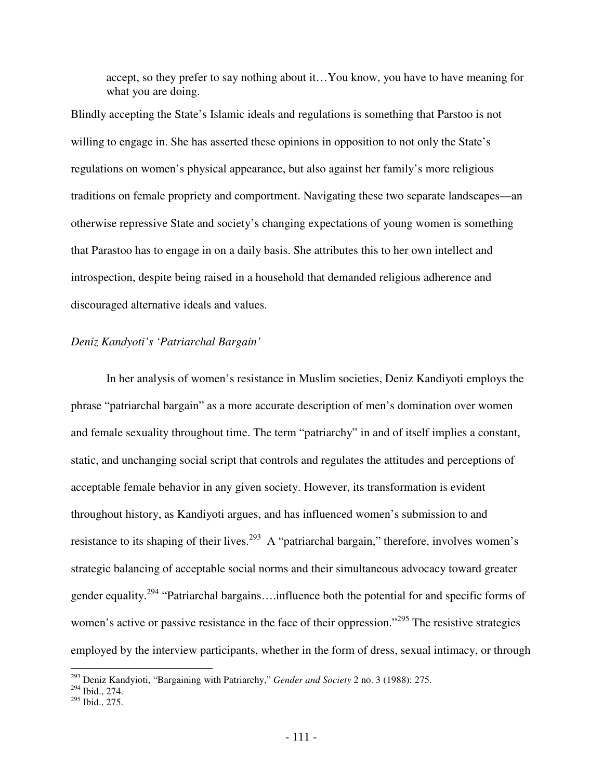accept, so they prefer to say nothing about it…You know, you have to have meaning for what you are doing.

Blindly accepting the State's Islamic ideals and regulations is something that Parstoo is not willing to engage in. She has asserted these opinions in opposition to not only the State's regulations on women's physical appearance, but also against her family's more religious traditions on female propriety and comportment. Navigating these two separate landscapes—an otherwise repressive State and society's changing expectations of young women is something that Parastoo has to engage in on a daily basis. She attributes this to her own intellect and introspection, despite being raised in a household that demanded religious adherence and discouraged alternative ideals and values.

# *Deniz Kandyoti's 'Patriarchal Bargain'*

In her analysis of women's resistance in Muslim societies, Deniz Kandiyoti employs the phrase "patriarchal bargain" as a more accurate description of men's domination over women and female sexuality throughout time. The term "patriarchy" in and of itself implies a constant, static, and unchanging social script that controls and regulates the attitudes and perceptions of acceptable female behavior in any given society. However, its transformation is evident throughout history, as Kandiyoti argues, and has influenced women's submission to and resistance to its shaping of their lives.<sup>293</sup> A "patriarchal bargain," therefore, involves women's strategic balancing of acceptable social norms and their simultaneous advocacy toward greater gender equality.<sup>294</sup> "Patriarchal bargains….influence both the potential for and specific forms of women's active or passive resistance in the face of their oppression."<sup>295</sup> The resistive strategies employed by the interview participants, whether in the form of dress, sexual intimacy, or through

 $\overline{a}$ 

<sup>293</sup> Deniz Kandyioti, "Bargaining with Patriarchy," *Gender and Society* 2 no. 3 (1988): 275.

 $294$  Ibid., 274.

<sup>295</sup> Ibid., 275.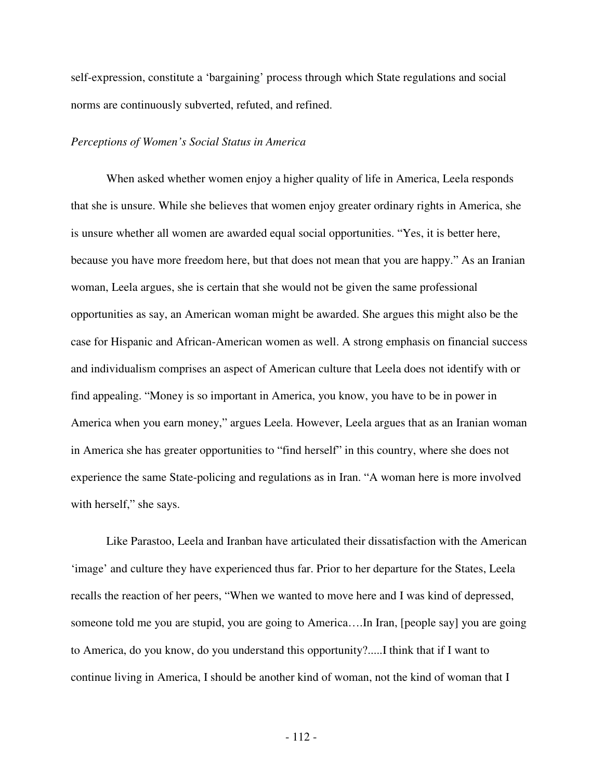self-expression, constitute a 'bargaining' process through which State regulations and social norms are continuously subverted, refuted, and refined.

### *Perceptions of Women's Social Status in America*

When asked whether women enjoy a higher quality of life in America, Leela responds that she is unsure. While she believes that women enjoy greater ordinary rights in America, she is unsure whether all women are awarded equal social opportunities. "Yes, it is better here, because you have more freedom here, but that does not mean that you are happy." As an Iranian woman, Leela argues, she is certain that she would not be given the same professional opportunities as say, an American woman might be awarded. She argues this might also be the case for Hispanic and African-American women as well. A strong emphasis on financial success and individualism comprises an aspect of American culture that Leela does not identify with or find appealing. "Money is so important in America, you know, you have to be in power in America when you earn money," argues Leela. However, Leela argues that as an Iranian woman in America she has greater opportunities to "find herself" in this country, where she does not experience the same State-policing and regulations as in Iran. "A woman here is more involved with herself," she says.

Like Parastoo, Leela and Iranban have articulated their dissatisfaction with the American 'image' and culture they have experienced thus far. Prior to her departure for the States, Leela recalls the reaction of her peers, "When we wanted to move here and I was kind of depressed, someone told me you are stupid, you are going to America....In Iran, [people say] you are going to America, do you know, do you understand this opportunity?.....I think that if I want to continue living in America, I should be another kind of woman, not the kind of woman that I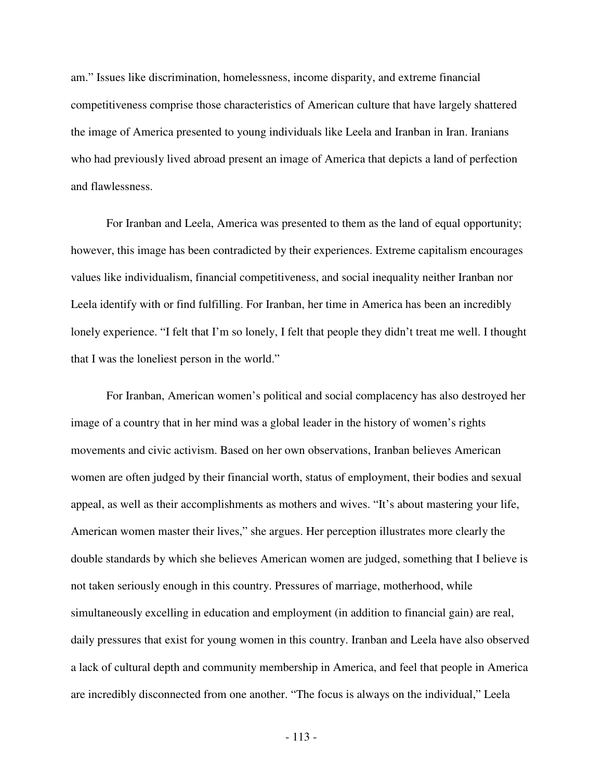am." Issues like discrimination, homelessness, income disparity, and extreme financial competitiveness comprise those characteristics of American culture that have largely shattered the image of America presented to young individuals like Leela and Iranban in Iran. Iranians who had previously lived abroad present an image of America that depicts a land of perfection and flawlessness.

For Iranban and Leela, America was presented to them as the land of equal opportunity; however, this image has been contradicted by their experiences. Extreme capitalism encourages values like individualism, financial competitiveness, and social inequality neither Iranban nor Leela identify with or find fulfilling. For Iranban, her time in America has been an incredibly lonely experience. "I felt that I'm so lonely, I felt that people they didn't treat me well. I thought that I was the loneliest person in the world."

For Iranban, American women's political and social complacency has also destroyed her image of a country that in her mind was a global leader in the history of women's rights movements and civic activism. Based on her own observations, Iranban believes American women are often judged by their financial worth, status of employment, their bodies and sexual appeal, as well as their accomplishments as mothers and wives. "It's about mastering your life, American women master their lives," she argues. Her perception illustrates more clearly the double standards by which she believes American women are judged, something that I believe is not taken seriously enough in this country. Pressures of marriage, motherhood, while simultaneously excelling in education and employment (in addition to financial gain) are real, daily pressures that exist for young women in this country. Iranban and Leela have also observed a lack of cultural depth and community membership in America, and feel that people in America are incredibly disconnected from one another. "The focus is always on the individual," Leela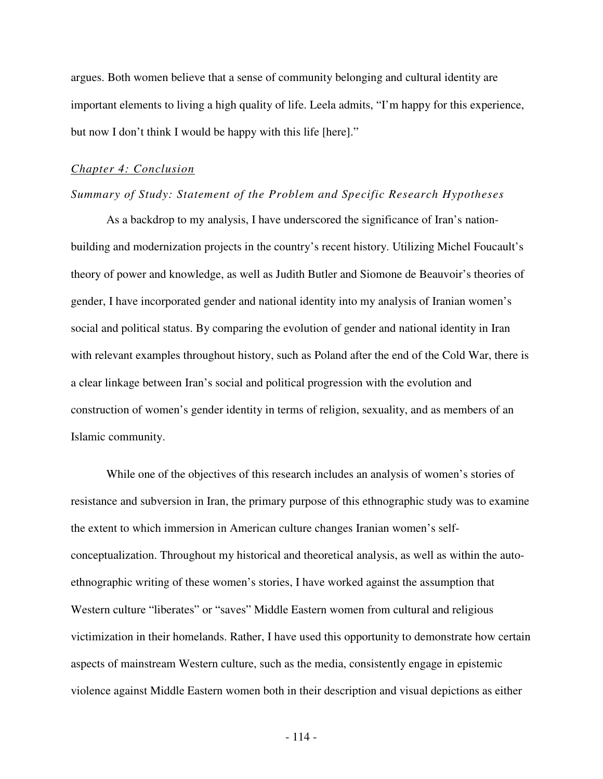argues. Both women believe that a sense of community belonging and cultural identity are important elements to living a high quality of life. Leela admits, "I'm happy for this experience, but now I don't think I would be happy with this life [here]."

### *Chapter 4: Conclusion*

# *Summary of Study: Statement of the Problem and Specific Research Hypotheses*

 As a backdrop to my analysis, I have underscored the significance of Iran's nationbuilding and modernization projects in the country's recent history. Utilizing Michel Foucault's theory of power and knowledge, as well as Judith Butler and Siomone de Beauvoir's theories of gender, I have incorporated gender and national identity into my analysis of Iranian women's social and political status. By comparing the evolution of gender and national identity in Iran with relevant examples throughout history, such as Poland after the end of the Cold War, there is a clear linkage between Iran's social and political progression with the evolution and construction of women's gender identity in terms of religion, sexuality, and as members of an Islamic community.

While one of the objectives of this research includes an analysis of women's stories of resistance and subversion in Iran, the primary purpose of this ethnographic study was to examine the extent to which immersion in American culture changes Iranian women's selfconceptualization. Throughout my historical and theoretical analysis, as well as within the autoethnographic writing of these women's stories, I have worked against the assumption that Western culture "liberates" or "saves" Middle Eastern women from cultural and religious victimization in their homelands. Rather, I have used this opportunity to demonstrate how certain aspects of mainstream Western culture, such as the media, consistently engage in epistemic violence against Middle Eastern women both in their description and visual depictions as either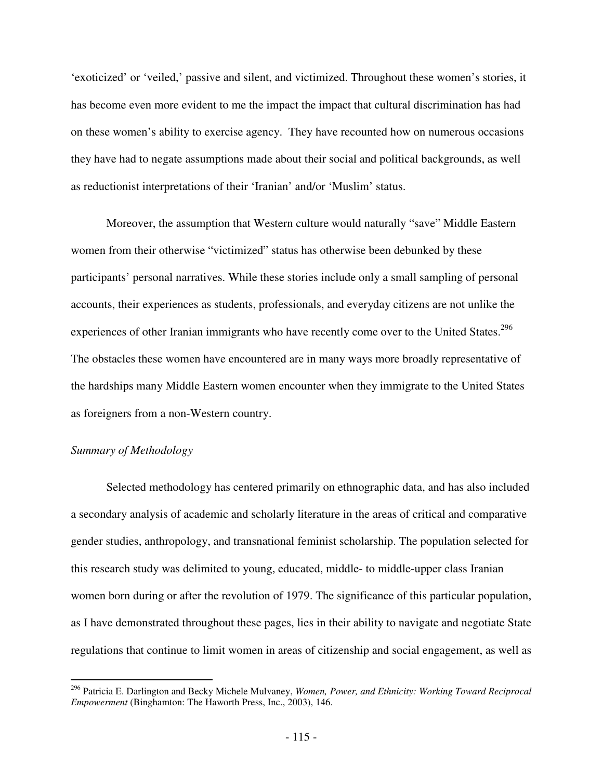'exoticized' or 'veiled,' passive and silent, and victimized. Throughout these women's stories, it has become even more evident to me the impact the impact that cultural discrimination has had on these women's ability to exercise agency. They have recounted how on numerous occasions they have had to negate assumptions made about their social and political backgrounds, as well as reductionist interpretations of their 'Iranian' and/or 'Muslim' status.

Moreover, the assumption that Western culture would naturally "save" Middle Eastern women from their otherwise "victimized" status has otherwise been debunked by these participants' personal narratives. While these stories include only a small sampling of personal accounts, their experiences as students, professionals, and everyday citizens are not unlike the experiences of other Iranian immigrants who have recently come over to the United States.<sup>296</sup> The obstacles these women have encountered are in many ways more broadly representative of the hardships many Middle Eastern women encounter when they immigrate to the United States as foreigners from a non-Western country.

# *Summary of Methodology*

<u>.</u>

Selected methodology has centered primarily on ethnographic data, and has also included a secondary analysis of academic and scholarly literature in the areas of critical and comparative gender studies, anthropology, and transnational feminist scholarship. The population selected for this research study was delimited to young, educated, middle- to middle-upper class Iranian women born during or after the revolution of 1979. The significance of this particular population, as I have demonstrated throughout these pages, lies in their ability to navigate and negotiate State regulations that continue to limit women in areas of citizenship and social engagement, as well as

<sup>296</sup> Patricia E. Darlington and Becky Michele Mulvaney, *Women, Power, and Ethnicity: Working Toward Reciprocal Empowerment* (Binghamton: The Haworth Press, Inc., 2003), 146.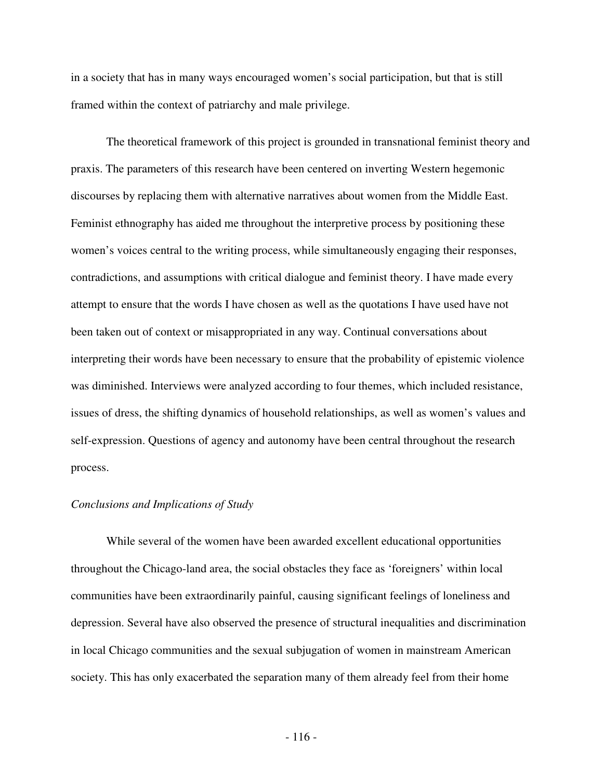in a society that has in many ways encouraged women's social participation, but that is still framed within the context of patriarchy and male privilege.

 The theoretical framework of this project is grounded in transnational feminist theory and praxis. The parameters of this research have been centered on inverting Western hegemonic discourses by replacing them with alternative narratives about women from the Middle East. Feminist ethnography has aided me throughout the interpretive process by positioning these women's voices central to the writing process, while simultaneously engaging their responses, contradictions, and assumptions with critical dialogue and feminist theory. I have made every attempt to ensure that the words I have chosen as well as the quotations I have used have not been taken out of context or misappropriated in any way. Continual conversations about interpreting their words have been necessary to ensure that the probability of epistemic violence was diminished. Interviews were analyzed according to four themes, which included resistance, issues of dress, the shifting dynamics of household relationships, as well as women's values and self-expression. Questions of agency and autonomy have been central throughout the research process.

### *Conclusions and Implications of Study*

While several of the women have been awarded excellent educational opportunities throughout the Chicago-land area, the social obstacles they face as 'foreigners' within local communities have been extraordinarily painful, causing significant feelings of loneliness and depression. Several have also observed the presence of structural inequalities and discrimination in local Chicago communities and the sexual subjugation of women in mainstream American society. This has only exacerbated the separation many of them already feel from their home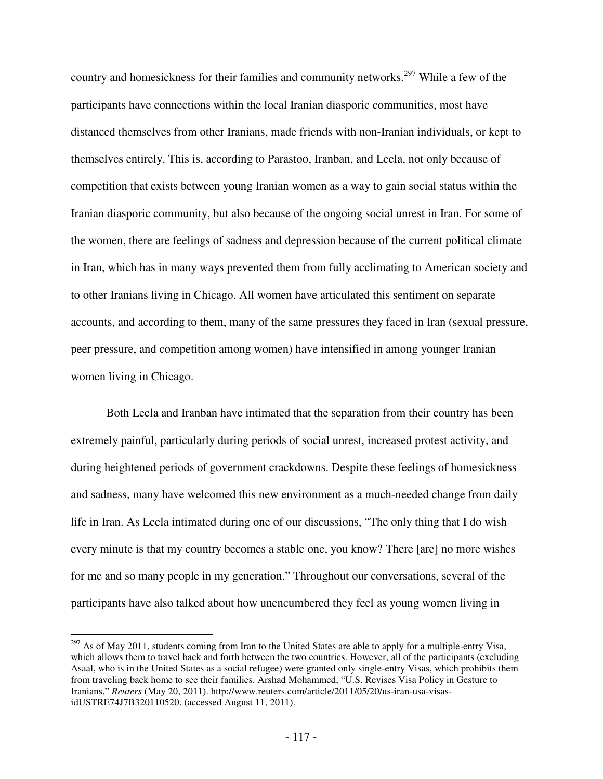country and homesickness for their families and community networks.<sup>297</sup> While a few of the participants have connections within the local Iranian diasporic communities, most have distanced themselves from other Iranians, made friends with non-Iranian individuals, or kept to themselves entirely. This is, according to Parastoo, Iranban, and Leela, not only because of competition that exists between young Iranian women as a way to gain social status within the Iranian diasporic community, but also because of the ongoing social unrest in Iran. For some of the women, there are feelings of sadness and depression because of the current political climate in Iran, which has in many ways prevented them from fully acclimating to American society and to other Iranians living in Chicago. All women have articulated this sentiment on separate accounts, and according to them, many of the same pressures they faced in Iran (sexual pressure, peer pressure, and competition among women) have intensified in among younger Iranian women living in Chicago.

Both Leela and Iranban have intimated that the separation from their country has been extremely painful, particularly during periods of social unrest, increased protest activity, and during heightened periods of government crackdowns. Despite these feelings of homesickness and sadness, many have welcomed this new environment as a much-needed change from daily life in Iran. As Leela intimated during one of our discussions, "The only thing that I do wish every minute is that my country becomes a stable one, you know? There [are] no more wishes for me and so many people in my generation." Throughout our conversations, several of the participants have also talked about how unencumbered they feel as young women living in

-

 $^{297}$  As of May 2011, students coming from Iran to the United States are able to apply for a multiple-entry Visa, which allows them to travel back and forth between the two countries. However, all of the participants (excluding Asaal, who is in the United States as a social refugee) were granted only single-entry Visas, which prohibits them from traveling back home to see their families. Arshad Mohammed, "U.S. Revises Visa Policy in Gesture to Iranians," *Reuters* (May 20, 2011). http://www.reuters.com/article/2011/05/20/us-iran-usa-visasidUSTRE74J7B320110520. (accessed August 11, 2011).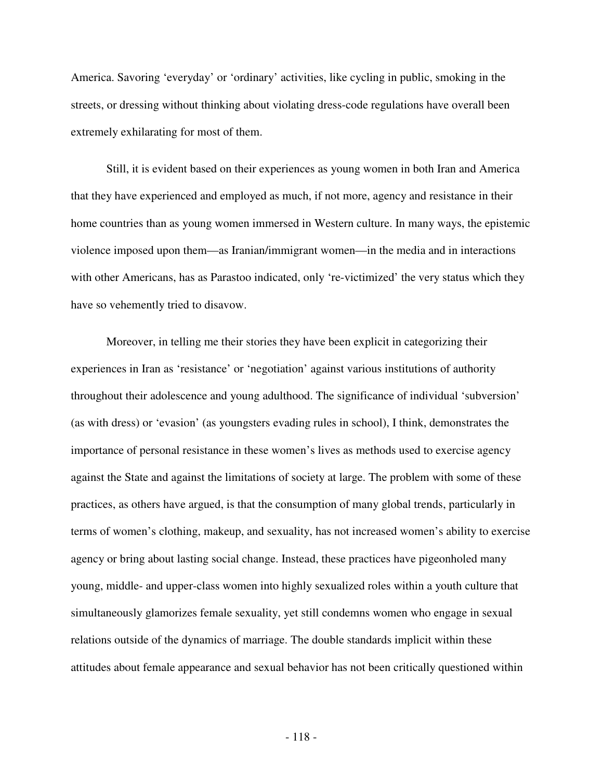America. Savoring 'everyday' or 'ordinary' activities, like cycling in public, smoking in the streets, or dressing without thinking about violating dress-code regulations have overall been extremely exhilarating for most of them.

Still, it is evident based on their experiences as young women in both Iran and America that they have experienced and employed as much, if not more, agency and resistance in their home countries than as young women immersed in Western culture. In many ways, the epistemic violence imposed upon them—as Iranian/immigrant women—in the media and in interactions with other Americans, has as Parastoo indicated, only 're-victimized' the very status which they have so vehemently tried to disavow.

Moreover, in telling me their stories they have been explicit in categorizing their experiences in Iran as 'resistance' or 'negotiation' against various institutions of authority throughout their adolescence and young adulthood. The significance of individual 'subversion' (as with dress) or 'evasion' (as youngsters evading rules in school), I think, demonstrates the importance of personal resistance in these women's lives as methods used to exercise agency against the State and against the limitations of society at large. The problem with some of these practices, as others have argued, is that the consumption of many global trends, particularly in terms of women's clothing, makeup, and sexuality, has not increased women's ability to exercise agency or bring about lasting social change. Instead, these practices have pigeonholed many young, middle- and upper-class women into highly sexualized roles within a youth culture that simultaneously glamorizes female sexuality, yet still condemns women who engage in sexual relations outside of the dynamics of marriage. The double standards implicit within these attitudes about female appearance and sexual behavior has not been critically questioned within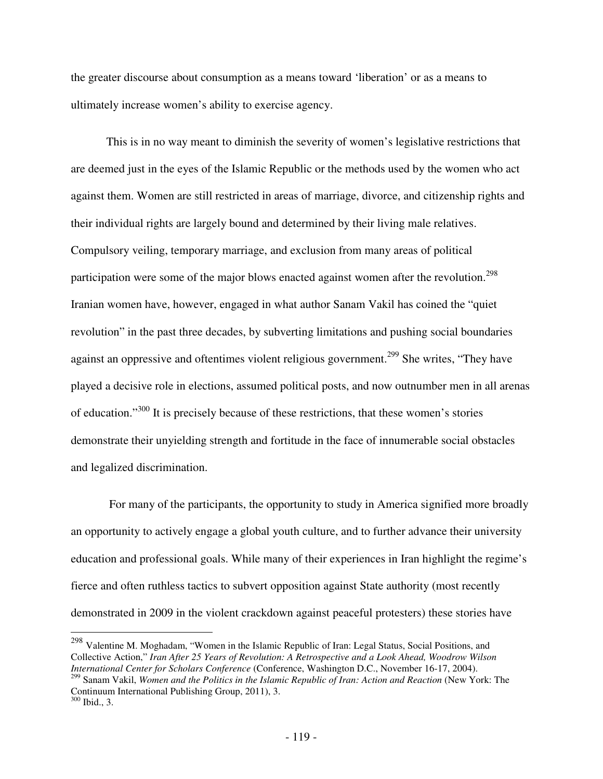the greater discourse about consumption as a means toward 'liberation' or as a means to ultimately increase women's ability to exercise agency.

This is in no way meant to diminish the severity of women's legislative restrictions that are deemed just in the eyes of the Islamic Republic or the methods used by the women who act against them. Women are still restricted in areas of marriage, divorce, and citizenship rights and their individual rights are largely bound and determined by their living male relatives. Compulsory veiling, temporary marriage, and exclusion from many areas of political participation were some of the major blows enacted against women after the revolution.<sup>298</sup> Iranian women have, however, engaged in what author Sanam Vakil has coined the "quiet revolution" in the past three decades, by subverting limitations and pushing social boundaries against an oppressive and oftentimes violent religious government.<sup>299</sup> She writes, "They have played a decisive role in elections, assumed political posts, and now outnumber men in all arenas of education."<sup>300</sup> It is precisely because of these restrictions, that these women's stories demonstrate their unyielding strength and fortitude in the face of innumerable social obstacles and legalized discrimination.

 For many of the participants, the opportunity to study in America signified more broadly an opportunity to actively engage a global youth culture, and to further advance their university education and professional goals. While many of their experiences in Iran highlight the regime's fierce and often ruthless tactics to subvert opposition against State authority (most recently demonstrated in 2009 in the violent crackdown against peaceful protesters) these stories have

<sup>298</sup> Valentine M. Moghadam, "Women in the Islamic Republic of Iran: Legal Status, Social Positions, and Collective Action," *Iran After 25 Years of Revolution: A Retrospective and a Look Ahead, Woodrow Wilson International Center for Scholars Conference* (Conference, Washington D.C., November 16-17, 2004).

 $\overline{a}$ 

<sup>&</sup>lt;sup>299</sup> Sanam Vakil, *Women and the Politics in the Islamic Republic of Iran: Action and Reaction* (New York: The Continuum International Publishing Group, 2011), 3. <sup>300</sup> Ibid., 3.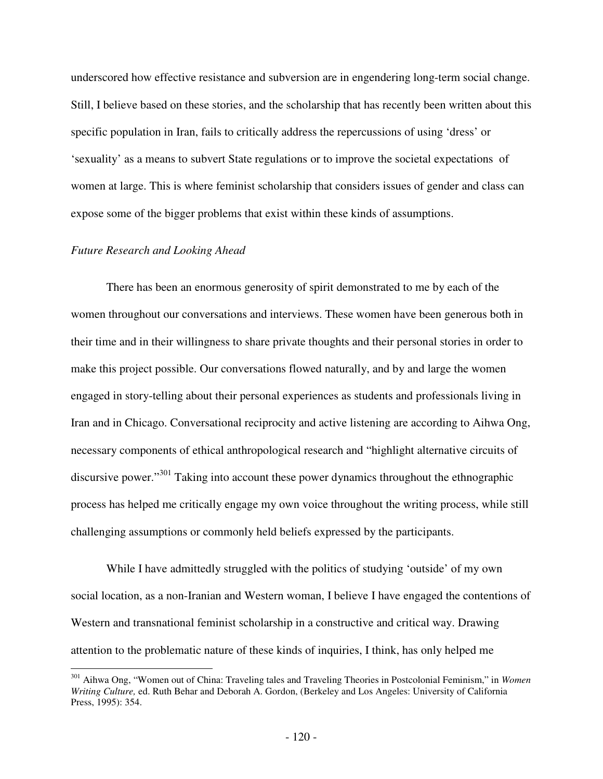underscored how effective resistance and subversion are in engendering long-term social change. Still, I believe based on these stories, and the scholarship that has recently been written about this specific population in Iran, fails to critically address the repercussions of using 'dress' or 'sexuality' as a means to subvert State regulations or to improve the societal expectations of women at large. This is where feminist scholarship that considers issues of gender and class can expose some of the bigger problems that exist within these kinds of assumptions.

### *Future Research and Looking Ahead*

 $\overline{a}$ 

 There has been an enormous generosity of spirit demonstrated to me by each of the women throughout our conversations and interviews. These women have been generous both in their time and in their willingness to share private thoughts and their personal stories in order to make this project possible. Our conversations flowed naturally, and by and large the women engaged in story-telling about their personal experiences as students and professionals living in Iran and in Chicago. Conversational reciprocity and active listening are according to Aihwa Ong, necessary components of ethical anthropological research and "highlight alternative circuits of discursive power."<sup>301</sup> Taking into account these power dynamics throughout the ethnographic process has helped me critically engage my own voice throughout the writing process, while still challenging assumptions or commonly held beliefs expressed by the participants.

 While I have admittedly struggled with the politics of studying 'outside' of my own social location, as a non-Iranian and Western woman, I believe I have engaged the contentions of Western and transnational feminist scholarship in a constructive and critical way. Drawing attention to the problematic nature of these kinds of inquiries, I think, has only helped me

<sup>301</sup> Aihwa Ong, "Women out of China: Traveling tales and Traveling Theories in Postcolonial Feminism," in *Women Writing Culture,* ed. Ruth Behar and Deborah A. Gordon, (Berkeley and Los Angeles: University of California Press, 1995): 354.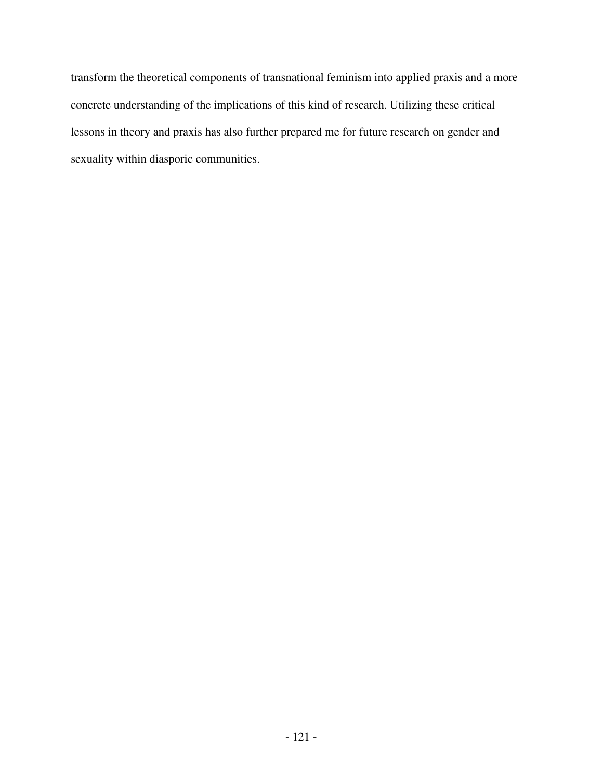transform the theoretical components of transnational feminism into applied praxis and a more concrete understanding of the implications of this kind of research. Utilizing these critical lessons in theory and praxis has also further prepared me for future research on gender and sexuality within diasporic communities.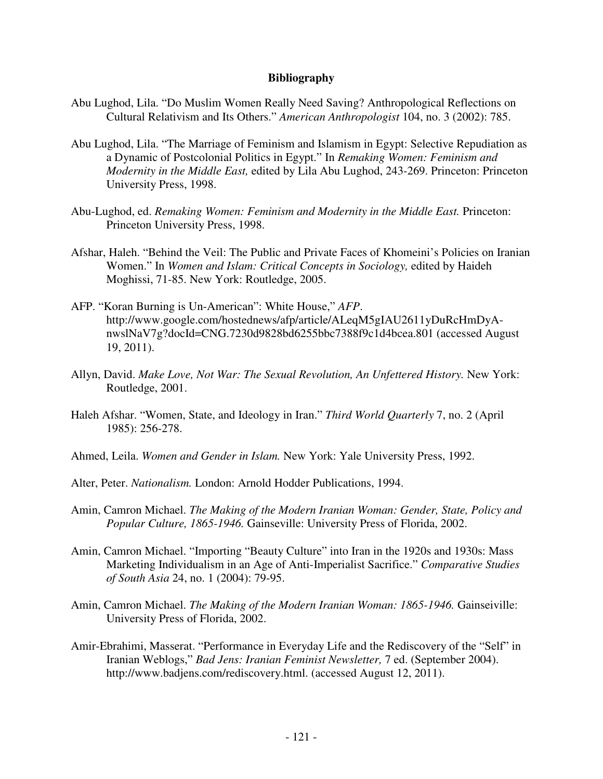## **Bibliography**

- Abu Lughod, Lila. "Do Muslim Women Really Need Saving? Anthropological Reflections on Cultural Relativism and Its Others." *American Anthropologist* 104, no. 3 (2002): 785.
- Abu Lughod, Lila. "The Marriage of Feminism and Islamism in Egypt: Selective Repudiation as a Dynamic of Postcolonial Politics in Egypt." In *Remaking Women: Feminism and Modernity in the Middle East,* edited by Lila Abu Lughod, 243-269. Princeton: Princeton University Press, 1998.
- Abu-Lughod, ed. *Remaking Women: Feminism and Modernity in the Middle East.* Princeton: Princeton University Press, 1998.
- Afshar, Haleh. "Behind the Veil: The Public and Private Faces of Khomeini's Policies on Iranian Women." In *Women and Islam: Critical Concepts in Sociology,* edited by Haideh Moghissi, 71-85. New York: Routledge, 2005.
- AFP. "Koran Burning is Un-American": White House," *AFP*. http://www.google.com/hostednews/afp/article/ALeqM5gIAU2611yDuRcHmDyAnwslNaV7g?docId=CNG.7230d9828bd6255bbc7388f9c1d4bcea.801 (accessed August 19, 2011).
- Allyn, David. *Make Love, Not War: The Sexual Revolution, An Unfettered History.* New York: Routledge, 2001.
- Haleh Afshar. "Women, State, and Ideology in Iran." *Third World Quarterly* 7, no. 2 (April 1985): 256-278.
- Ahmed, Leila. *Women and Gender in Islam.* New York: Yale University Press, 1992.
- Alter, Peter. *Nationalism.* London: Arnold Hodder Publications, 1994.
- Amin, Camron Michael. *The Making of the Modern Iranian Woman: Gender, State, Policy and Popular Culture, 1865-1946.* Gainseville: University Press of Florida, 2002.
- Amin, Camron Michael. "Importing "Beauty Culture" into Iran in the 1920s and 1930s: Mass Marketing Individualism in an Age of Anti-Imperialist Sacrifice." *Comparative Studies of South Asia* 24, no. 1 (2004): 79-95.
- Amin, Camron Michael. *The Making of the Modern Iranian Woman: 1865-1946*. Gainseiville: University Press of Florida, 2002.
- Amir-Ebrahimi, Masserat. "Performance in Everyday Life and the Rediscovery of the "Self" in Iranian Weblogs," *Bad Jens: Iranian Feminist Newsletter,* 7 ed. (September 2004). http://www.badjens.com/rediscovery.html. (accessed August 12, 2011).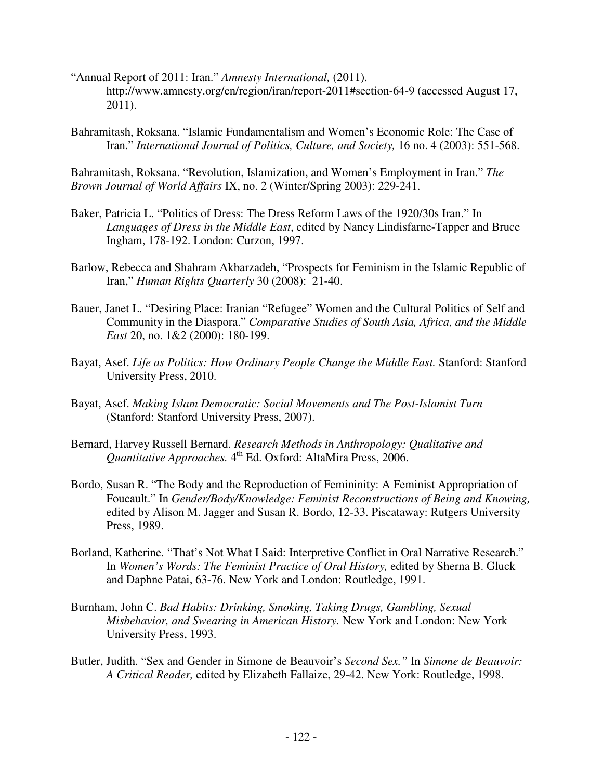- "Annual Report of 2011: Iran." *Amnesty International,* (2011). http://www.amnesty.org/en/region/iran/report-2011#section-64-9 (accessed August 17, 2011).
- Bahramitash, Roksana. "Islamic Fundamentalism and Women's Economic Role: The Case of Iran." *International Journal of Politics, Culture, and Society,* 16 no. 4 (2003): 551-568.

Bahramitash, Roksana. "Revolution, Islamization, and Women's Employment in Iran." *The Brown Journal of World Affairs* IX, no. 2 (Winter/Spring 2003): 229-241.

- Baker, Patricia L. "Politics of Dress: The Dress Reform Laws of the 1920/30s Iran." In *Languages of Dress in the Middle East*, edited by Nancy Lindisfarne-Tapper and Bruce Ingham, 178-192. London: Curzon, 1997.
- Barlow, Rebecca and Shahram Akbarzadeh, "Prospects for Feminism in the Islamic Republic of Iran," *Human Rights Quarterly* 30 (2008): 21-40.
- Bauer, Janet L. "Desiring Place: Iranian "Refugee" Women and the Cultural Politics of Self and Community in the Diaspora." *Comparative Studies of South Asia, Africa, and the Middle East* 20, no. 1&2 (2000): 180-199.
- Bayat, Asef. *Life as Politics: How Ordinary People Change the Middle East.* Stanford: Stanford University Press, 2010.
- Bayat, Asef. *Making Islam Democratic: Social Movements and The Post-Islamist Turn*  (Stanford: Stanford University Press, 2007).
- Bernard, Harvey Russell Bernard. *Research Methods in Anthropology: Qualitative and Quantitative Approaches.* 4 th Ed. Oxford: AltaMira Press, 2006.
- Bordo, Susan R. "The Body and the Reproduction of Femininity: A Feminist Appropriation of Foucault." In *Gender/Body/Knowledge: Feminist Reconstructions of Being and Knowing,*  edited by Alison M. Jagger and Susan R. Bordo, 12-33. Piscataway: Rutgers University Press, 1989.
- Borland, Katherine. "That's Not What I Said: Interpretive Conflict in Oral Narrative Research." In *Women's Words: The Feminist Practice of Oral History,* edited by Sherna B. Gluck and Daphne Patai, 63-76. New York and London: Routledge, 1991.
- Burnham, John C. *Bad Habits: Drinking, Smoking, Taking Drugs, Gambling, Sexual Misbehavior, and Swearing in American History.* New York and London: New York University Press, 1993.
- Butler, Judith. "Sex and Gender in Simone de Beauvoir's *Second Sex."* In *Simone de Beauvoir: A Critical Reader,* edited by Elizabeth Fallaize, 29-42. New York: Routledge, 1998.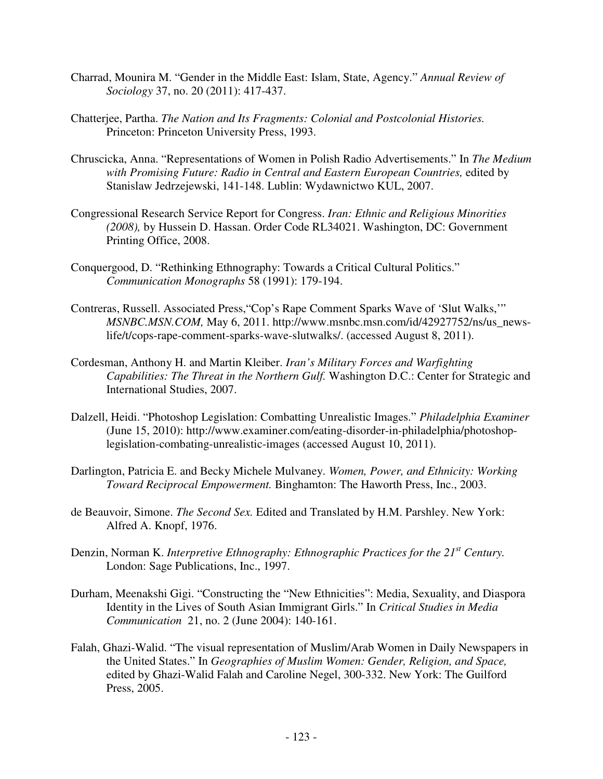- Charrad, Mounira M. "Gender in the Middle East: Islam, State, Agency." *Annual Review of Sociology* 37, no. 20 (2011): 417-437.
- Chatterjee, Partha. *The Nation and Its Fragments: Colonial and Postcolonial Histories.*  Princeton: Princeton University Press, 1993.
- Chruscicka, Anna. "Representations of Women in Polish Radio Advertisements." In *The Medium with Promising Future: Radio in Central and Eastern European Countries,* edited by Stanislaw Jedrzejewski, 141-148. Lublin: Wydawnictwo KUL, 2007.
- Congressional Research Service Report for Congress. *Iran: Ethnic and Religious Minorities (2008),* by Hussein D. Hassan. Order Code RL34021. Washington, DC: Government Printing Office, 2008.
- Conquergood, D. "Rethinking Ethnography: Towards a Critical Cultural Politics." *Communication Monographs* 58 (1991): 179-194.
- Contreras, Russell. Associated Press,"Cop's Rape Comment Sparks Wave of 'Slut Walks,'" *MSNBC.MSN.COM,* May 6, 2011. http://www.msnbc.msn.com/id/42927752/ns/us\_newslife/t/cops-rape-comment-sparks-wave-slutwalks/. (accessed August 8, 2011).
- Cordesman, Anthony H. and Martin Kleiber. *Iran's Military Forces and Warfighting Capabilities: The Threat in the Northern Gulf.* Washington D.C.: Center for Strategic and International Studies, 2007.
- Dalzell, Heidi. "Photoshop Legislation: Combatting Unrealistic Images." *Philadelphia Examiner*  (June 15, 2010): http://www.examiner.com/eating-disorder-in-philadelphia/photoshoplegislation-combating-unrealistic-images (accessed August 10, 2011).
- Darlington, Patricia E. and Becky Michele Mulvaney. *Women, Power, and Ethnicity: Working Toward Reciprocal Empowerment.* Binghamton: The Haworth Press, Inc., 2003.
- de Beauvoir, Simone. *The Second Sex.* Edited and Translated by H.M. Parshley. New York: Alfred A. Knopf, 1976.
- Denzin, Norman K. *Interpretive Ethnography: Ethnographic Practices for the 21st Century.* London: Sage Publications, Inc., 1997.
- Durham, Meenakshi Gigi. "Constructing the "New Ethnicities": Media, Sexuality, and Diaspora Identity in the Lives of South Asian Immigrant Girls." In *Critical Studies in Media Communication* 21, no. 2 (June 2004): 140-161.
- Falah, Ghazi-Walid. "The visual representation of Muslim/Arab Women in Daily Newspapers in the United States." In *Geographies of Muslim Women: Gender, Religion, and Space,*  edited by Ghazi-Walid Falah and Caroline Negel, 300-332. New York: The Guilford Press, 2005.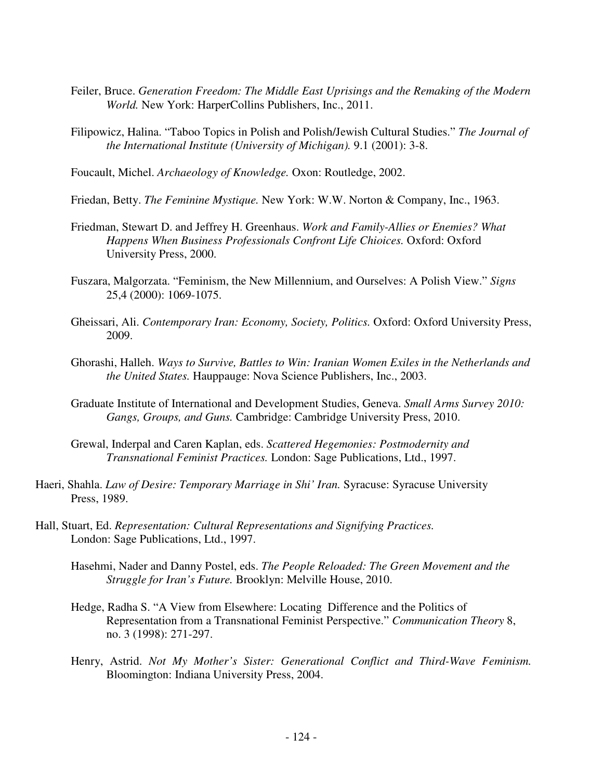- Feiler, Bruce. *Generation Freedom: The Middle East Uprisings and the Remaking of the Modern World.* New York: HarperCollins Publishers, Inc., 2011.
- Filipowicz, Halina. "Taboo Topics in Polish and Polish/Jewish Cultural Studies." *The Journal of the International Institute (University of Michigan).* 9.1 (2001): 3-8.

Foucault, Michel. *Archaeology of Knowledge.* Oxon: Routledge, 2002.

- Friedan, Betty. *The Feminine Mystique.* New York: W.W. Norton & Company, Inc., 1963.
- Friedman, Stewart D. and Jeffrey H. Greenhaus. *Work and Family-Allies or Enemies? What Happens When Business Professionals Confront Life Chioices.* Oxford: Oxford University Press, 2000.
- Fuszara, Malgorzata. "Feminism, the New Millennium, and Ourselves: A Polish View." *Signs*  25,4 (2000): 1069-1075.
- Gheissari, Ali. *Contemporary Iran: Economy, Society, Politics.* Oxford: Oxford University Press, 2009.
- Ghorashi, Halleh. *Ways to Survive, Battles to Win: Iranian Women Exiles in the Netherlands and the United States.* Hauppauge: Nova Science Publishers, Inc., 2003.
- Graduate Institute of International and Development Studies, Geneva. *Small Arms Survey 2010: Gangs, Groups, and Guns.* Cambridge: Cambridge University Press, 2010.
- Grewal, Inderpal and Caren Kaplan, eds. *Scattered Hegemonies: Postmodernity and Transnational Feminist Practices.* London: Sage Publications, Ltd., 1997.
- Haeri, Shahla. *Law of Desire: Temporary Marriage in Shi' Iran.* Syracuse: Syracuse University Press, 1989.
- Hall, Stuart, Ed. *Representation: Cultural Representations and Signifying Practices.*  London: Sage Publications, Ltd., 1997.
	- Hasehmi, Nader and Danny Postel, eds. *The People Reloaded: The Green Movement and the Struggle for Iran's Future.* Brooklyn: Melville House, 2010.
	- Hedge, Radha S. "A View from Elsewhere: Locating Difference and the Politics of Representation from a Transnational Feminist Perspective." *Communication Theory* 8, no. 3 (1998): 271-297.
	- Henry, Astrid. *Not My Mother's Sister: Generational Conflict and Third-Wave Feminism.*  Bloomington: Indiana University Press, 2004.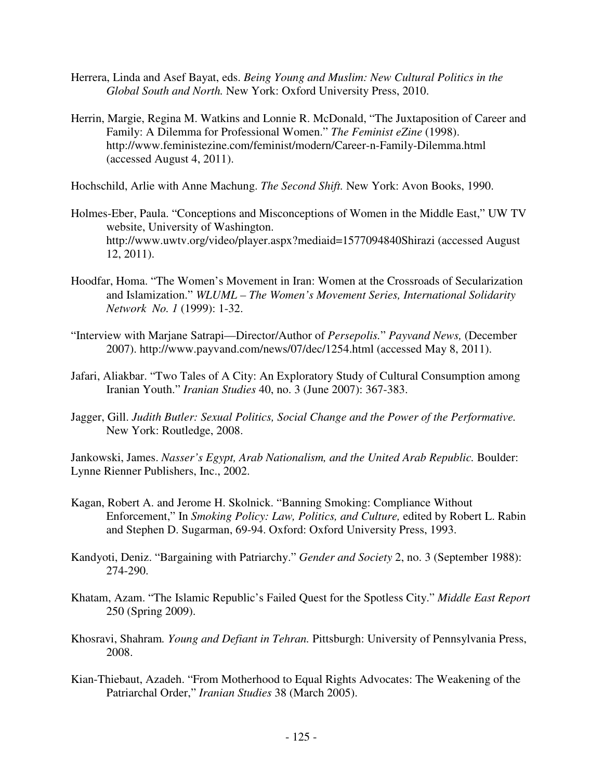- Herrera, Linda and Asef Bayat, eds. *Being Young and Muslim: New Cultural Politics in the Global South and North.* New York: Oxford University Press, 2010.
- Herrin, Margie, Regina M. Watkins and Lonnie R. McDonald, "The Juxtaposition of Career and Family: A Dilemma for Professional Women." *The Feminist eZine* (1998). http://www.feministezine.com/feminist/modern/Career-n-Family-Dilemma.html (accessed August 4, 2011).

Hochschild, Arlie with Anne Machung. *The Second Shift.* New York: Avon Books, 1990.

- Holmes-Eber, Paula. "Conceptions and Misconceptions of Women in the Middle East," UW TV website, University of Washington. http://www.uwtv.org/video/player.aspx?mediaid=1577094840Shirazi (accessed August 12, 2011).
- Hoodfar, Homa. "The Women's Movement in Iran: Women at the Crossroads of Secularization and Islamization." *WLUML – The Women's Movement Series, International Solidarity Network No. 1* (1999): 1-32.
- "Interview with Marjane Satrapi—Director/Author of *Persepolis.*" *Payvand News,* (December 2007). http://www.payvand.com/news/07/dec/1254.html (accessed May 8, 2011).
- Jafari, Aliakbar. "Two Tales of A City: An Exploratory Study of Cultural Consumption among Iranian Youth." *Iranian Studies* 40, no. 3 (June 2007): 367-383.
- Jagger, Gill. *Judith Butler: Sexual Politics, Social Change and the Power of the Performative.*  New York: Routledge, 2008.

Jankowski, James. *Nasser's Egypt, Arab Nationalism, and the United Arab Republic.* Boulder: Lynne Rienner Publishers, Inc., 2002.

- Kagan, Robert A. and Jerome H. Skolnick. "Banning Smoking: Compliance Without Enforcement," In *Smoking Policy: Law, Politics, and Culture,* edited by Robert L. Rabin and Stephen D. Sugarman, 69-94. Oxford: Oxford University Press, 1993.
- Kandyoti, Deniz. "Bargaining with Patriarchy." *Gender and Society* 2, no. 3 (September 1988): 274-290.
- Khatam, Azam. "The Islamic Republic's Failed Quest for the Spotless City." *Middle East Report*  250 (Spring 2009).
- Khosravi, Shahram*. Young and Defiant in Tehran.* Pittsburgh: University of Pennsylvania Press, 2008.
- Kian-Thiebaut, Azadeh. "From Motherhood to Equal Rights Advocates: The Weakening of the Patriarchal Order," *Iranian Studies* 38 (March 2005).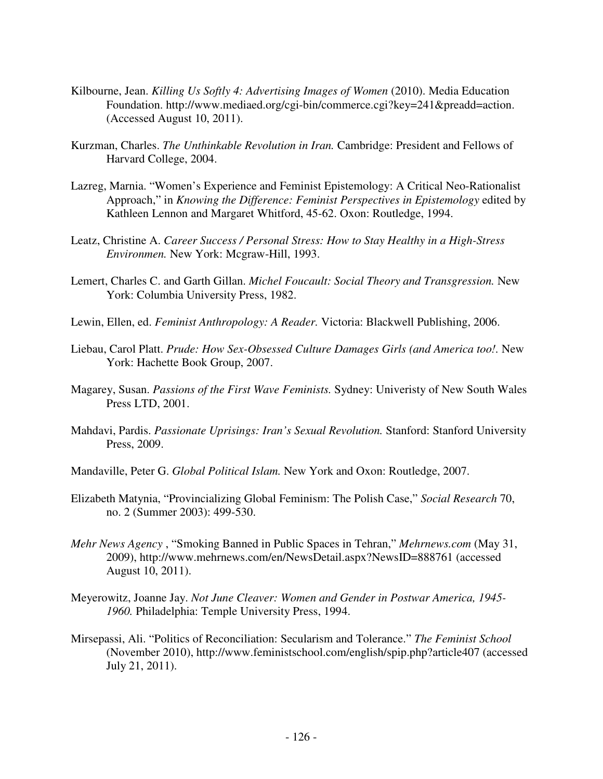- Kilbourne, Jean. *Killing Us Softly 4: Advertising Images of Women* (2010). Media Education Foundation. http://www.mediaed.org/cgi-bin/commerce.cgi?key=241&preadd=action. (Accessed August 10, 2011).
- Kurzman, Charles. *The Unthinkable Revolution in Iran.* Cambridge: President and Fellows of Harvard College, 2004.
- Lazreg, Marnia. "Women's Experience and Feminist Epistemology: A Critical Neo-Rationalist Approach," in *Knowing the Difference: Feminist Perspectives in Epistemology* edited by Kathleen Lennon and Margaret Whitford, 45-62. Oxon: Routledge, 1994.
- Leatz, Christine A. *Career Success / Personal Stress: How to Stay Healthy in a High-Stress Environmen.* New York: Mcgraw-Hill, 1993.
- Lemert, Charles C. and Garth Gillan. *Michel Foucault: Social Theory and Transgression.* New York: Columbia University Press, 1982.
- Lewin, Ellen, ed. *Feminist Anthropology: A Reader.* Victoria: Blackwell Publishing, 2006.
- Liebau, Carol Platt. *Prude: How Sex-Obsessed Culture Damages Girls (and America too!.* New York: Hachette Book Group, 2007.
- Magarey, Susan. *Passions of the First Wave Feminists.* Sydney: Univeristy of New South Wales Press LTD, 2001.
- Mahdavi, Pardis. *Passionate Uprisings: Iran's Sexual Revolution.* Stanford: Stanford University Press, 2009.
- Mandaville, Peter G. *Global Political Islam.* New York and Oxon: Routledge, 2007.
- Elizabeth Matynia, "Provincializing Global Feminism: The Polish Case," *Social Research* 70, no. 2 (Summer 2003): 499-530.
- *Mehr News Agency* , "Smoking Banned in Public Spaces in Tehran," *Mehrnews.com* (May 31, 2009), http://www.mehrnews.com/en/NewsDetail.aspx?NewsID=888761 (accessed August 10, 2011).
- Meyerowitz, Joanne Jay. *Not June Cleaver: Women and Gender in Postwar America, 1945- 1960.* Philadelphia: Temple University Press, 1994.
- Mirsepassi, Ali. "Politics of Reconciliation: Secularism and Tolerance." *The Feminist School*  (November 2010), http://www.feministschool.com/english/spip.php?article407 (accessed July 21, 2011).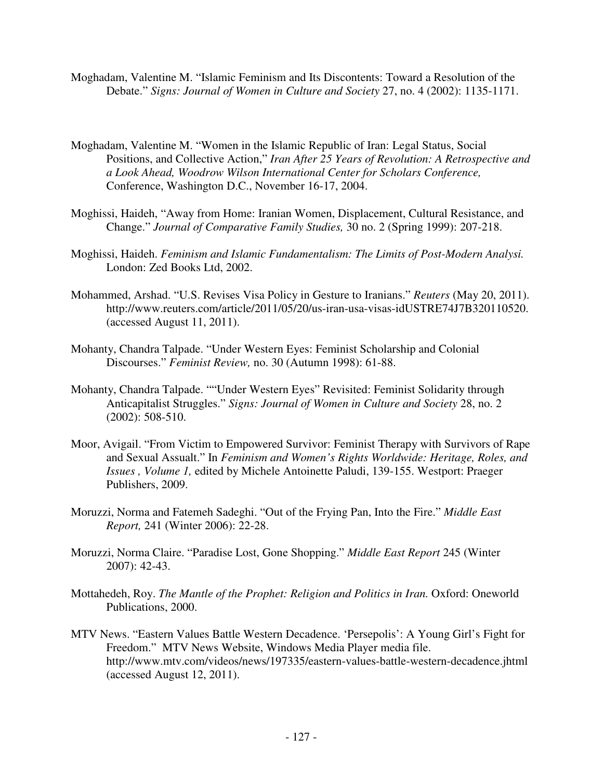- Moghadam, Valentine M. "Islamic Feminism and Its Discontents: Toward a Resolution of the Debate." *Signs: Journal of Women in Culture and Society* 27, no. 4 (2002): 1135-1171.
- Moghadam, Valentine M. "Women in the Islamic Republic of Iran: Legal Status, Social Positions, and Collective Action," *Iran After 25 Years of Revolution: A Retrospective and a Look Ahead, Woodrow Wilson International Center for Scholars Conference,*  Conference, Washington D.C., November 16-17, 2004.
- Moghissi, Haideh, "Away from Home: Iranian Women, Displacement, Cultural Resistance, and Change." *Journal of Comparative Family Studies,* 30 no. 2 (Spring 1999): 207-218.
- Moghissi, Haideh. *Feminism and Islamic Fundamentalism: The Limits of Post-Modern Analysi.*  London: Zed Books Ltd, 2002.
- Mohammed, Arshad. "U.S. Revises Visa Policy in Gesture to Iranians." *Reuters* (May 20, 2011). http://www.reuters.com/article/2011/05/20/us-iran-usa-visas-idUSTRE74J7B320110520. (accessed August 11, 2011).
- Mohanty, Chandra Talpade. "Under Western Eyes: Feminist Scholarship and Colonial Discourses." *Feminist Review,* no. 30 (Autumn 1998): 61-88.
- Mohanty, Chandra Talpade. ""Under Western Eyes" Revisited: Feminist Solidarity through Anticapitalist Struggles." *Signs: Journal of Women in Culture and Society* 28, no. 2 (2002): 508-510.
- Moor, Avigail. "From Victim to Empowered Survivor: Feminist Therapy with Survivors of Rape and Sexual Assualt." In *Feminism and Women's Rights Worldwide: Heritage, Roles, and Issues , Volume 1,* edited by Michele Antoinette Paludi, 139-155. Westport: Praeger Publishers, 2009.
- Moruzzi, Norma and Fatemeh Sadeghi. "Out of the Frying Pan, Into the Fire." *Middle East Report,* 241 (Winter 2006): 22-28.
- Moruzzi, Norma Claire. "Paradise Lost, Gone Shopping." *Middle East Report* 245 (Winter 2007): 42-43.
- Mottahedeh, Roy. *The Mantle of the Prophet: Religion and Politics in Iran*. Oxford: Oneworld Publications, 2000.
- MTV News. "Eastern Values Battle Western Decadence. 'Persepolis': A Young Girl's Fight for Freedom." MTV News Website, Windows Media Player media file. http://www.mtv.com/videos/news/197335/eastern-values-battle-western-decadence.jhtml (accessed August 12, 2011).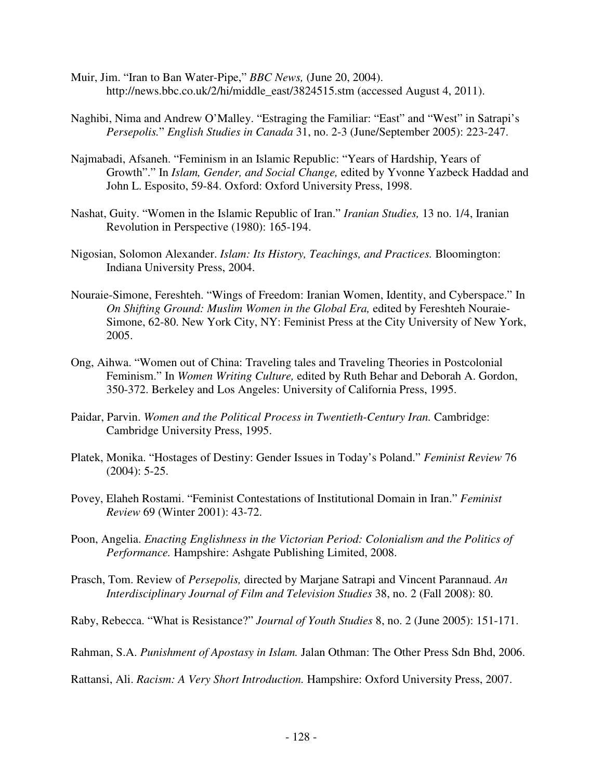- Muir, Jim. "Iran to Ban Water-Pipe," *BBC News,* (June 20, 2004). http://news.bbc.co.uk/2/hi/middle\_east/3824515.stm (accessed August 4, 2011).
- Naghibi, Nima and Andrew O'Malley. "Estraging the Familiar: "East" and "West" in Satrapi's *Persepolis.*" *English Studies in Canada* 31, no. 2-3 (June/September 2005): 223-247.
- Najmabadi, Afsaneh. "Feminism in an Islamic Republic: "Years of Hardship, Years of Growth"." In *Islam, Gender, and Social Change,* edited by Yvonne Yazbeck Haddad and John L. Esposito, 59-84. Oxford: Oxford University Press, 1998.
- Nashat, Guity. "Women in the Islamic Republic of Iran." *Iranian Studies,* 13 no. 1/4, Iranian Revolution in Perspective (1980): 165-194.
- Nigosian, Solomon Alexander. *Islam: Its History, Teachings, and Practices.* Bloomington: Indiana University Press, 2004.
- Nouraie-Simone, Fereshteh. "Wings of Freedom: Iranian Women, Identity, and Cyberspace." In *On Shifting Ground: Muslim Women in the Global Era,* edited by Fereshteh Nouraie-Simone, 62-80. New York City, NY: Feminist Press at the City University of New York, 2005.
- Ong, Aihwa. "Women out of China: Traveling tales and Traveling Theories in Postcolonial Feminism." In *Women Writing Culture,* edited by Ruth Behar and Deborah A. Gordon, 350-372. Berkeley and Los Angeles: University of California Press, 1995.
- Paidar, Parvin. *Women and the Political Process in Twentieth-Century Iran.* Cambridge: Cambridge University Press, 1995.
- Platek, Monika. "Hostages of Destiny: Gender Issues in Today's Poland." *Feminist Review* 76 (2004): 5-25.
- Povey, Elaheh Rostami. "Feminist Contestations of Institutional Domain in Iran." *Feminist Review* 69 (Winter 2001): 43-72.
- Poon, Angelia. *Enacting Englishness in the Victorian Period: Colonialism and the Politics of Performance.* Hampshire: Ashgate Publishing Limited, 2008.
- Prasch, Tom. Review of *Persepolis,* directed by Marjane Satrapi and Vincent Parannaud. *An Interdisciplinary Journal of Film and Television Studies* 38, no. 2 (Fall 2008): 80.
- Raby, Rebecca. "What is Resistance?" *Journal of Youth Studies* 8, no. 2 (June 2005): 151-171.
- Rahman, S.A. *Punishment of Apostasy in Islam.* Jalan Othman: The Other Press Sdn Bhd, 2006.

Rattansi, Ali. *Racism: A Very Short Introduction.* Hampshire: Oxford University Press, 2007.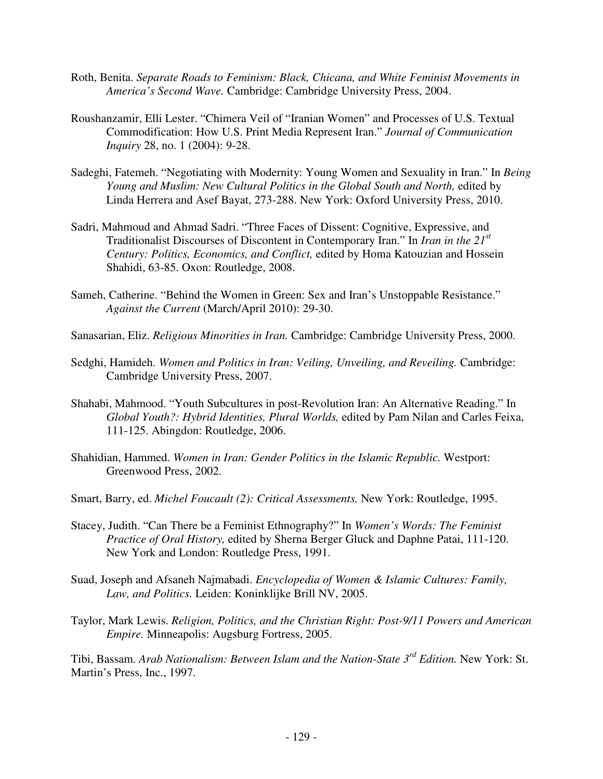- Roth, Benita. *Separate Roads to Feminism: Black, Chicana, and White Feminist Movements in America's Second Wave.* Cambridge: Cambridge University Press, 2004.
- Roushanzamir, Elli Lester. "Chimera Veil of "Iranian Women" and Processes of U.S. Textual Commodification: How U.S. Print Media Represent Iran." *Journal of Communication Inquiry* 28, no. 1 (2004): 9-28.
- Sadeghi, Fatemeh. "Negotiating with Modernity: Young Women and Sexuality in Iran." In *Being Young and Muslim: New Cultural Politics in the Global South and North,* edited by Linda Herrera and Asef Bayat, 273-288. New York: Oxford University Press, 2010.
- Sadri, Mahmoud and Ahmad Sadri. "Three Faces of Dissent: Cognitive, Expressive, and Traditionalist Discourses of Discontent in Contemporary Iran." In *Iran in the 21st Century: Politics, Economics, and Conflict,* edited by Homa Katouzian and Hossein Shahidi, 63-85. Oxon: Routledge, 2008.
- Sameh, Catherine. "Behind the Women in Green: Sex and Iran's Unstoppable Resistance." *Against the Current* (March/April 2010): 29-30.
- Sanasarian, Eliz. *Religious Minorities in Iran.* Cambridge: Cambridge University Press, 2000.
- Sedghi, Hamideh. *Women and Politics in Iran: Veiling, Unveiling, and Reveiling.* Cambridge: Cambridge University Press, 2007.
- Shahabi, Mahmood. "Youth Subcultures in post-Revolution Iran: An Alternative Reading." In *Global Youth?: Hybrid Identities, Plural Worlds,* edited by Pam Nilan and Carles Feixa, 111-125. Abingdon: Routledge, 2006.
- Shahidian, Hammed. *Women in Iran: Gender Politics in the Islamic Republic.* Westport: Greenwood Press, 2002.
- Smart, Barry, ed. *Michel Foucault (2): Critical Assessments.* New York: Routledge, 1995.
- Stacey, Judith. "Can There be a Feminist Ethnography?" In *Women's Words: The Feminist Practice of Oral History,* edited by Sherna Berger Gluck and Daphne Patai, 111-120. New York and London: Routledge Press, 1991.
- Suad, Joseph and Afsaneh Najmabadi. *Encyclopedia of Women & Islamic Cultures: Family, Law, and Politics.* Leiden: Koninklijke Brill NV, 2005.
- Taylor, Mark Lewis. *Religion, Politics, and the Christian Right: Post-9/11 Powers and American Empire.* Minneapolis: Augsburg Fortress, 2005.

Tibi, Bassam. *Arab Nationalism: Between Islam and the Nation-State 3rd Edition.* New York: St. Martin's Press, Inc., 1997.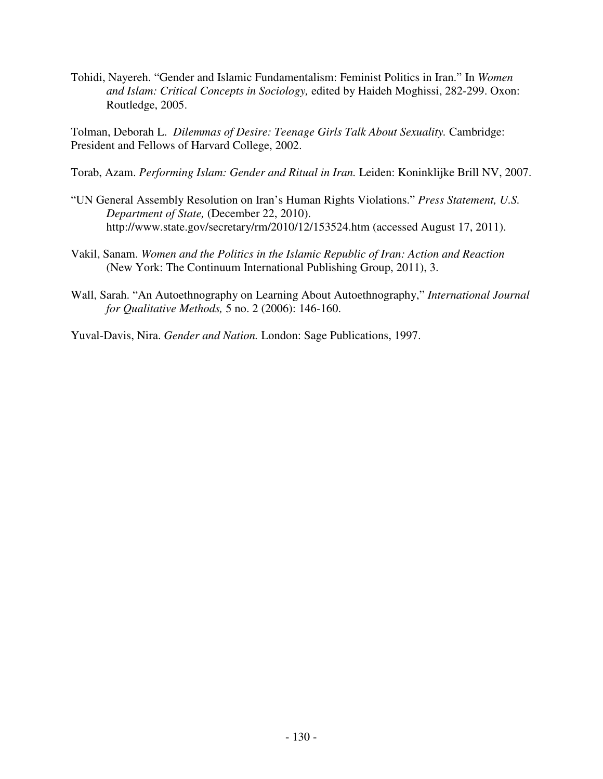Tohidi, Nayereh. "Gender and Islamic Fundamentalism: Feminist Politics in Iran." In *Women and Islam: Critical Concepts in Sociology,* edited by Haideh Moghissi, 282-299. Oxon: Routledge, 2005.

Tolman, Deborah L. *Dilemmas of Desire: Teenage Girls Talk About Sexuality.* Cambridge: President and Fellows of Harvard College, 2002.

- Torab, Azam. *Performing Islam: Gender and Ritual in Iran.* Leiden: Koninklijke Brill NV, 2007.
- "UN General Assembly Resolution on Iran's Human Rights Violations." *Press Statement, U.S. Department of State,* (December 22, 2010). http://www.state.gov/secretary/rm/2010/12/153524.htm (accessed August 17, 2011).
- Vakil, Sanam. *Women and the Politics in the Islamic Republic of Iran: Action and Reaction*  (New York: The Continuum International Publishing Group, 2011), 3.
- Wall, Sarah. "An Autoethnography on Learning About Autoethnography," *International Journal for Qualitative Methods,* 5 no. 2 (2006): 146-160.

Yuval-Davis, Nira. *Gender and Nation.* London: Sage Publications, 1997.